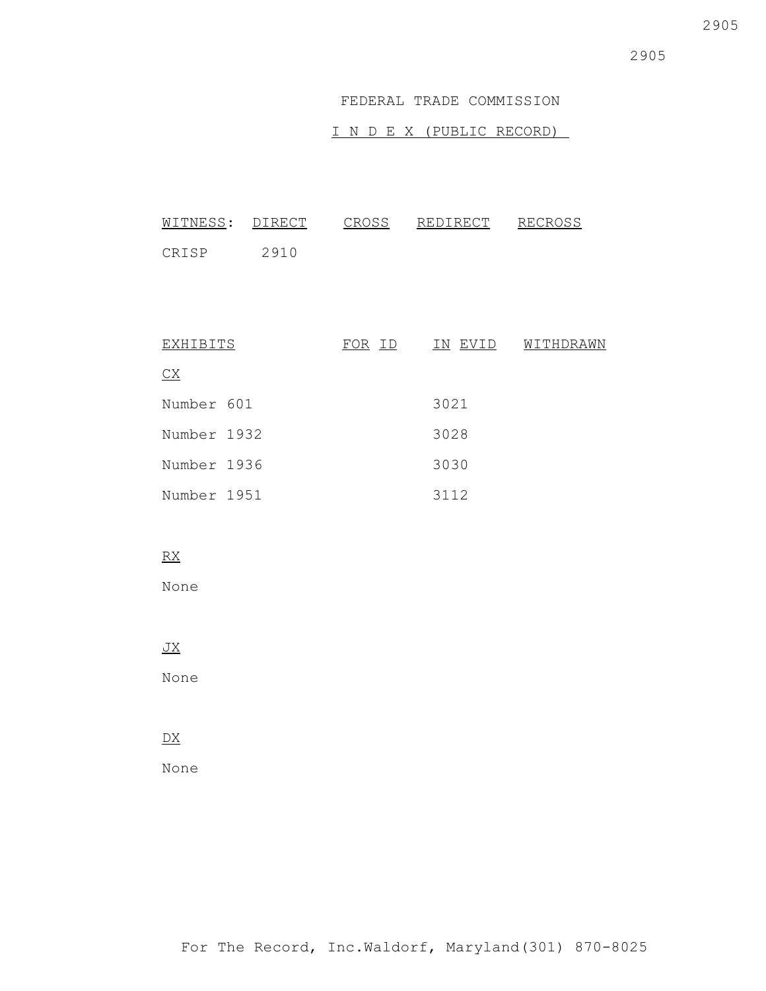### FEDERAL TRADE COMMISSION

## I N D E X (PUBLIC RECORD)

| WITNESS:        | DIRECT | CROSS         | REDIRECT | <b>RECROSS</b> |
|-----------------|--------|---------------|----------|----------------|
| CRISP           | 2910   |               |          |                |
|                 |        |               |          |                |
|                 |        |               |          |                |
| EXHIBITS        |        | <u>FOR ID</u> | IN EVID  | WITHDRAWN      |
| $\overline{CX}$ |        |               |          |                |
| Number 601      |        |               | 3021     |                |
| Number 1932     |        |               | 3028     |                |
| Number 1936     |        |               | 3030     |                |
| Number 1951     |        |               | 3112     |                |

## RX

None

## JX

None

# DX

None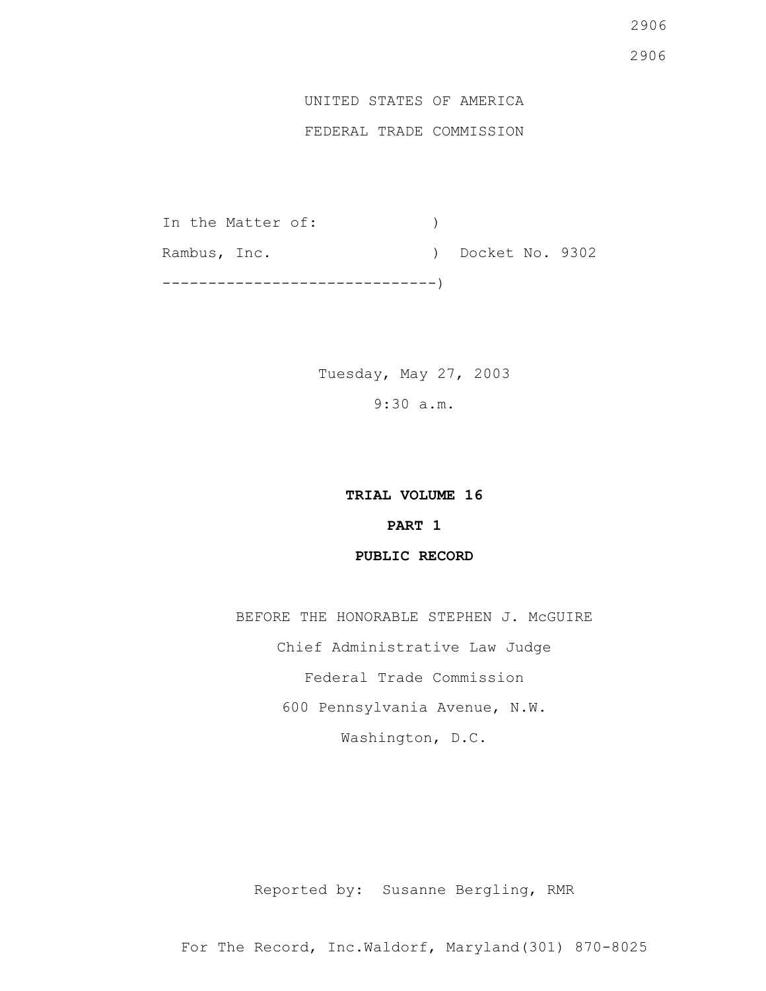# 2906 2906

# UNITED STATES OF AMERICA

# FEDERAL TRADE COMMISSION

In the Matter of:  $)$ Rambus, Inc. (a) Docket No. 9302 ------------------------------)

> Tuesday, May 27, 2003 9:30 a.m.

## **TRIAL VOLUME 16**

# **PART 1**

## **PUBLIC RECORD**

BEFORE THE HONORABLE STEPHEN J. McGUIRE Chief Administrative Law Judge Federal Trade Commission 600 Pennsylvania Avenue, N.W. Washington, D.C.

Reported by: Susanne Bergling, RMR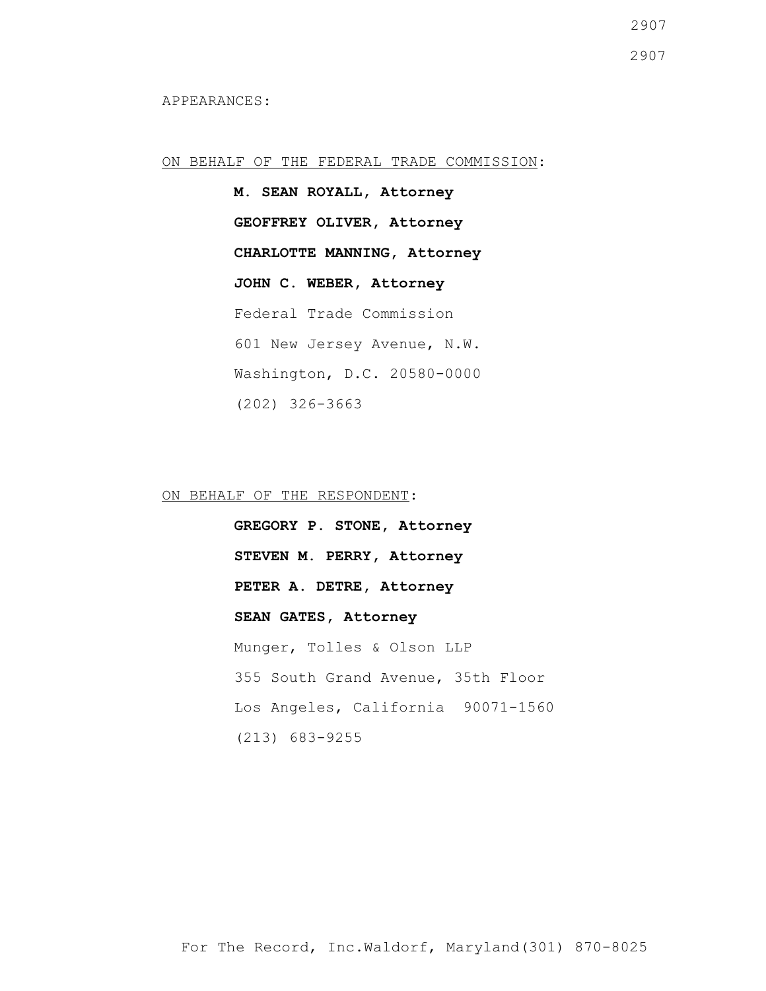#### ON BEHALF OF THE FEDERAL TRADE COMMISSION:

**M. SEAN ROYALL, Attorney GEOFFREY OLIVER, Attorney CHARLOTTE MANNING, Attorney JOHN C. WEBER, Attorney** Federal Trade Commission 601 New Jersey Avenue, N.W. Washington, D.C. 20580-0000 (202) 326-3663

ON BEHALF OF THE RESPONDENT:

**GREGORY P. STONE, Attorney STEVEN M. PERRY, Attorney PETER A. DETRE, Attorney SEAN GATES, Attorney** Munger, Tolles & Olson LLP 355 South Grand Avenue, 35th Floor Los Angeles, California 90071-1560 (213) 683-9255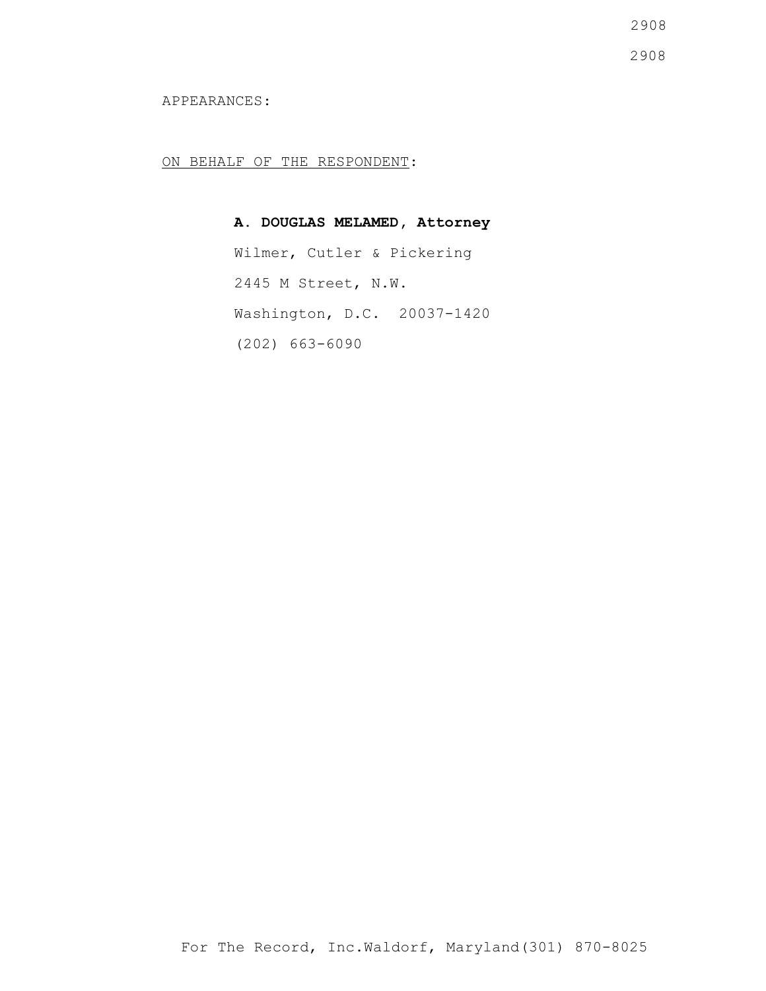2908

2908

APPEARANCES:

ON BEHALF OF THE RESPONDENT:

**A. DOUGLAS MELAMED, Attorney** Wilmer, Cutler & Pickering 2445 M Street, N.W. Washington, D.C. 20037-1420 (202) 663-6090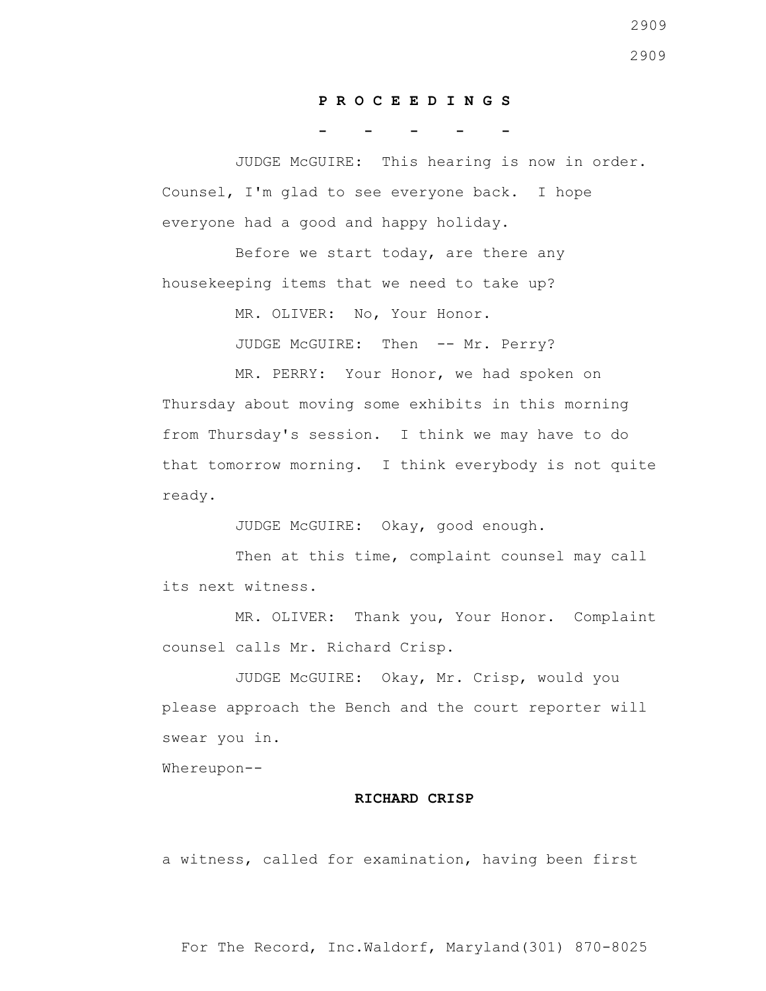#### **P R O C E E D I N G S**

**- - - - -**

 JUDGE McGUIRE: This hearing is now in order. Counsel, I'm glad to see everyone back. I hope everyone had a good and happy holiday.

 Before we start today, are there any housekeeping items that we need to take up?

MR. OLIVER: No, Your Honor.

JUDGE McGUIRE: Then -- Mr. Perry?

 MR. PERRY: Your Honor, we had spoken on Thursday about moving some exhibits in this morning from Thursday's session. I think we may have to do that tomorrow morning. I think everybody is not quite ready.

JUDGE McGUIRE: Okay, good enough.

Then at this time, complaint counsel may call its next witness.

 MR. OLIVER: Thank you, Your Honor. Complaint counsel calls Mr. Richard Crisp.

 JUDGE McGUIRE: Okay, Mr. Crisp, would you please approach the Bench and the court reporter will swear you in.

Whereupon--

#### **RICHARD CRISP**

a witness, called for examination, having been first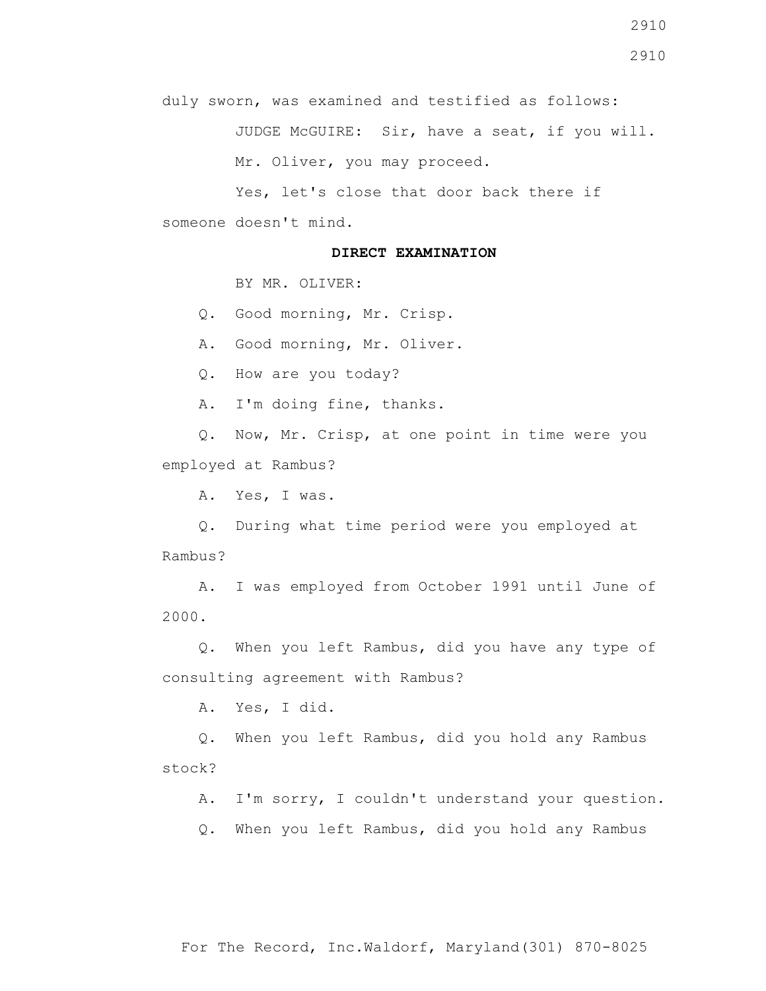JUDGE McGUIRE: Sir, have a seat, if you will. Mr. Oliver, you may proceed.

 Yes, let's close that door back there if someone doesn't mind.

#### **DIRECT EXAMINATION**

BY MR. OLIVER:

Q. Good morning, Mr. Crisp.

A. Good morning, Mr. Oliver.

Q. How are you today?

A. I'm doing fine, thanks.

 Q. Now, Mr. Crisp, at one point in time were you employed at Rambus?

A. Yes, I was.

 Q. During what time period were you employed at Rambus?

 A. I was employed from October 1991 until June of 2000.

 Q. When you left Rambus, did you have any type of consulting agreement with Rambus?

A. Yes, I did.

 Q. When you left Rambus, did you hold any Rambus stock?

A. I'm sorry, I couldn't understand your question.

Q. When you left Rambus, did you hold any Rambus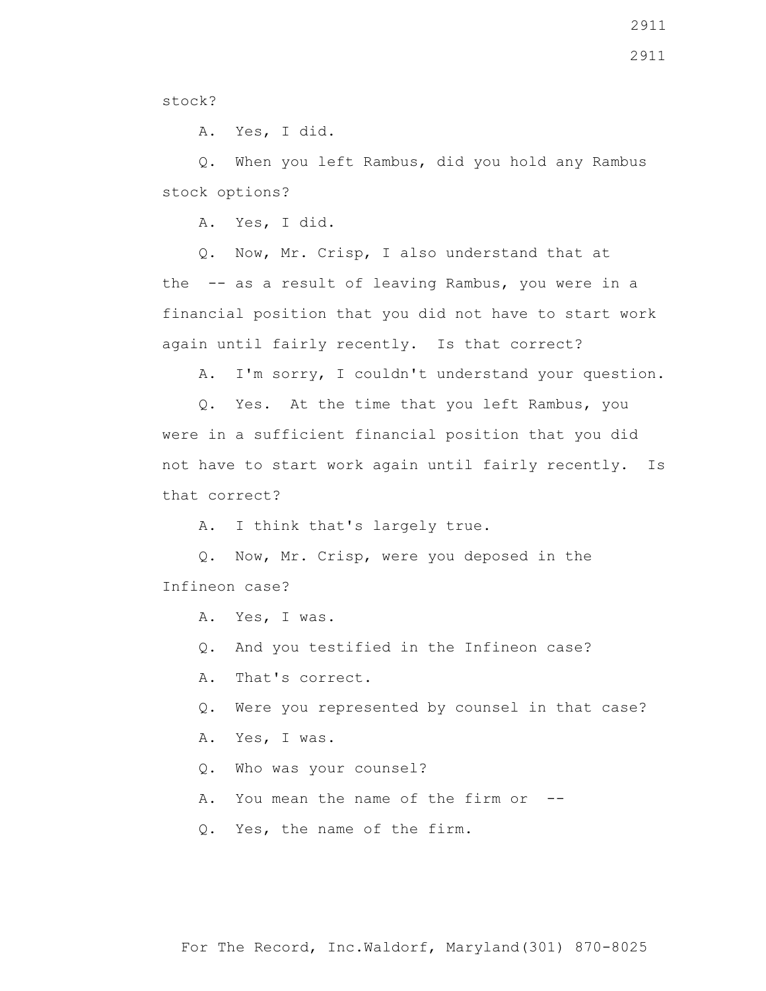2911

stock?

A. Yes, I did.

 Q. When you left Rambus, did you hold any Rambus stock options?

A. Yes, I did.

 Q. Now, Mr. Crisp, I also understand that at the -- as a result of leaving Rambus, you were in a financial position that you did not have to start work again until fairly recently. Is that correct?

A. I'm sorry, I couldn't understand your question.

 Q. Yes. At the time that you left Rambus, you were in a sufficient financial position that you did not have to start work again until fairly recently. Is that correct?

A. I think that's largely true.

 Q. Now, Mr. Crisp, were you deposed in the Infineon case?

A. Yes, I was.

Q. And you testified in the Infineon case?

A. That's correct.

Q. Were you represented by counsel in that case?

A. Yes, I was.

Q. Who was your counsel?

A. You mean the name of the firm or --

Q. Yes, the name of the firm.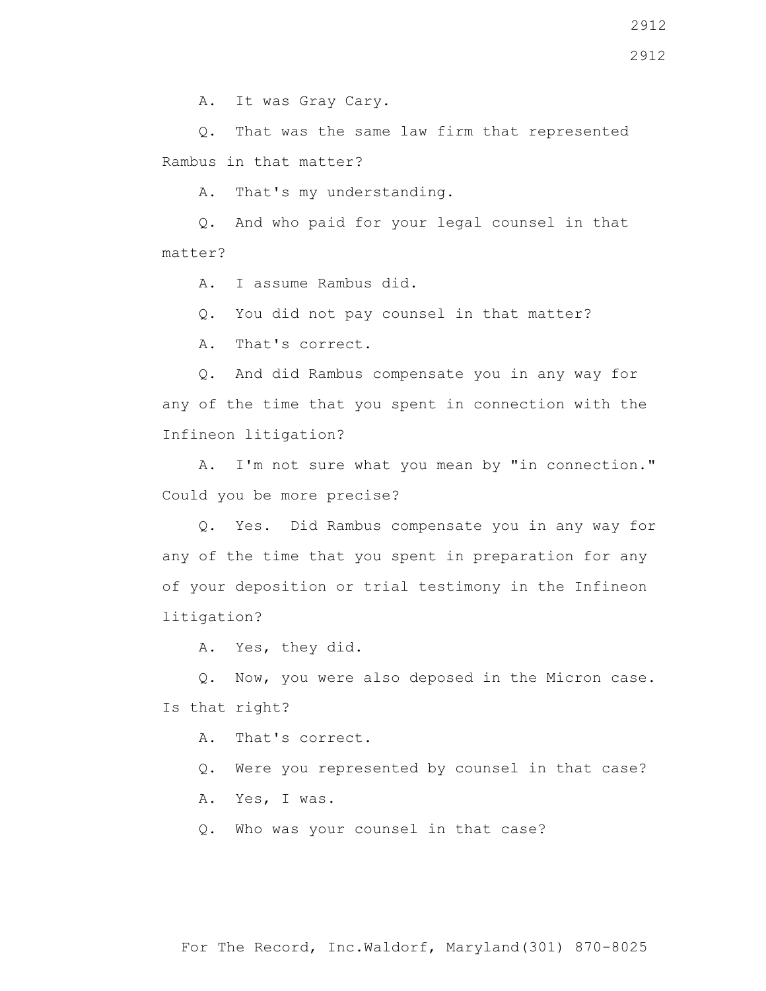A. It was Gray Cary.

 Q. That was the same law firm that represented Rambus in that matter?

A. That's my understanding.

 Q. And who paid for your legal counsel in that matter?

A. I assume Rambus did.

Q. You did not pay counsel in that matter?

A. That's correct.

 Q. And did Rambus compensate you in any way for any of the time that you spent in connection with the Infineon litigation?

 A. I'm not sure what you mean by "in connection." Could you be more precise?

 Q. Yes. Did Rambus compensate you in any way for any of the time that you spent in preparation for any of your deposition or trial testimony in the Infineon litigation?

A. Yes, they did.

 Q. Now, you were also deposed in the Micron case. Is that right?

A. That's correct.

Q. Were you represented by counsel in that case?

A. Yes, I was.

Q. Who was your counsel in that case?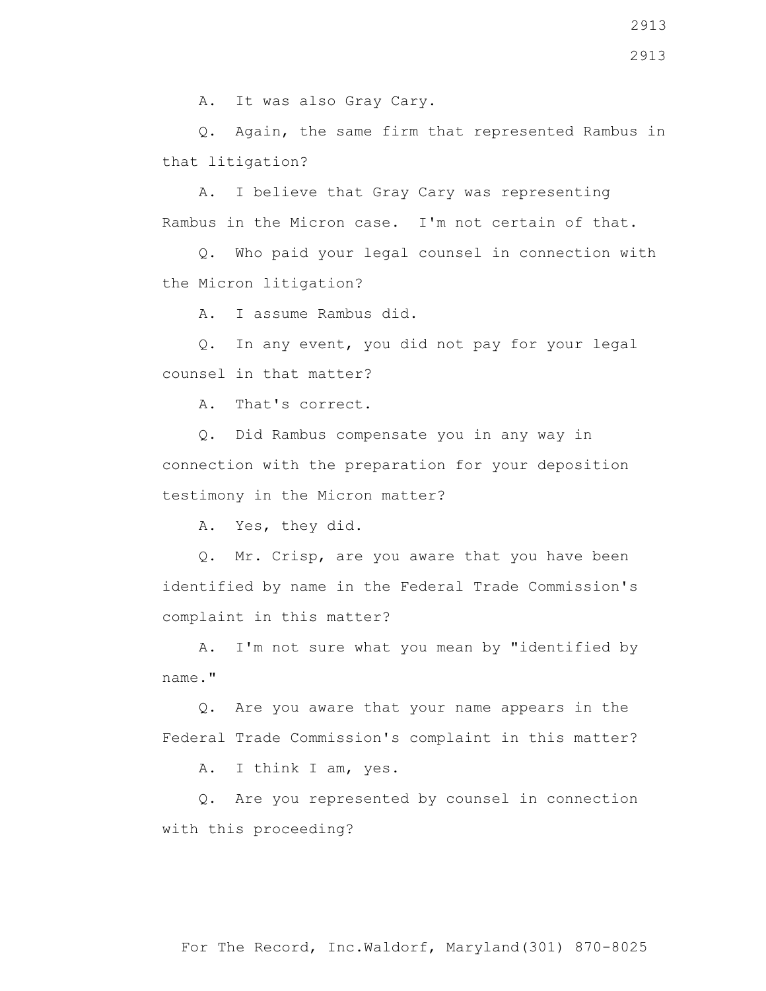2913

A. It was also Gray Cary.

 Q. Again, the same firm that represented Rambus in that litigation?

 A. I believe that Gray Cary was representing Rambus in the Micron case. I'm not certain of that.

 Q. Who paid your legal counsel in connection with the Micron litigation?

A. I assume Rambus did.

 Q. In any event, you did not pay for your legal counsel in that matter?

A. That's correct.

 Q. Did Rambus compensate you in any way in connection with the preparation for your deposition testimony in the Micron matter?

A. Yes, they did.

 Q. Mr. Crisp, are you aware that you have been identified by name in the Federal Trade Commission's complaint in this matter?

 A. I'm not sure what you mean by "identified by name."

 Q. Are you aware that your name appears in the Federal Trade Commission's complaint in this matter?

A. I think I am, yes.

 Q. Are you represented by counsel in connection with this proceeding?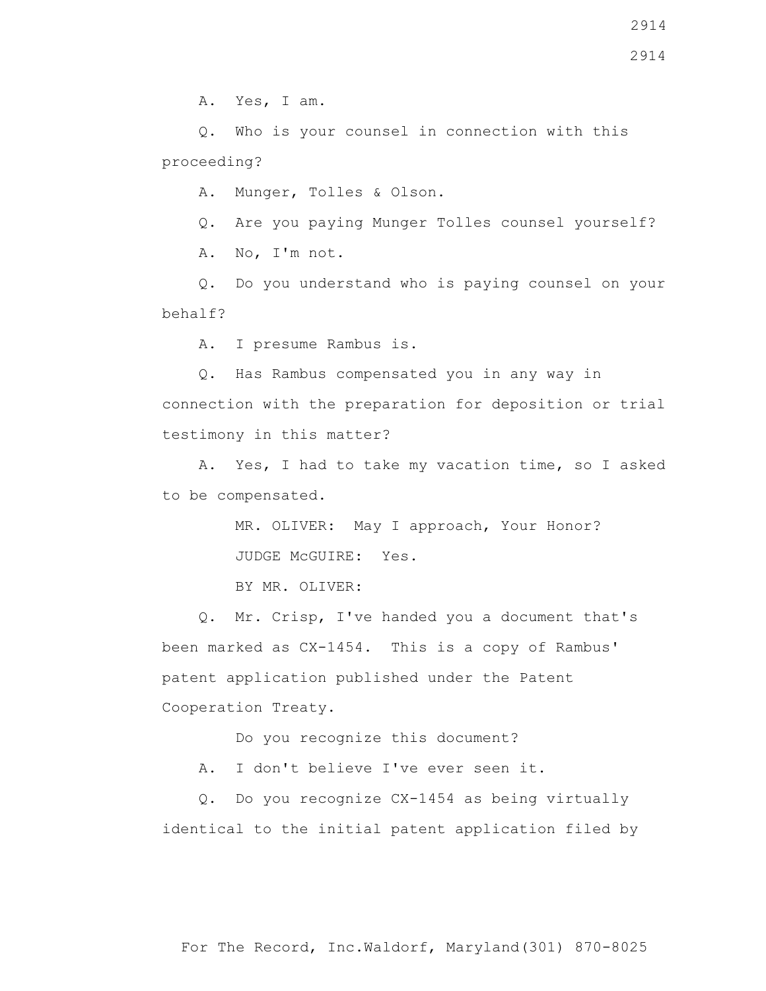Q. Who is your counsel in connection with this proceeding?

A. Munger, Tolles & Olson.

Q. Are you paying Munger Tolles counsel yourself?

A. No, I'm not.

 Q. Do you understand who is paying counsel on your behalf?

A. I presume Rambus is.

 Q. Has Rambus compensated you in any way in connection with the preparation for deposition or trial testimony in this matter?

 A. Yes, I had to take my vacation time, so I asked to be compensated.

> MR. OLIVER: May I approach, Your Honor? JUDGE McGUIRE: Yes.

BY MR. OLIVER:

 Q. Mr. Crisp, I've handed you a document that's been marked as CX-1454. This is a copy of Rambus' patent application published under the Patent Cooperation Treaty.

Do you recognize this document?

A. I don't believe I've ever seen it.

 Q. Do you recognize CX-1454 as being virtually identical to the initial patent application filed by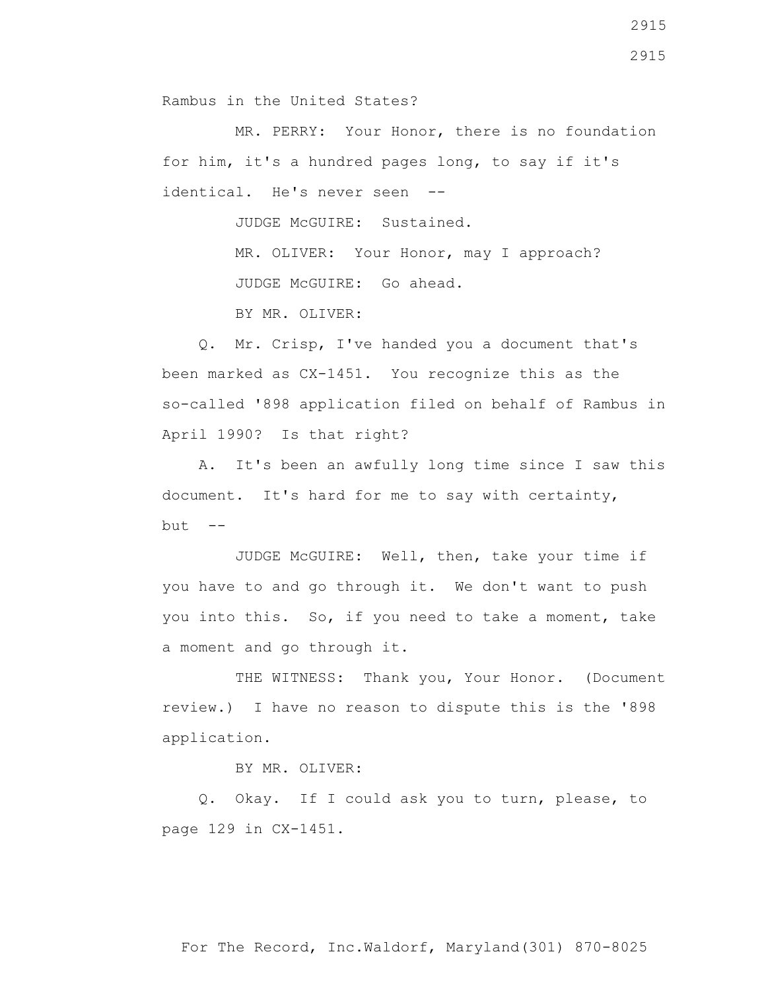Rambus in the United States?

 MR. PERRY: Your Honor, there is no foundation for him, it's a hundred pages long, to say if it's identical. He's never seen --

JUDGE McGUIRE: Sustained.

MR. OLIVER: Your Honor, may I approach? JUDGE McGUIRE: Go ahead.

BY MR. OLIVER:

 Q. Mr. Crisp, I've handed you a document that's been marked as CX-1451. You recognize this as the so-called '898 application filed on behalf of Rambus in April 1990? Is that right?

 A. It's been an awfully long time since I saw this document. It's hard for me to say with certainty,  $but --$ 

 JUDGE McGUIRE: Well, then, take your time if you have to and go through it. We don't want to push you into this. So, if you need to take a moment, take a moment and go through it.

THE WITNESS: Thank you, Your Honor. (Document review.) I have no reason to dispute this is the '898 application.

BY MR. OLIVER:

 Q. Okay. If I could ask you to turn, please, to page 129 in CX-1451.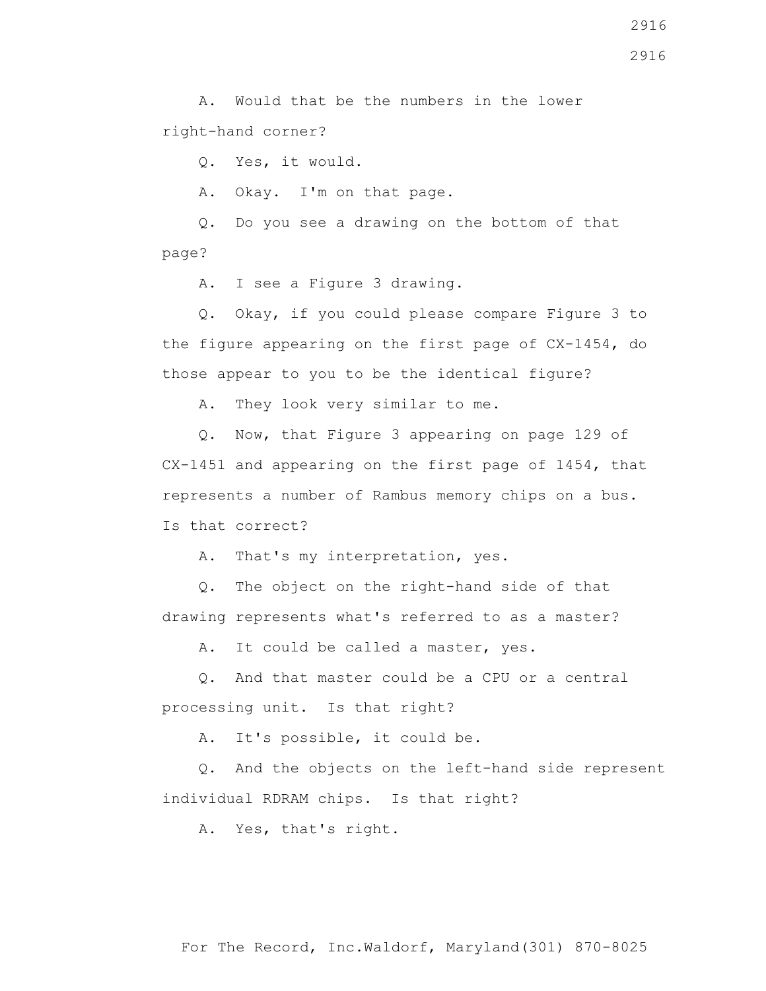A. Would that be the numbers in the lower right-hand corner?

Q. Yes, it would.

A. Okay. I'm on that page.

 Q. Do you see a drawing on the bottom of that page?

A. I see a Figure 3 drawing.

 Q. Okay, if you could please compare Figure 3 to the figure appearing on the first page of CX-1454, do those appear to you to be the identical figure?

A. They look very similar to me.

 Q. Now, that Figure 3 appearing on page 129 of CX-1451 and appearing on the first page of 1454, that represents a number of Rambus memory chips on a bus. Is that correct?

A. That's my interpretation, yes.

 Q. The object on the right-hand side of that drawing represents what's referred to as a master?

A. It could be called a master, yes.

 Q. And that master could be a CPU or a central processing unit. Is that right?

A. It's possible, it could be.

 Q. And the objects on the left-hand side represent individual RDRAM chips. Is that right?

A. Yes, that's right.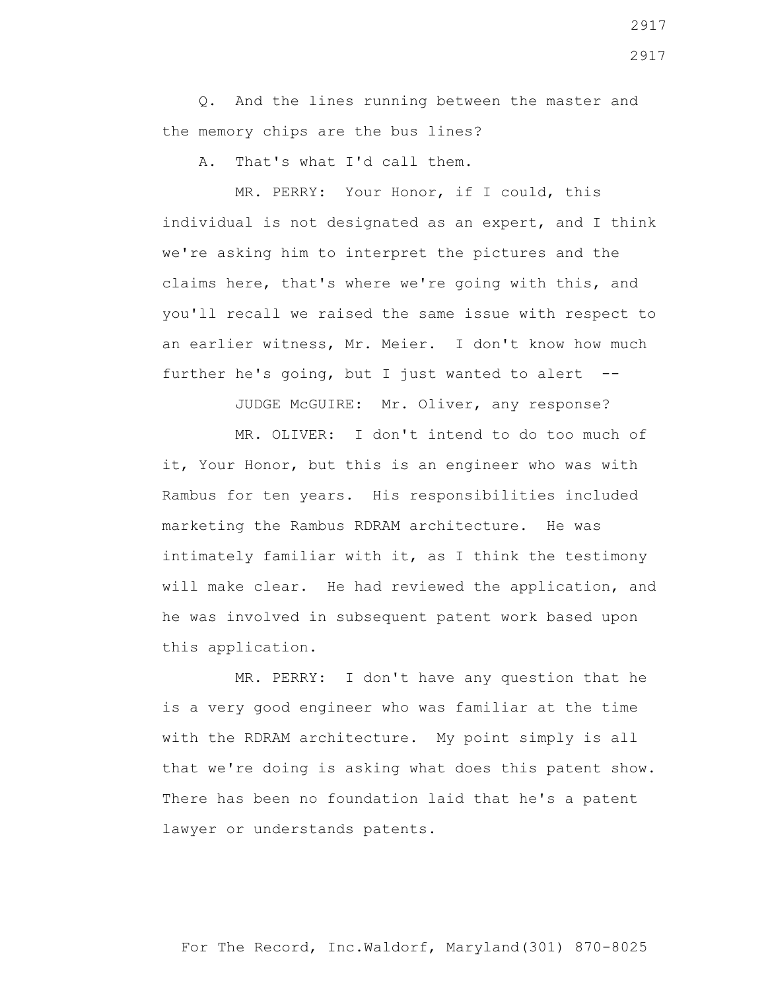Q. And the lines running between the master and the memory chips are the bus lines?

A. That's what I'd call them.

 MR. PERRY: Your Honor, if I could, this individual is not designated as an expert, and I think we're asking him to interpret the pictures and the claims here, that's where we're going with this, and you'll recall we raised the same issue with respect to an earlier witness, Mr. Meier. I don't know how much further he's going, but I just wanted to alert  $-$ -

JUDGE McGUIRE: Mr. Oliver, any response?

 MR. OLIVER: I don't intend to do too much of it, Your Honor, but this is an engineer who was with Rambus for ten years. His responsibilities included marketing the Rambus RDRAM architecture. He was intimately familiar with it, as I think the testimony will make clear. He had reviewed the application, and he was involved in subsequent patent work based upon this application.

 MR. PERRY: I don't have any question that he is a very good engineer who was familiar at the time with the RDRAM architecture. My point simply is all that we're doing is asking what does this patent show. There has been no foundation laid that he's a patent lawyer or understands patents.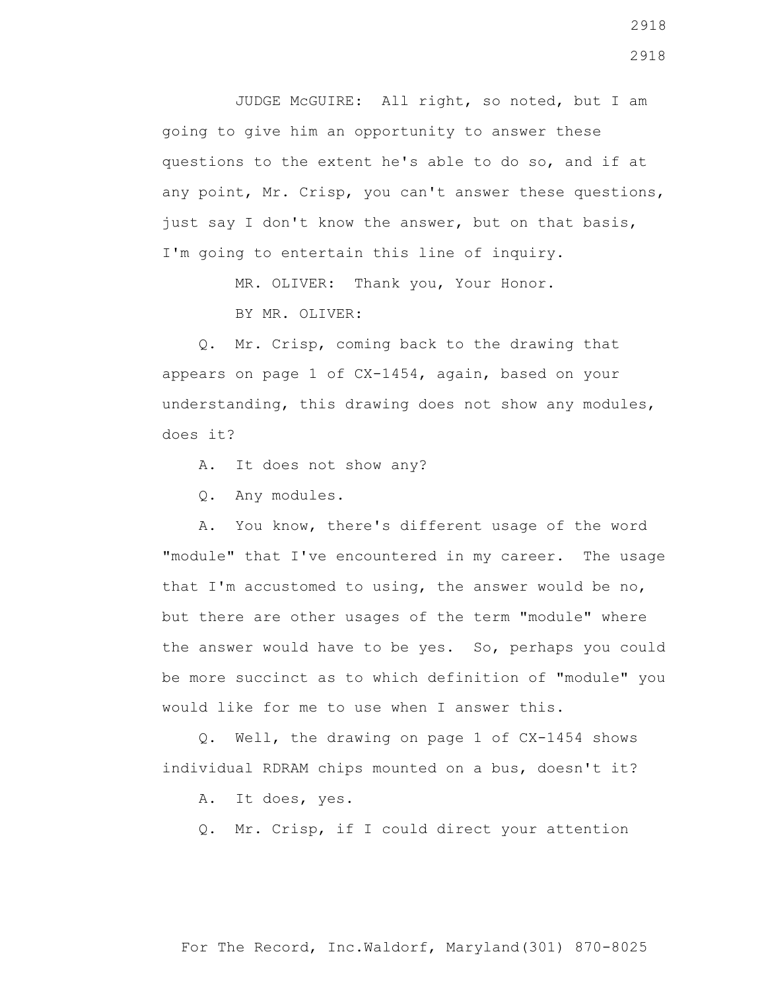JUDGE McGUIRE: All right, so noted, but I am going to give him an opportunity to answer these questions to the extent he's able to do so, and if at any point, Mr. Crisp, you can't answer these questions, just say I don't know the answer, but on that basis, I'm going to entertain this line of inquiry.

MR. OLIVER: Thank you, Your Honor.

BY MR. OLIVER:

 Q. Mr. Crisp, coming back to the drawing that appears on page 1 of CX-1454, again, based on your understanding, this drawing does not show any modules, does it?

A. It does not show any?

Q. Any modules.

 A. You know, there's different usage of the word "module" that I've encountered in my career. The usage that I'm accustomed to using, the answer would be no, but there are other usages of the term "module" where the answer would have to be yes. So, perhaps you could be more succinct as to which definition of "module" you would like for me to use when I answer this.

 Q. Well, the drawing on page 1 of CX-1454 shows individual RDRAM chips mounted on a bus, doesn't it?

A. It does, yes.

Q. Mr. Crisp, if I could direct your attention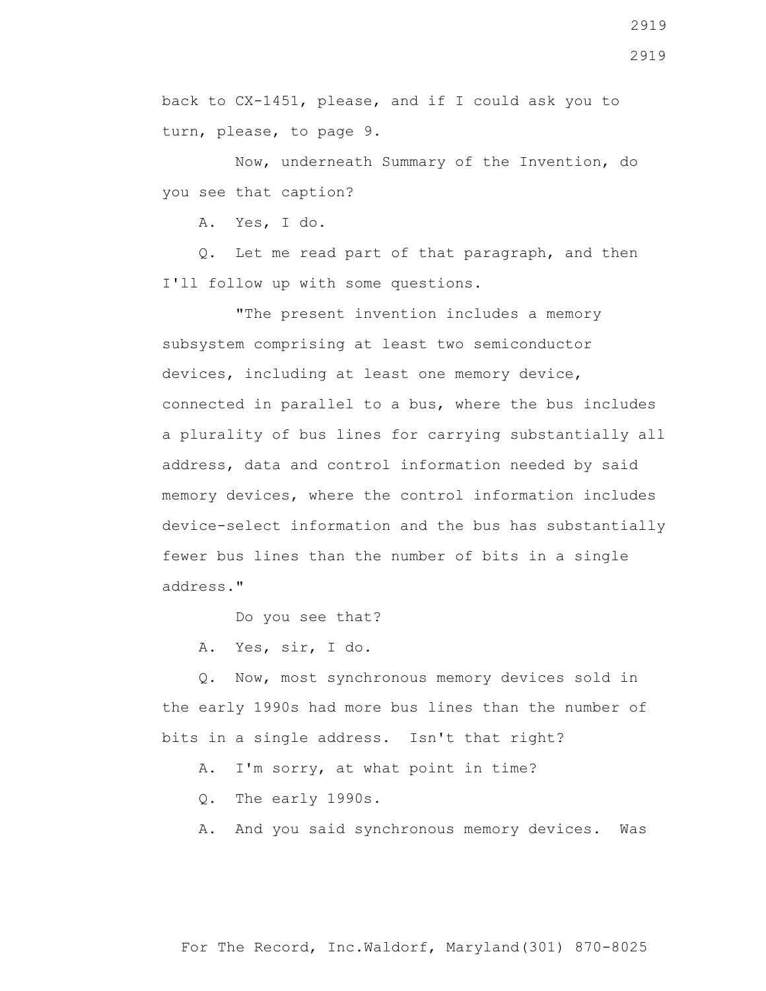back to CX-1451, please, and if I could ask you to turn, please, to page 9.

 Now, underneath Summary of the Invention, do you see that caption?

A. Yes, I do.

 Q. Let me read part of that paragraph, and then I'll follow up with some questions.

 "The present invention includes a memory subsystem comprising at least two semiconductor devices, including at least one memory device, connected in parallel to a bus, where the bus includes a plurality of bus lines for carrying substantially all address, data and control information needed by said memory devices, where the control information includes device-select information and the bus has substantially fewer bus lines than the number of bits in a single address."

Do you see that?

A. Yes, sir, I do.

 Q. Now, most synchronous memory devices sold in the early 1990s had more bus lines than the number of bits in a single address. Isn't that right?

A. I'm sorry, at what point in time?

Q. The early 1990s.

A. And you said synchronous memory devices. Was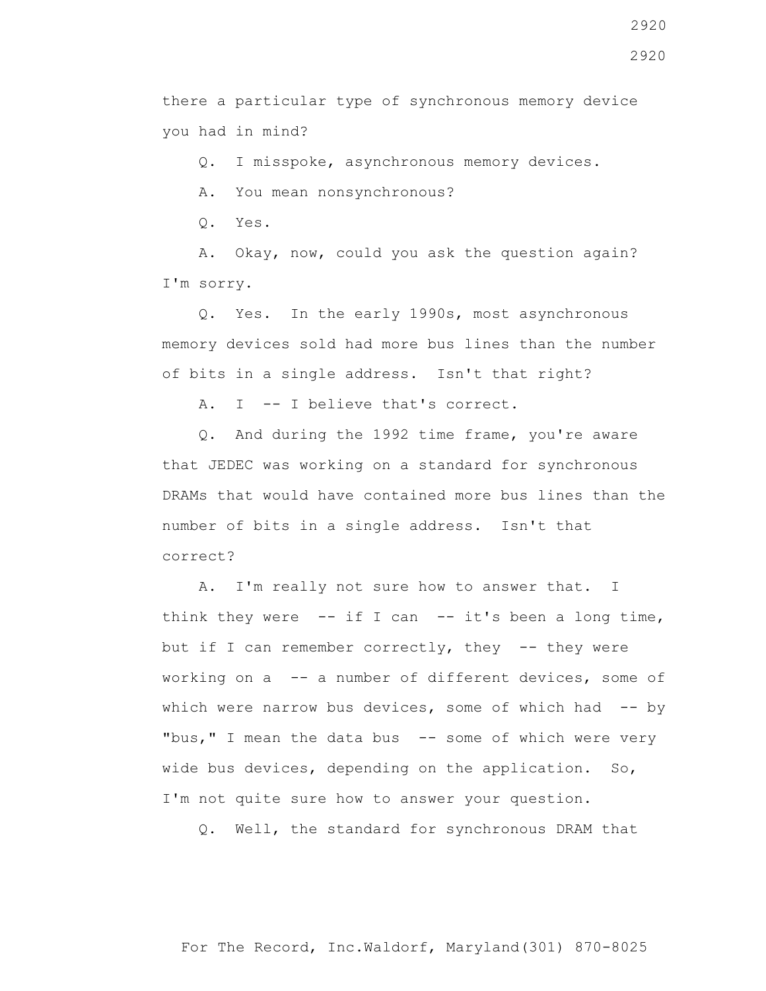there a particular type of synchronous memory device you had in mind?

Q. I misspoke, asynchronous memory devices.

A. You mean nonsynchronous?

Q. Yes.

 A. Okay, now, could you ask the question again? I'm sorry.

 Q. Yes. In the early 1990s, most asynchronous memory devices sold had more bus lines than the number of bits in a single address. Isn't that right?

A. I -- I believe that's correct.

 Q. And during the 1992 time frame, you're aware that JEDEC was working on a standard for synchronous DRAMs that would have contained more bus lines than the number of bits in a single address. Isn't that correct?

 A. I'm really not sure how to answer that. I think they were  $-$ - if I can  $-$ - it's been a long time, but if I can remember correctly, they  $-$ - they were working on a -- a number of different devices, some of which were narrow bus devices, some of which had -- by "bus," I mean the data bus  $-$  some of which were very wide bus devices, depending on the application. So, I'm not quite sure how to answer your question.

Q. Well, the standard for synchronous DRAM that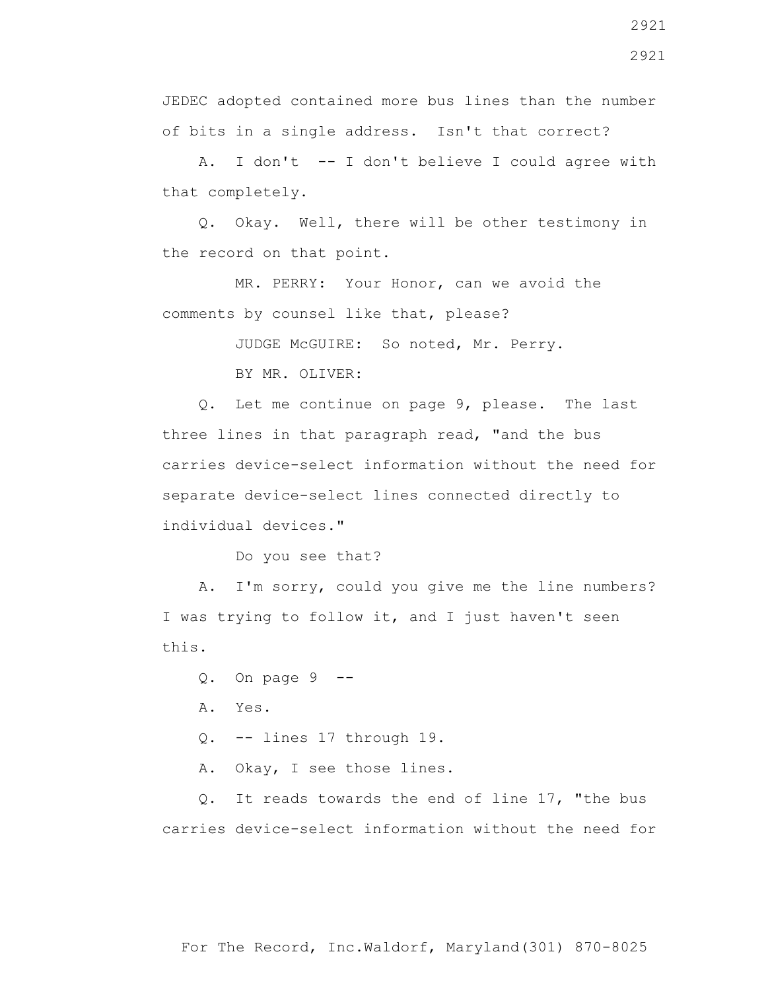JEDEC adopted contained more bus lines than the number of bits in a single address. Isn't that correct?

 A. I don't -- I don't believe I could agree with that completely.

 Q. Okay. Well, there will be other testimony in the record on that point.

 MR. PERRY: Your Honor, can we avoid the comments by counsel like that, please?

JUDGE McGUIRE: So noted, Mr. Perry.

BY MR. OLIVER:

 Q. Let me continue on page 9, please. The last three lines in that paragraph read, "and the bus carries device-select information without the need for separate device-select lines connected directly to individual devices."

Do you see that?

 A. I'm sorry, could you give me the line numbers? I was trying to follow it, and I just haven't seen this.

 $Q.$  On page  $9$  --

A. Yes.

Q. -- lines 17 through 19.

A. Okay, I see those lines.

 Q. It reads towards the end of line 17, "the bus carries device-select information without the need for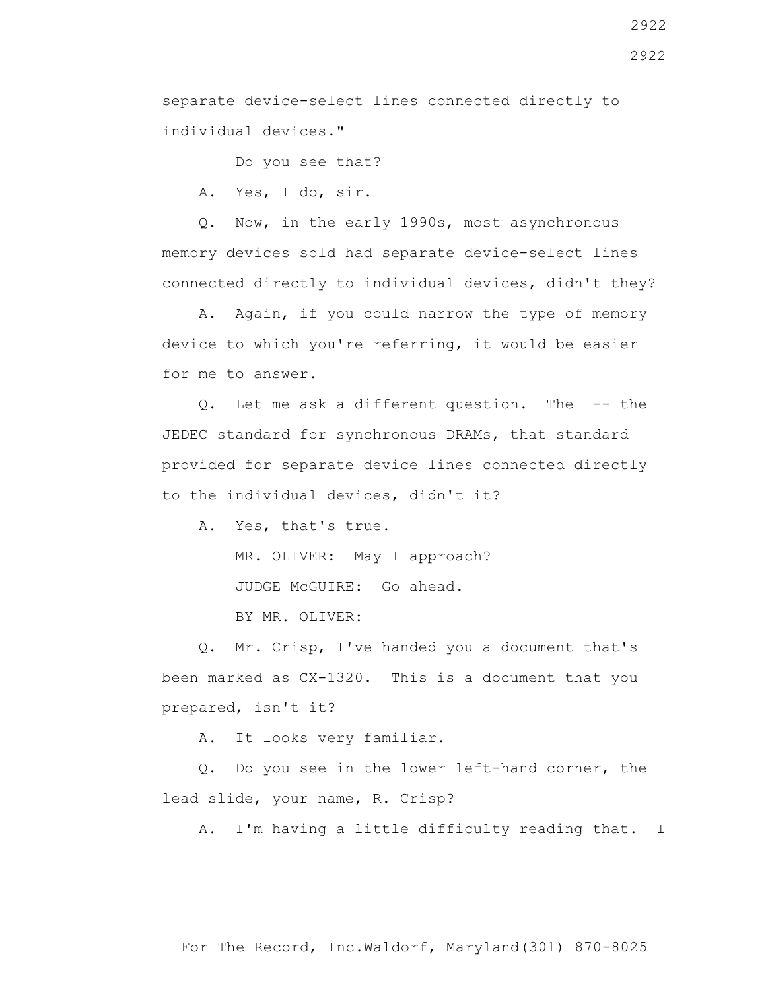separate device-select lines connected directly to individual devices."

Do you see that?

A. Yes, I do, sir.

 Q. Now, in the early 1990s, most asynchronous memory devices sold had separate device-select lines connected directly to individual devices, didn't they?

 A. Again, if you could narrow the type of memory device to which you're referring, it would be easier for me to answer.

 Q. Let me ask a different question. The -- the JEDEC standard for synchronous DRAMs, that standard provided for separate device lines connected directly to the individual devices, didn't it?

A. Yes, that's true.

MR. OLIVER: May I approach?

JUDGE McGUIRE: Go ahead.

BY MR. OLIVER:

 Q. Mr. Crisp, I've handed you a document that's been marked as CX-1320. This is a document that you prepared, isn't it?

A. It looks very familiar.

 Q. Do you see in the lower left-hand corner, the lead slide, your name, R. Crisp?

A. I'm having a little difficulty reading that. I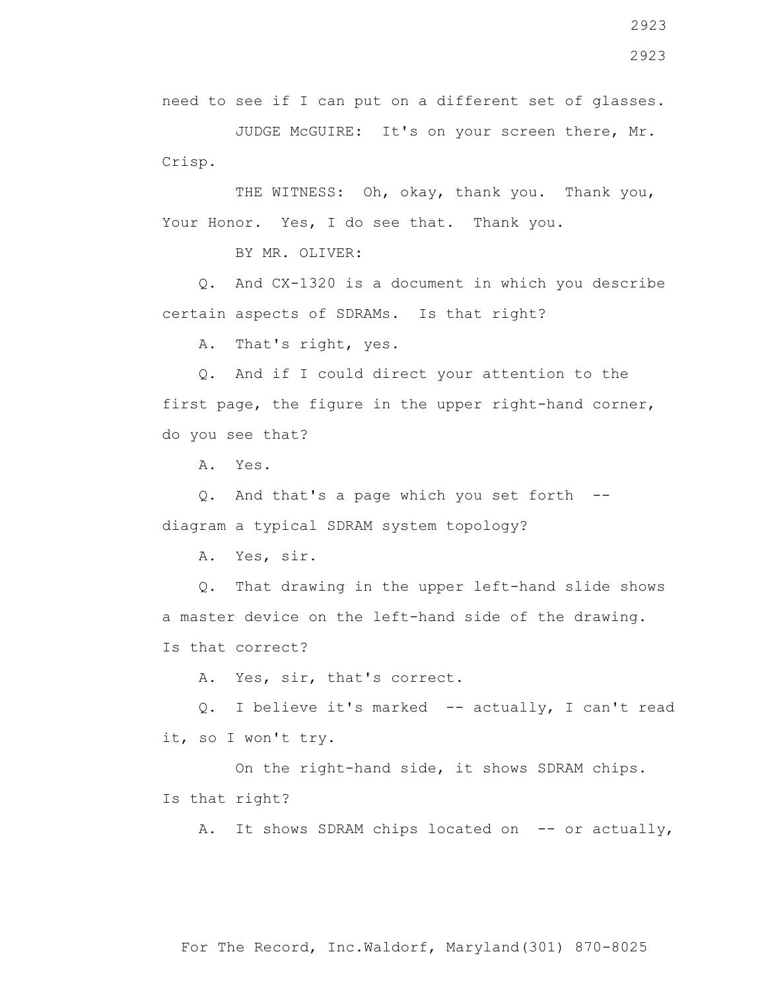JUDGE McGUIRE: It's on your screen there, Mr. Crisp.

THE WITNESS: Oh, okay, thank you. Thank you, Your Honor. Yes, I do see that. Thank you.

BY MR. OLIVER:

 Q. And CX-1320 is a document in which you describe certain aspects of SDRAMs. Is that right?

A. That's right, yes.

 Q. And if I could direct your attention to the first page, the figure in the upper right-hand corner, do you see that?

A. Yes.

 Q. And that's a page which you set forth - diagram a typical SDRAM system topology?

A. Yes, sir.

 Q. That drawing in the upper left-hand slide shows a master device on the left-hand side of the drawing. Is that correct?

A. Yes, sir, that's correct.

 Q. I believe it's marked -- actually, I can't read it, so I won't try.

 On the right-hand side, it shows SDRAM chips. Is that right?

A. It shows SDRAM chips located on -- or actually,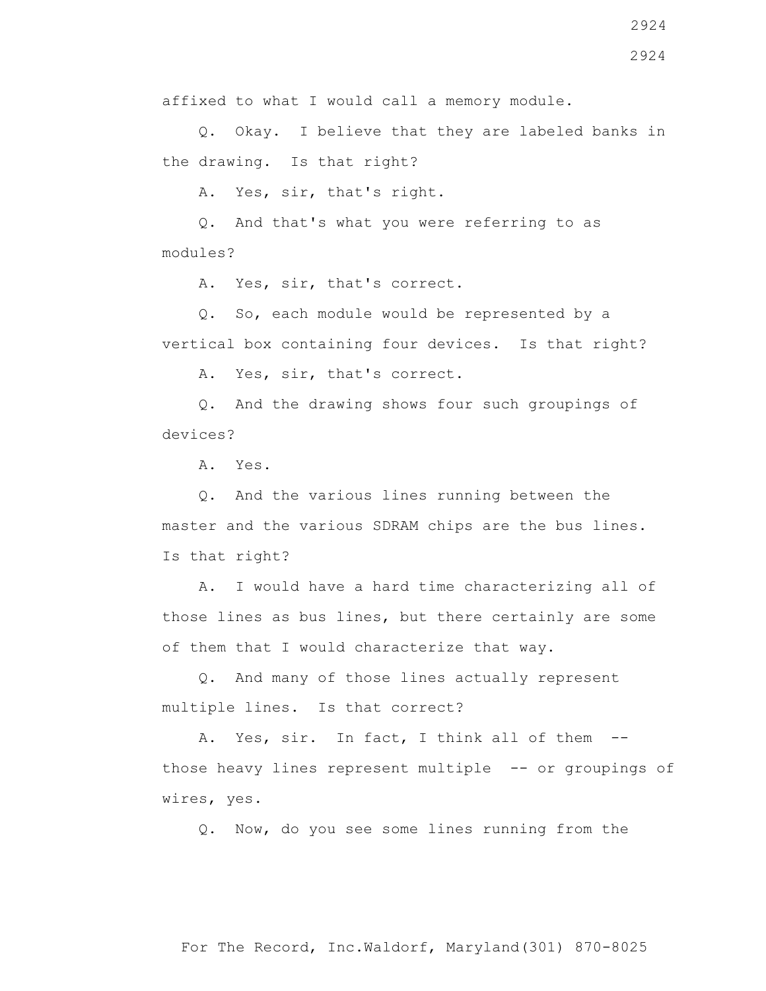Q. Okay. I believe that they are labeled banks in the drawing. Is that right?

A. Yes, sir, that's right.

 Q. And that's what you were referring to as modules?

A. Yes, sir, that's correct.

 Q. So, each module would be represented by a vertical box containing four devices. Is that right?

A. Yes, sir, that's correct.

 Q. And the drawing shows four such groupings of devices?

A. Yes.

 Q. And the various lines running between the master and the various SDRAM chips are the bus lines. Is that right?

 A. I would have a hard time characterizing all of those lines as bus lines, but there certainly are some of them that I would characterize that way.

 Q. And many of those lines actually represent multiple lines. Is that correct?

A. Yes, sir. In fact, I think all of them -those heavy lines represent multiple -- or groupings of wires, yes.

Q. Now, do you see some lines running from the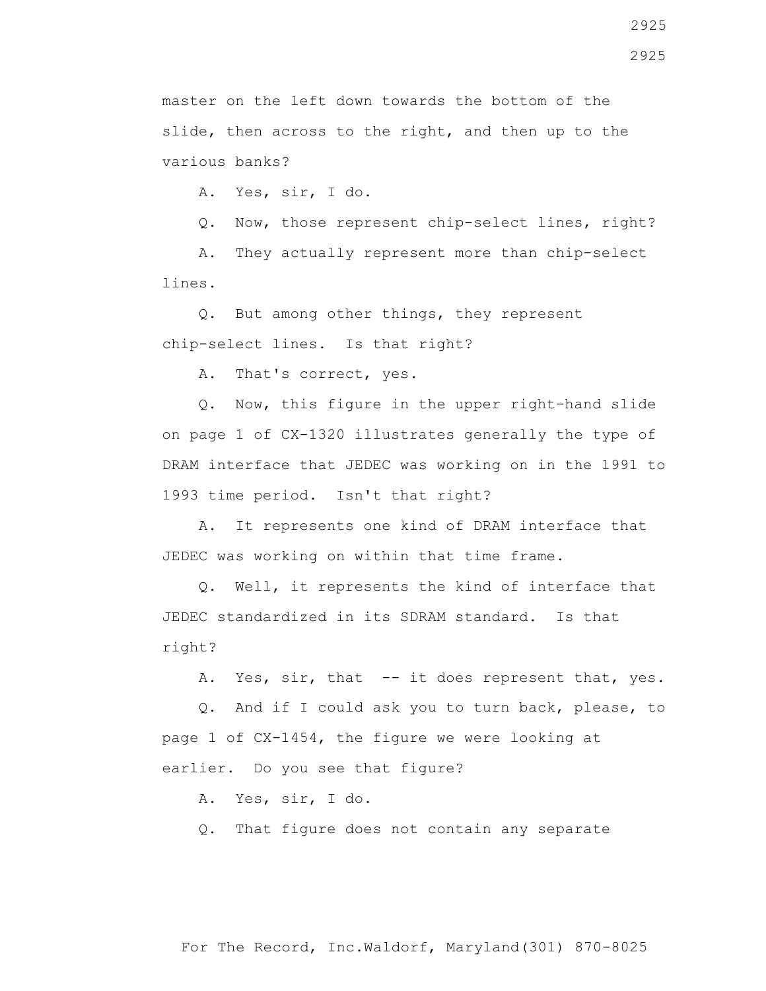master on the left down towards the bottom of the slide, then across to the right, and then up to the various banks?

A. Yes, sir, I do.

Q. Now, those represent chip-select lines, right?

 A. They actually represent more than chip-select lines.

 Q. But among other things, they represent chip-select lines. Is that right?

A. That's correct, yes.

 Q. Now, this figure in the upper right-hand slide on page 1 of CX-1320 illustrates generally the type of DRAM interface that JEDEC was working on in the 1991 to 1993 time period. Isn't that right?

 A. It represents one kind of DRAM interface that JEDEC was working on within that time frame.

 Q. Well, it represents the kind of interface that JEDEC standardized in its SDRAM standard. Is that right?

A. Yes, sir, that -- it does represent that, yes.

 Q. And if I could ask you to turn back, please, to page 1 of CX-1454, the figure we were looking at earlier. Do you see that figure?

A. Yes, sir, I do.

Q. That figure does not contain any separate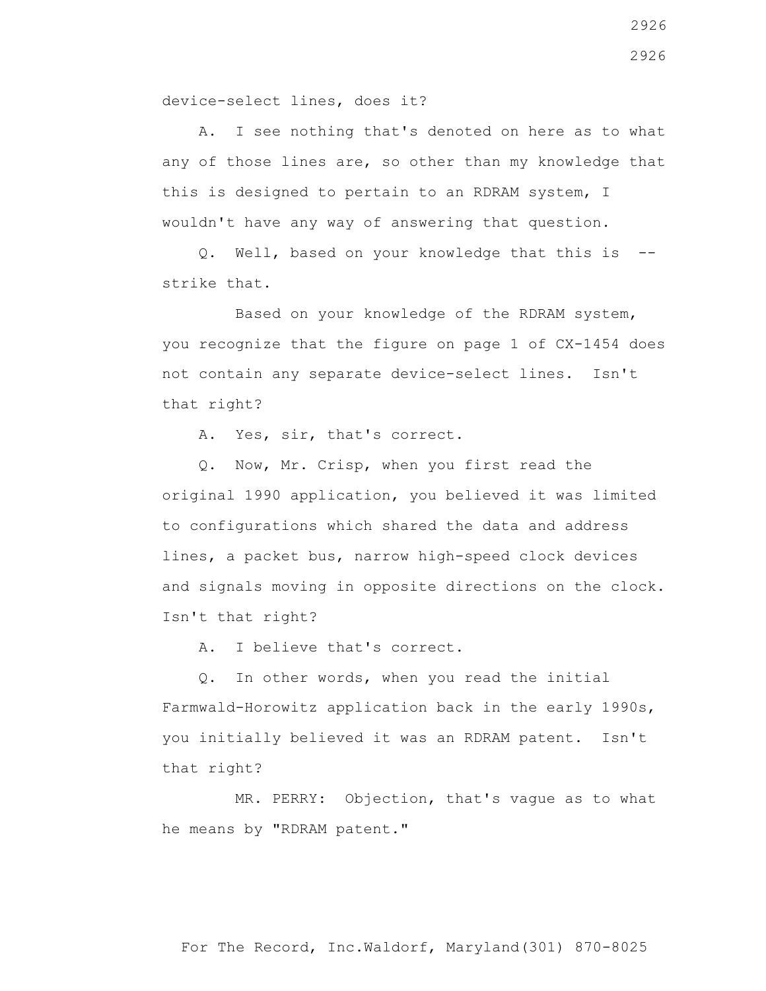device-select lines, does it?

 A. I see nothing that's denoted on here as to what any of those lines are, so other than my knowledge that this is designed to pertain to an RDRAM system, I wouldn't have any way of answering that question.

 Q. Well, based on your knowledge that this is - strike that.

 Based on your knowledge of the RDRAM system, you recognize that the figure on page 1 of CX-1454 does not contain any separate device-select lines. Isn't that right?

A. Yes, sir, that's correct.

 Q. Now, Mr. Crisp, when you first read the original 1990 application, you believed it was limited to configurations which shared the data and address lines, a packet bus, narrow high-speed clock devices and signals moving in opposite directions on the clock. Isn't that right?

A. I believe that's correct.

 Q. In other words, when you read the initial Farmwald-Horowitz application back in the early 1990s, you initially believed it was an RDRAM patent. Isn't that right?

 MR. PERRY: Objection, that's vague as to what he means by "RDRAM patent."

2926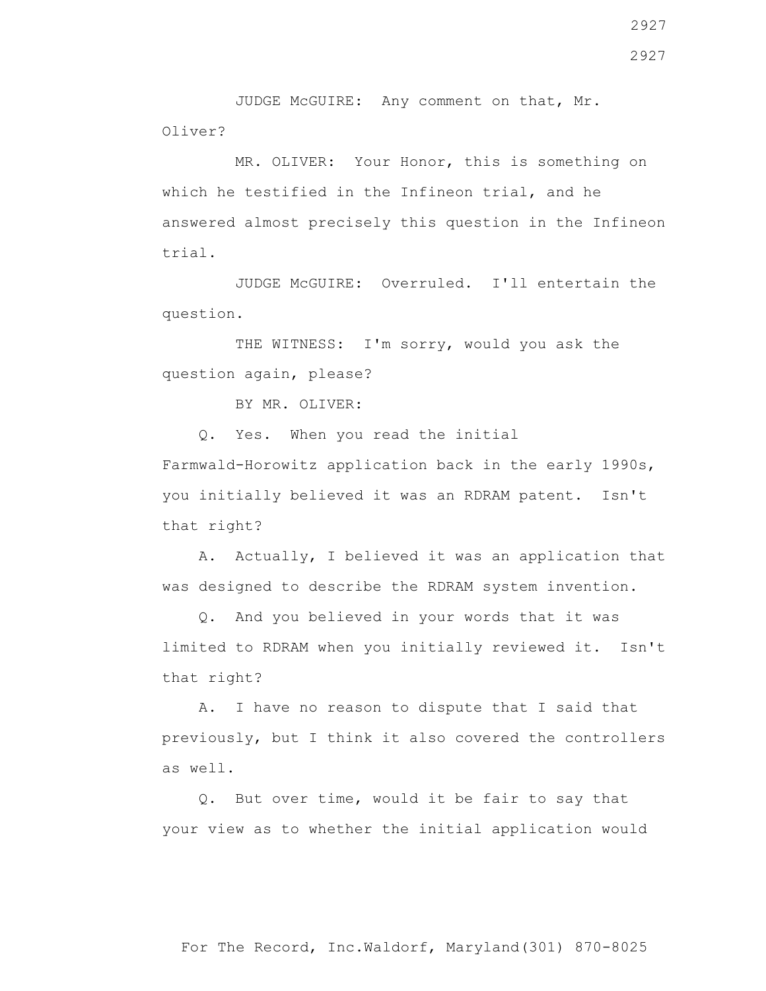JUDGE McGUIRE: Any comment on that, Mr. Oliver?

 MR. OLIVER: Your Honor, this is something on which he testified in the Infineon trial, and he answered almost precisely this question in the Infineon trial.

 JUDGE McGUIRE: Overruled. I'll entertain the question.

THE WITNESS: I'm sorry, would you ask the question again, please?

BY MR. OLIVER:

Q. Yes. When you read the initial

Farmwald-Horowitz application back in the early 1990s, you initially believed it was an RDRAM patent. Isn't that right?

 A. Actually, I believed it was an application that was designed to describe the RDRAM system invention.

 Q. And you believed in your words that it was limited to RDRAM when you initially reviewed it. Isn't that right?

 A. I have no reason to dispute that I said that previously, but I think it also covered the controllers as well.

 Q. But over time, would it be fair to say that your view as to whether the initial application would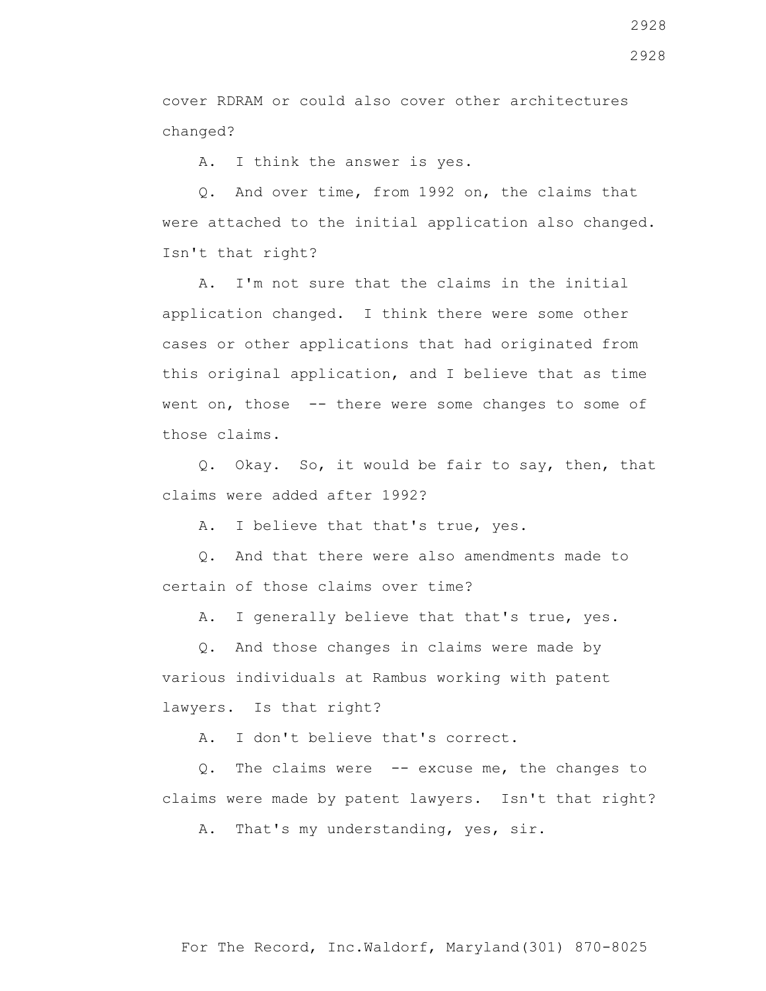cover RDRAM or could also cover other architectures changed?

A. I think the answer is yes.

 Q. And over time, from 1992 on, the claims that were attached to the initial application also changed. Isn't that right?

 A. I'm not sure that the claims in the initial application changed. I think there were some other cases or other applications that had originated from this original application, and I believe that as time went on, those -- there were some changes to some of those claims.

 Q. Okay. So, it would be fair to say, then, that claims were added after 1992?

A. I believe that that's true, yes.

 Q. And that there were also amendments made to certain of those claims over time?

A. I generally believe that that's true, yes.

 Q. And those changes in claims were made by various individuals at Rambus working with patent lawyers. Is that right?

A. I don't believe that's correct.

 Q. The claims were -- excuse me, the changes to claims were made by patent lawyers. Isn't that right?

A. That's my understanding, yes, sir.

2928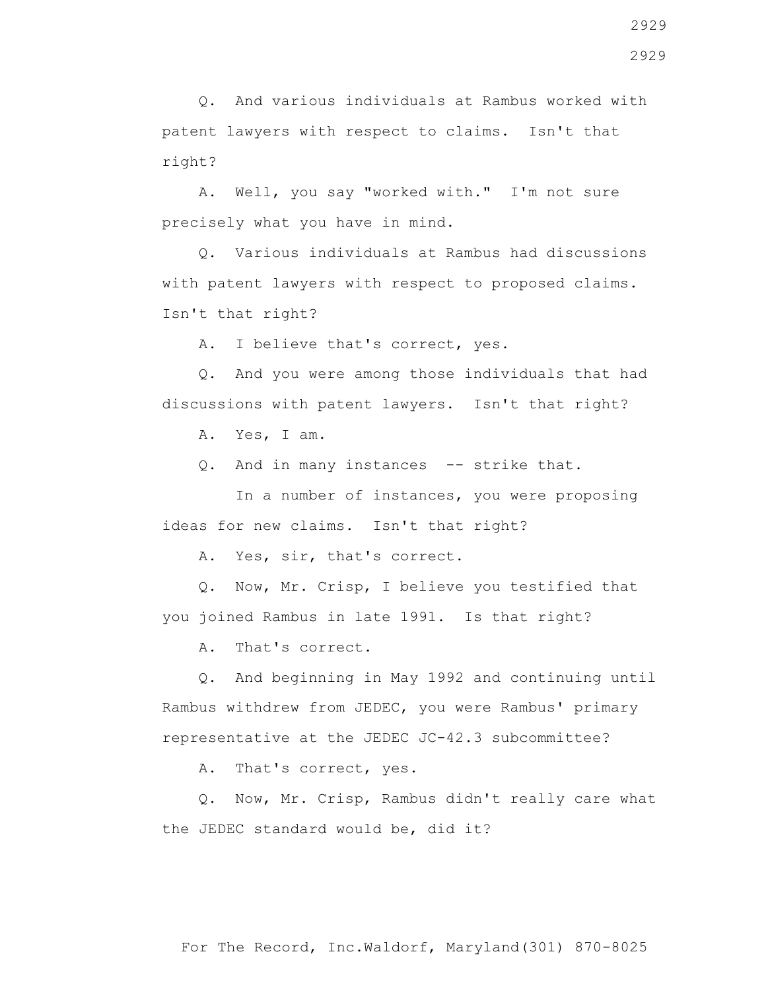Q. And various individuals at Rambus worked with patent lawyers with respect to claims. Isn't that right?

 A. Well, you say "worked with." I'm not sure precisely what you have in mind.

 Q. Various individuals at Rambus had discussions with patent lawyers with respect to proposed claims. Isn't that right?

A. I believe that's correct, yes.

 Q. And you were among those individuals that had discussions with patent lawyers. Isn't that right?

A. Yes, I am.

0. And in many instances -- strike that.

 In a number of instances, you were proposing ideas for new claims. Isn't that right?

A. Yes, sir, that's correct.

 Q. Now, Mr. Crisp, I believe you testified that you joined Rambus in late 1991. Is that right?

A. That's correct.

 Q. And beginning in May 1992 and continuing until Rambus withdrew from JEDEC, you were Rambus' primary representative at the JEDEC JC-42.3 subcommittee?

A. That's correct, yes.

 Q. Now, Mr. Crisp, Rambus didn't really care what the JEDEC standard would be, did it?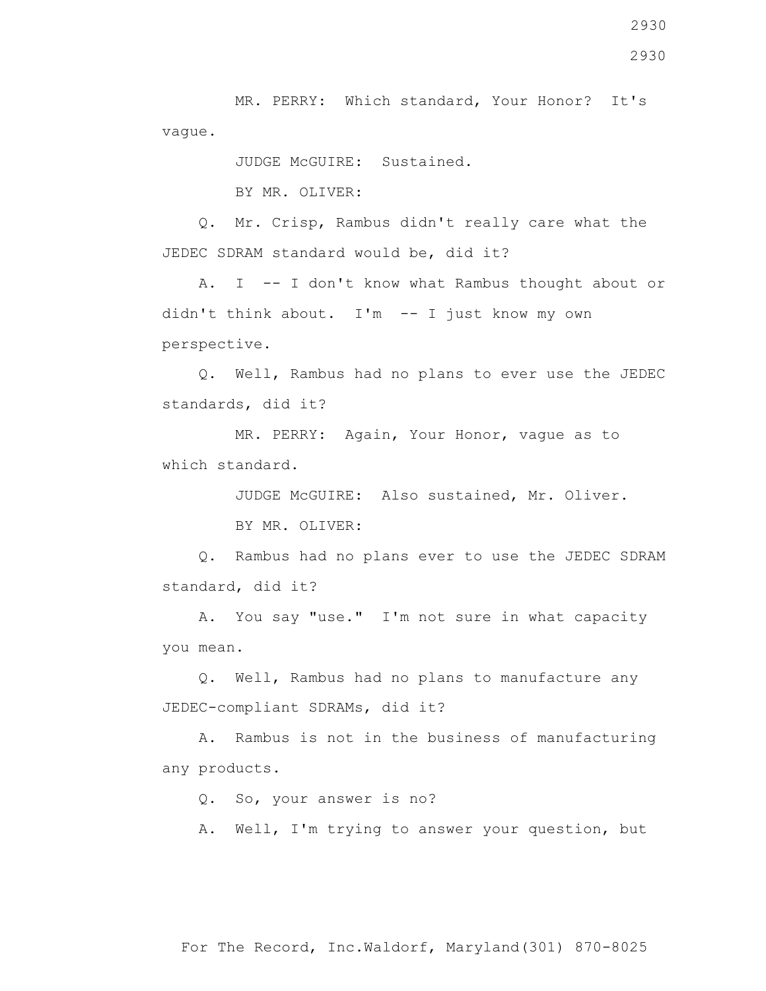MR. PERRY: Which standard, Your Honor? It's vague.

JUDGE McGUIRE: Sustained.

BY MR. OLIVER:

 Q. Mr. Crisp, Rambus didn't really care what the JEDEC SDRAM standard would be, did it?

 A. I -- I don't know what Rambus thought about or didn't think about. I'm -- I just know my own perspective.

 Q. Well, Rambus had no plans to ever use the JEDEC standards, did it?

 MR. PERRY: Again, Your Honor, vague as to which standard.

JUDGE McGUIRE: Also sustained, Mr. Oliver.

BY MR. OLIVER:

 Q. Rambus had no plans ever to use the JEDEC SDRAM standard, did it?

 A. You say "use." I'm not sure in what capacity you mean.

 Q. Well, Rambus had no plans to manufacture any JEDEC-compliant SDRAMs, did it?

 A. Rambus is not in the business of manufacturing any products.

Q. So, your answer is no?

A. Well, I'm trying to answer your question, but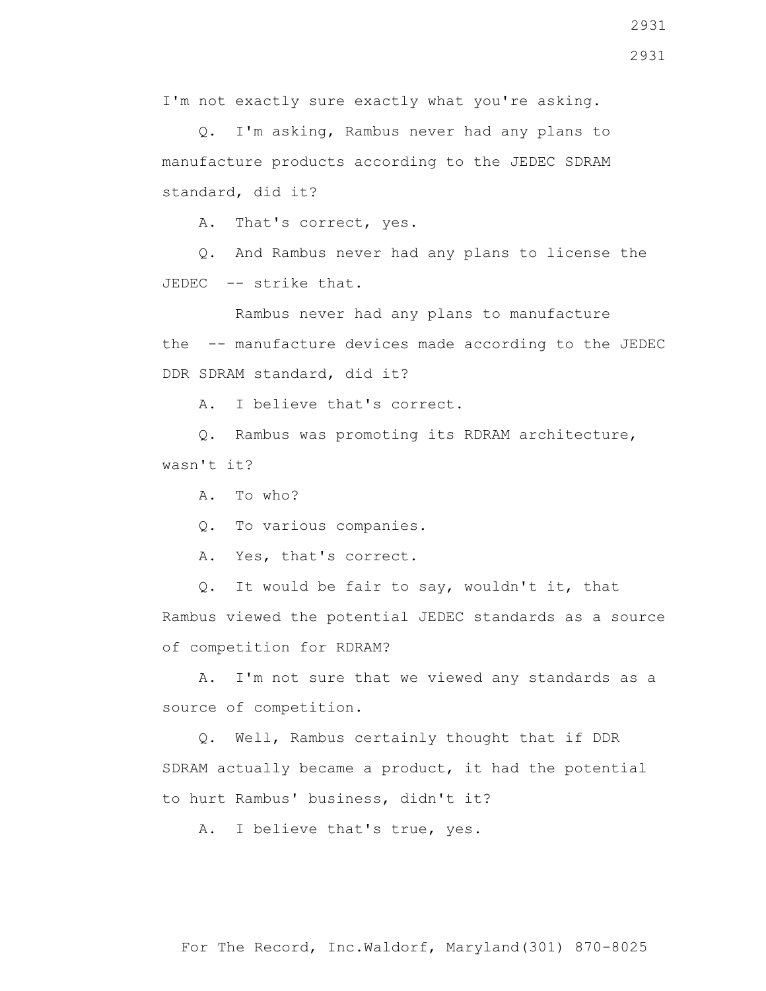I'm not exactly sure exactly what you're asking.

 Q. I'm asking, Rambus never had any plans to manufacture products according to the JEDEC SDRAM standard, did it?

A. That's correct, yes.

 Q. And Rambus never had any plans to license the JEDEC -- strike that.

 Rambus never had any plans to manufacture the -- manufacture devices made according to the JEDEC DDR SDRAM standard, did it?

A. I believe that's correct.

 Q. Rambus was promoting its RDRAM architecture, wasn't it?

A. To who?

Q. To various companies.

A. Yes, that's correct.

 Q. It would be fair to say, wouldn't it, that Rambus viewed the potential JEDEC standards as a source of competition for RDRAM?

 A. I'm not sure that we viewed any standards as a source of competition.

 Q. Well, Rambus certainly thought that if DDR SDRAM actually became a product, it had the potential to hurt Rambus' business, didn't it?

A. I believe that's true, yes.

2931 2931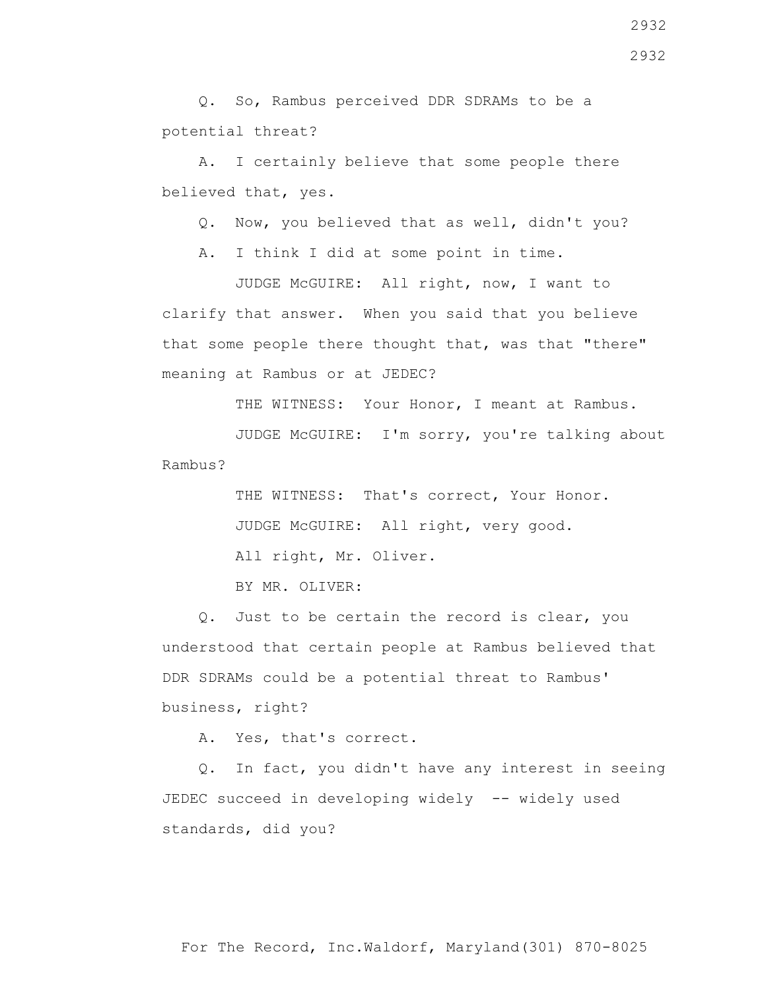Q. So, Rambus perceived DDR SDRAMs to be a potential threat?

 A. I certainly believe that some people there believed that, yes.

Q. Now, you believed that as well, didn't you?

A. I think I did at some point in time.

 JUDGE McGUIRE: All right, now, I want to clarify that answer. When you said that you believe that some people there thought that, was that "there" meaning at Rambus or at JEDEC?

THE WITNESS: Your Honor, I meant at Rambus.

 JUDGE McGUIRE: I'm sorry, you're talking about Rambus?

> THE WITNESS: That's correct, Your Honor. JUDGE McGUIRE: All right, very good. All right, Mr. Oliver.

BY MR. OLIVER:

 Q. Just to be certain the record is clear, you understood that certain people at Rambus believed that DDR SDRAMs could be a potential threat to Rambus' business, right?

A. Yes, that's correct.

 Q. In fact, you didn't have any interest in seeing JEDEC succeed in developing widely -- widely used standards, did you?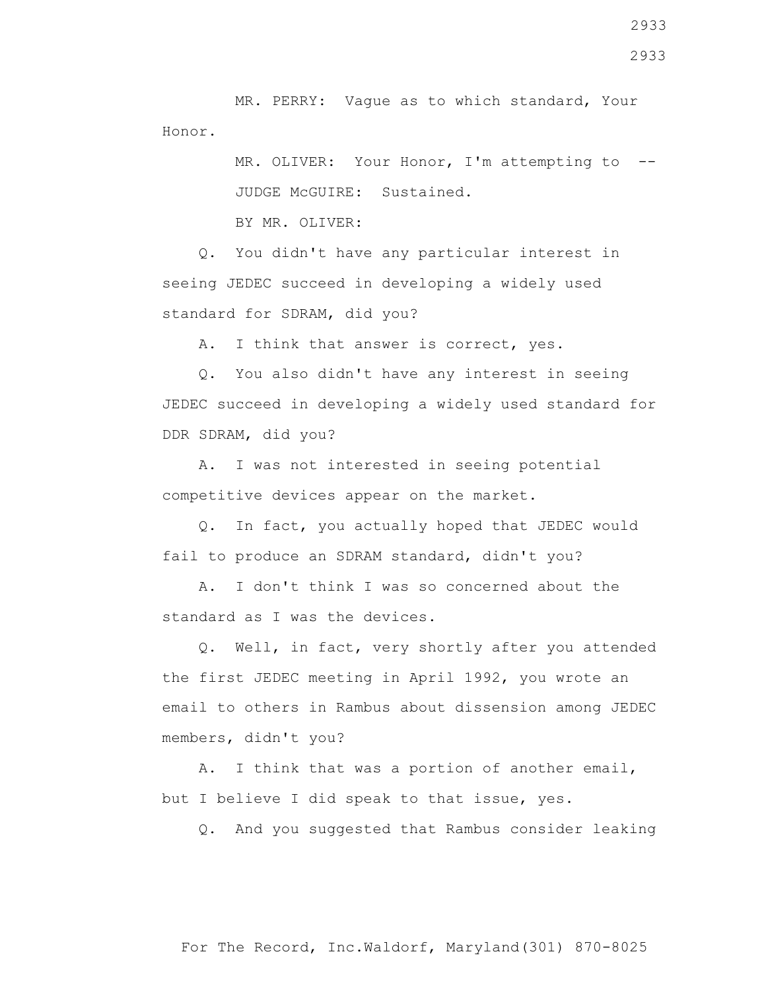MR. PERRY: Vague as to which standard, Your Honor.

> MR. OLIVER: Your Honor, I'm attempting to --JUDGE McGUIRE: Sustained.

BY MR. OLIVER:

 Q. You didn't have any particular interest in seeing JEDEC succeed in developing a widely used standard for SDRAM, did you?

A. I think that answer is correct, yes.

 Q. You also didn't have any interest in seeing JEDEC succeed in developing a widely used standard for DDR SDRAM, did you?

 A. I was not interested in seeing potential competitive devices appear on the market.

 Q. In fact, you actually hoped that JEDEC would fail to produce an SDRAM standard, didn't you?

 A. I don't think I was so concerned about the standard as I was the devices.

 Q. Well, in fact, very shortly after you attended the first JEDEC meeting in April 1992, you wrote an email to others in Rambus about dissension among JEDEC members, didn't you?

 A. I think that was a portion of another email, but I believe I did speak to that issue, yes.

Q. And you suggested that Rambus consider leaking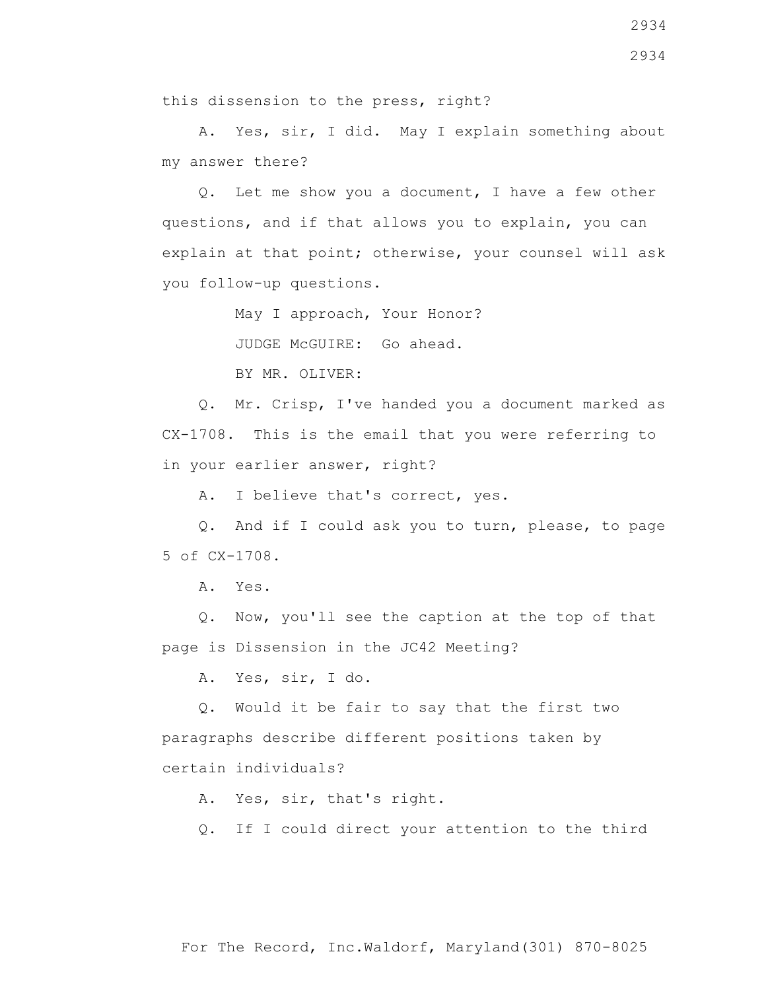2934

this dissension to the press, right?

 A. Yes, sir, I did. May I explain something about my answer there?

 Q. Let me show you a document, I have a few other questions, and if that allows you to explain, you can explain at that point; otherwise, your counsel will ask you follow-up questions.

May I approach, Your Honor?

JUDGE McGUIRE: Go ahead.

BY MR. OLIVER:

 Q. Mr. Crisp, I've handed you a document marked as CX-1708. This is the email that you were referring to in your earlier answer, right?

A. I believe that's correct, yes.

 Q. And if I could ask you to turn, please, to page 5 of CX-1708.

A. Yes.

 Q. Now, you'll see the caption at the top of that page is Dissension in the JC42 Meeting?

A. Yes, sir, I do.

 Q. Would it be fair to say that the first two paragraphs describe different positions taken by certain individuals?

A. Yes, sir, that's right.

Q. If I could direct your attention to the third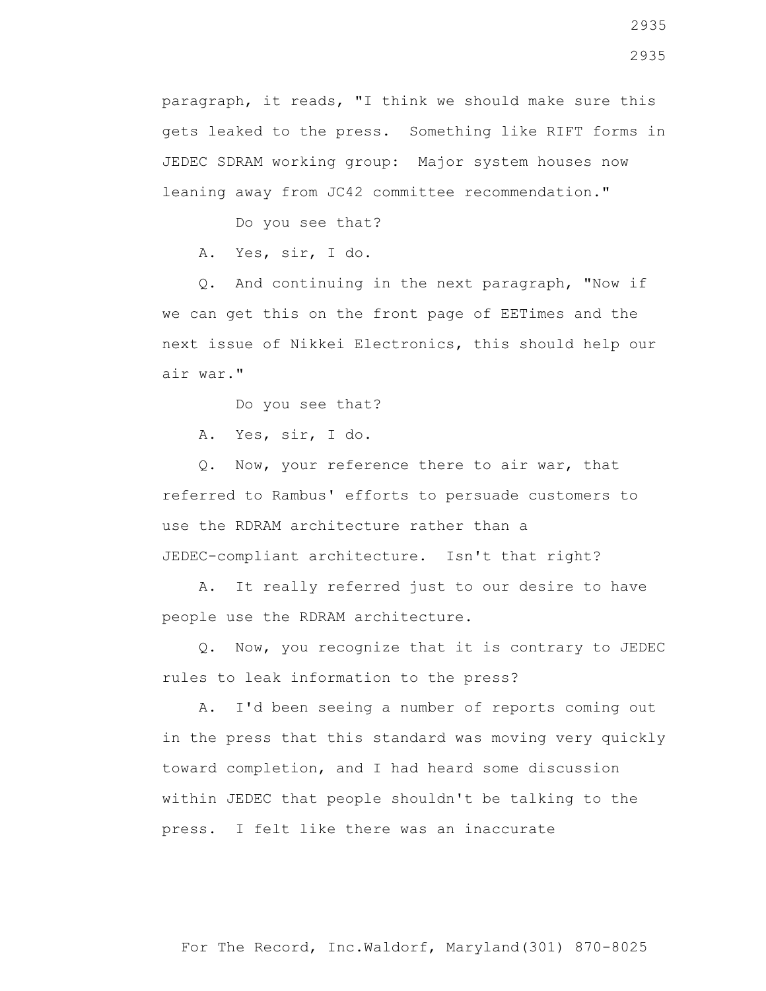paragraph, it reads, "I think we should make sure this gets leaked to the press. Something like RIFT forms in JEDEC SDRAM working group: Major system houses now leaning away from JC42 committee recommendation."

Do you see that?

A. Yes, sir, I do.

 Q. And continuing in the next paragraph, "Now if we can get this on the front page of EETimes and the next issue of Nikkei Electronics, this should help our air war."

Do you see that?

A. Yes, sir, I do.

 Q. Now, your reference there to air war, that referred to Rambus' efforts to persuade customers to use the RDRAM architecture rather than a JEDEC-compliant architecture. Isn't that right?

 A. It really referred just to our desire to have people use the RDRAM architecture.

 Q. Now, you recognize that it is contrary to JEDEC rules to leak information to the press?

 A. I'd been seeing a number of reports coming out in the press that this standard was moving very quickly toward completion, and I had heard some discussion within JEDEC that people shouldn't be talking to the press. I felt like there was an inaccurate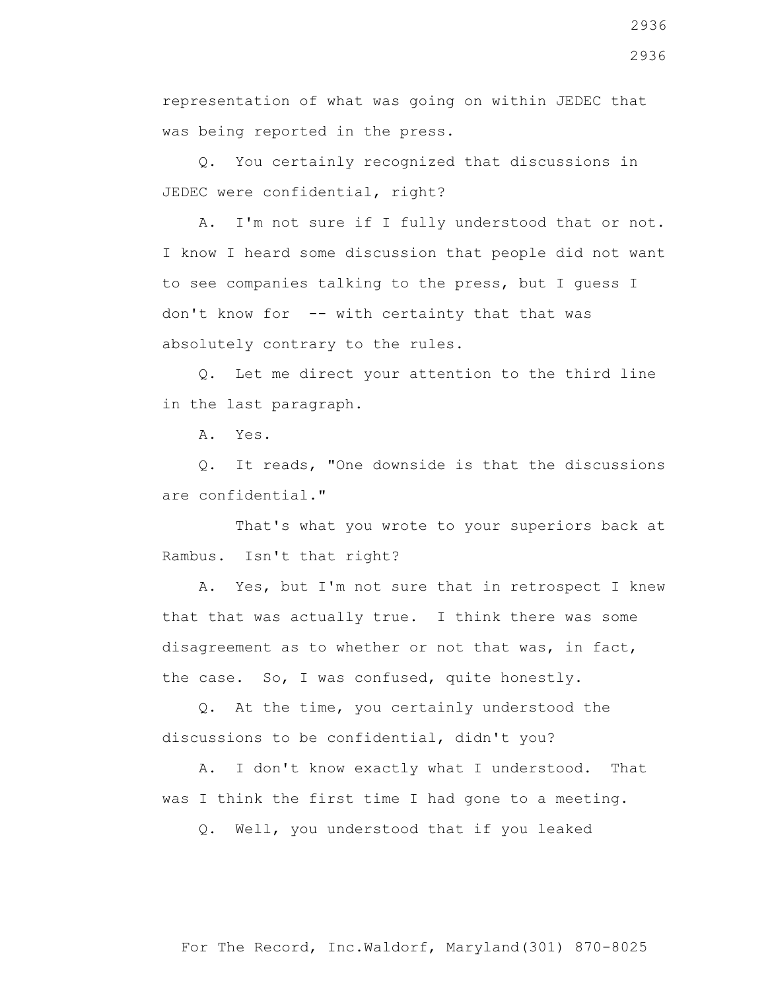representation of what was going on within JEDEC that was being reported in the press.

 Q. You certainly recognized that discussions in JEDEC were confidential, right?

 A. I'm not sure if I fully understood that or not. I know I heard some discussion that people did not want to see companies talking to the press, but I guess I don't know for -- with certainty that that was absolutely contrary to the rules.

 Q. Let me direct your attention to the third line in the last paragraph.

A. Yes.

 Q. It reads, "One downside is that the discussions are confidential."

 That's what you wrote to your superiors back at Rambus. Isn't that right?

 A. Yes, but I'm not sure that in retrospect I knew that that was actually true. I think there was some disagreement as to whether or not that was, in fact, the case. So, I was confused, quite honestly.

 Q. At the time, you certainly understood the discussions to be confidential, didn't you?

 A. I don't know exactly what I understood. That was I think the first time I had gone to a meeting.

Q. Well, you understood that if you leaked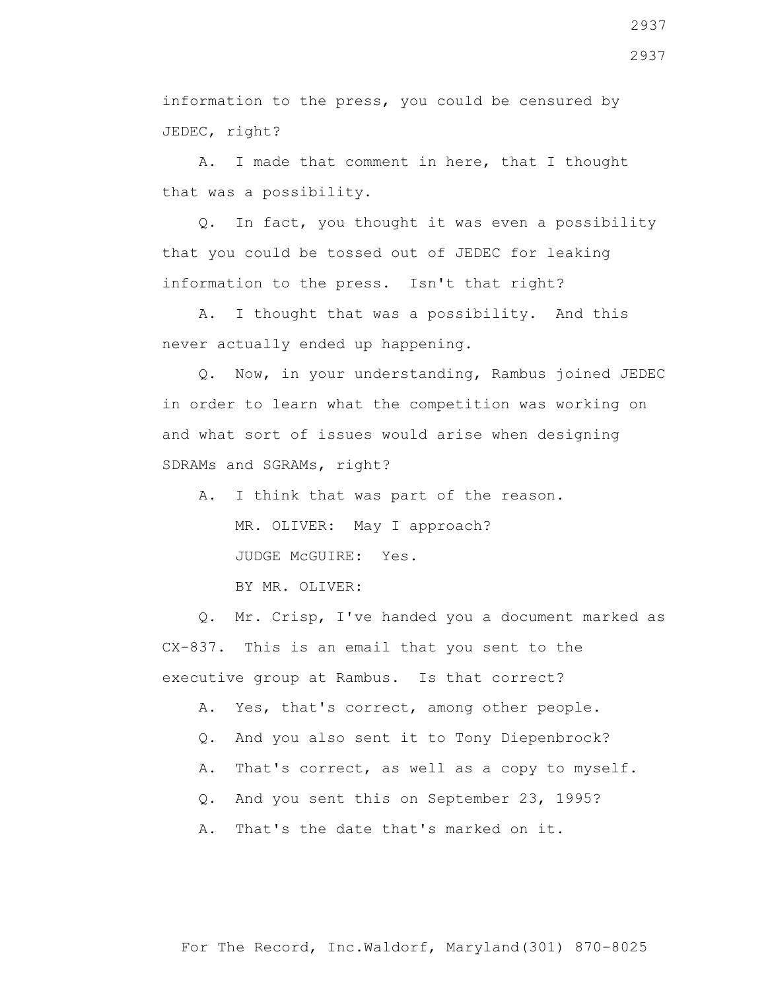information to the press, you could be censured by JEDEC, right?

 A. I made that comment in here, that I thought that was a possibility.

 Q. In fact, you thought it was even a possibility that you could be tossed out of JEDEC for leaking information to the press. Isn't that right?

 A. I thought that was a possibility. And this never actually ended up happening.

 Q. Now, in your understanding, Rambus joined JEDEC in order to learn what the competition was working on and what sort of issues would arise when designing SDRAMs and SGRAMs, right?

 A. I think that was part of the reason. MR. OLIVER: May I approach? JUDGE McGUIRE: Yes.

BY MR. OLIVER:

 Q. Mr. Crisp, I've handed you a document marked as CX-837. This is an email that you sent to the executive group at Rambus. Is that correct?

A. Yes, that's correct, among other people.

- Q. And you also sent it to Tony Diepenbrock?
- A. That's correct, as well as a copy to myself.
- Q. And you sent this on September 23, 1995?
- A. That's the date that's marked on it.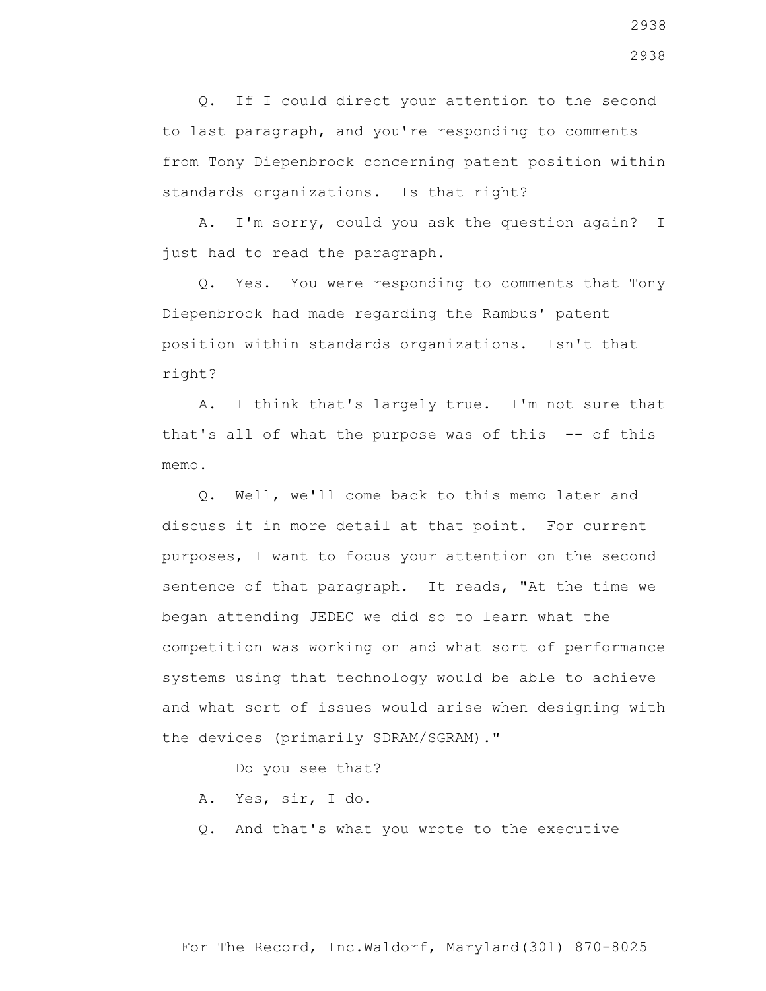Q. If I could direct your attention to the second to last paragraph, and you're responding to comments from Tony Diepenbrock concerning patent position within standards organizations. Is that right?

 A. I'm sorry, could you ask the question again? I just had to read the paragraph.

 Q. Yes. You were responding to comments that Tony Diepenbrock had made regarding the Rambus' patent position within standards organizations. Isn't that right?

 A. I think that's largely true. I'm not sure that that's all of what the purpose was of this -- of this memo.

 Q. Well, we'll come back to this memo later and discuss it in more detail at that point. For current purposes, I want to focus your attention on the second sentence of that paragraph. It reads, "At the time we began attending JEDEC we did so to learn what the competition was working on and what sort of performance systems using that technology would be able to achieve and what sort of issues would arise when designing with the devices (primarily SDRAM/SGRAM)."

Do you see that?

- A. Yes, sir, I do.
- Q. And that's what you wrote to the executive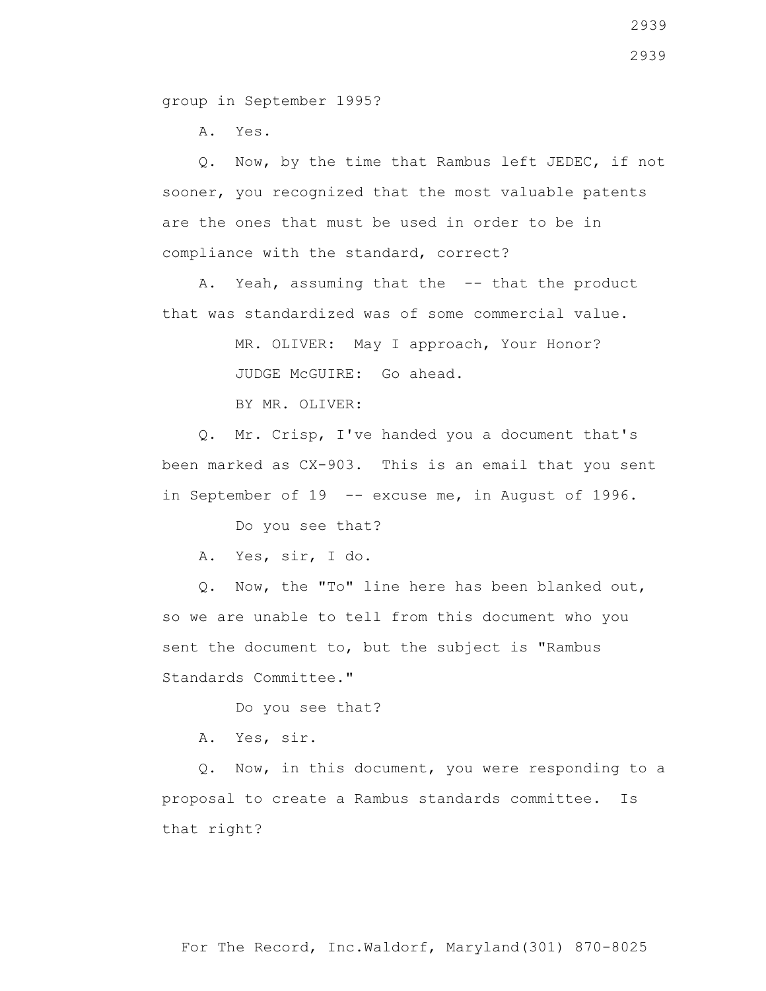group in September 1995?

A. Yes.

 Q. Now, by the time that Rambus left JEDEC, if not sooner, you recognized that the most valuable patents are the ones that must be used in order to be in compliance with the standard, correct?

A. Yeah, assuming that the -- that the product that was standardized was of some commercial value.

MR. OLIVER: May I approach, Your Honor?

JUDGE McGUIRE: Go ahead.

BY MR. OLIVER:

 Q. Mr. Crisp, I've handed you a document that's been marked as CX-903. This is an email that you sent in September of 19 -- excuse me, in August of 1996.

Do you see that?

A. Yes, sir, I do.

 Q. Now, the "To" line here has been blanked out, so we are unable to tell from this document who you sent the document to, but the subject is "Rambus Standards Committee."

Do you see that?

A. Yes, sir.

 Q. Now, in this document, you were responding to a proposal to create a Rambus standards committee. Is that right?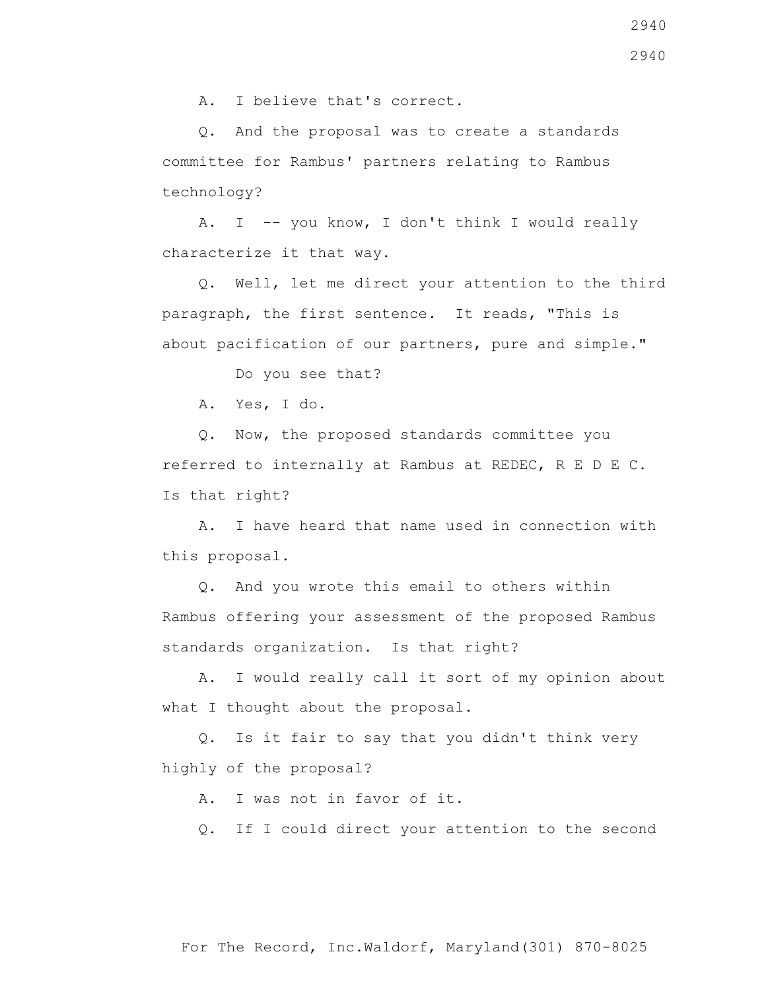A. I believe that's correct.

 Q. And the proposal was to create a standards committee for Rambus' partners relating to Rambus technology?

A. I -- you know, I don't think I would really characterize it that way.

 Q. Well, let me direct your attention to the third paragraph, the first sentence. It reads, "This is about pacification of our partners, pure and simple."

Do you see that?

A. Yes, I do.

 Q. Now, the proposed standards committee you referred to internally at Rambus at REDEC, R E D E C. Is that right?

 A. I have heard that name used in connection with this proposal.

 Q. And you wrote this email to others within Rambus offering your assessment of the proposed Rambus standards organization. Is that right?

 A. I would really call it sort of my opinion about what I thought about the proposal.

 Q. Is it fair to say that you didn't think very highly of the proposal?

A. I was not in favor of it.

Q. If I could direct your attention to the second

2940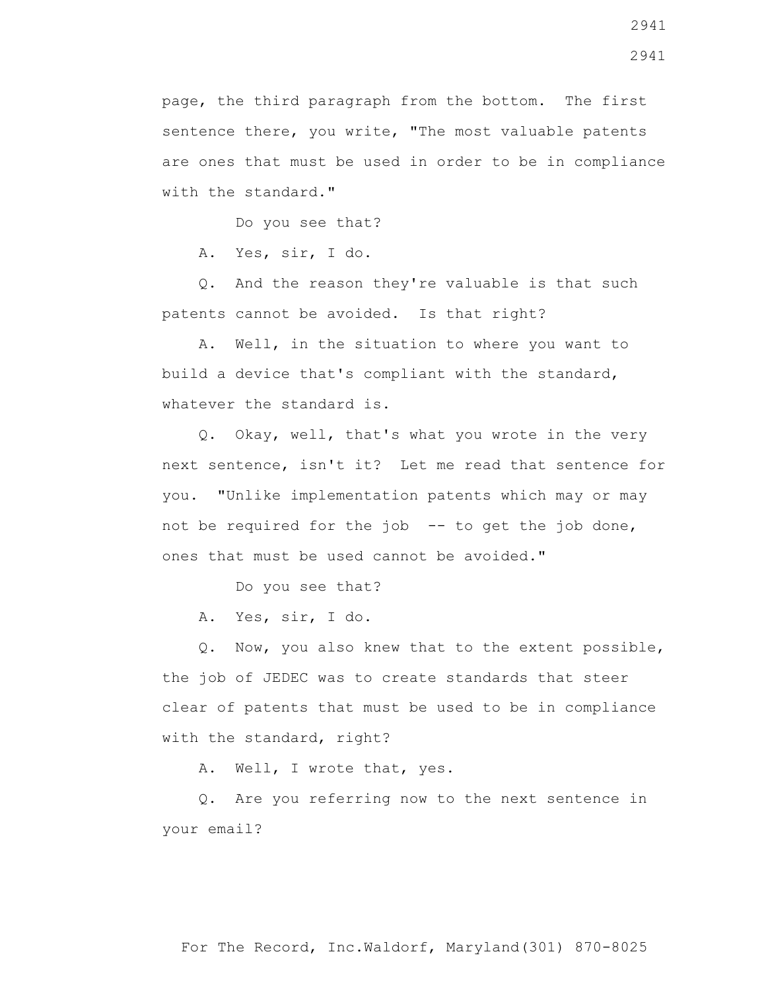page, the third paragraph from the bottom. The first sentence there, you write, "The most valuable patents are ones that must be used in order to be in compliance with the standard."

Do you see that?

A. Yes, sir, I do.

 Q. And the reason they're valuable is that such patents cannot be avoided. Is that right?

 A. Well, in the situation to where you want to build a device that's compliant with the standard, whatever the standard is.

 Q. Okay, well, that's what you wrote in the very next sentence, isn't it? Let me read that sentence for you. "Unlike implementation patents which may or may not be required for the job -- to get the job done, ones that must be used cannot be avoided."

Do you see that?

A. Yes, sir, I do.

 Q. Now, you also knew that to the extent possible, the job of JEDEC was to create standards that steer clear of patents that must be used to be in compliance with the standard, right?

A. Well, I wrote that, yes.

 Q. Are you referring now to the next sentence in your email?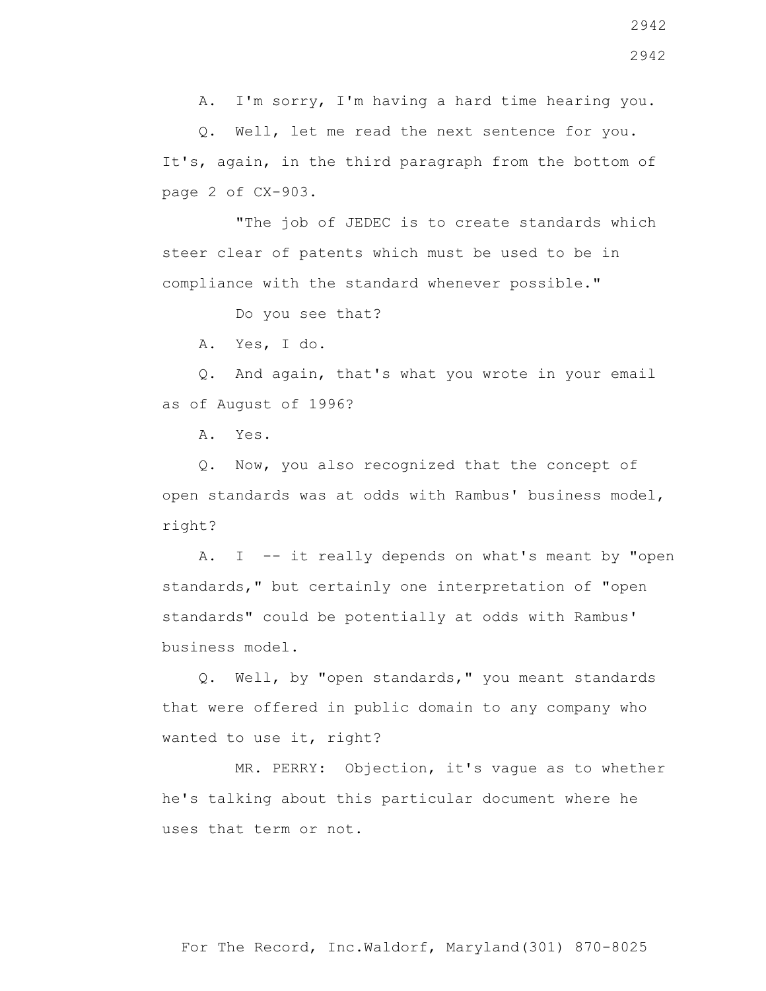A. I'm sorry, I'm having a hard time hearing you.

Q. Well, let me read the next sentence for you.

It's, again, in the third paragraph from the bottom of

 "The job of JEDEC is to create standards which steer clear of patents which must be used to be in compliance with the standard whenever possible."

Do you see that?

A. Yes, I do.

 Q. And again, that's what you wrote in your email as of August of 1996?

A. Yes.

 Q. Now, you also recognized that the concept of open standards was at odds with Rambus' business model, right?

 A. I -- it really depends on what's meant by "open standards," but certainly one interpretation of "open standards" could be potentially at odds with Rambus' business model.

 Q. Well, by "open standards," you meant standards that were offered in public domain to any company who wanted to use it, right?

 MR. PERRY: Objection, it's vague as to whether he's talking about this particular document where he uses that term or not.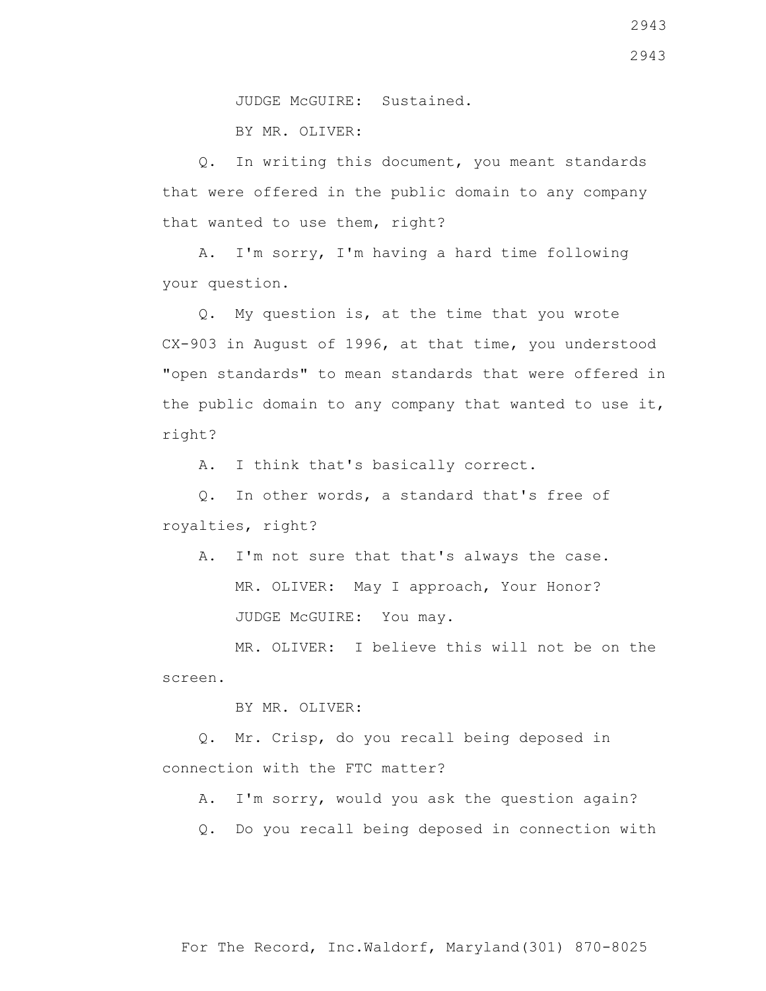JUDGE McGUIRE: Sustained.

BY MR. OLIVER:

 Q. In writing this document, you meant standards that were offered in the public domain to any company that wanted to use them, right?

 A. I'm sorry, I'm having a hard time following your question.

 Q. My question is, at the time that you wrote CX-903 in August of 1996, at that time, you understood "open standards" to mean standards that were offered in the public domain to any company that wanted to use it, right?

A. I think that's basically correct.

 Q. In other words, a standard that's free of royalties, right?

A. I'm not sure that that's always the case.

 MR. OLIVER: May I approach, Your Honor? JUDGE McGUIRE: You may.

 MR. OLIVER: I believe this will not be on the screen.

BY MR. OLIVER:

 Q. Mr. Crisp, do you recall being deposed in connection with the FTC matter?

A. I'm sorry, would you ask the question again?

Q. Do you recall being deposed in connection with

2943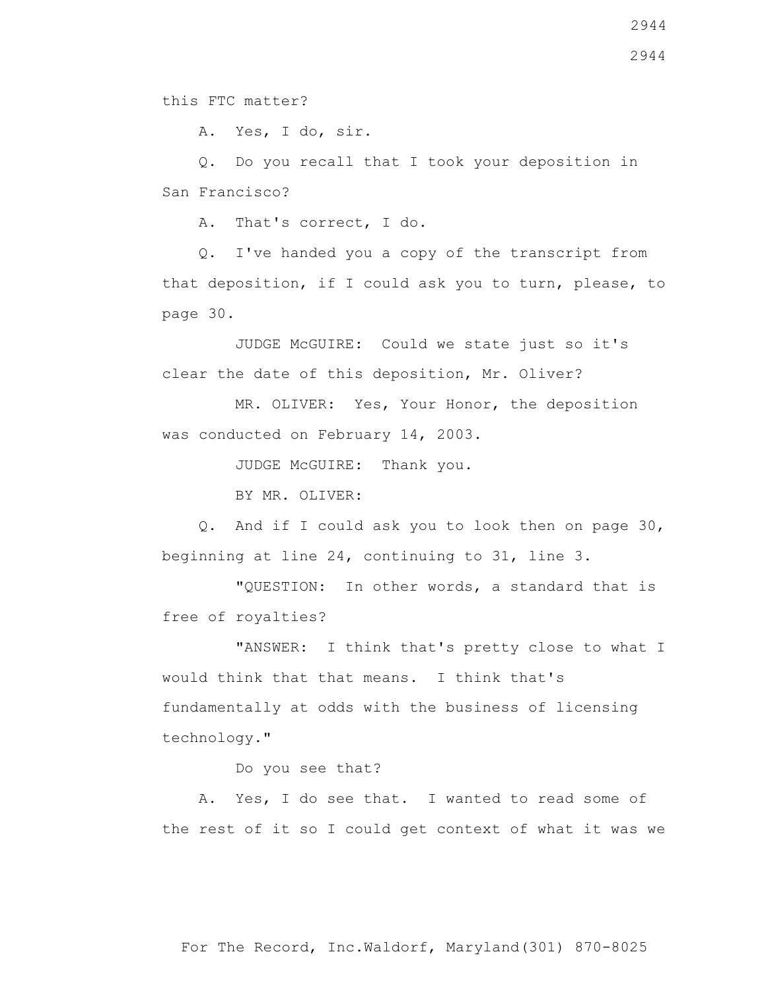A. Yes, I do, sir.

 Q. Do you recall that I took your deposition in San Francisco?

A. That's correct, I do.

 Q. I've handed you a copy of the transcript from that deposition, if I could ask you to turn, please, to page 30.

 JUDGE McGUIRE: Could we state just so it's clear the date of this deposition, Mr. Oliver?

 MR. OLIVER: Yes, Your Honor, the deposition was conducted on February 14, 2003.

JUDGE McGUIRE: Thank you.

BY MR. OLIVER:

 Q. And if I could ask you to look then on page 30, beginning at line 24, continuing to 31, line 3.

 "QUESTION: In other words, a standard that is free of royalties?

 "ANSWER: I think that's pretty close to what I would think that that means. I think that's fundamentally at odds with the business of licensing technology."

Do you see that?

 A. Yes, I do see that. I wanted to read some of the rest of it so I could get context of what it was we

For The Record, Inc.Waldorf, Maryland(301) 870-8025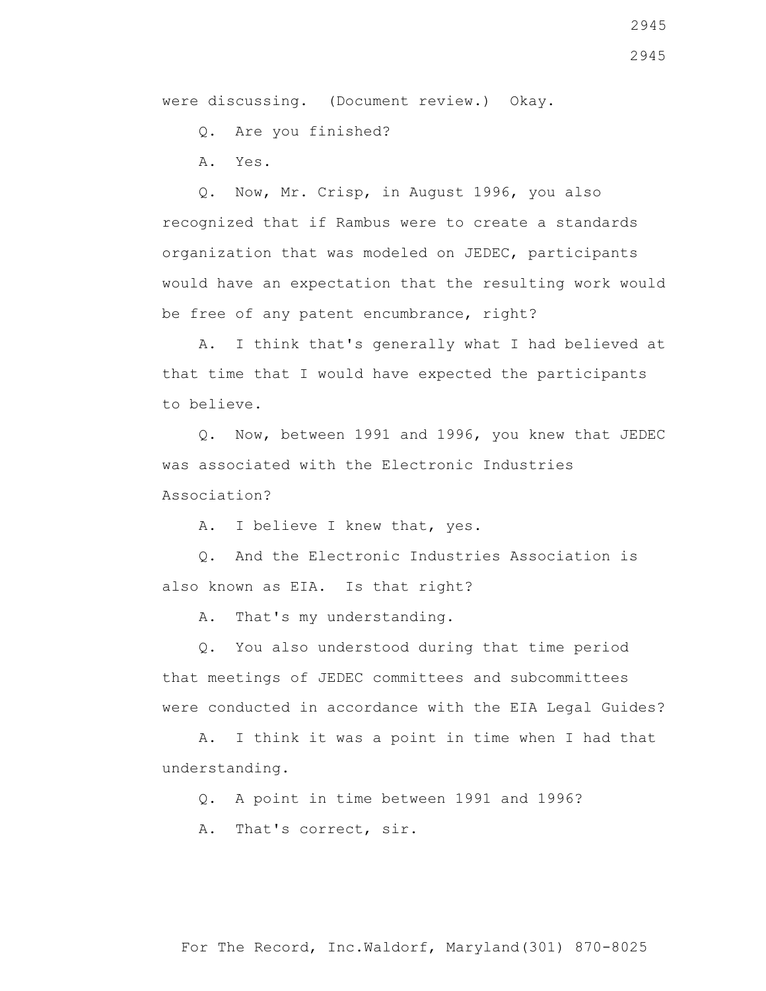were discussing. (Document review.) Okay.

Q. Are you finished?

A. Yes.

recognized that if Rambus were to create a standards organization that was modeled on JEDEC, participants would have an expectation that the resulting work would be free of any patent encumbrance, right?

 A. I think that's generally what I had believed at that time that I would have expected the participants to believe.

 Q. Now, between 1991 and 1996, you knew that JEDEC was associated with the Electronic Industries Association?

A. I believe I knew that, yes.

 Q. And the Electronic Industries Association is also known as EIA. Is that right?

A. That's my understanding.

 Q. You also understood during that time period that meetings of JEDEC committees and subcommittees were conducted in accordance with the EIA Legal Guides?

 A. I think it was a point in time when I had that understanding.

Q. A point in time between 1991 and 1996?

A. That's correct, sir.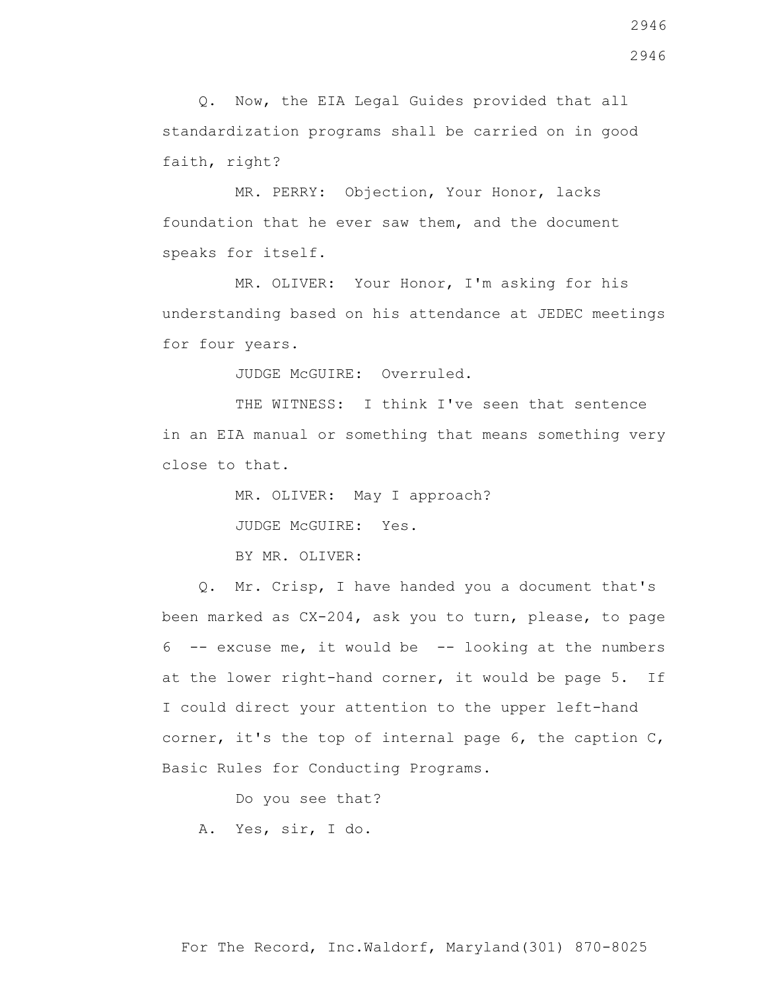Q. Now, the EIA Legal Guides provided that all standardization programs shall be carried on in good faith, right?

 MR. PERRY: Objection, Your Honor, lacks foundation that he ever saw them, and the document speaks for itself.

 MR. OLIVER: Your Honor, I'm asking for his understanding based on his attendance at JEDEC meetings for four years.

JUDGE McGUIRE: Overruled.

THE WITNESS: I think I've seen that sentence in an EIA manual or something that means something very close to that.

> MR. OLIVER: May I approach? JUDGE McGUIRE: Yes. BY MR. OLIVER:

 Q. Mr. Crisp, I have handed you a document that's been marked as CX-204, ask you to turn, please, to page  $6$  -- excuse me, it would be  $-$ - looking at the numbers at the lower right-hand corner, it would be page 5. If I could direct your attention to the upper left-hand corner, it's the top of internal page 6, the caption C, Basic Rules for Conducting Programs.

Do you see that?

A. Yes, sir, I do.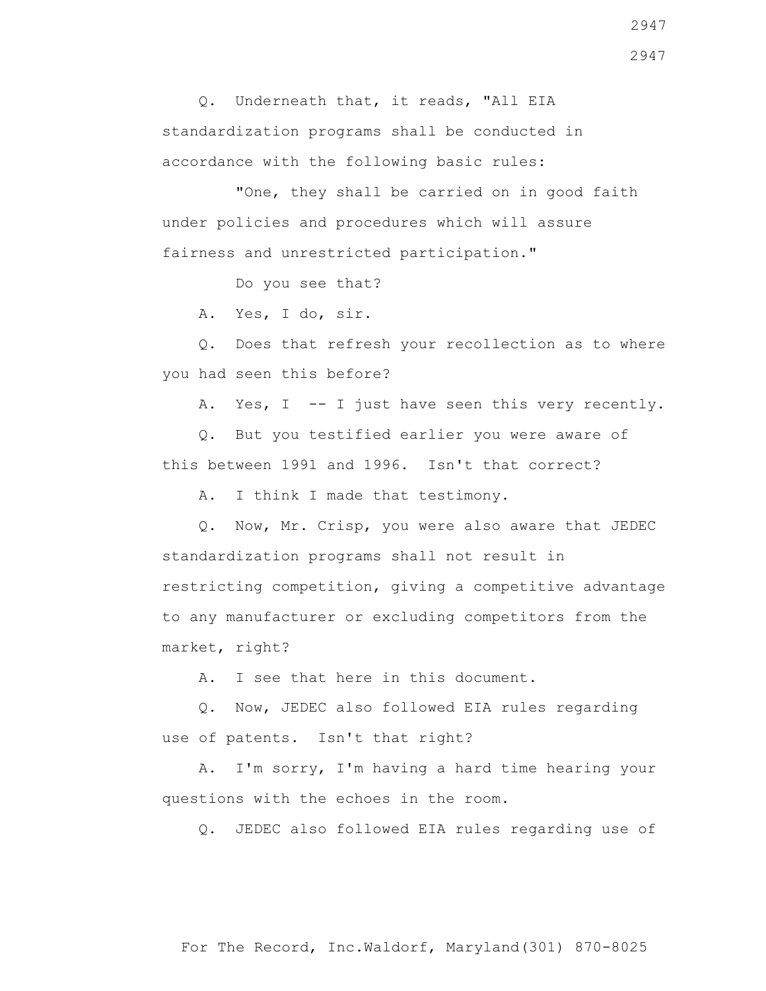Q. Underneath that, it reads, "All EIA standardization programs shall be conducted in accordance with the following basic rules:

"One, they shall be carried on in good faith under policies and procedures which will assure fairness and unrestricted participation."

Do you see that?

A. Yes, I do, sir.

 Q. Does that refresh your recollection as to where you had seen this before?

A. Yes, I -- I just have seen this very recently.

 Q. But you testified earlier you were aware of this between 1991 and 1996. Isn't that correct?

A. I think I made that testimony.

 Q. Now, Mr. Crisp, you were also aware that JEDEC standardization programs shall not result in restricting competition, giving a competitive advantage to any manufacturer or excluding competitors from the market, right?

A. I see that here in this document.

 Q. Now, JEDEC also followed EIA rules regarding use of patents. Isn't that right?

 A. I'm sorry, I'm having a hard time hearing your questions with the echoes in the room.

Q. JEDEC also followed EIA rules regarding use of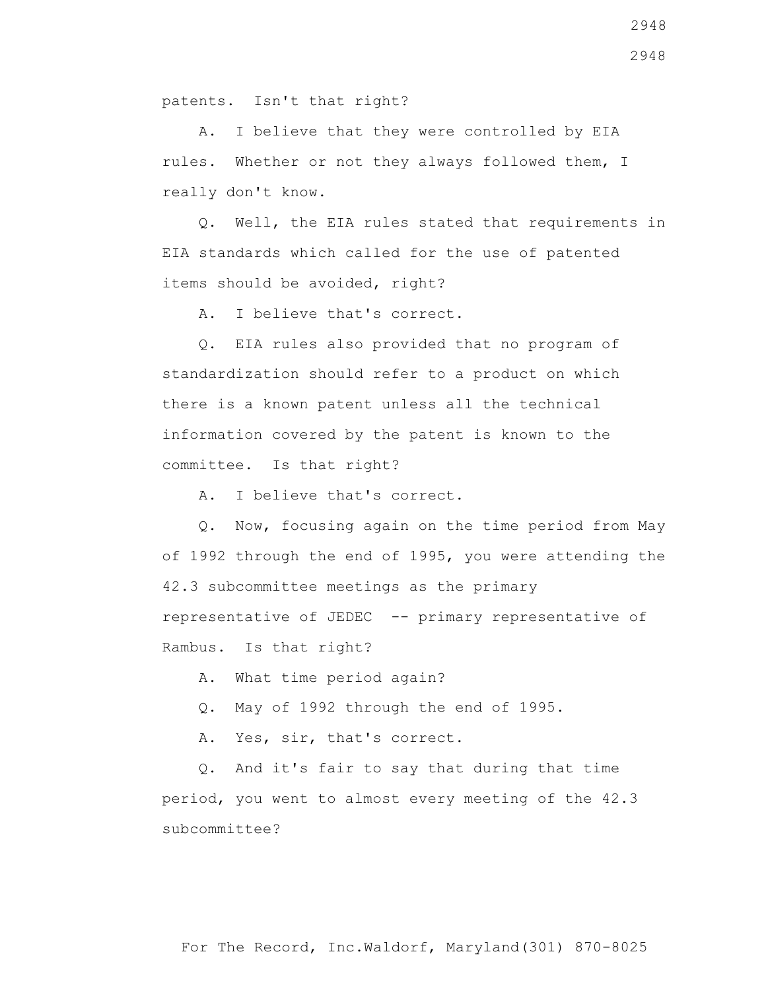patents. Isn't that right?

 A. I believe that they were controlled by EIA rules. Whether or not they always followed them, I really don't know.

 Q. Well, the EIA rules stated that requirements in EIA standards which called for the use of patented items should be avoided, right?

A. I believe that's correct.

 Q. EIA rules also provided that no program of standardization should refer to a product on which there is a known patent unless all the technical information covered by the patent is known to the committee. Is that right?

A. I believe that's correct.

 Q. Now, focusing again on the time period from May of 1992 through the end of 1995, you were attending the 42.3 subcommittee meetings as the primary representative of JEDEC -- primary representative of Rambus. Is that right?

A. What time period again?

Q. May of 1992 through the end of 1995.

A. Yes, sir, that's correct.

 Q. And it's fair to say that during that time period, you went to almost every meeting of the 42.3 subcommittee?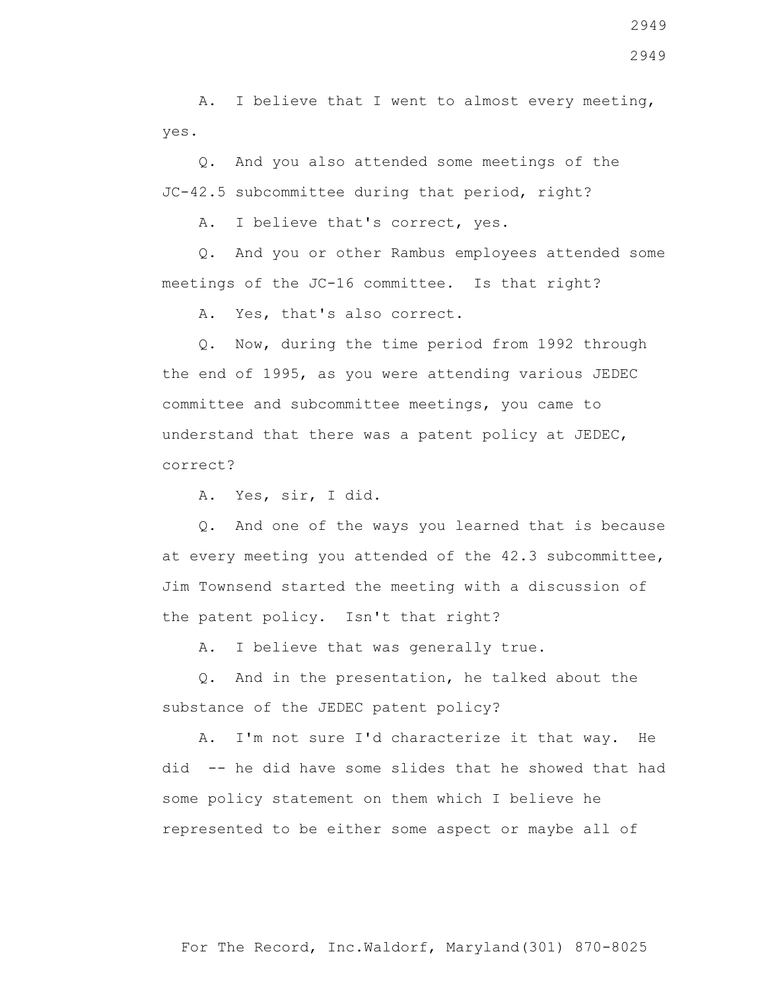A. I believe that I went to almost every meeting, yes.

 Q. And you also attended some meetings of the JC-42.5 subcommittee during that period, right?

A. I believe that's correct, yes.

 Q. And you or other Rambus employees attended some meetings of the JC-16 committee. Is that right?

A. Yes, that's also correct.

 Q. Now, during the time period from 1992 through the end of 1995, as you were attending various JEDEC committee and subcommittee meetings, you came to understand that there was a patent policy at JEDEC, correct?

A. Yes, sir, I did.

 Q. And one of the ways you learned that is because at every meeting you attended of the 42.3 subcommittee, Jim Townsend started the meeting with a discussion of the patent policy. Isn't that right?

A. I believe that was generally true.

 Q. And in the presentation, he talked about the substance of the JEDEC patent policy?

 A. I'm not sure I'd characterize it that way. He did -- he did have some slides that he showed that had some policy statement on them which I believe he represented to be either some aspect or maybe all of

2949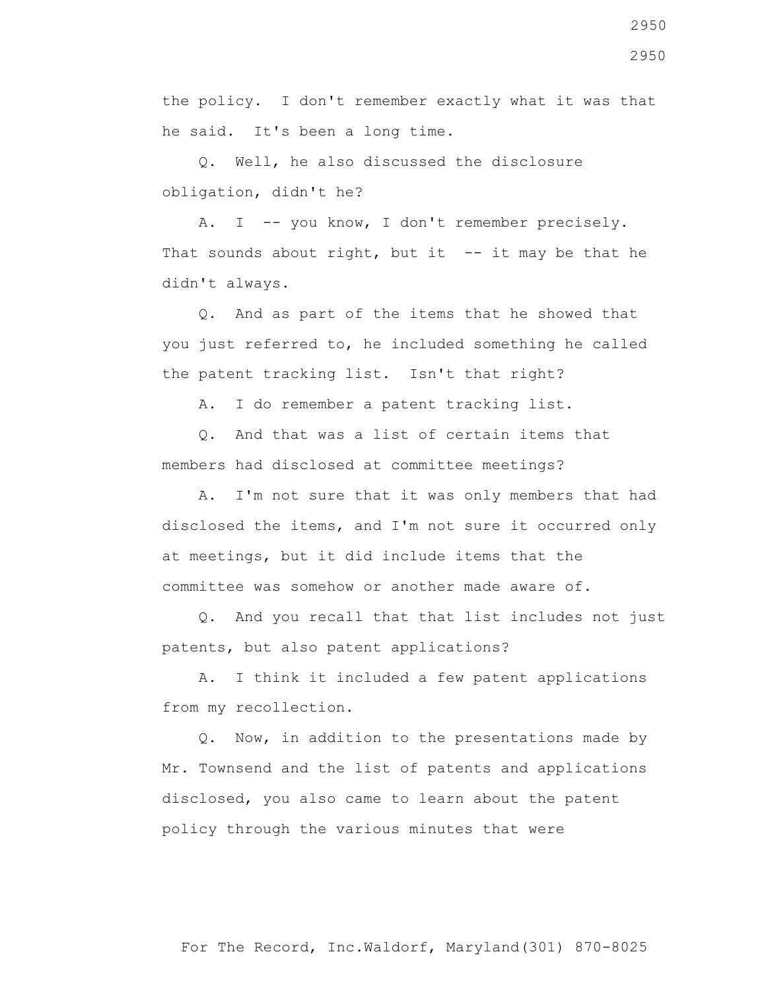the policy. I don't remember exactly what it was that he said. It's been a long time.

 Q. Well, he also discussed the disclosure obligation, didn't he?

A. I -- you know, I don't remember precisely. That sounds about right, but it  $-$ - it may be that he didn't always.

 Q. And as part of the items that he showed that you just referred to, he included something he called the patent tracking list. Isn't that right?

A. I do remember a patent tracking list.

 Q. And that was a list of certain items that members had disclosed at committee meetings?

 A. I'm not sure that it was only members that had disclosed the items, and I'm not sure it occurred only at meetings, but it did include items that the committee was somehow or another made aware of.

 Q. And you recall that that list includes not just patents, but also patent applications?

 A. I think it included a few patent applications from my recollection.

 Q. Now, in addition to the presentations made by Mr. Townsend and the list of patents and applications disclosed, you also came to learn about the patent policy through the various minutes that were

2950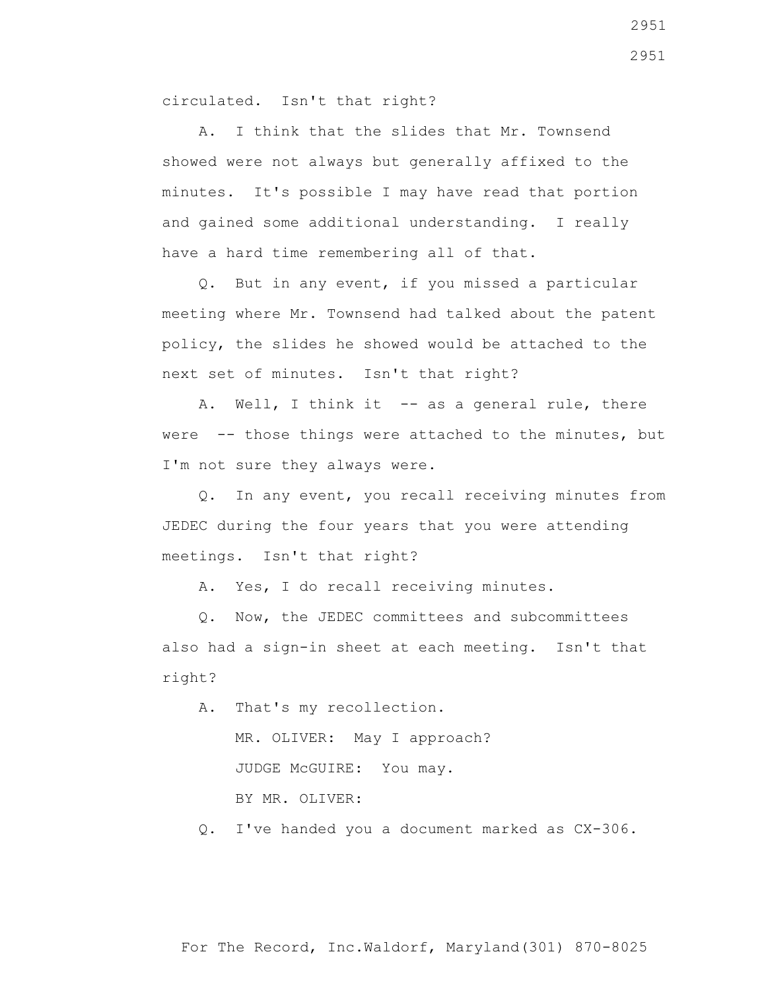circulated. Isn't that right?

 A. I think that the slides that Mr. Townsend showed were not always but generally affixed to the minutes. It's possible I may have read that portion and gained some additional understanding. I really have a hard time remembering all of that.

 Q. But in any event, if you missed a particular meeting where Mr. Townsend had talked about the patent policy, the slides he showed would be attached to the next set of minutes. Isn't that right?

A. Well, I think it -- as a general rule, there were -- those things were attached to the minutes, but I'm not sure they always were.

 Q. In any event, you recall receiving minutes from JEDEC during the four years that you were attending meetings. Isn't that right?

A. Yes, I do recall receiving minutes.

 Q. Now, the JEDEC committees and subcommittees also had a sign-in sheet at each meeting. Isn't that right?

 A. That's my recollection. MR. OLIVER: May I approach? JUDGE McGUIRE: You may. BY MR. OLIVER:

Q. I've handed you a document marked as CX-306.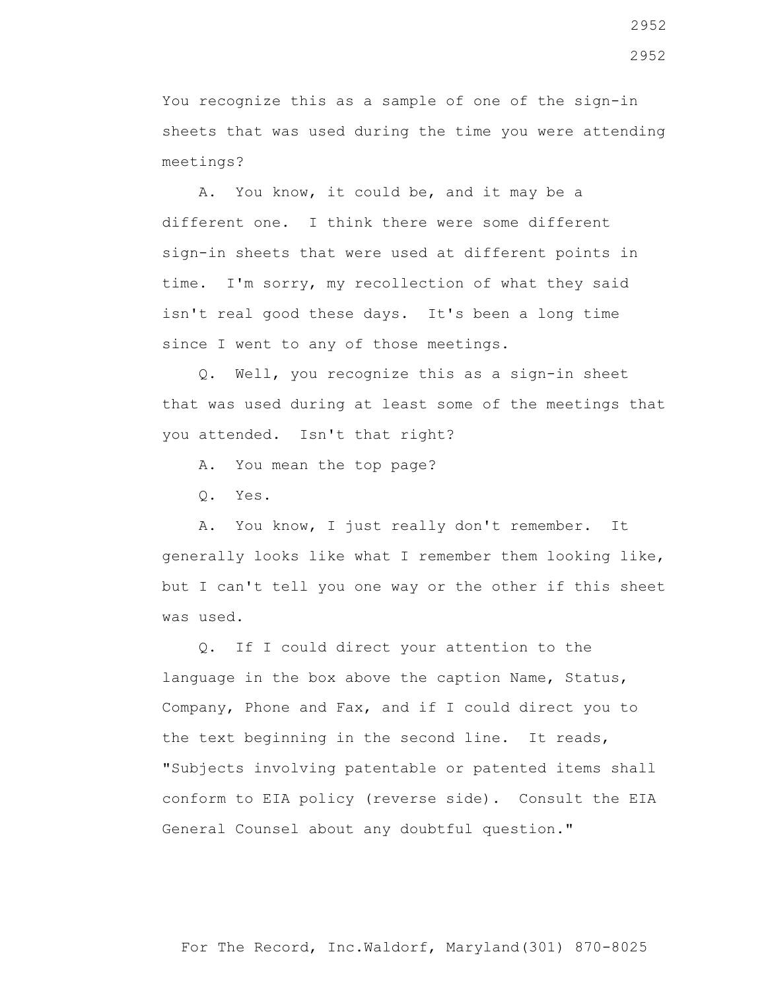You recognize this as a sample of one of the sign-in sheets that was used during the time you were attending meetings?

 A. You know, it could be, and it may be a different one. I think there were some different sign-in sheets that were used at different points in time. I'm sorry, my recollection of what they said isn't real good these days. It's been a long time since I went to any of those meetings.

 Q. Well, you recognize this as a sign-in sheet that was used during at least some of the meetings that you attended. Isn't that right?

A. You mean the top page?

Q. Yes.

 A. You know, I just really don't remember. It generally looks like what I remember them looking like, but I can't tell you one way or the other if this sheet was used.

 Q. If I could direct your attention to the language in the box above the caption Name, Status, Company, Phone and Fax, and if I could direct you to the text beginning in the second line. It reads, "Subjects involving patentable or patented items shall conform to EIA policy (reverse side). Consult the EIA General Counsel about any doubtful question."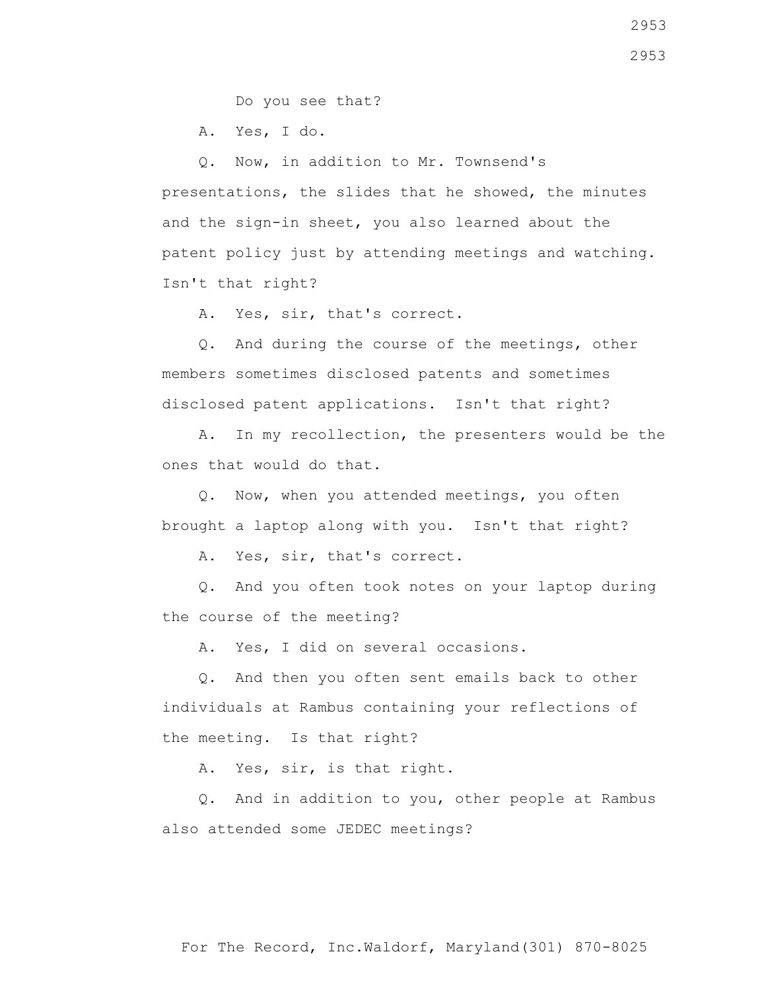Do you see that?

A. Yes, I do.

 Q. Now, in addition to Mr. Townsend's presentations, the slides that he showed, the minutes and the sign-in sheet, you also learned about the patent policy just by attending meetings and watching. Isn't that right?

A. Yes, sir, that's correct.

 Q. And during the course of the meetings, other members sometimes disclosed patents and sometimes disclosed patent applications. Isn't that right?

 A. In my recollection, the presenters would be the ones that would do that.

 Q. Now, when you attended meetings, you often brought a laptop along with you. Isn't that right?

A. Yes, sir, that's correct.

 Q. And you often took notes on your laptop during the course of the meeting?

A. Yes, I did on several occasions.

 Q. And then you often sent emails back to other individuals at Rambus containing your reflections of the meeting. Is that right?

A. Yes, sir, is that right.

 Q. And in addition to you, other people at Rambus also attended some JEDEC meetings?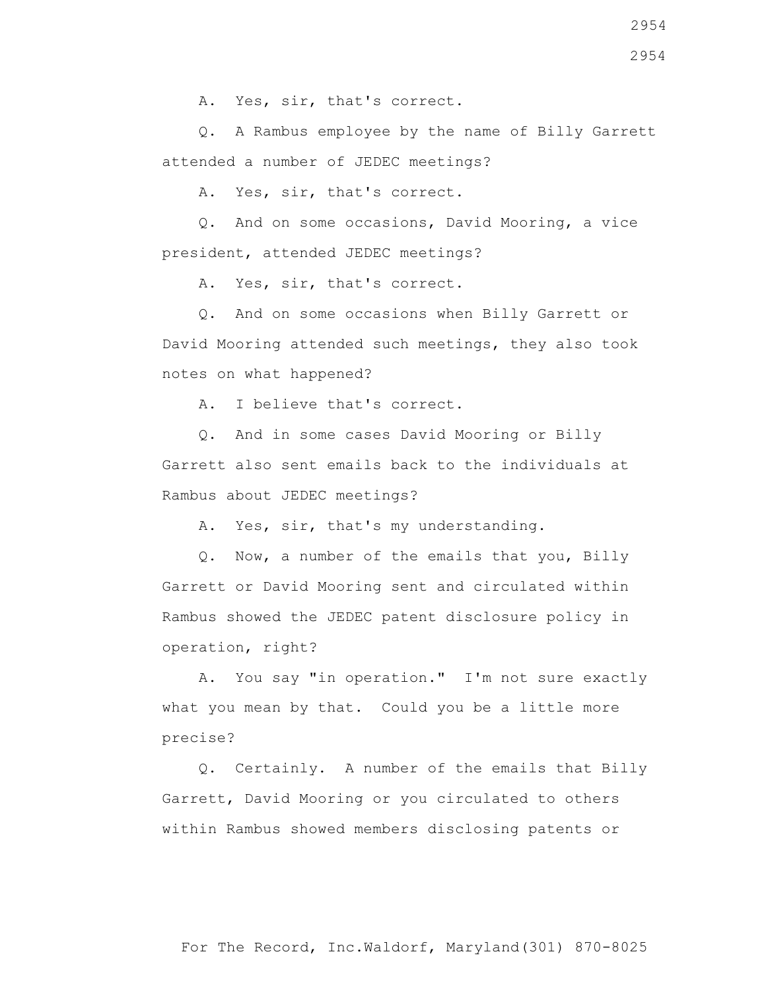Q. A Rambus employee by the name of Billy Garrett attended a number of JEDEC meetings?

A. Yes, sir, that's correct.

 Q. And on some occasions, David Mooring, a vice president, attended JEDEC meetings?

A. Yes, sir, that's correct.

 Q. And on some occasions when Billy Garrett or David Mooring attended such meetings, they also took notes on what happened?

A. I believe that's correct.

 Q. And in some cases David Mooring or Billy Garrett also sent emails back to the individuals at Rambus about JEDEC meetings?

A. Yes, sir, that's my understanding.

 Q. Now, a number of the emails that you, Billy Garrett or David Mooring sent and circulated within Rambus showed the JEDEC patent disclosure policy in operation, right?

 A. You say "in operation." I'm not sure exactly what you mean by that. Could you be a little more precise?

 Q. Certainly. A number of the emails that Billy Garrett, David Mooring or you circulated to others within Rambus showed members disclosing patents or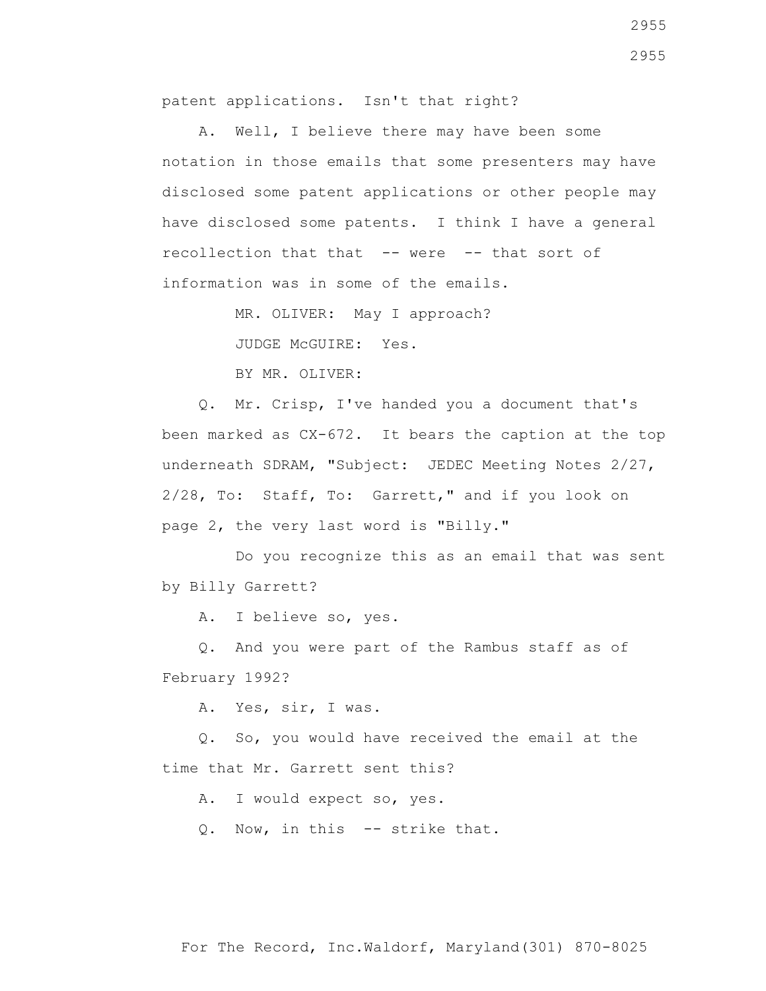patent applications. Isn't that right?

 A. Well, I believe there may have been some notation in those emails that some presenters may have disclosed some patent applications or other people may have disclosed some patents. I think I have a general recollection that that -- were -- that sort of information was in some of the emails.

MR. OLIVER: May I approach?

JUDGE McGUIRE: Yes.

BY MR. OLIVER:

 Q. Mr. Crisp, I've handed you a document that's been marked as CX-672. It bears the caption at the top underneath SDRAM, "Subject: JEDEC Meeting Notes 2/27, 2/28, To: Staff, To: Garrett," and if you look on page 2, the very last word is "Billy."

 Do you recognize this as an email that was sent by Billy Garrett?

A. I believe so, yes.

 Q. And you were part of the Rambus staff as of February 1992?

A. Yes, sir, I was.

 Q. So, you would have received the email at the time that Mr. Garrett sent this?

A. I would expect so, yes.

Q. Now, in this -- strike that.

2955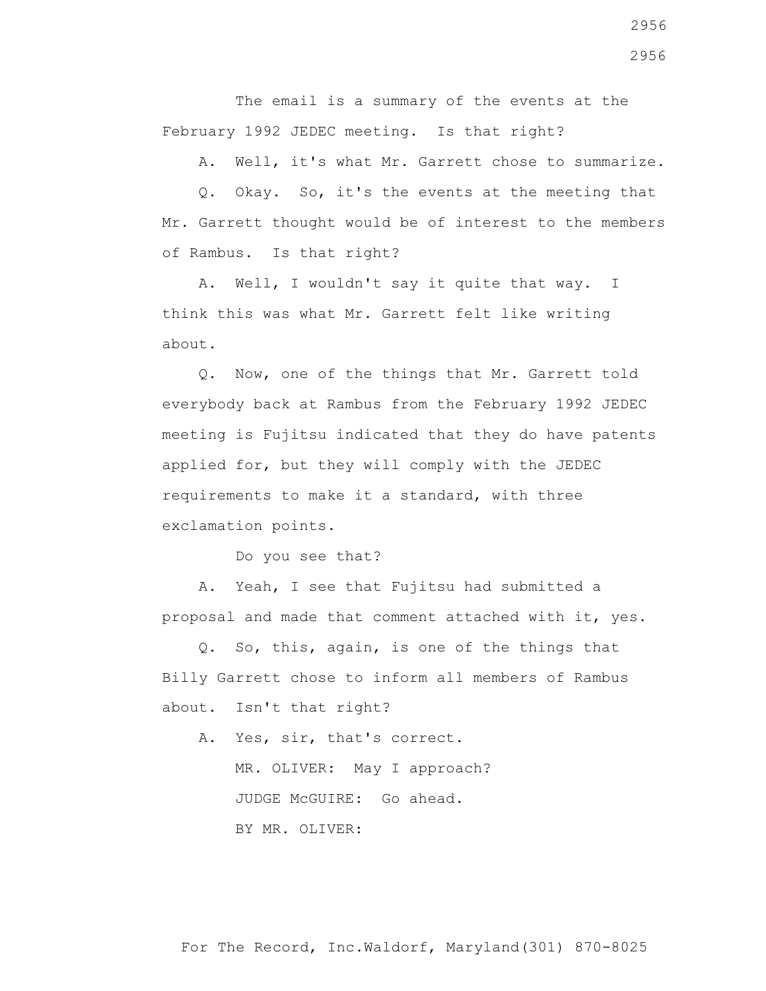The email is a summary of the events at the February 1992 JEDEC meeting. Is that right?

A. Well, it's what Mr. Garrett chose to summarize.

 Q. Okay. So, it's the events at the meeting that Mr. Garrett thought would be of interest to the members of Rambus. Is that right?

 A. Well, I wouldn't say it quite that way. I think this was what Mr. Garrett felt like writing about.

 Q. Now, one of the things that Mr. Garrett told everybody back at Rambus from the February 1992 JEDEC meeting is Fujitsu indicated that they do have patents applied for, but they will comply with the JEDEC requirements to make it a standard, with three exclamation points.

Do you see that?

 A. Yeah, I see that Fujitsu had submitted a proposal and made that comment attached with it, yes.

 Q. So, this, again, is one of the things that Billy Garrett chose to inform all members of Rambus about. Isn't that right?

 A. Yes, sir, that's correct. MR. OLIVER: May I approach? JUDGE McGUIRE: Go ahead. BY MR. OLIVER: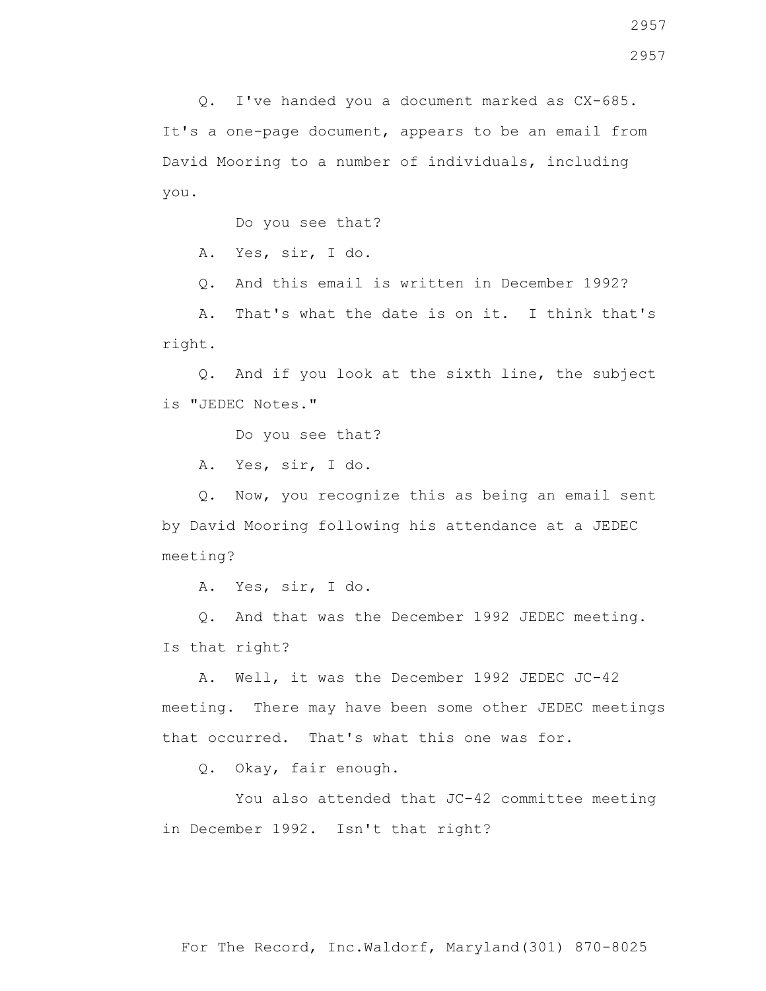Q. I've handed you a document marked as CX-685. It's a one-page document, appears to be an email from David Mooring to a number of individuals, including you.

Do you see that?

A. Yes, sir, I do.

Q. And this email is written in December 1992?

 A. That's what the date is on it. I think that's right.

 Q. And if you look at the sixth line, the subject is "JEDEC Notes."

Do you see that?

A. Yes, sir, I do.

 Q. Now, you recognize this as being an email sent by David Mooring following his attendance at a JEDEC meeting?

A. Yes, sir, I do.

 Q. And that was the December 1992 JEDEC meeting. Is that right?

 A. Well, it was the December 1992 JEDEC JC-42 meeting. There may have been some other JEDEC meetings that occurred. That's what this one was for.

Q. Okay, fair enough.

 You also attended that JC-42 committee meeting in December 1992. Isn't that right?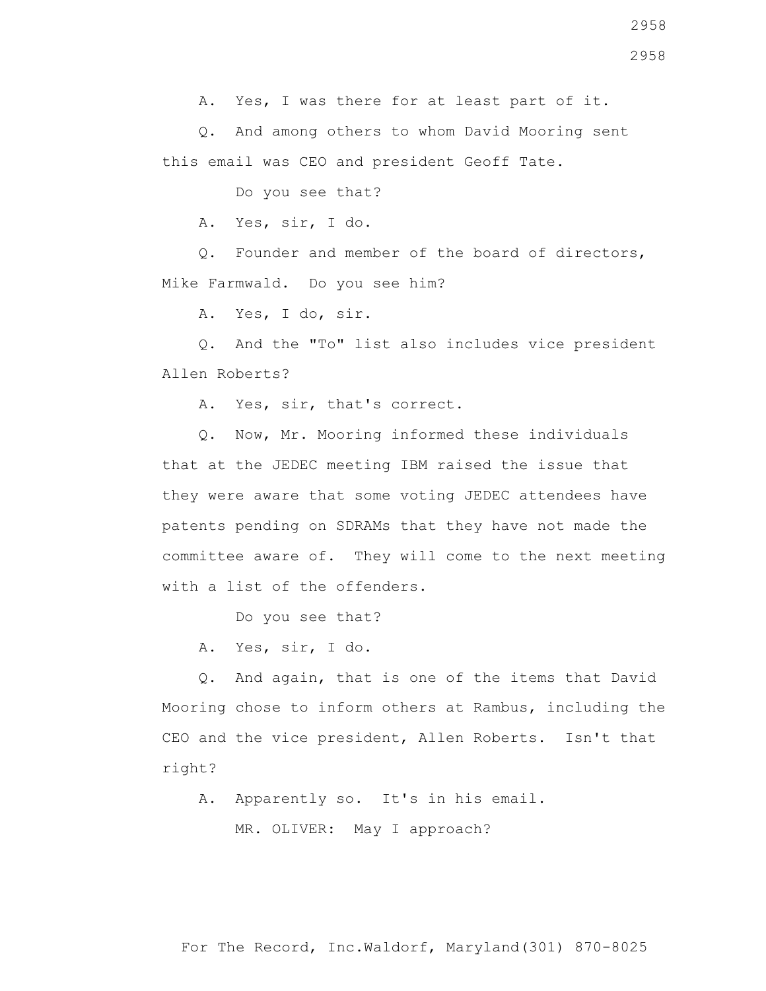A. Yes, I was there for at least part of it.

 Q. And among others to whom David Mooring sent this email was CEO and president Geoff Tate.

Do you see that?

A. Yes, sir, I do.

 Q. Founder and member of the board of directors, Mike Farmwald. Do you see him?

A. Yes, I do, sir.

 Q. And the "To" list also includes vice president Allen Roberts?

A. Yes, sir, that's correct.

 Q. Now, Mr. Mooring informed these individuals that at the JEDEC meeting IBM raised the issue that they were aware that some voting JEDEC attendees have patents pending on SDRAMs that they have not made the committee aware of. They will come to the next meeting with a list of the offenders.

Do you see that?

A. Yes, sir, I do.

 Q. And again, that is one of the items that David Mooring chose to inform others at Rambus, including the CEO and the vice president, Allen Roberts. Isn't that right?

A. Apparently so. It's in his email.

MR. OLIVER: May I approach?

For The Record, Inc.Waldorf, Maryland(301) 870-8025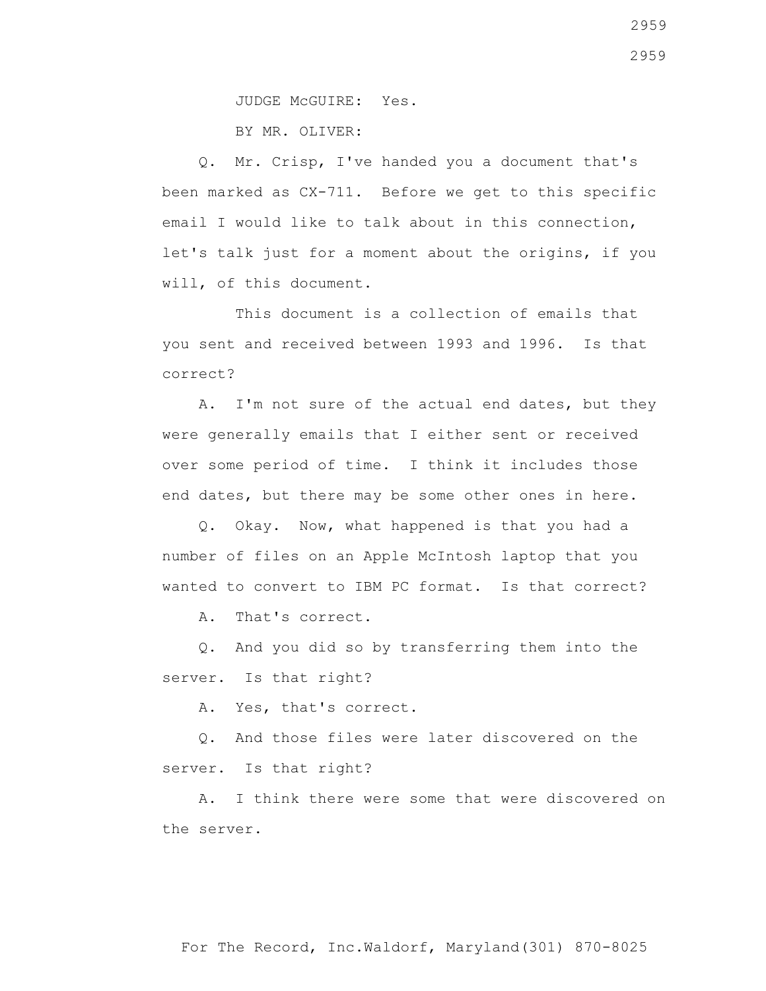JUDGE McGUIRE: Yes.

BY MR. OLIVER:

 Q. Mr. Crisp, I've handed you a document that's been marked as CX-711. Before we get to this specific email I would like to talk about in this connection, let's talk just for a moment about the origins, if you will, of this document.

 This document is a collection of emails that you sent and received between 1993 and 1996. Is that correct?

A. I'm not sure of the actual end dates, but they were generally emails that I either sent or received over some period of time. I think it includes those end dates, but there may be some other ones in here.

 Q. Okay. Now, what happened is that you had a number of files on an Apple McIntosh laptop that you wanted to convert to IBM PC format. Is that correct?

A. That's correct.

 Q. And you did so by transferring them into the server. Is that right?

A. Yes, that's correct.

 Q. And those files were later discovered on the server. Is that right?

 A. I think there were some that were discovered on the server.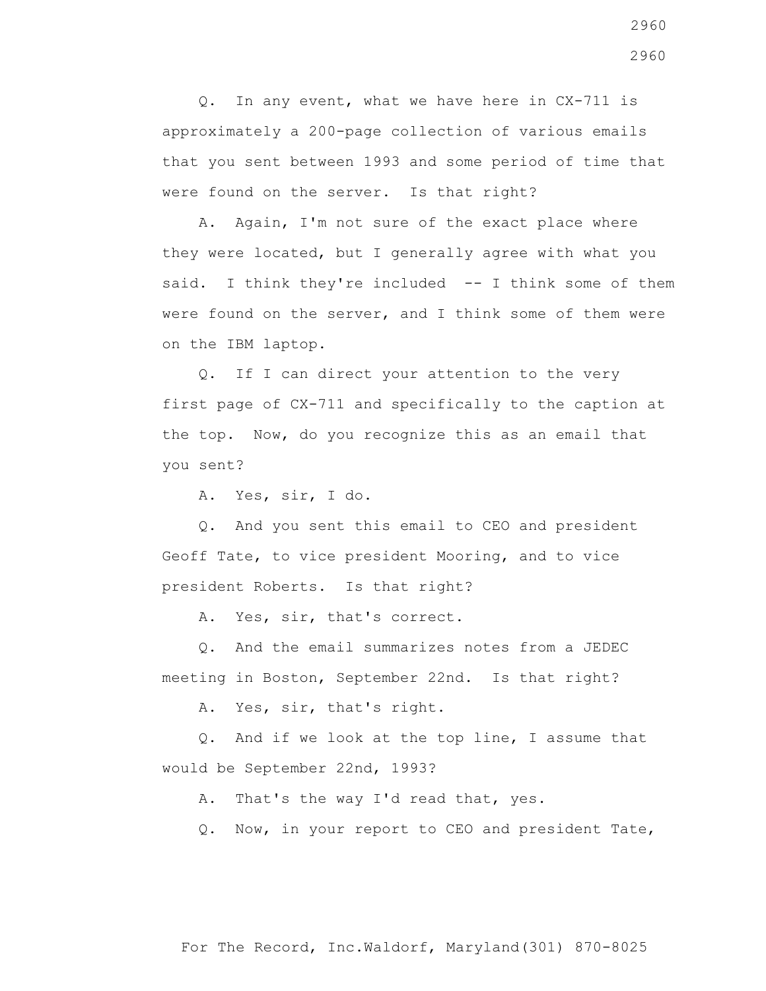Q. In any event, what we have here in CX-711 is approximately a 200-page collection of various emails that you sent between 1993 and some period of time that were found on the server. Is that right?

 A. Again, I'm not sure of the exact place where they were located, but I generally agree with what you said. I think they're included -- I think some of them were found on the server, and I think some of them were on the IBM laptop.

 Q. If I can direct your attention to the very first page of CX-711 and specifically to the caption at the top. Now, do you recognize this as an email that you sent?

A. Yes, sir, I do.

 Q. And you sent this email to CEO and president Geoff Tate, to vice president Mooring, and to vice president Roberts. Is that right?

A. Yes, sir, that's correct.

 Q. And the email summarizes notes from a JEDEC meeting in Boston, September 22nd. Is that right?

A. Yes, sir, that's right.

 Q. And if we look at the top line, I assume that would be September 22nd, 1993?

A. That's the way I'd read that, yes.

Q. Now, in your report to CEO and president Tate,

For The Record, Inc.Waldorf, Maryland(301) 870-8025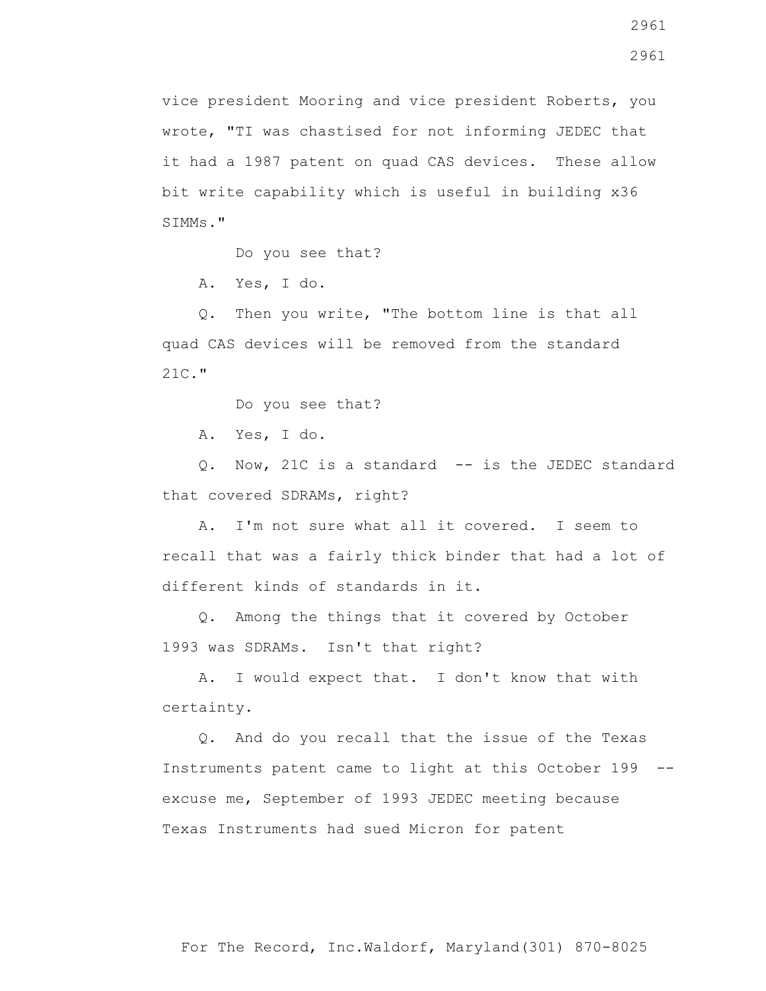vice president Mooring and vice president Roberts, you wrote, "TI was chastised for not informing JEDEC that it had a 1987 patent on quad CAS devices. These allow bit write capability which is useful in building x36 SIMMs."

Do you see that?

A. Yes, I do.

 Q. Then you write, "The bottom line is that all quad CAS devices will be removed from the standard 21C."

Do you see that?

A. Yes, I do.

 Q. Now, 21C is a standard -- is the JEDEC standard that covered SDRAMs, right?

 A. I'm not sure what all it covered. I seem to recall that was a fairly thick binder that had a lot of different kinds of standards in it.

 Q. Among the things that it covered by October 1993 was SDRAMs. Isn't that right?

 A. I would expect that. I don't know that with certainty.

 Q. And do you recall that the issue of the Texas Instruments patent came to light at this October 199 - excuse me, September of 1993 JEDEC meeting because Texas Instruments had sued Micron for patent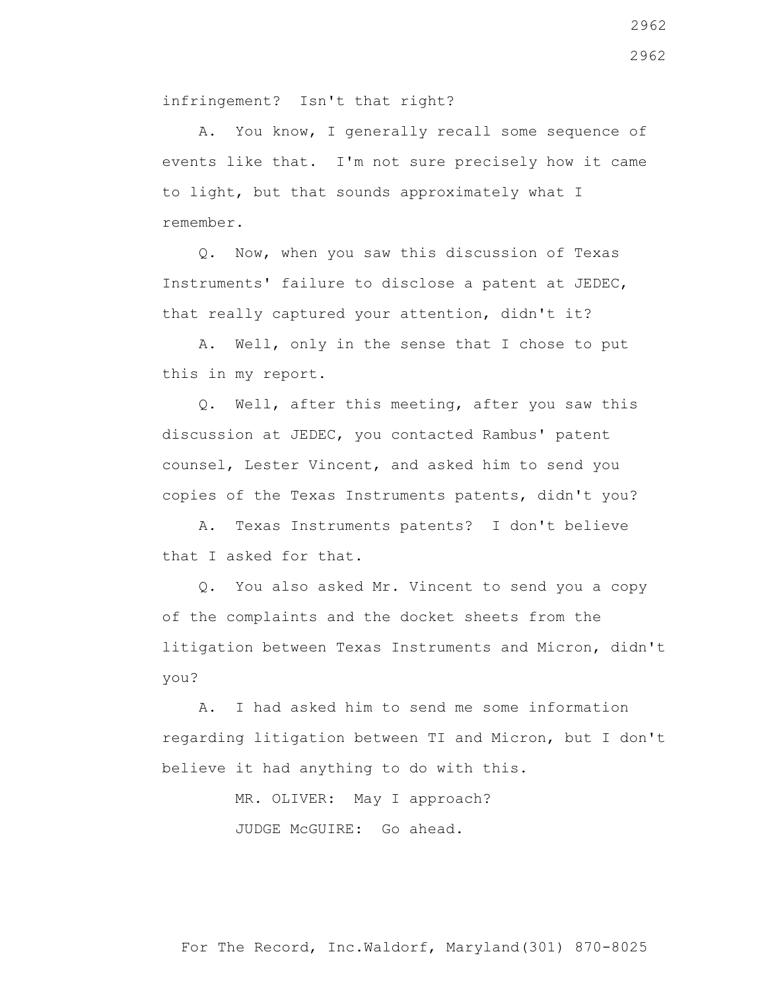infringement? Isn't that right?

 A. You know, I generally recall some sequence of events like that. I'm not sure precisely how it came to light, but that sounds approximately what I remember.

 Q. Now, when you saw this discussion of Texas Instruments' failure to disclose a patent at JEDEC, that really captured your attention, didn't it?

 A. Well, only in the sense that I chose to put this in my report.

 Q. Well, after this meeting, after you saw this discussion at JEDEC, you contacted Rambus' patent counsel, Lester Vincent, and asked him to send you copies of the Texas Instruments patents, didn't you?

 A. Texas Instruments patents? I don't believe that I asked for that.

 Q. You also asked Mr. Vincent to send you a copy of the complaints and the docket sheets from the litigation between Texas Instruments and Micron, didn't you?

 A. I had asked him to send me some information regarding litigation between TI and Micron, but I don't believe it had anything to do with this.

> MR. OLIVER: May I approach? JUDGE McGUIRE: Go ahead.

For The Record, Inc.Waldorf, Maryland(301) 870-8025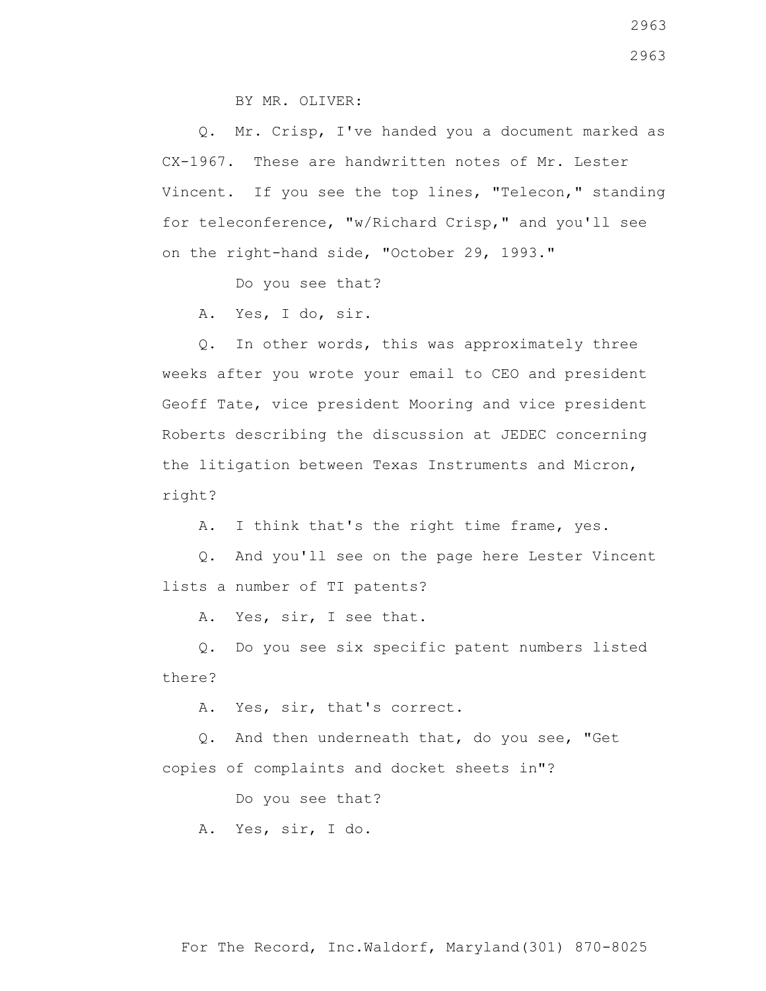BY MR. OLIVER:

 Q. Mr. Crisp, I've handed you a document marked as CX-1967. These are handwritten notes of Mr. Lester Vincent. If you see the top lines, "Telecon," standing for teleconference, "w/Richard Crisp," and you'll see on the right-hand side, "October 29, 1993."

Do you see that?

A. Yes, I do, sir.

 Q. In other words, this was approximately three weeks after you wrote your email to CEO and president Geoff Tate, vice president Mooring and vice president Roberts describing the discussion at JEDEC concerning the litigation between Texas Instruments and Micron, right?

A. I think that's the right time frame, yes.

 Q. And you'll see on the page here Lester Vincent lists a number of TI patents?

A. Yes, sir, I see that.

 Q. Do you see six specific patent numbers listed there?

A. Yes, sir, that's correct.

 Q. And then underneath that, do you see, "Get copies of complaints and docket sheets in"?

Do you see that?

A. Yes, sir, I do.

For The Record, Inc.Waldorf, Maryland(301) 870-8025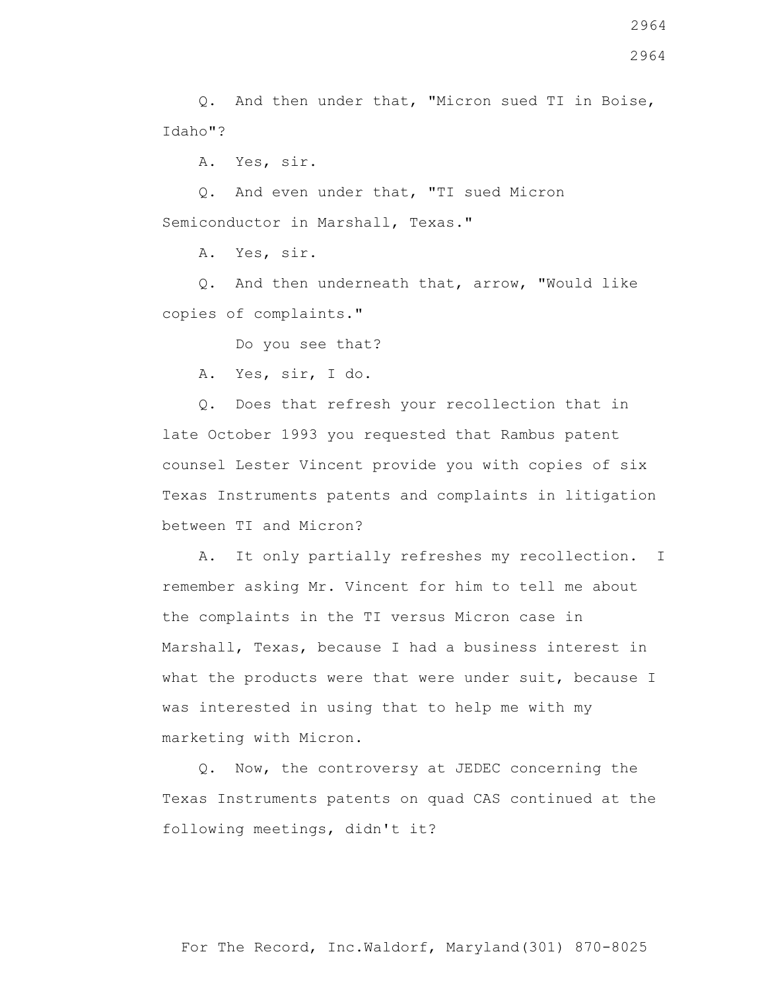Q. And then under that, "Micron sued TI in Boise, Idaho"?

A. Yes, sir.

 Q. And even under that, "TI sued Micron Semiconductor in Marshall, Texas."

A. Yes, sir.

 Q. And then underneath that, arrow, "Would like copies of complaints."

Do you see that?

A. Yes, sir, I do.

 Q. Does that refresh your recollection that in late October 1993 you requested that Rambus patent counsel Lester Vincent provide you with copies of six Texas Instruments patents and complaints in litigation between TI and Micron?

 A. It only partially refreshes my recollection. I remember asking Mr. Vincent for him to tell me about the complaints in the TI versus Micron case in Marshall, Texas, because I had a business interest in what the products were that were under suit, because I was interested in using that to help me with my marketing with Micron.

 Q. Now, the controversy at JEDEC concerning the Texas Instruments patents on quad CAS continued at the following meetings, didn't it?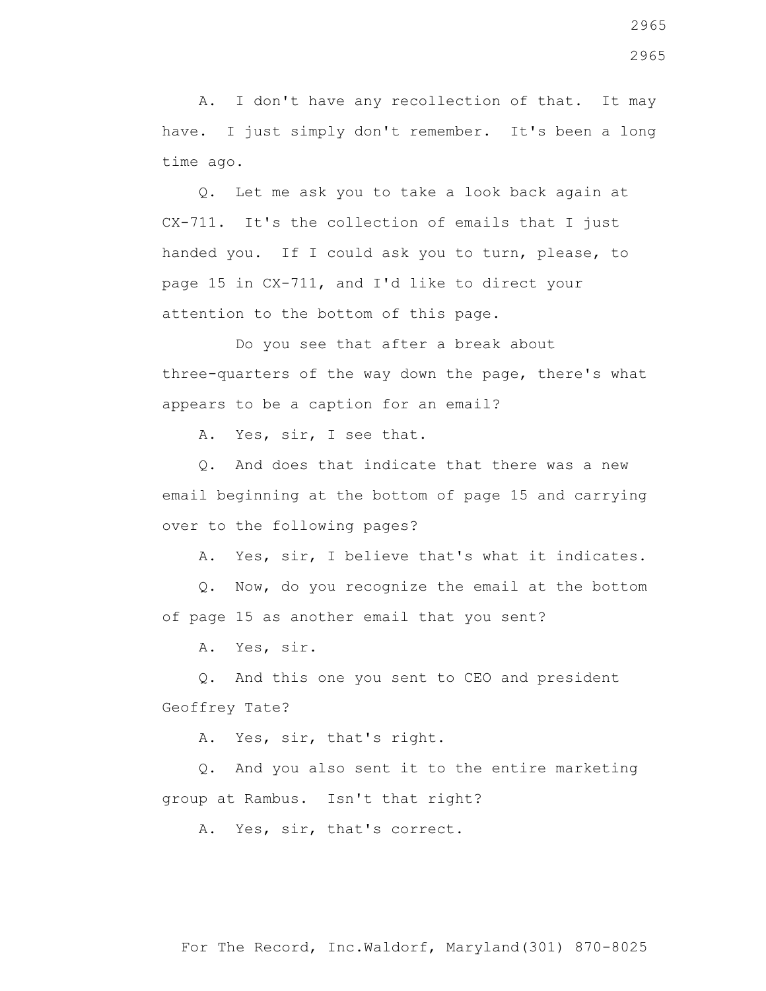A. I don't have any recollection of that. It may have. I just simply don't remember. It's been a long time ago.

 Q. Let me ask you to take a look back again at CX-711. It's the collection of emails that I just handed you. If I could ask you to turn, please, to page 15 in CX-711, and I'd like to direct your attention to the bottom of this page.

 Do you see that after a break about three-quarters of the way down the page, there's what appears to be a caption for an email?

A. Yes, sir, I see that.

 Q. And does that indicate that there was a new email beginning at the bottom of page 15 and carrying over to the following pages?

A. Yes, sir, I believe that's what it indicates.

 Q. Now, do you recognize the email at the bottom of page 15 as another email that you sent?

A. Yes, sir.

 Q. And this one you sent to CEO and president Geoffrey Tate?

A. Yes, sir, that's right.

 Q. And you also sent it to the entire marketing group at Rambus. Isn't that right?

A. Yes, sir, that's correct.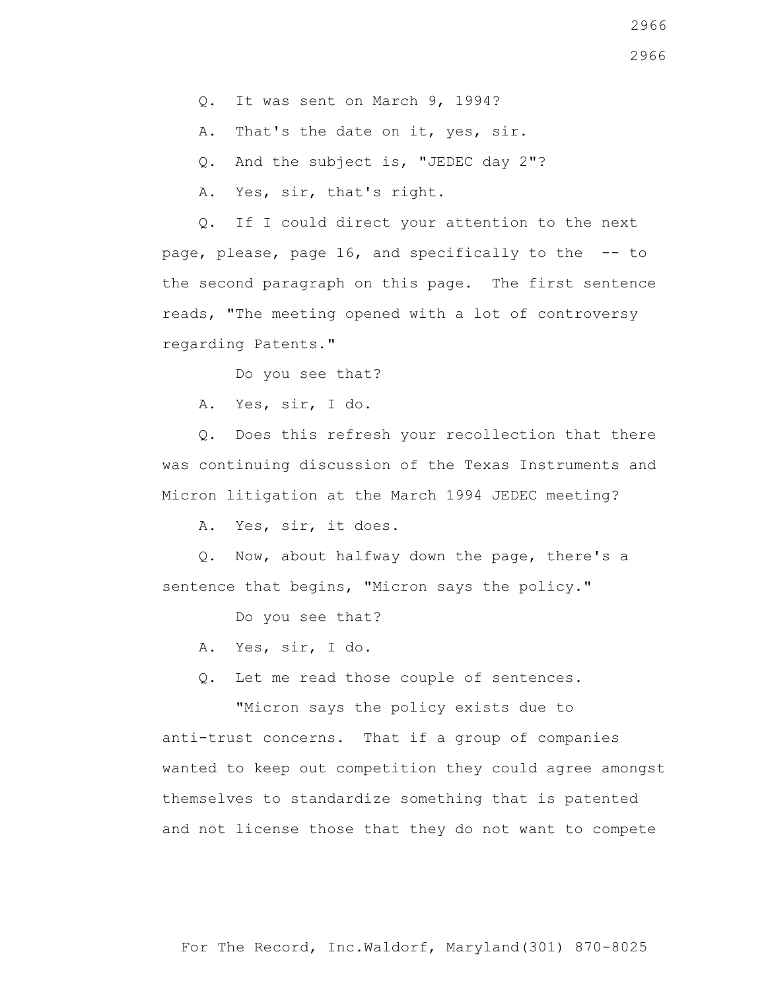- Q. It was sent on March 9, 1994?
- A. That's the date on it, yes, sir.
- Q. And the subject is, "JEDEC day 2"?
- A. Yes, sir, that's right.

 Q. If I could direct your attention to the next page, please, page 16, and specifically to the -- to the second paragraph on this page. The first sentence reads, "The meeting opened with a lot of controversy regarding Patents."

Do you see that?

A. Yes, sir, I do.

 Q. Does this refresh your recollection that there was continuing discussion of the Texas Instruments and Micron litigation at the March 1994 JEDEC meeting?

A. Yes, sir, it does.

 Q. Now, about halfway down the page, there's a sentence that begins, "Micron says the policy."

Do you see that?

- A. Yes, sir, I do.
- Q. Let me read those couple of sentences.

 "Micron says the policy exists due to anti-trust concerns. That if a group of companies wanted to keep out competition they could agree amongst themselves to standardize something that is patented and not license those that they do not want to compete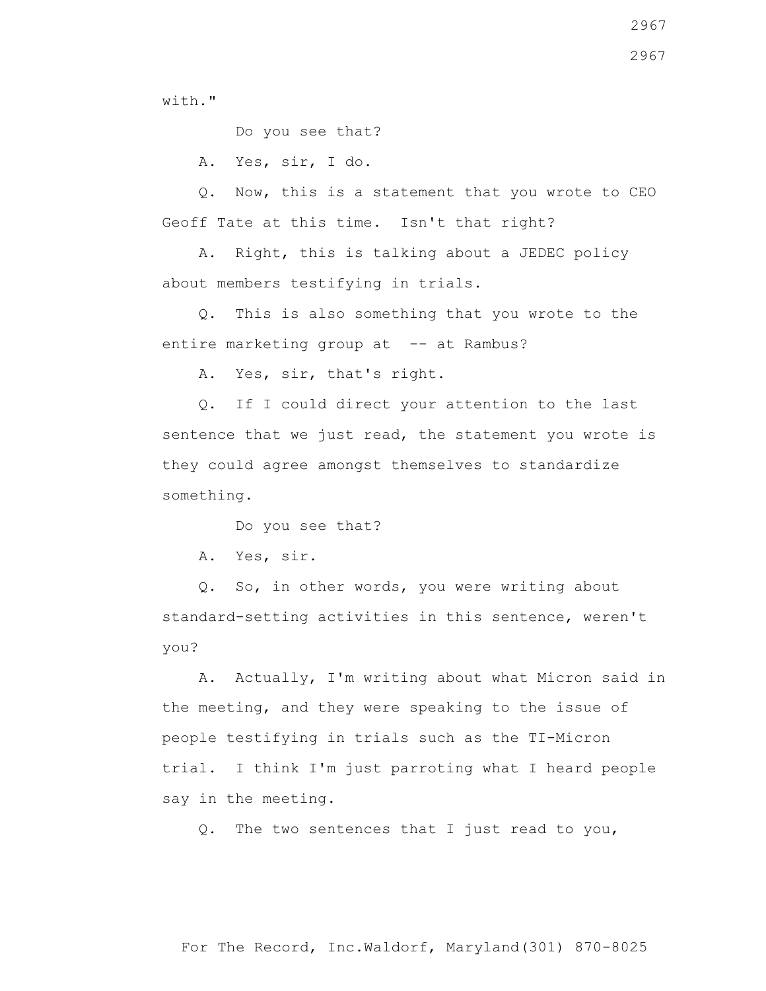with."

Do you see that?

A. Yes, sir, I do.

 Q. Now, this is a statement that you wrote to CEO Geoff Tate at this time. Isn't that right?

 A. Right, this is talking about a JEDEC policy about members testifying in trials.

 Q. This is also something that you wrote to the entire marketing group at -- at Rambus?

A. Yes, sir, that's right.

 Q. If I could direct your attention to the last sentence that we just read, the statement you wrote is they could agree amongst themselves to standardize something.

Do you see that?

A. Yes, sir.

 Q. So, in other words, you were writing about standard-setting activities in this sentence, weren't you?

 A. Actually, I'm writing about what Micron said in the meeting, and they were speaking to the issue of people testifying in trials such as the TI-Micron trial. I think I'm just parroting what I heard people say in the meeting.

Q. The two sentences that I just read to you,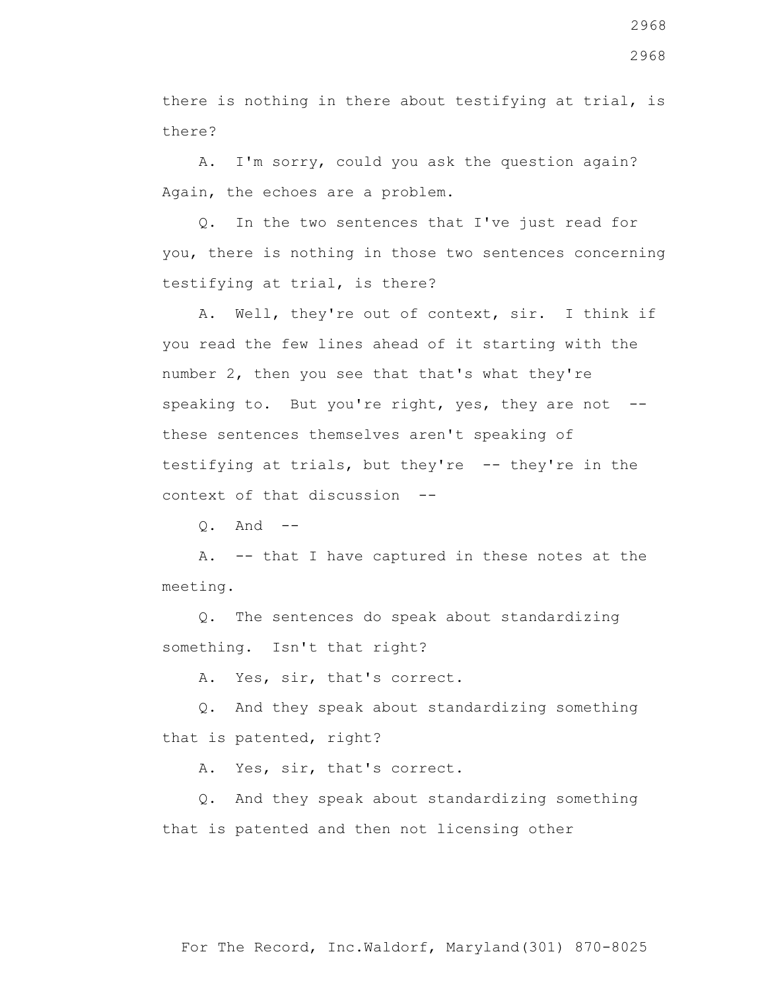there is nothing in there about testifying at trial, is there?

 A. I'm sorry, could you ask the question again? Again, the echoes are a problem.

 Q. In the two sentences that I've just read for you, there is nothing in those two sentences concerning testifying at trial, is there?

 A. Well, they're out of context, sir. I think if you read the few lines ahead of it starting with the number 2, then you see that that's what they're speaking to. But you're right, yes, they are not -these sentences themselves aren't speaking of testifying at trials, but they're -- they're in the context of that discussion --

 $Q_1$  And  $-$ 

 A. -- that I have captured in these notes at the meeting.

 Q. The sentences do speak about standardizing something. Isn't that right?

A. Yes, sir, that's correct.

 Q. And they speak about standardizing something that is patented, right?

A. Yes, sir, that's correct.

 Q. And they speak about standardizing something that is patented and then not licensing other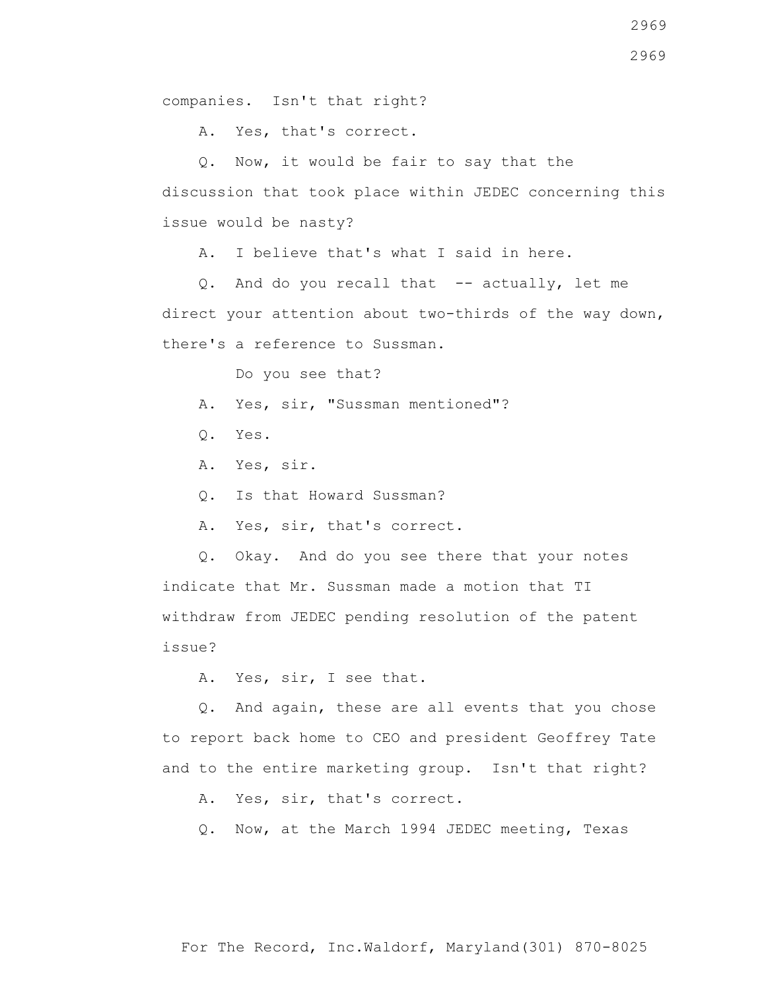A. Yes, that's correct.

 Q. Now, it would be fair to say that the discussion that took place within JEDEC concerning this issue would be nasty?

A. I believe that's what I said in here.

 Q. And do you recall that -- actually, let me direct your attention about two-thirds of the way down, there's a reference to Sussman.

Do you see that?

A. Yes, sir, "Sussman mentioned"?

- Q. Yes.
- A. Yes, sir.
- Q. Is that Howard Sussman?
- A. Yes, sir, that's correct.

 Q. Okay. And do you see there that your notes indicate that Mr. Sussman made a motion that TI withdraw from JEDEC pending resolution of the patent issue?

A. Yes, sir, I see that.

 Q. And again, these are all events that you chose to report back home to CEO and president Geoffrey Tate and to the entire marketing group. Isn't that right?

A. Yes, sir, that's correct.

Q. Now, at the March 1994 JEDEC meeting, Texas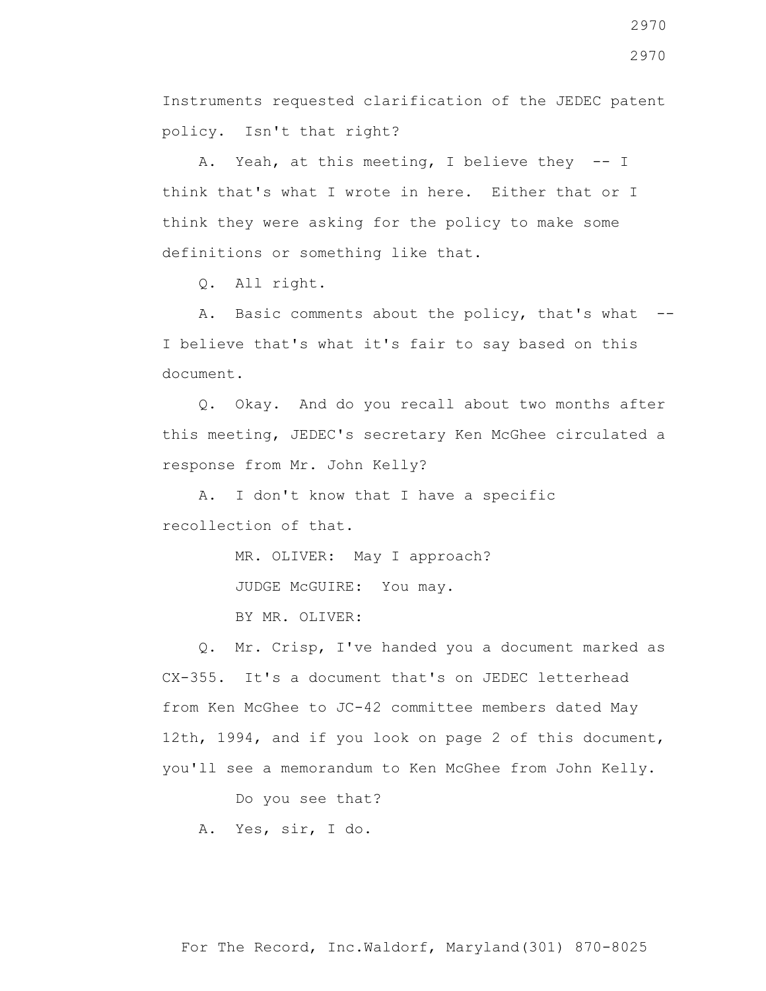Instruments requested clarification of the JEDEC patent policy. Isn't that right?

 A. Yeah, at this meeting, I believe they -- I think that's what I wrote in here. Either that or I think they were asking for the policy to make some definitions or something like that.

Q. All right.

A. Basic comments about the policy, that's what --I believe that's what it's fair to say based on this document.

 Q. Okay. And do you recall about two months after this meeting, JEDEC's secretary Ken McGhee circulated a response from Mr. John Kelly?

 A. I don't know that I have a specific recollection of that.

MR. OLIVER: May I approach?

JUDGE McGUIRE: You may.

BY MR. OLIVER:

 Q. Mr. Crisp, I've handed you a document marked as CX-355. It's a document that's on JEDEC letterhead from Ken McGhee to JC-42 committee members dated May 12th, 1994, and if you look on page 2 of this document, you'll see a memorandum to Ken McGhee from John Kelly.

Do you see that?

A. Yes, sir, I do.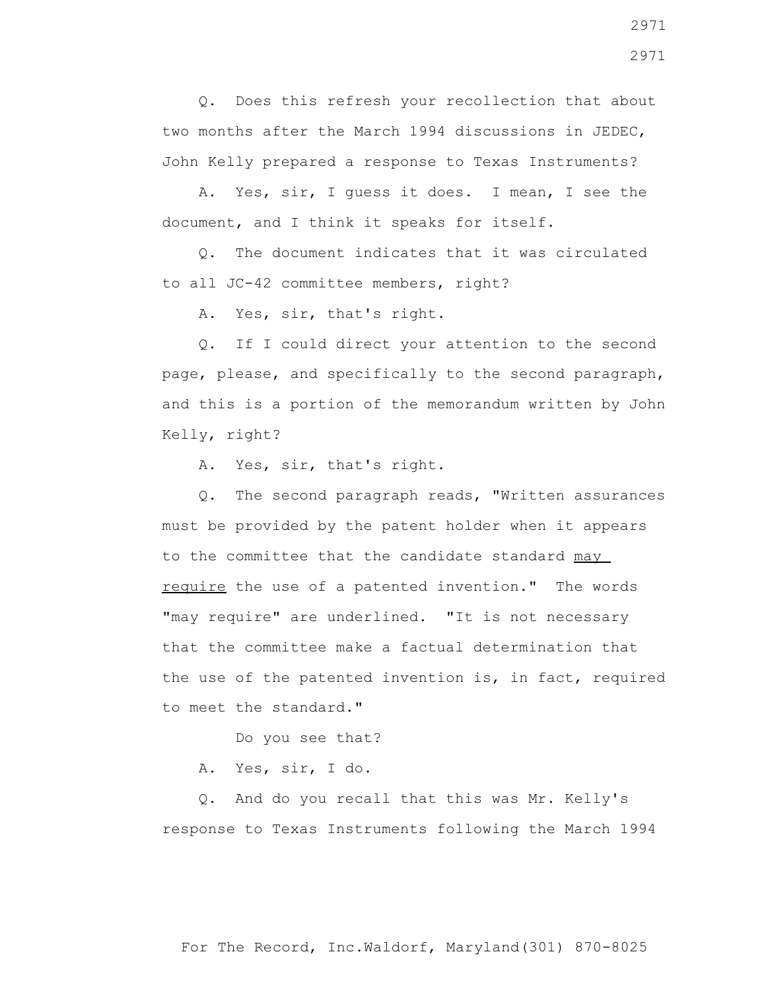Q. Does this refresh your recollection that about two months after the March 1994 discussions in JEDEC, John Kelly prepared a response to Texas Instruments?

 A. Yes, sir, I guess it does. I mean, I see the document, and I think it speaks for itself.

 Q. The document indicates that it was circulated to all JC-42 committee members, right?

A. Yes, sir, that's right.

 Q. If I could direct your attention to the second page, please, and specifically to the second paragraph, and this is a portion of the memorandum written by John Kelly, right?

A. Yes, sir, that's right.

 Q. The second paragraph reads, "Written assurances must be provided by the patent holder when it appears to the committee that the candidate standard may require the use of a patented invention." The words "may require" are underlined. "It is not necessary that the committee make a factual determination that the use of the patented invention is, in fact, required to meet the standard."

Do you see that?

A. Yes, sir, I do.

 Q. And do you recall that this was Mr. Kelly's response to Texas Instruments following the March 1994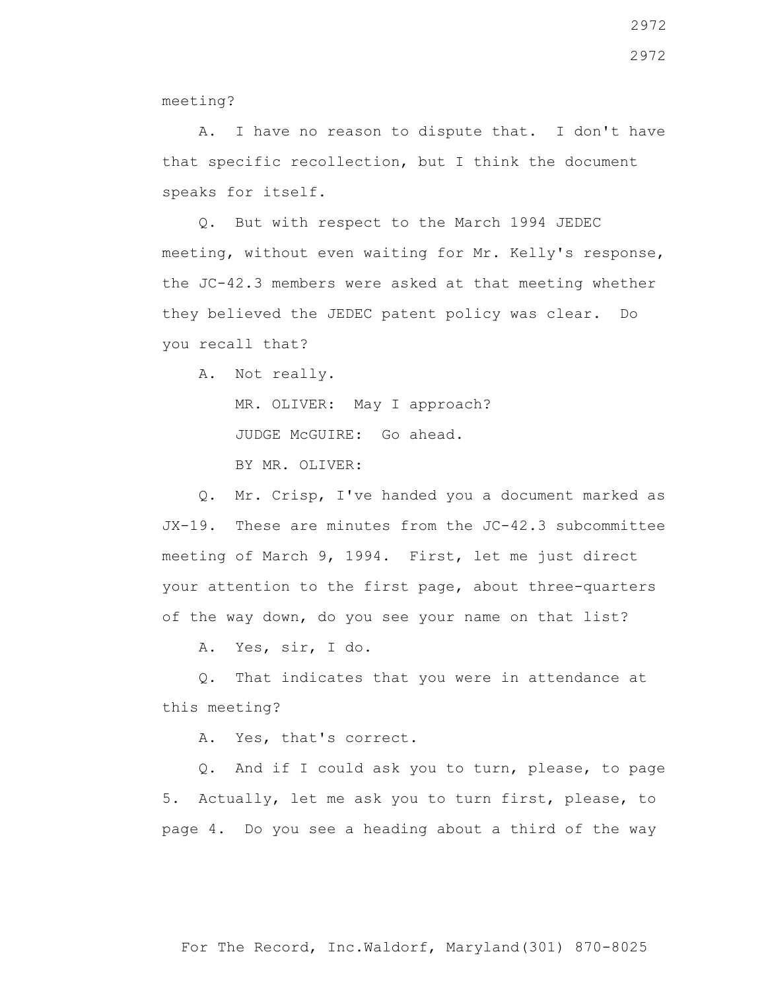meeting?

 A. I have no reason to dispute that. I don't have that specific recollection, but I think the document speaks for itself.

 Q. But with respect to the March 1994 JEDEC meeting, without even waiting for Mr. Kelly's response, the JC-42.3 members were asked at that meeting whether they believed the JEDEC patent policy was clear. Do you recall that?

A. Not really.

MR. OLIVER: May I approach?

JUDGE McGUIRE: Go ahead.

BY MR. OLIVER:

 Q. Mr. Crisp, I've handed you a document marked as JX-19. These are minutes from the JC-42.3 subcommittee meeting of March 9, 1994. First, let me just direct your attention to the first page, about three-quarters of the way down, do you see your name on that list?

A. Yes, sir, I do.

 Q. That indicates that you were in attendance at this meeting?

A. Yes, that's correct.

 Q. And if I could ask you to turn, please, to page 5. Actually, let me ask you to turn first, please, to page 4. Do you see a heading about a third of the way

For The Record, Inc.Waldorf, Maryland(301) 870-8025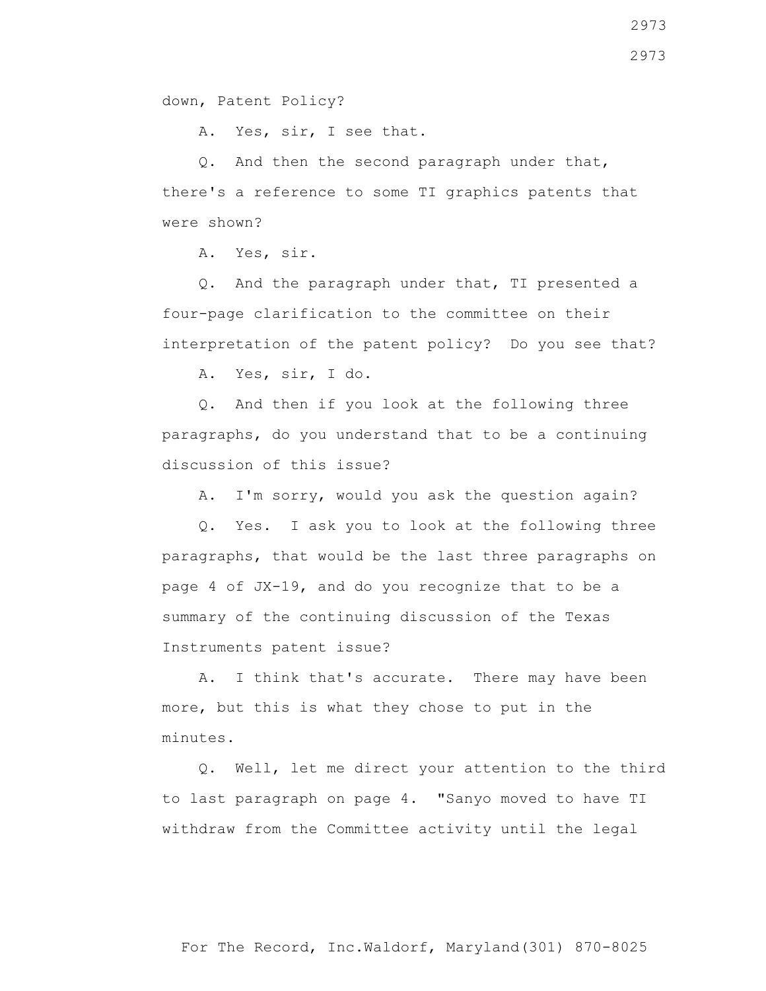down, Patent Policy?

A. Yes, sir, I see that.

 Q. And then the second paragraph under that, there's a reference to some TI graphics patents that were shown?

A. Yes, sir.

 Q. And the paragraph under that, TI presented a four-page clarification to the committee on their interpretation of the patent policy? Do you see that?

A. Yes, sir, I do.

 Q. And then if you look at the following three paragraphs, do you understand that to be a continuing discussion of this issue?

A. I'm sorry, would you ask the question again?

 Q. Yes. I ask you to look at the following three paragraphs, that would be the last three paragraphs on page 4 of JX-19, and do you recognize that to be a summary of the continuing discussion of the Texas Instruments patent issue?

 A. I think that's accurate. There may have been more, but this is what they chose to put in the minutes.

 Q. Well, let me direct your attention to the third to last paragraph on page 4. "Sanyo moved to have TI withdraw from the Committee activity until the legal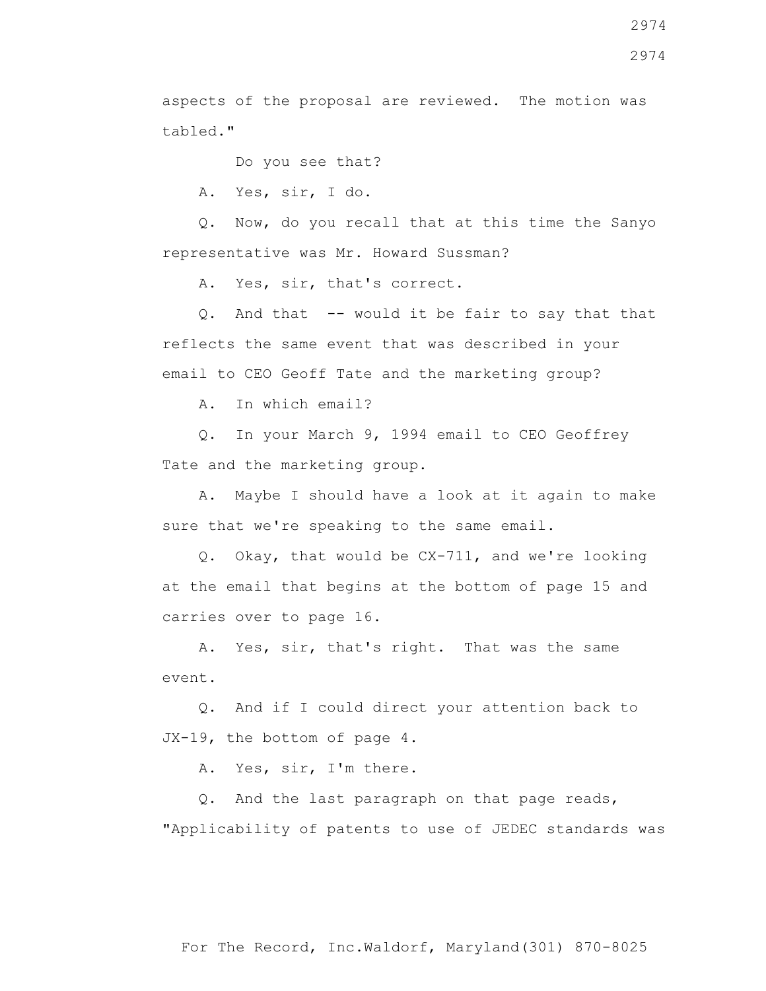aspects of the proposal are reviewed. The motion was tabled."

Do you see that?

A. Yes, sir, I do.

 Q. Now, do you recall that at this time the Sanyo representative was Mr. Howard Sussman?

A. Yes, sir, that's correct.

 Q. And that -- would it be fair to say that that reflects the same event that was described in your email to CEO Geoff Tate and the marketing group?

A. In which email?

 Q. In your March 9, 1994 email to CEO Geoffrey Tate and the marketing group.

 A. Maybe I should have a look at it again to make sure that we're speaking to the same email.

 Q. Okay, that would be CX-711, and we're looking at the email that begins at the bottom of page 15 and carries over to page 16.

 A. Yes, sir, that's right. That was the same event.

 Q. And if I could direct your attention back to JX-19, the bottom of page 4.

A. Yes, sir, I'm there.

 Q. And the last paragraph on that page reads, "Applicability of patents to use of JEDEC standards was

2974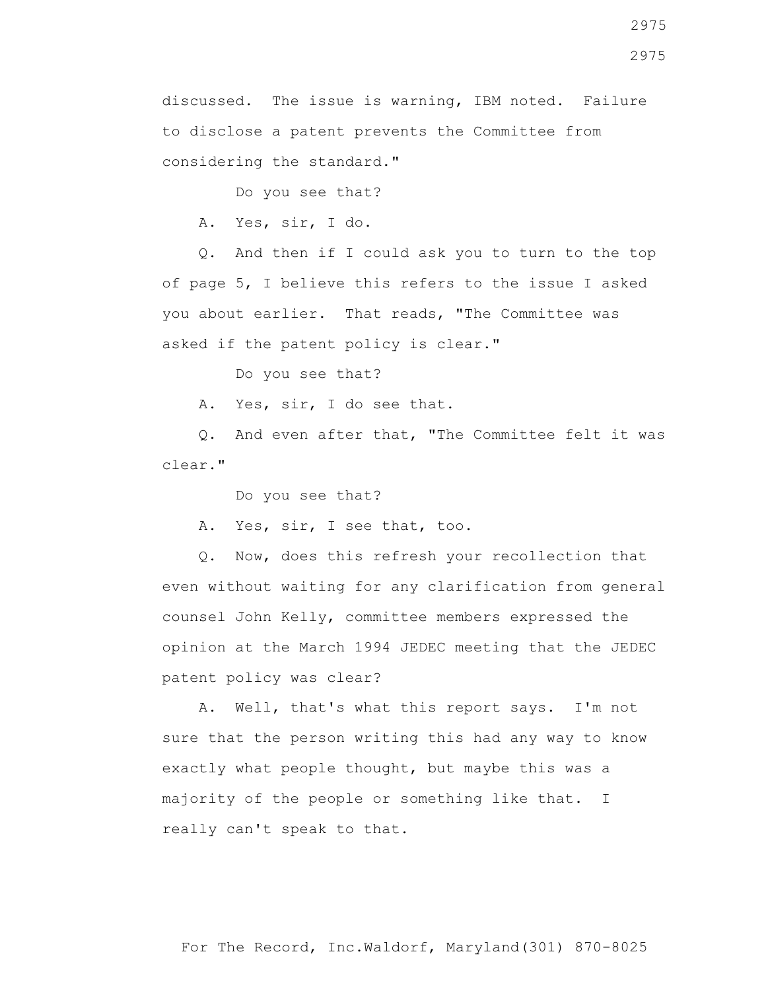2975

discussed. The issue is warning, IBM noted. Failure to disclose a patent prevents the Committee from considering the standard."

Do you see that?

A. Yes, sir, I do.

 Q. And then if I could ask you to turn to the top of page 5, I believe this refers to the issue I asked you about earlier. That reads, "The Committee was asked if the patent policy is clear."

Do you see that?

A. Yes, sir, I do see that.

 Q. And even after that, "The Committee felt it was clear."

Do you see that?

A. Yes, sir, I see that, too.

 Q. Now, does this refresh your recollection that even without waiting for any clarification from general counsel John Kelly, committee members expressed the opinion at the March 1994 JEDEC meeting that the JEDEC patent policy was clear?

 A. Well, that's what this report says. I'm not sure that the person writing this had any way to know exactly what people thought, but maybe this was a majority of the people or something like that. I really can't speak to that.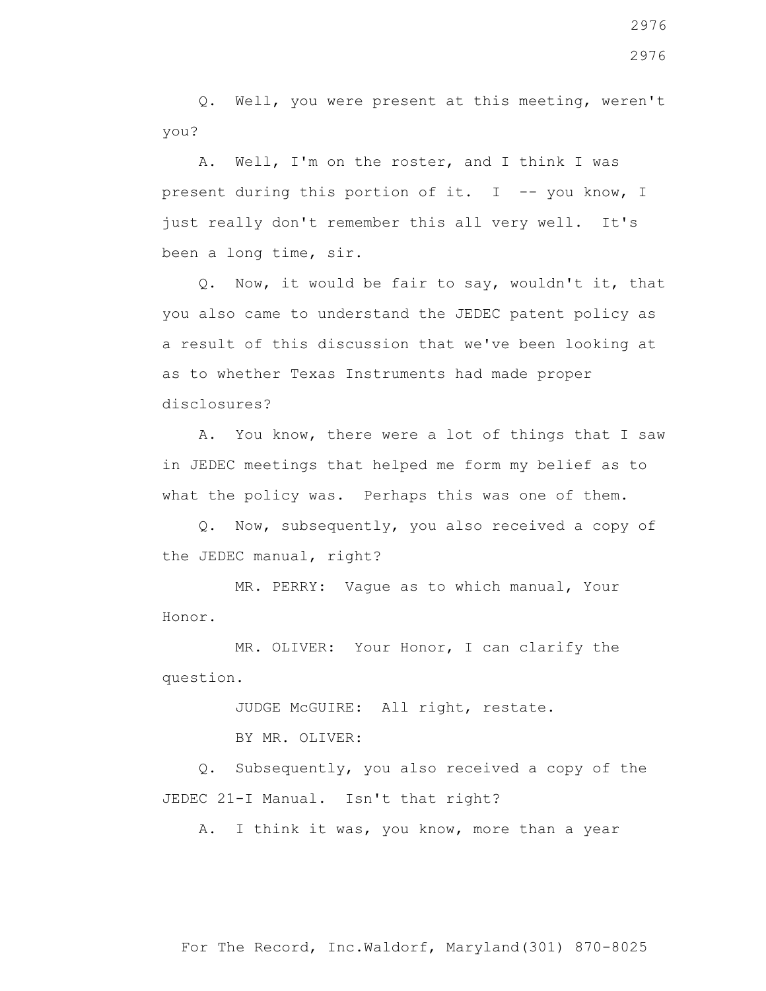Q. Well, you were present at this meeting, weren't you?

 A. Well, I'm on the roster, and I think I was present during this portion of it. I -- you know, I just really don't remember this all very well. It's been a long time, sir.

 Q. Now, it would be fair to say, wouldn't it, that you also came to understand the JEDEC patent policy as a result of this discussion that we've been looking at as to whether Texas Instruments had made proper disclosures?

 A. You know, there were a lot of things that I saw in JEDEC meetings that helped me form my belief as to what the policy was. Perhaps this was one of them.

 Q. Now, subsequently, you also received a copy of the JEDEC manual, right?

 MR. PERRY: Vague as to which manual, Your Honor.

 MR. OLIVER: Your Honor, I can clarify the question.

JUDGE McGUIRE: All right, restate.

BY MR. OLIVER:

 Q. Subsequently, you also received a copy of the JEDEC 21-I Manual. Isn't that right?

A. I think it was, you know, more than a year

For The Record, Inc.Waldorf, Maryland(301) 870-8025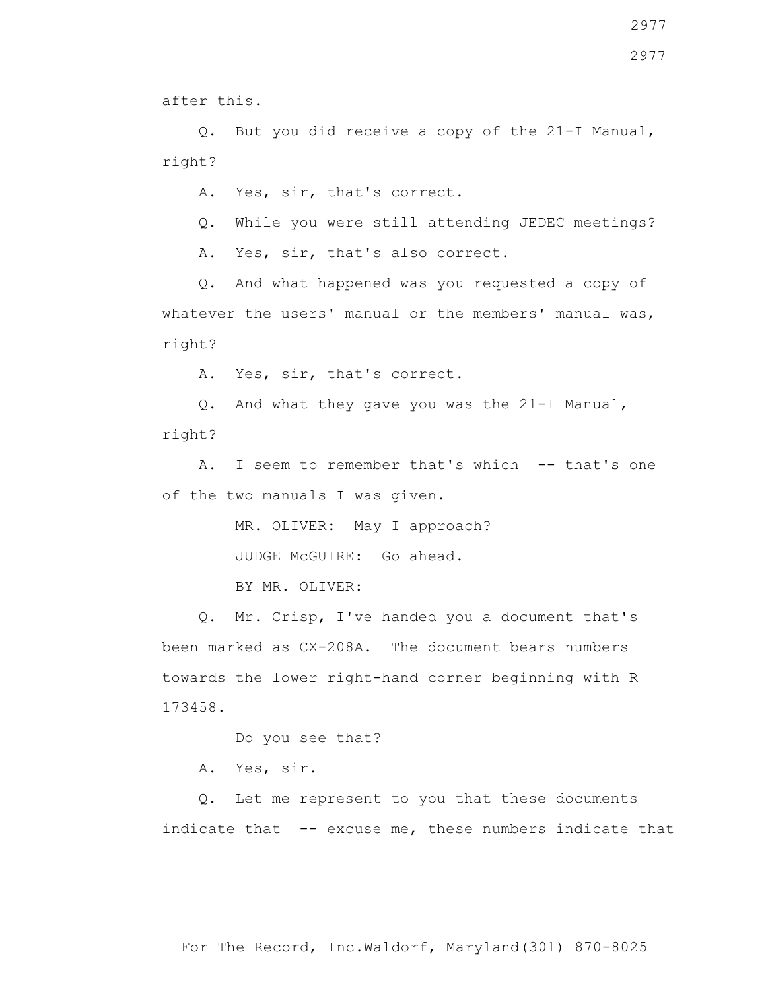2977

after this.

 Q. But you did receive a copy of the 21-I Manual, right?

A. Yes, sir, that's correct.

Q. While you were still attending JEDEC meetings?

A. Yes, sir, that's also correct.

 Q. And what happened was you requested a copy of whatever the users' manual or the members' manual was, right?

A. Yes, sir, that's correct.

 Q. And what they gave you was the 21-I Manual, right?

A. I seem to remember that's which -- that's one of the two manuals I was given.

MR. OLIVER: May I approach?

JUDGE McGUIRE: Go ahead.

BY MR. OLIVER:

 Q. Mr. Crisp, I've handed you a document that's been marked as CX-208A. The document bears numbers towards the lower right-hand corner beginning with R 173458.

Do you see that?

A. Yes, sir.

 Q. Let me represent to you that these documents indicate that -- excuse me, these numbers indicate that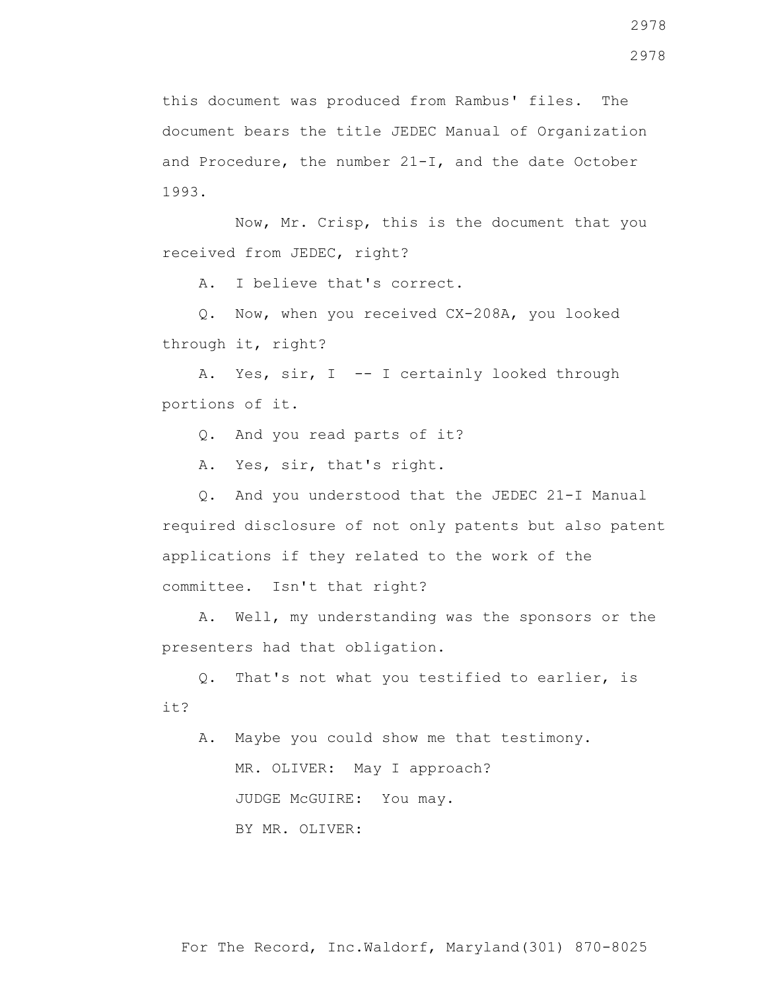this document was produced from Rambus' files. The document bears the title JEDEC Manual of Organization and Procedure, the number 21-I, and the date October 1993.

 Now, Mr. Crisp, this is the document that you received from JEDEC, right?

A. I believe that's correct.

 Q. Now, when you received CX-208A, you looked through it, right?

A. Yes, sir, I -- I certainly looked through portions of it.

Q. And you read parts of it?

A. Yes, sir, that's right.

 Q. And you understood that the JEDEC 21-I Manual required disclosure of not only patents but also patent applications if they related to the work of the committee. Isn't that right?

 A. Well, my understanding was the sponsors or the presenters had that obligation.

 Q. That's not what you testified to earlier, is it?

 A. Maybe you could show me that testimony. MR. OLIVER: May I approach? JUDGE McGUIRE: You may. BY MR. OLIVER: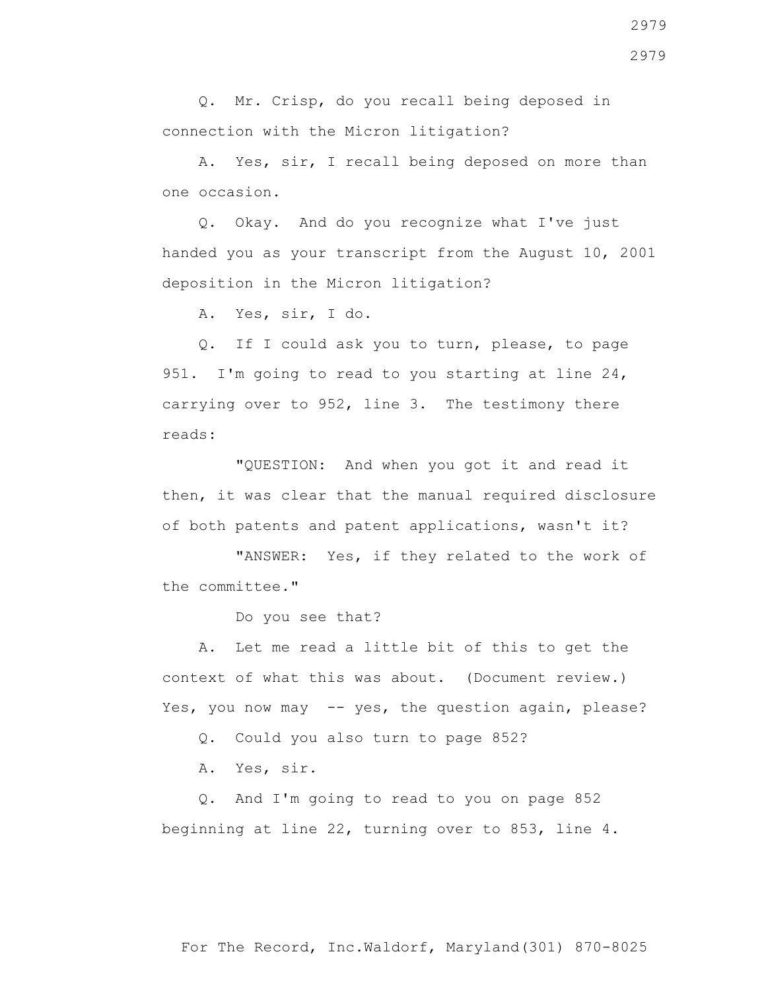Q. Mr. Crisp, do you recall being deposed in connection with the Micron litigation?

 A. Yes, sir, I recall being deposed on more than one occasion.

 Q. Okay. And do you recognize what I've just handed you as your transcript from the August 10, 2001 deposition in the Micron litigation?

A. Yes, sir, I do.

 Q. If I could ask you to turn, please, to page 951. I'm going to read to you starting at line 24, carrying over to 952, line 3. The testimony there reads:

 "QUESTION: And when you got it and read it then, it was clear that the manual required disclosure of both patents and patent applications, wasn't it?

"ANSWER: Yes, if they related to the work of the committee."

Do you see that?

 A. Let me read a little bit of this to get the context of what this was about. (Document review.) Yes, you now may -- yes, the question again, please?

Q. Could you also turn to page 852?

A. Yes, sir.

 Q. And I'm going to read to you on page 852 beginning at line 22, turning over to 853, line 4.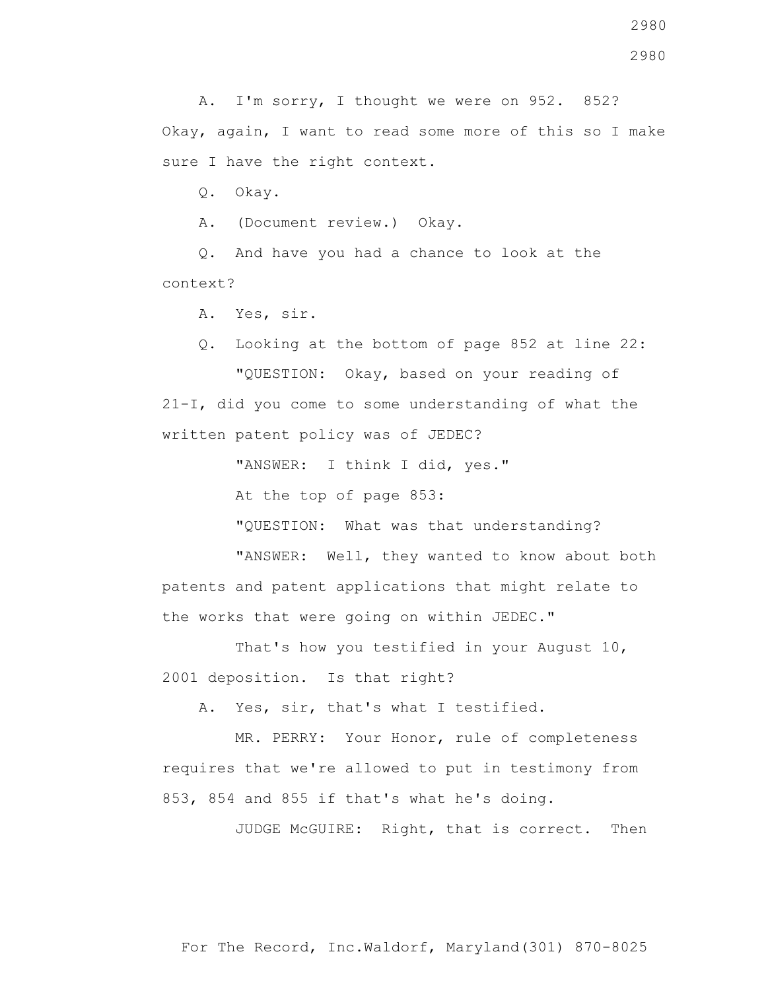2980

 A. I'm sorry, I thought we were on 952. 852? Okay, again, I want to read some more of this so I make sure I have the right context.

Q. Okay.

A. (Document review.) Okay.

 Q. And have you had a chance to look at the context?

A. Yes, sir.

Q. Looking at the bottom of page 852 at line 22:

 "QUESTION: Okay, based on your reading of 21-I, did you come to some understanding of what the written patent policy was of JEDEC?

"ANSWER: I think I did, yes."

At the top of page 853:

"QUESTION: What was that understanding?

 "ANSWER: Well, they wanted to know about both patents and patent applications that might relate to the works that were going on within JEDEC."

 That's how you testified in your August 10, 2001 deposition. Is that right?

A. Yes, sir, that's what I testified.

 MR. PERRY: Your Honor, rule of completeness requires that we're allowed to put in testimony from 853, 854 and 855 if that's what he's doing.

JUDGE McGUIRE: Right, that is correct. Then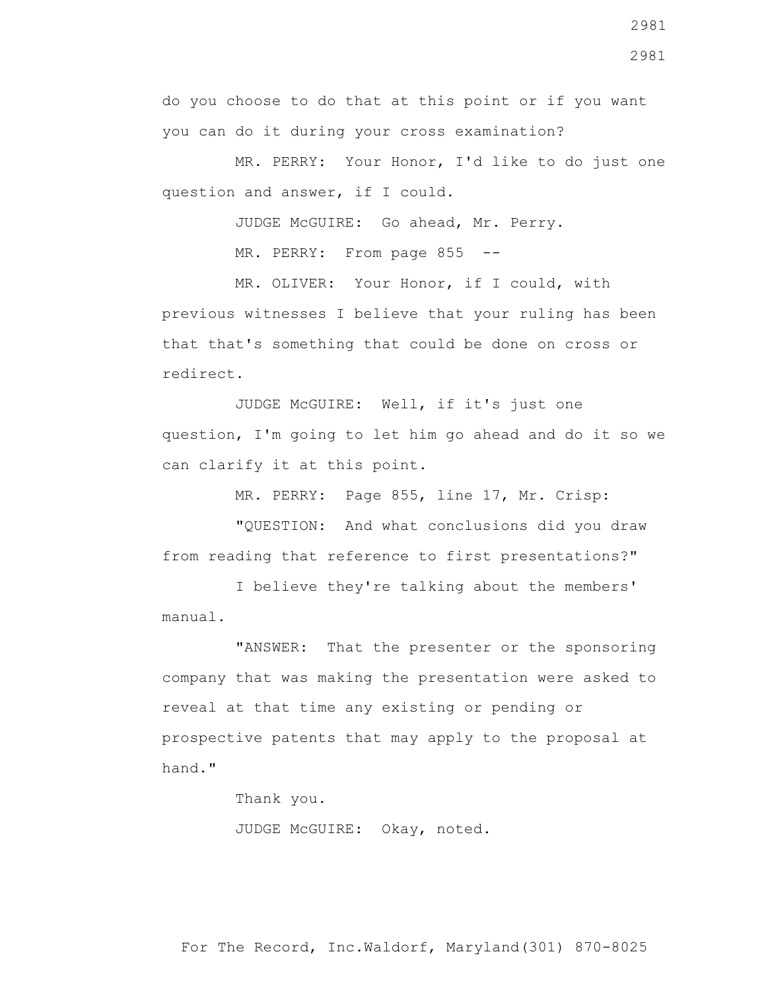do you choose to do that at this point or if you want

you can do it during your cross examination?

 MR. PERRY: Your Honor, I'd like to do just one question and answer, if I could.

JUDGE McGUIRE: Go ahead, Mr. Perry.

MR. PERRY: From page 855 --

 MR. OLIVER: Your Honor, if I could, with previous witnesses I believe that your ruling has been that that's something that could be done on cross or redirect.

 JUDGE McGUIRE: Well, if it's just one question, I'm going to let him go ahead and do it so we can clarify it at this point.

MR. PERRY: Page 855, line 17, Mr. Crisp:

 "QUESTION: And what conclusions did you draw from reading that reference to first presentations?"

 I believe they're talking about the members' manual.

 "ANSWER: That the presenter or the sponsoring company that was making the presentation were asked to reveal at that time any existing or pending or prospective patents that may apply to the proposal at hand."

Thank you.

JUDGE McGUIRE: Okay, noted.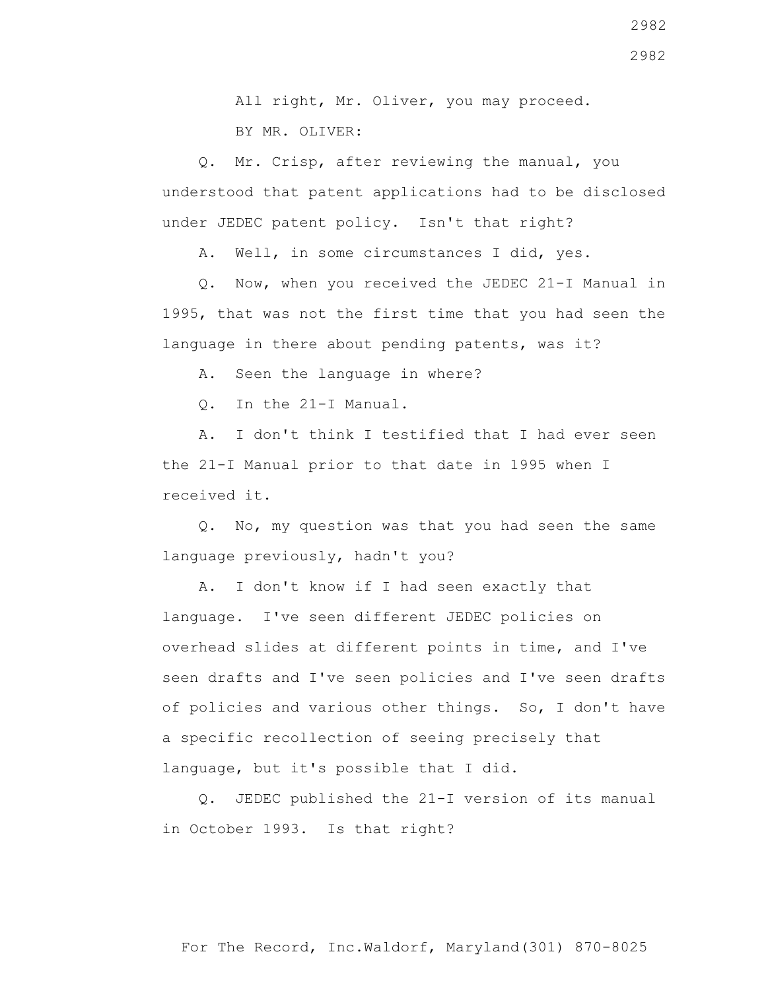All right, Mr. Oliver, you may proceed. BY MR. OLIVER:

 Q. Mr. Crisp, after reviewing the manual, you understood that patent applications had to be disclosed under JEDEC patent policy. Isn't that right?

A. Well, in some circumstances I did, yes.

 Q. Now, when you received the JEDEC 21-I Manual in 1995, that was not the first time that you had seen the language in there about pending patents, was it?

A. Seen the language in where?

Q. In the 21-I Manual.

 A. I don't think I testified that I had ever seen the 21-I Manual prior to that date in 1995 when I received it.

 Q. No, my question was that you had seen the same language previously, hadn't you?

 A. I don't know if I had seen exactly that language. I've seen different JEDEC policies on overhead slides at different points in time, and I've seen drafts and I've seen policies and I've seen drafts of policies and various other things. So, I don't have a specific recollection of seeing precisely that language, but it's possible that I did.

 Q. JEDEC published the 21-I version of its manual in October 1993. Is that right?

2982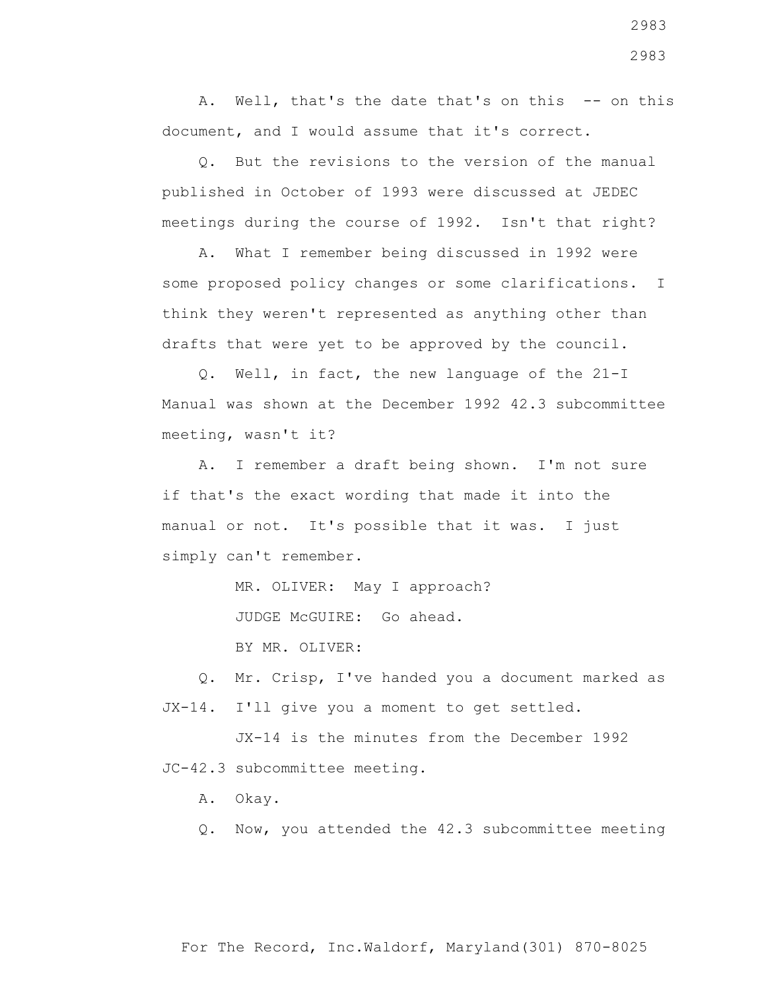A. Well, that's the date that's on this -- on this document, and I would assume that it's correct.

 Q. But the revisions to the version of the manual published in October of 1993 were discussed at JEDEC meetings during the course of 1992. Isn't that right?

 A. What I remember being discussed in 1992 were some proposed policy changes or some clarifications. I think they weren't represented as anything other than drafts that were yet to be approved by the council.

 Q. Well, in fact, the new language of the 21-I Manual was shown at the December 1992 42.3 subcommittee meeting, wasn't it?

 A. I remember a draft being shown. I'm not sure if that's the exact wording that made it into the manual or not. It's possible that it was. I just simply can't remember.

MR. OLIVER: May I approach?

JUDGE McGUIRE: Go ahead.

BY MR. OLIVER:

 Q. Mr. Crisp, I've handed you a document marked as JX-14. I'll give you a moment to get settled.

 JX-14 is the minutes from the December 1992 JC-42.3 subcommittee meeting.

A. Okay.

Q. Now, you attended the 42.3 subcommittee meeting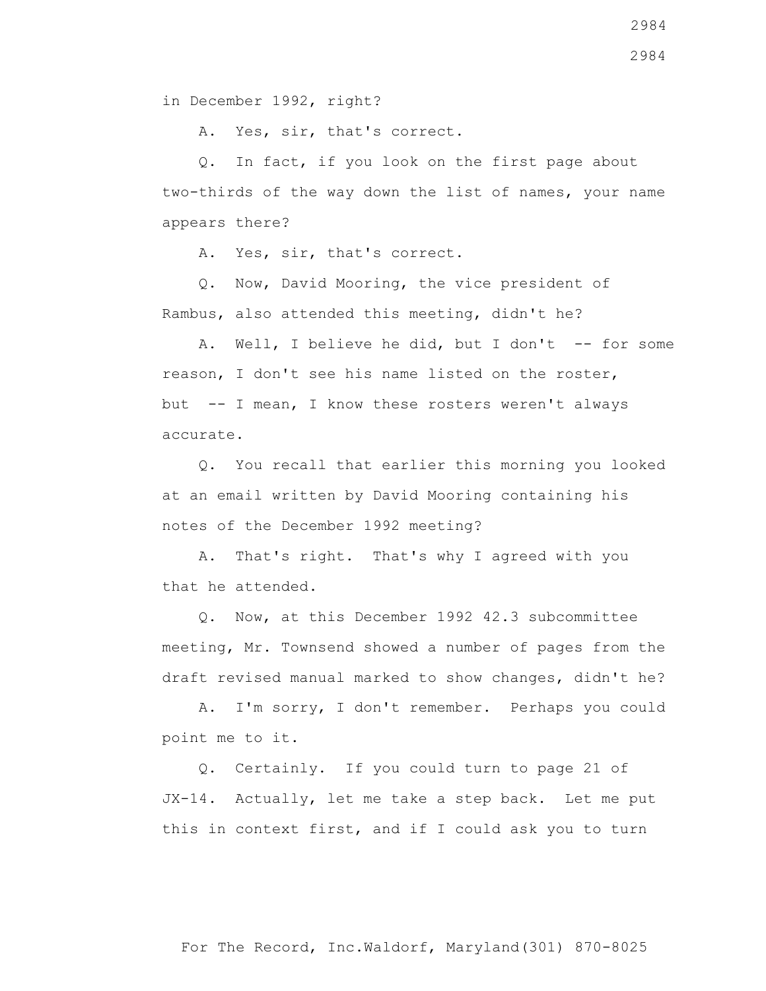in December 1992, right?

A. Yes, sir, that's correct.

 Q. In fact, if you look on the first page about two-thirds of the way down the list of names, your name appears there?

A. Yes, sir, that's correct.

 Q. Now, David Mooring, the vice president of Rambus, also attended this meeting, didn't he?

A. Well, I believe he did, but I don't -- for some reason, I don't see his name listed on the roster, but -- I mean, I know these rosters weren't always accurate.

 Q. You recall that earlier this morning you looked at an email written by David Mooring containing his notes of the December 1992 meeting?

 A. That's right. That's why I agreed with you that he attended.

 Q. Now, at this December 1992 42.3 subcommittee meeting, Mr. Townsend showed a number of pages from the draft revised manual marked to show changes, didn't he?

 A. I'm sorry, I don't remember. Perhaps you could point me to it.

 Q. Certainly. If you could turn to page 21 of JX-14. Actually, let me take a step back. Let me put this in context first, and if I could ask you to turn

For The Record, Inc.Waldorf, Maryland(301) 870-8025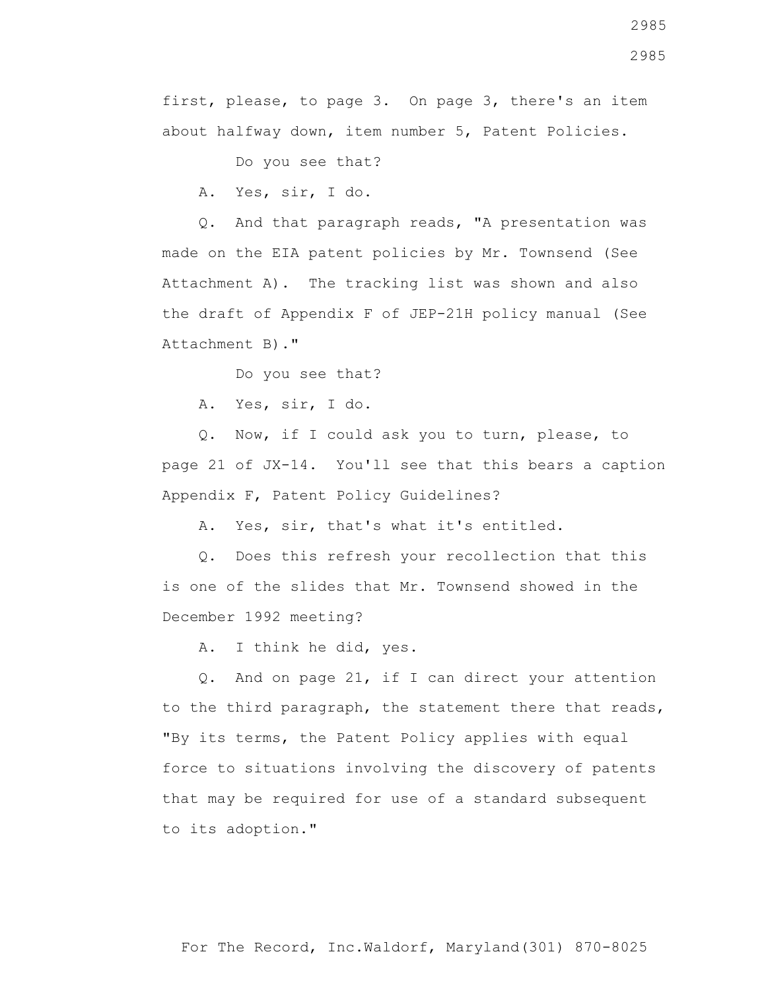2985

first, please, to page 3. On page 3, there's an item about halfway down, item number 5, Patent Policies.

Do you see that?

A. Yes, sir, I do.

 Q. And that paragraph reads, "A presentation was made on the EIA patent policies by Mr. Townsend (See Attachment A). The tracking list was shown and also the draft of Appendix F of JEP-21H policy manual (See Attachment B)."

Do you see that?

A. Yes, sir, I do.

 Q. Now, if I could ask you to turn, please, to page 21 of JX-14. You'll see that this bears a caption Appendix F, Patent Policy Guidelines?

A. Yes, sir, that's what it's entitled.

 Q. Does this refresh your recollection that this is one of the slides that Mr. Townsend showed in the December 1992 meeting?

A. I think he did, yes.

 Q. And on page 21, if I can direct your attention to the third paragraph, the statement there that reads, "By its terms, the Patent Policy applies with equal force to situations involving the discovery of patents that may be required for use of a standard subsequent to its adoption."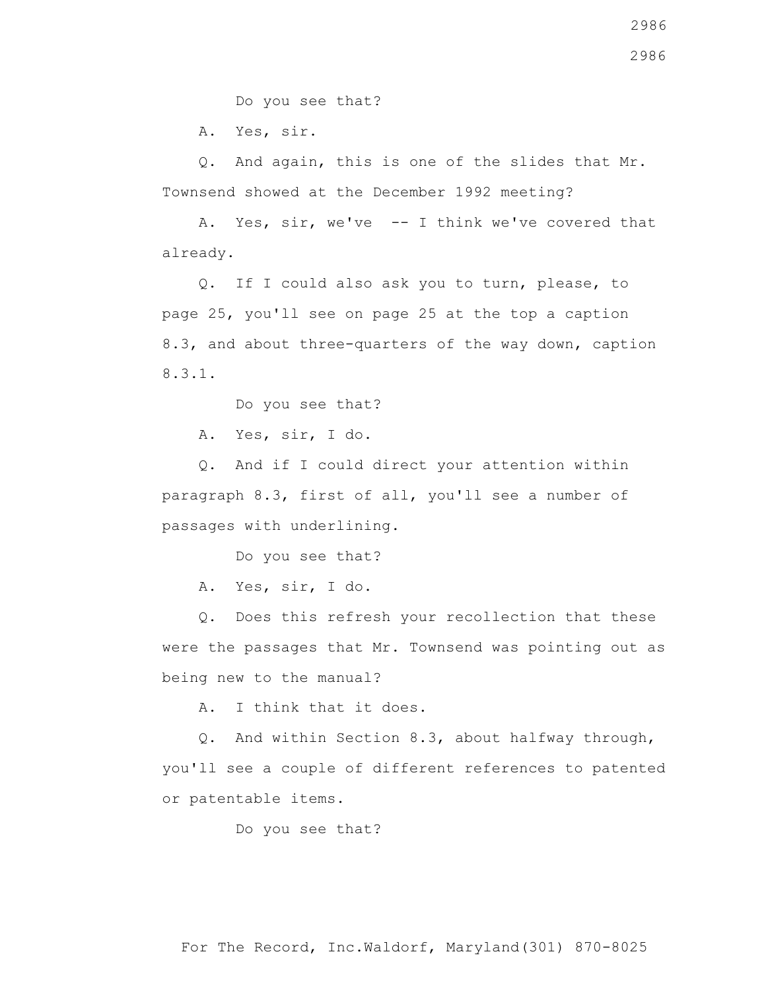Do you see that?

A. Yes, sir.

 Q. And again, this is one of the slides that Mr. Townsend showed at the December 1992 meeting?

 A. Yes, sir, we've -- I think we've covered that already.

 Q. If I could also ask you to turn, please, to page 25, you'll see on page 25 at the top a caption 8.3, and about three-quarters of the way down, caption 8.3.1.

Do you see that?

A. Yes, sir, I do.

 Q. And if I could direct your attention within paragraph 8.3, first of all, you'll see a number of passages with underlining.

Do you see that?

A. Yes, sir, I do.

 Q. Does this refresh your recollection that these were the passages that Mr. Townsend was pointing out as being new to the manual?

A. I think that it does.

 Q. And within Section 8.3, about halfway through, you'll see a couple of different references to patented or patentable items.

Do you see that?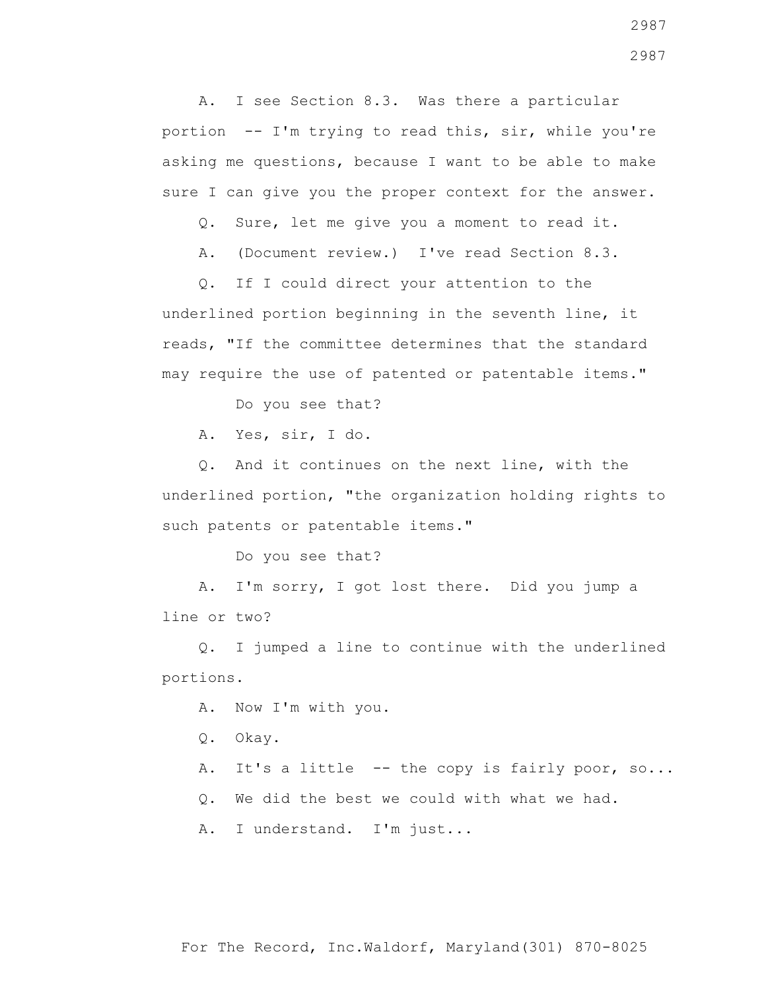A. I see Section 8.3. Was there a particular portion -- I'm trying to read this, sir, while you're asking me questions, because I want to be able to make sure I can give you the proper context for the answer.

Q. Sure, let me give you a moment to read it.

A. (Document review.) I've read Section 8.3.

 Q. If I could direct your attention to the underlined portion beginning in the seventh line, it reads, "If the committee determines that the standard may require the use of patented or patentable items."

Do you see that?

A. Yes, sir, I do.

 Q. And it continues on the next line, with the underlined portion, "the organization holding rights to such patents or patentable items."

Do you see that?

 A. I'm sorry, I got lost there. Did you jump a line or two?

 Q. I jumped a line to continue with the underlined portions.

A. Now I'm with you.

Q. Okay.

A. It's a little -- the copy is fairly poor, so...

Q. We did the best we could with what we had.

A. I understand. I'm just...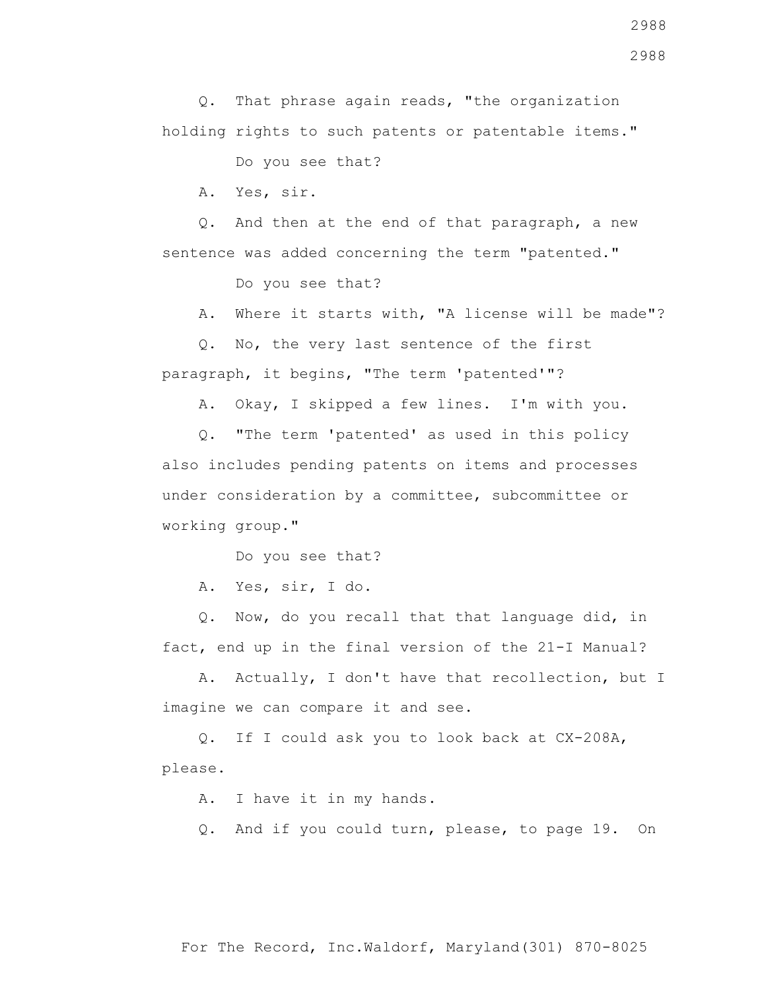Q. That phrase again reads, "the organization

A. Yes, sir.

 Q. And then at the end of that paragraph, a new sentence was added concerning the term "patented."

Do you see that?

A. Where it starts with, "A license will be made"?

 Q. No, the very last sentence of the first paragraph, it begins, "The term 'patented'"?

A. Okay, I skipped a few lines. I'm with you.

 Q. "The term 'patented' as used in this policy also includes pending patents on items and processes under consideration by a committee, subcommittee or working group."

Do you see that?

A. Yes, sir, I do.

 Q. Now, do you recall that that language did, in fact, end up in the final version of the 21-I Manual?

 A. Actually, I don't have that recollection, but I imagine we can compare it and see.

 Q. If I could ask you to look back at CX-208A, please.

A. I have it in my hands.

Q. And if you could turn, please, to page 19. On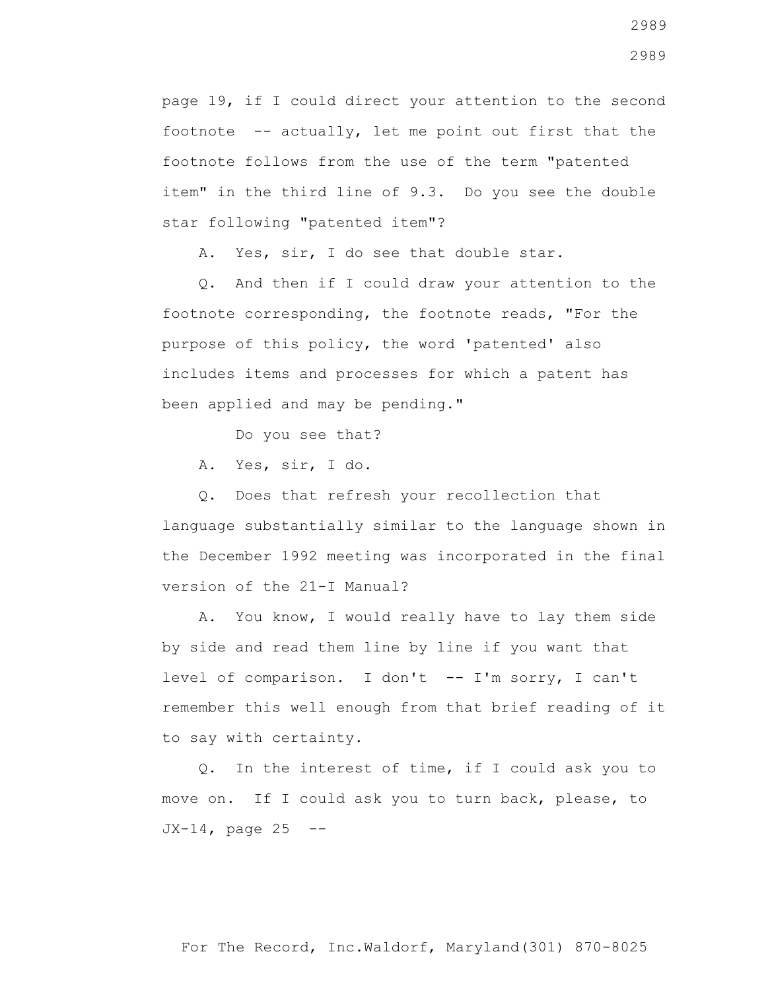page 19, if I could direct your attention to the second footnote -- actually, let me point out first that the footnote follows from the use of the term "patented item" in the third line of 9.3. Do you see the double star following "patented item"?

A. Yes, sir, I do see that double star.

 Q. And then if I could draw your attention to the footnote corresponding, the footnote reads, "For the purpose of this policy, the word 'patented' also includes items and processes for which a patent has been applied and may be pending."

Do you see that?

A. Yes, sir, I do.

 Q. Does that refresh your recollection that language substantially similar to the language shown in the December 1992 meeting was incorporated in the final version of the 21-I Manual?

 A. You know, I would really have to lay them side by side and read them line by line if you want that level of comparison. I don't -- I'm sorry, I can't remember this well enough from that brief reading of it to say with certainty.

 Q. In the interest of time, if I could ask you to move on. If I could ask you to turn back, please, to  $JX-14$ , page 25 --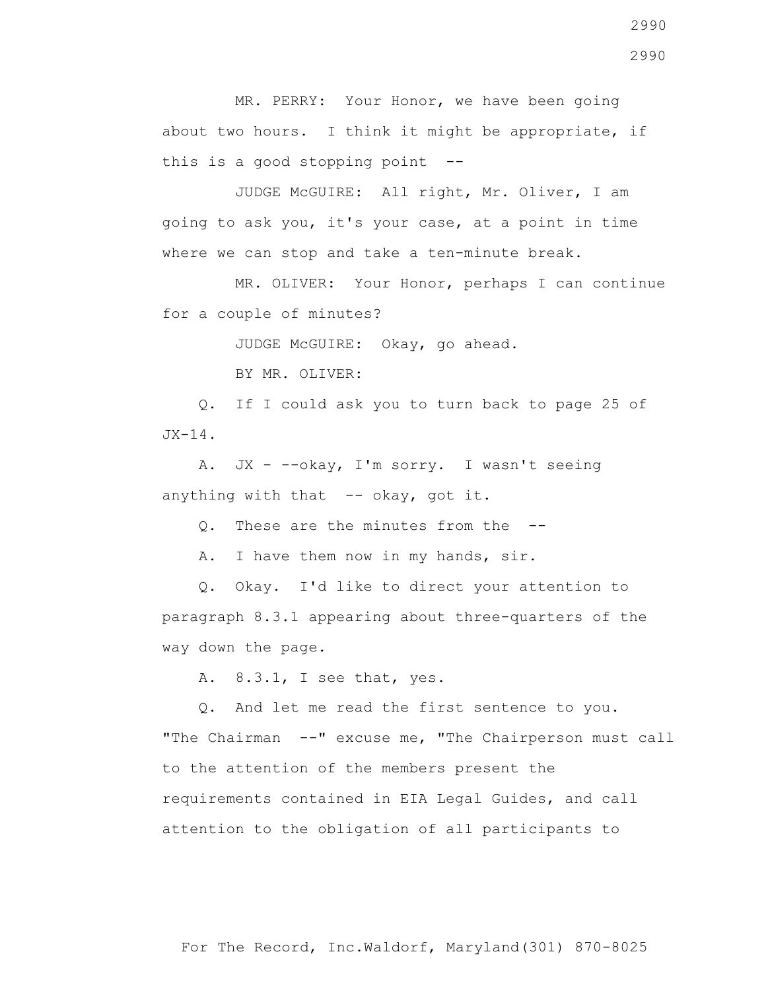MR. PERRY: Your Honor, we have been going about two hours. I think it might be appropriate, if this is a good stopping point  $-$ -

 JUDGE McGUIRE: All right, Mr. Oliver, I am going to ask you, it's your case, at a point in time where we can stop and take a ten-minute break.

 MR. OLIVER: Your Honor, perhaps I can continue for a couple of minutes?

JUDGE McGUIRE: Okay, go ahead.

BY MR. OLIVER:

 Q. If I could ask you to turn back to page 25 of  $JX-14$ .

 A. JX - --okay, I'm sorry. I wasn't seeing anything with that -- okay, got it.

Q. These are the minutes from the --

A. I have them now in my hands, sir.

 Q. Okay. I'd like to direct your attention to paragraph 8.3.1 appearing about three-quarters of the way down the page.

A. 8.3.1, I see that, yes.

 Q. And let me read the first sentence to you. "The Chairman --" excuse me, "The Chairperson must call to the attention of the members present the requirements contained in EIA Legal Guides, and call attention to the obligation of all participants to

2990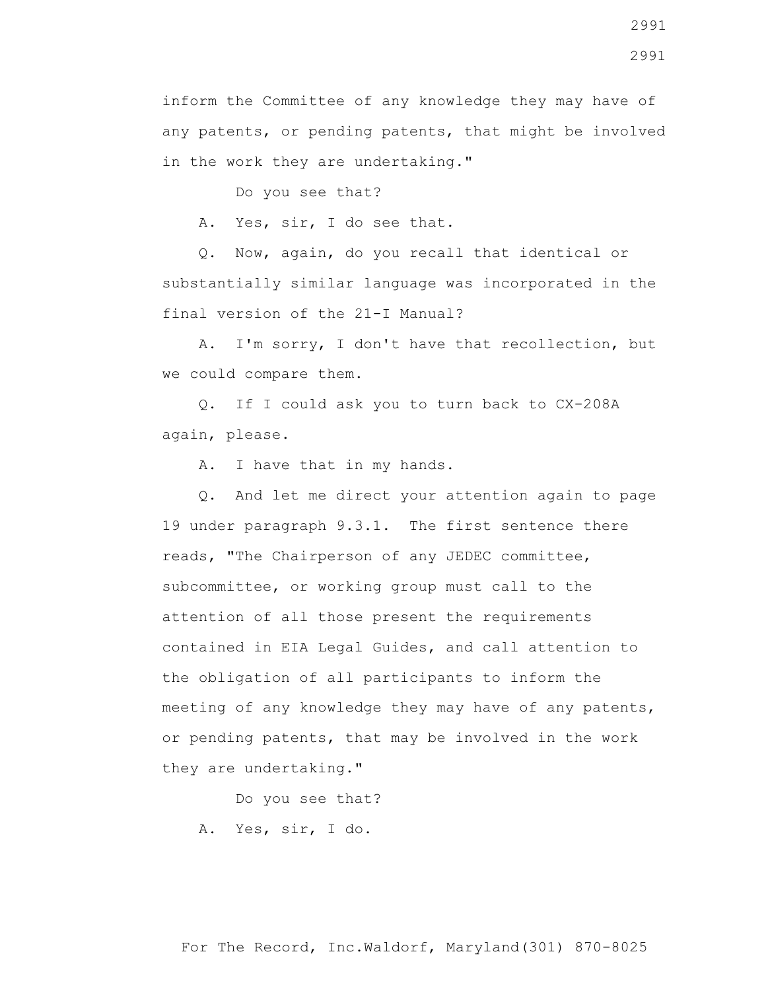inform the Committee of any knowledge they may have of any patents, or pending patents, that might be involved in the work they are undertaking."

Do you see that?

A. Yes, sir, I do see that.

 Q. Now, again, do you recall that identical or substantially similar language was incorporated in the final version of the 21-I Manual?

 A. I'm sorry, I don't have that recollection, but we could compare them.

 Q. If I could ask you to turn back to CX-208A again, please.

A. I have that in my hands.

 Q. And let me direct your attention again to page 19 under paragraph 9.3.1. The first sentence there reads, "The Chairperson of any JEDEC committee, subcommittee, or working group must call to the attention of all those present the requirements contained in EIA Legal Guides, and call attention to the obligation of all participants to inform the meeting of any knowledge they may have of any patents, or pending patents, that may be involved in the work they are undertaking."

Do you see that?

A. Yes, sir, I do.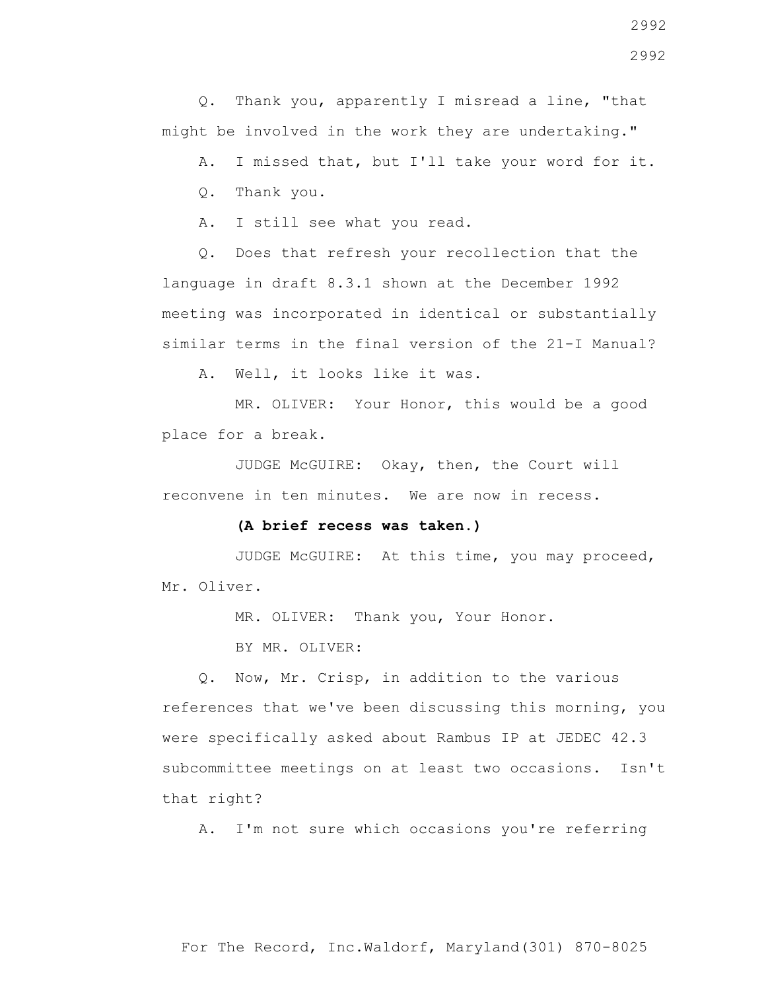Q. Thank you, apparently I misread a line, "that might be involved in the work they are undertaking."

A. I missed that, but I'll take your word for it.

Q. Thank you.

A. I still see what you read.

 Q. Does that refresh your recollection that the language in draft 8.3.1 shown at the December 1992 meeting was incorporated in identical or substantially similar terms in the final version of the 21-I Manual?

A. Well, it looks like it was.

 MR. OLIVER: Your Honor, this would be a good place for a break.

 JUDGE McGUIRE: Okay, then, the Court will reconvene in ten minutes. We are now in recess.

## **(A brief recess was taken.)**

 JUDGE McGUIRE: At this time, you may proceed, Mr. Oliver.

MR. OLIVER: Thank you, Your Honor.

BY MR. OLIVER:

 Q. Now, Mr. Crisp, in addition to the various references that we've been discussing this morning, you were specifically asked about Rambus IP at JEDEC 42.3 subcommittee meetings on at least two occasions. Isn't that right?

A. I'm not sure which occasions you're referring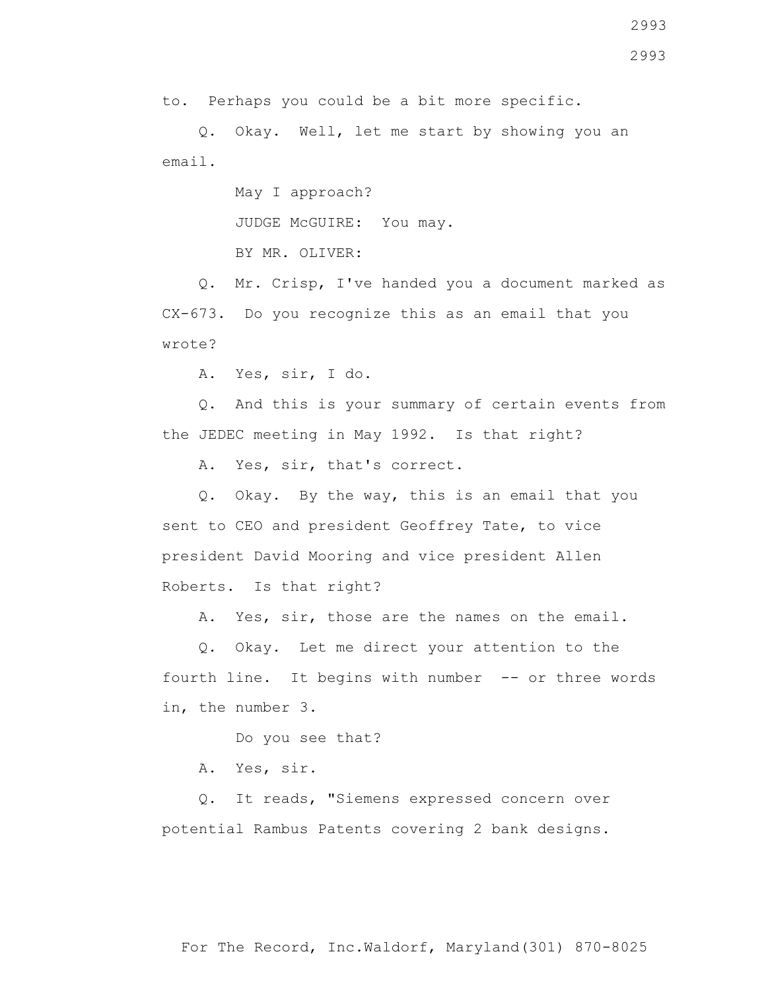to. Perhaps you could be a bit more specific.

 Q. Okay. Well, let me start by showing you an email.

> May I approach? JUDGE McGUIRE: You may. BY MR. OLIVER:

 Q. Mr. Crisp, I've handed you a document marked as CX-673. Do you recognize this as an email that you wrote?

A. Yes, sir, I do.

 Q. And this is your summary of certain events from the JEDEC meeting in May 1992. Is that right?

A. Yes, sir, that's correct.

 Q. Okay. By the way, this is an email that you sent to CEO and president Geoffrey Tate, to vice president David Mooring and vice president Allen Roberts. Is that right?

A. Yes, sir, those are the names on the email.

 Q. Okay. Let me direct your attention to the fourth line. It begins with number -- or three words in, the number 3.

Do you see that?

A. Yes, sir.

 Q. It reads, "Siemens expressed concern over potential Rambus Patents covering 2 bank designs.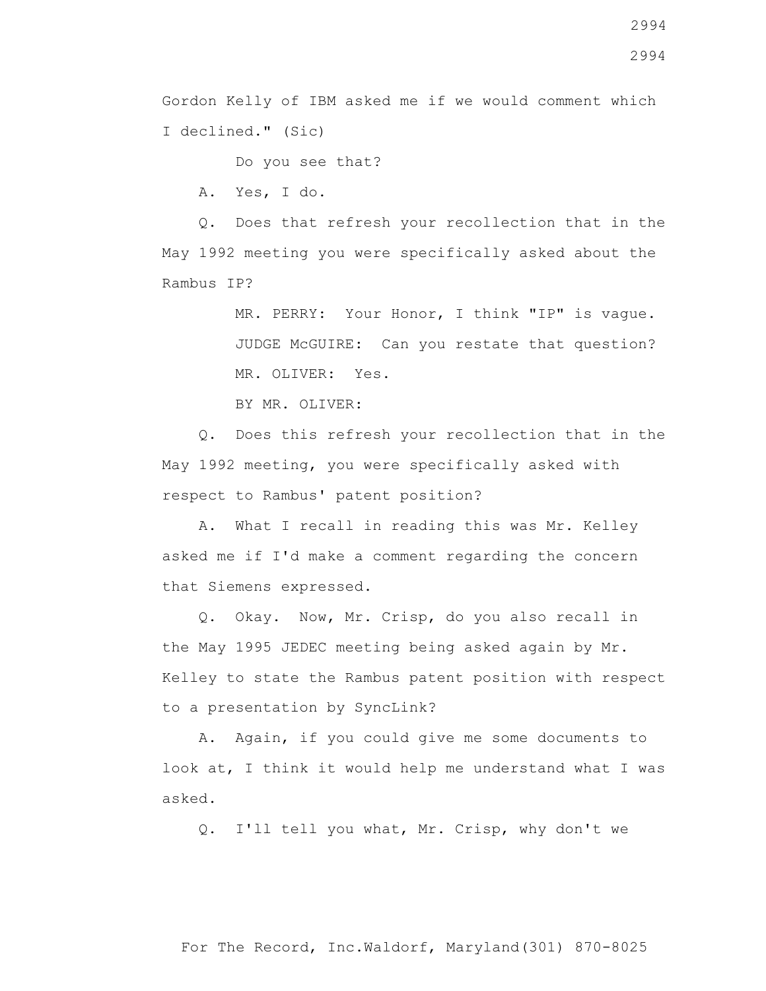2994

Gordon Kelly of IBM asked me if we would comment which I declined." (Sic)

Do you see that?

A. Yes, I do.

 Q. Does that refresh your recollection that in the May 1992 meeting you were specifically asked about the Rambus IP?

> MR. PERRY: Your Honor, I think "IP" is vague. JUDGE McGUIRE: Can you restate that question? MR. OLIVER: Yes.

BY MR. OLIVER:

 Q. Does this refresh your recollection that in the May 1992 meeting, you were specifically asked with respect to Rambus' patent position?

 A. What I recall in reading this was Mr. Kelley asked me if I'd make a comment regarding the concern that Siemens expressed.

 Q. Okay. Now, Mr. Crisp, do you also recall in the May 1995 JEDEC meeting being asked again by Mr. Kelley to state the Rambus patent position with respect to a presentation by SyncLink?

 A. Again, if you could give me some documents to look at, I think it would help me understand what I was asked.

Q. I'll tell you what, Mr. Crisp, why don't we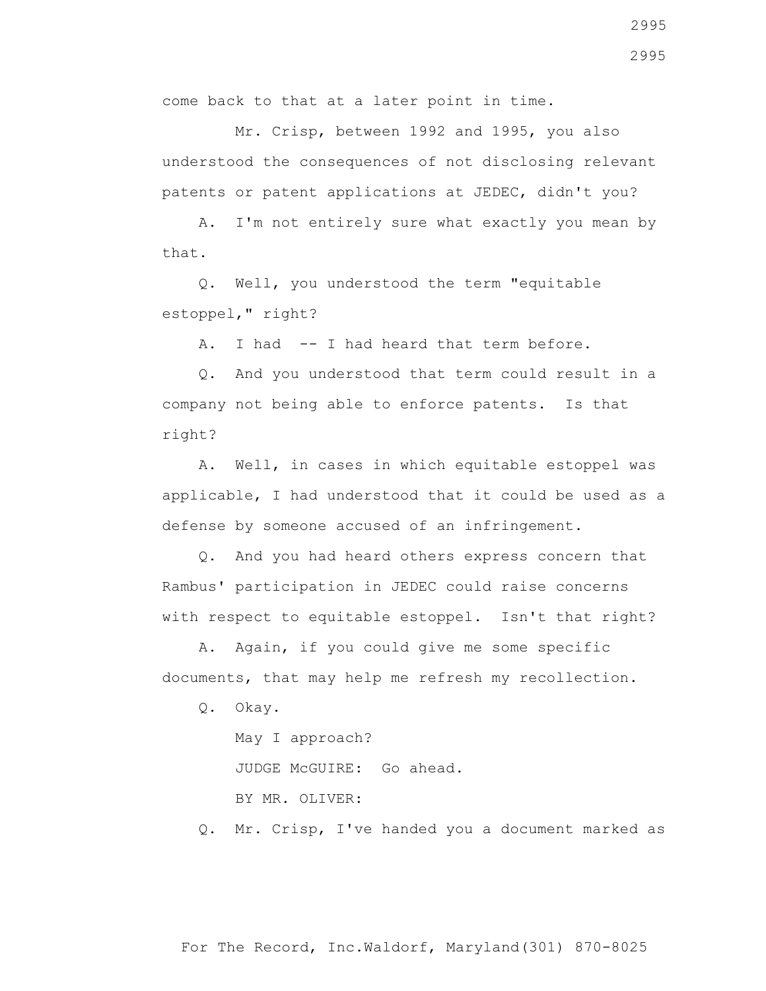come back to that at a later point in time.

 Mr. Crisp, between 1992 and 1995, you also understood the consequences of not disclosing relevant patents or patent applications at JEDEC, didn't you?

 A. I'm not entirely sure what exactly you mean by that.

 Q. Well, you understood the term "equitable estoppel," right?

A. I had -- I had heard that term before.

 Q. And you understood that term could result in a company not being able to enforce patents. Is that right?

 A. Well, in cases in which equitable estoppel was applicable, I had understood that it could be used as a defense by someone accused of an infringement.

 Q. And you had heard others express concern that Rambus' participation in JEDEC could raise concerns with respect to equitable estoppel. Isn't that right?

 A. Again, if you could give me some specific documents, that may help me refresh my recollection.

Q. Okay.

May I approach?

JUDGE McGUIRE: Go ahead.

BY MR. OLIVER:

Q. Mr. Crisp, I've handed you a document marked as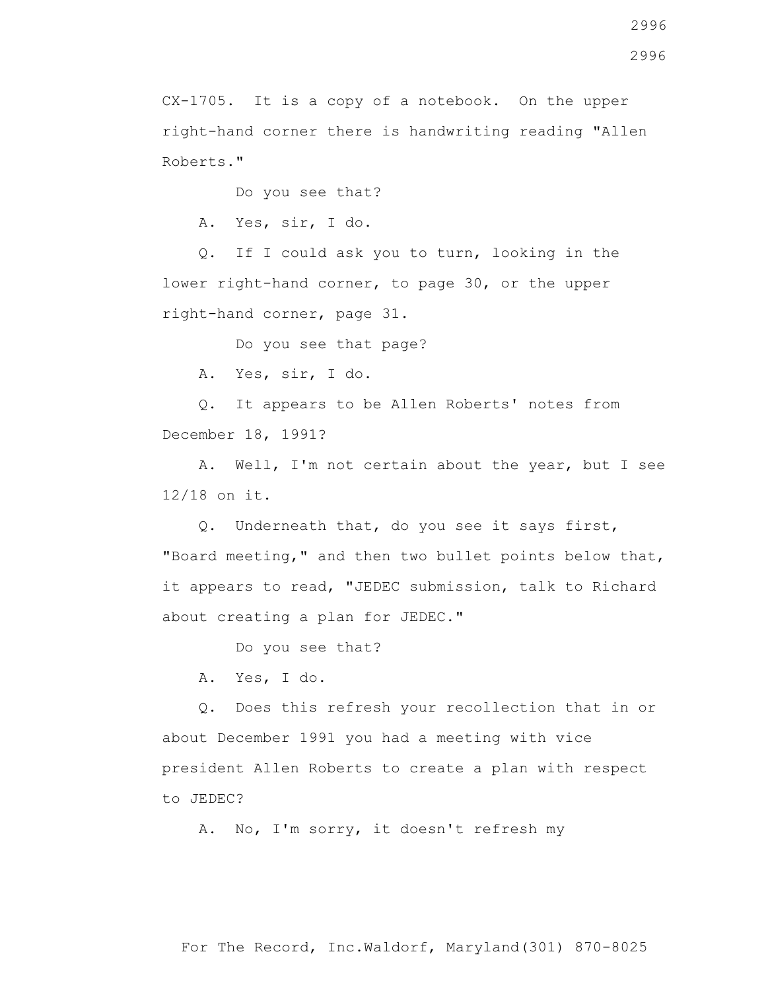CX-1705. It is a copy of a notebook. On the upper right-hand corner there is handwriting reading "Allen Roberts."

Do you see that?

A. Yes, sir, I do.

 Q. If I could ask you to turn, looking in the lower right-hand corner, to page 30, or the upper right-hand corner, page 31.

Do you see that page?

A. Yes, sir, I do.

 Q. It appears to be Allen Roberts' notes from December 18, 1991?

 A. Well, I'm not certain about the year, but I see 12/18 on it.

 Q. Underneath that, do you see it says first, "Board meeting," and then two bullet points below that, it appears to read, "JEDEC submission, talk to Richard about creating a plan for JEDEC."

Do you see that?

A. Yes, I do.

 Q. Does this refresh your recollection that in or about December 1991 you had a meeting with vice president Allen Roberts to create a plan with respect to JEDEC?

A. No, I'm sorry, it doesn't refresh my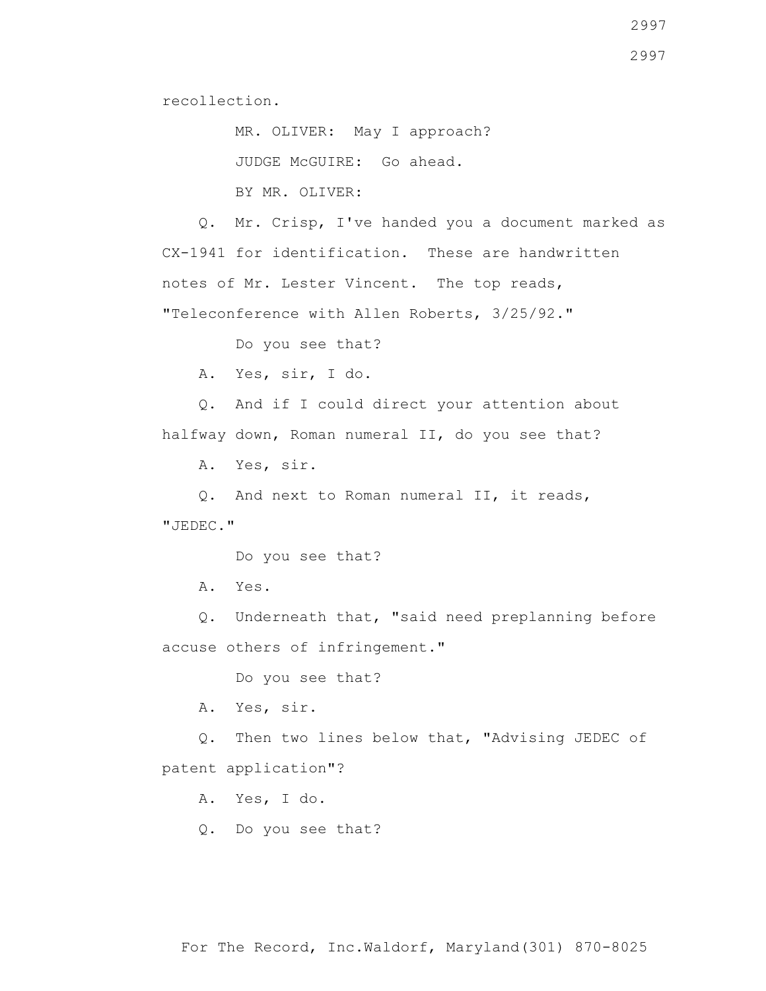recollection.

 MR. OLIVER: May I approach? JUDGE McGUIRE: Go ahead. BY MR. OLIVER:

 Q. Mr. Crisp, I've handed you a document marked as CX-1941 for identification. These are handwritten notes of Mr. Lester Vincent. The top reads, "Teleconference with Allen Roberts, 3/25/92."

Do you see that?

A. Yes, sir, I do.

 Q. And if I could direct your attention about halfway down, Roman numeral II, do you see that?

A. Yes, sir.

 Q. And next to Roman numeral II, it reads, "JEDEC."

Do you see that?

A. Yes.

 Q. Underneath that, "said need preplanning before accuse others of infringement."

Do you see that?

A. Yes, sir.

 Q. Then two lines below that, "Advising JEDEC of patent application"?

A. Yes, I do.

Q. Do you see that?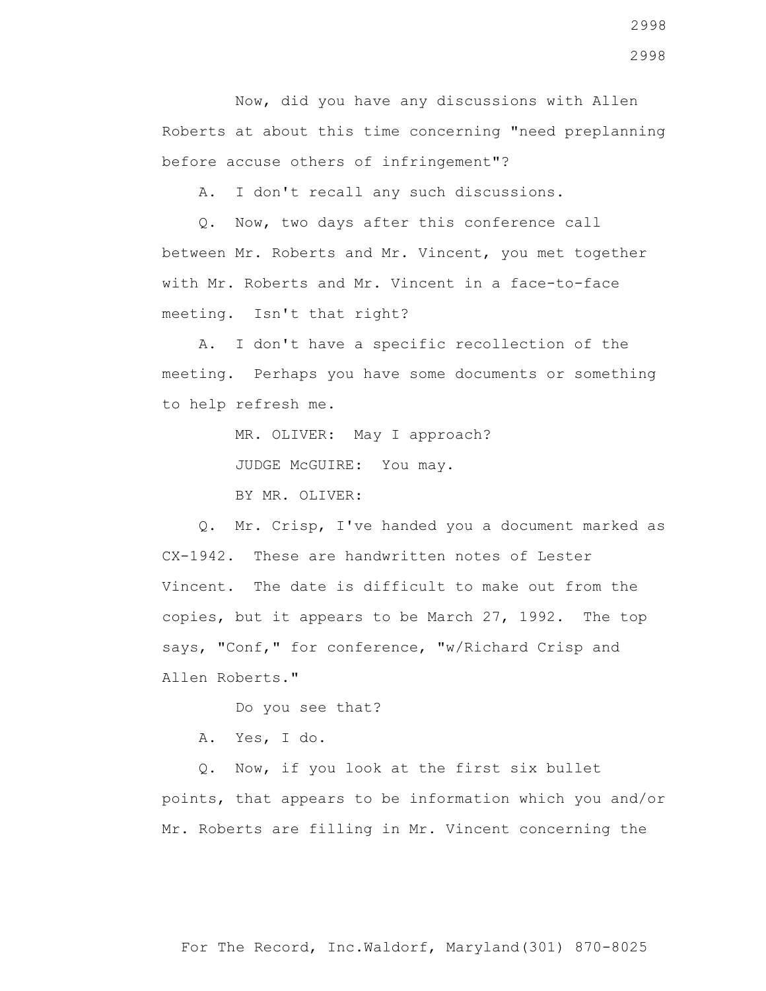Now, did you have any discussions with Allen Roberts at about this time concerning "need preplanning before accuse others of infringement"?

A. I don't recall any such discussions.

 Q. Now, two days after this conference call between Mr. Roberts and Mr. Vincent, you met together with Mr. Roberts and Mr. Vincent in a face-to-face meeting. Isn't that right?

 A. I don't have a specific recollection of the meeting. Perhaps you have some documents or something to help refresh me.

MR. OLIVER: May I approach?

JUDGE McGUIRE: You may.

BY MR. OLIVER:

 Q. Mr. Crisp, I've handed you a document marked as CX-1942. These are handwritten notes of Lester Vincent. The date is difficult to make out from the copies, but it appears to be March 27, 1992. The top says, "Conf," for conference, "w/Richard Crisp and Allen Roberts."

Do you see that?

A. Yes, I do.

 Q. Now, if you look at the first six bullet points, that appears to be information which you and/or Mr. Roberts are filling in Mr. Vincent concerning the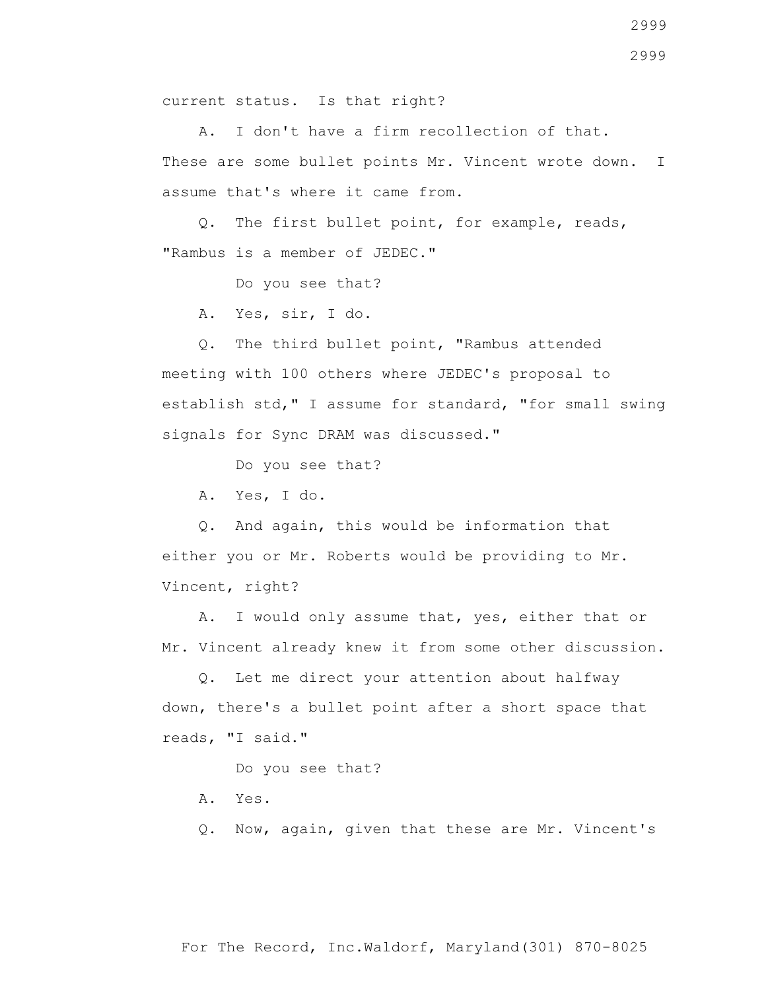current status. Is that right?

 A. I don't have a firm recollection of that. These are some bullet points Mr. Vincent wrote down. I assume that's where it came from.

 Q. The first bullet point, for example, reads, "Rambus is a member of JEDEC."

Do you see that?

A. Yes, sir, I do.

 Q. The third bullet point, "Rambus attended meeting with 100 others where JEDEC's proposal to establish std," I assume for standard, "for small swing signals for Sync DRAM was discussed."

Do you see that?

A. Yes, I do.

 Q. And again, this would be information that either you or Mr. Roberts would be providing to Mr. Vincent, right?

 A. I would only assume that, yes, either that or Mr. Vincent already knew it from some other discussion.

 Q. Let me direct your attention about halfway down, there's a bullet point after a short space that reads, "I said."

Do you see that?

- A. Yes.
- Q. Now, again, given that these are Mr. Vincent's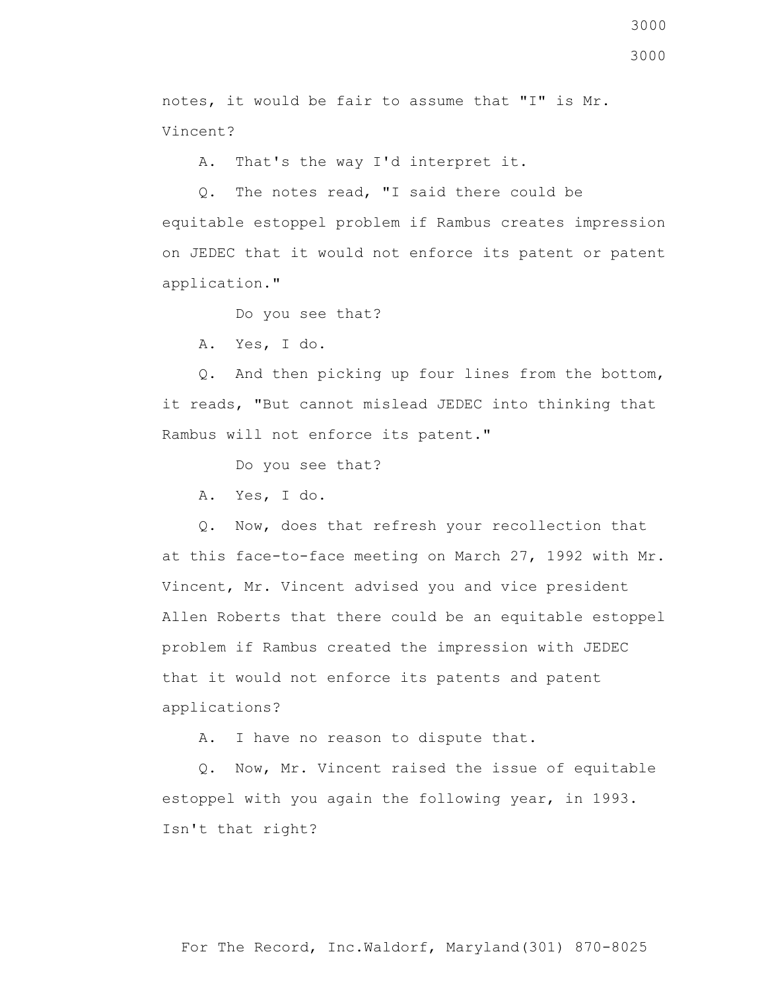notes, it would be fair to assume that "I" is Mr. Vincent?

A. That's the way I'd interpret it.

 Q. The notes read, "I said there could be equitable estoppel problem if Rambus creates impression on JEDEC that it would not enforce its patent or patent application."

Do you see that?

A. Yes, I do.

 Q. And then picking up four lines from the bottom, it reads, "But cannot mislead JEDEC into thinking that Rambus will not enforce its patent."

Do you see that?

A. Yes, I do.

 Q. Now, does that refresh your recollection that at this face-to-face meeting on March 27, 1992 with Mr. Vincent, Mr. Vincent advised you and vice president Allen Roberts that there could be an equitable estoppel problem if Rambus created the impression with JEDEC that it would not enforce its patents and patent applications?

A. I have no reason to dispute that.

 Q. Now, Mr. Vincent raised the issue of equitable estoppel with you again the following year, in 1993. Isn't that right?

3000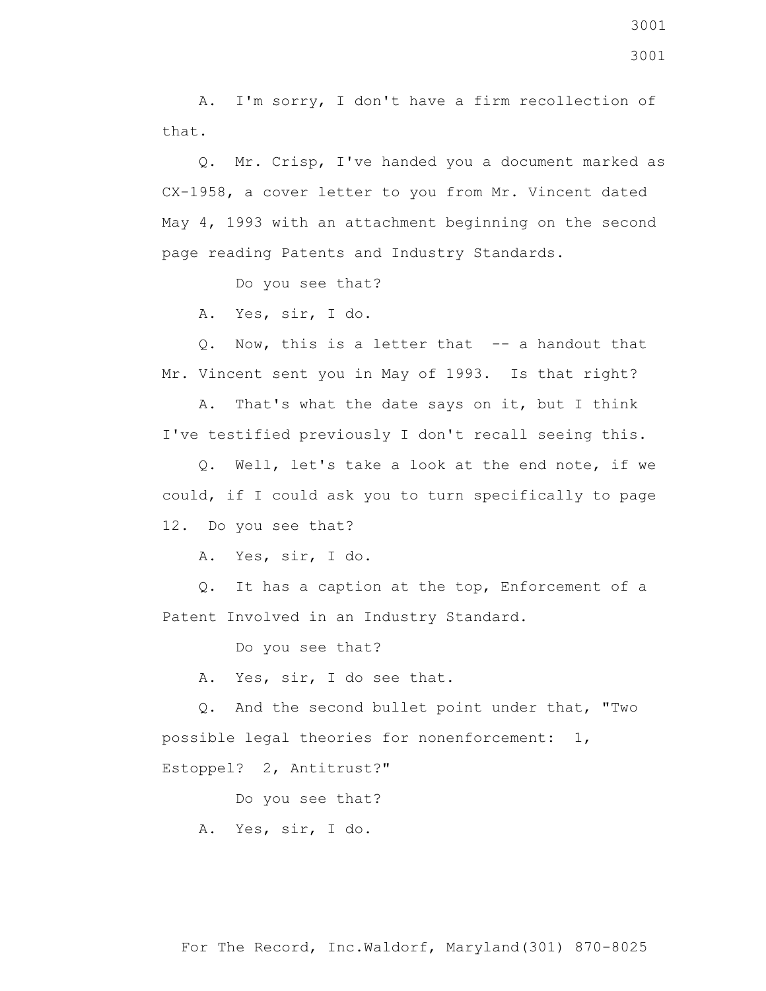A. I'm sorry, I don't have a firm recollection of that.

 Q. Mr. Crisp, I've handed you a document marked as CX-1958, a cover letter to you from Mr. Vincent dated May 4, 1993 with an attachment beginning on the second page reading Patents and Industry Standards.

Do you see that?

A. Yes, sir, I do.

 Q. Now, this is a letter that -- a handout that Mr. Vincent sent you in May of 1993. Is that right?

 A. That's what the date says on it, but I think I've testified previously I don't recall seeing this.

 Q. Well, let's take a look at the end note, if we could, if I could ask you to turn specifically to page 12. Do you see that?

A. Yes, sir, I do.

 Q. It has a caption at the top, Enforcement of a Patent Involved in an Industry Standard.

Do you see that?

A. Yes, sir, I do see that.

 Q. And the second bullet point under that, "Two possible legal theories for nonenforcement: 1, Estoppel? 2, Antitrust?"

Do you see that?

A. Yes, sir, I do.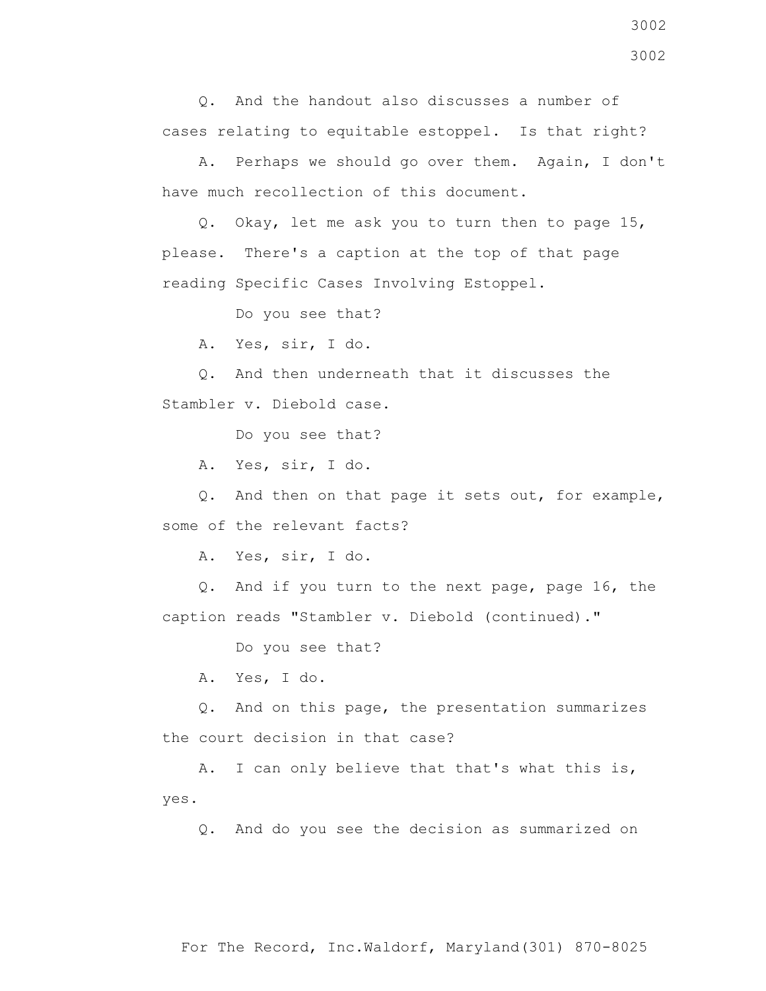Q. And the handout also discusses a number of cases relating to equitable estoppel. Is that right?

 A. Perhaps we should go over them. Again, I don't have much recollection of this document.

 Q. Okay, let me ask you to turn then to page 15, please. There's a caption at the top of that page reading Specific Cases Involving Estoppel.

Do you see that?

A. Yes, sir, I do.

 Q. And then underneath that it discusses the Stambler v. Diebold case.

Do you see that?

A. Yes, sir, I do.

 Q. And then on that page it sets out, for example, some of the relevant facts?

A. Yes, sir, I do.

 Q. And if you turn to the next page, page 16, the caption reads "Stambler v. Diebold (continued)."

Do you see that?

A. Yes, I do.

 Q. And on this page, the presentation summarizes the court decision in that case?

 A. I can only believe that that's what this is, yes.

Q. And do you see the decision as summarized on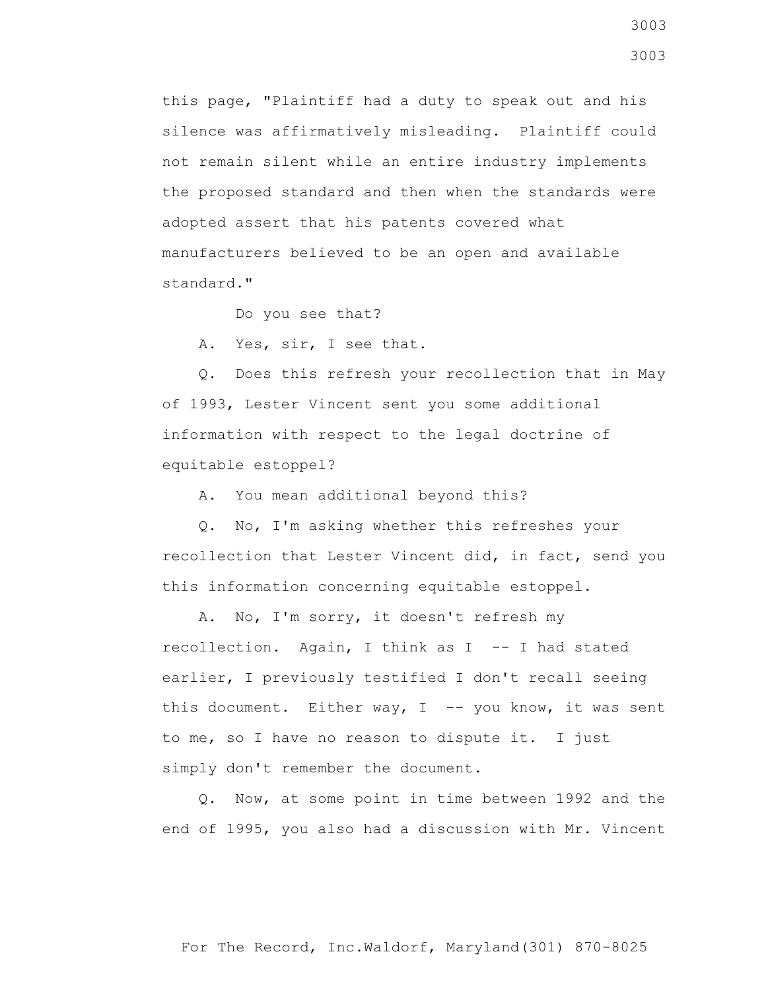this page, "Plaintiff had a duty to speak out and his silence was affirmatively misleading. Plaintiff could not remain silent while an entire industry implements the proposed standard and then when the standards were adopted assert that his patents covered what manufacturers believed to be an open and available standard."

Do you see that?

A. Yes, sir, I see that.

 Q. Does this refresh your recollection that in May of 1993, Lester Vincent sent you some additional information with respect to the legal doctrine of equitable estoppel?

A. You mean additional beyond this?

 Q. No, I'm asking whether this refreshes your recollection that Lester Vincent did, in fact, send you this information concerning equitable estoppel.

 A. No, I'm sorry, it doesn't refresh my recollection. Again, I think as I -- I had stated earlier, I previously testified I don't recall seeing this document. Either way,  $I$  -- you know, it was sent to me, so I have no reason to dispute it. I just simply don't remember the document.

 Q. Now, at some point in time between 1992 and the end of 1995, you also had a discussion with Mr. Vincent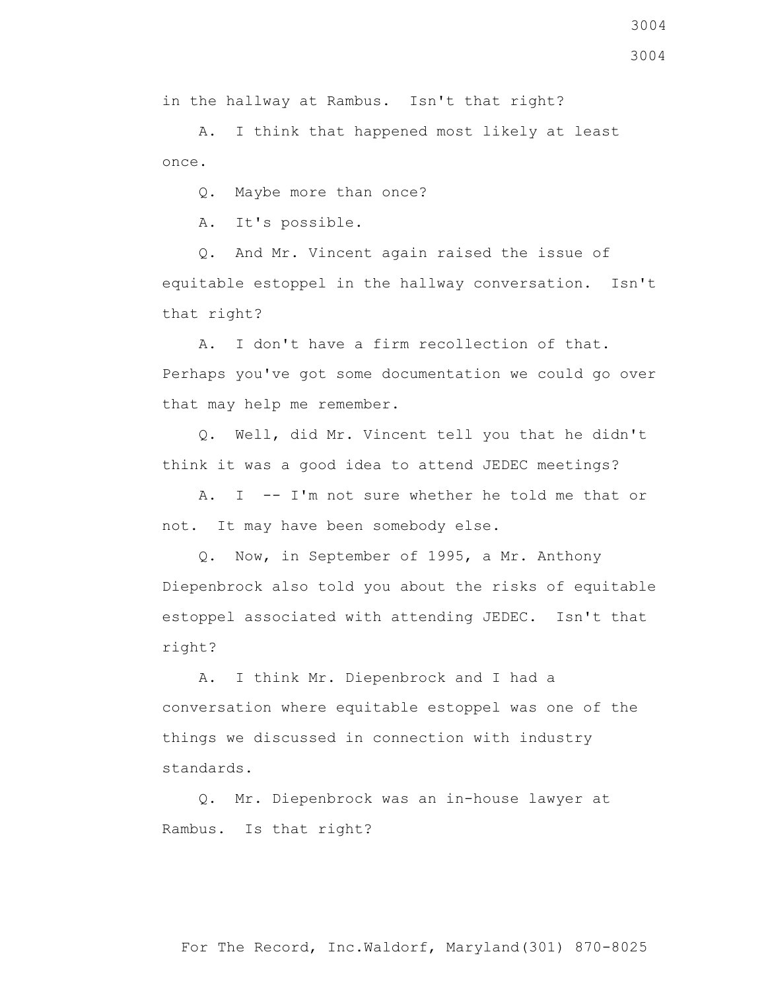in the hallway at Rambus. Isn't that right?

 A. I think that happened most likely at least once.

Q. Maybe more than once?

A. It's possible.

 Q. And Mr. Vincent again raised the issue of equitable estoppel in the hallway conversation. Isn't that right?

 A. I don't have a firm recollection of that. Perhaps you've got some documentation we could go over that may help me remember.

 Q. Well, did Mr. Vincent tell you that he didn't think it was a good idea to attend JEDEC meetings?

 A. I -- I'm not sure whether he told me that or not. It may have been somebody else.

 Q. Now, in September of 1995, a Mr. Anthony Diepenbrock also told you about the risks of equitable estoppel associated with attending JEDEC. Isn't that right?

 A. I think Mr. Diepenbrock and I had a conversation where equitable estoppel was one of the things we discussed in connection with industry standards.

 Q. Mr. Diepenbrock was an in-house lawyer at Rambus. Is that right?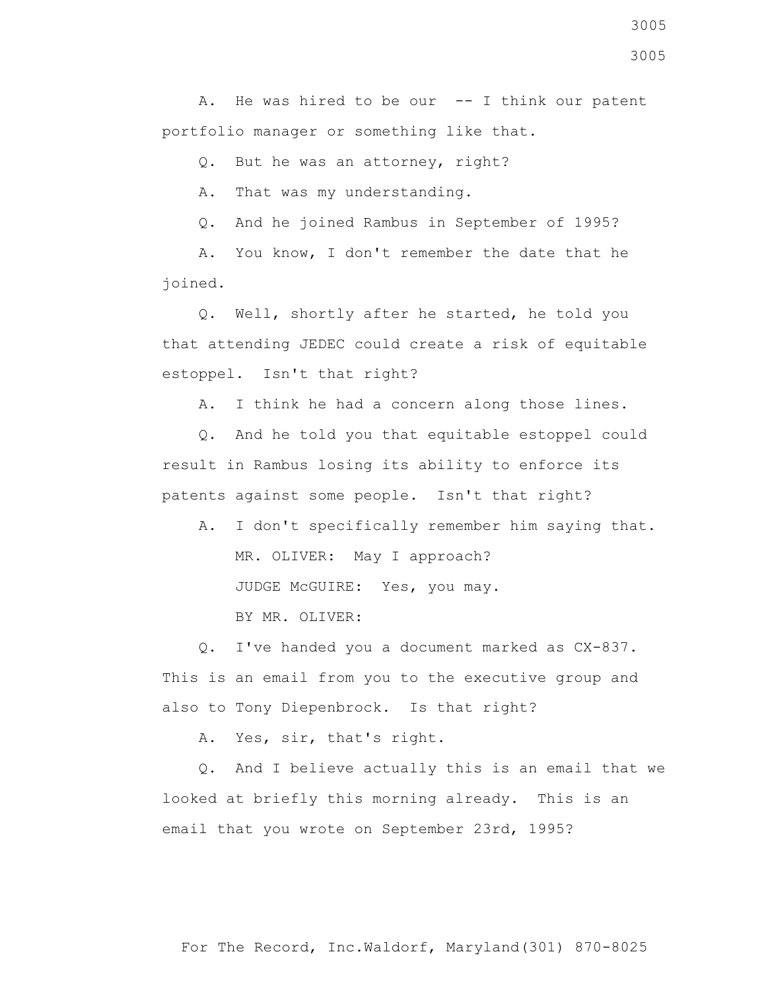A. He was hired to be our  $-$ - I think our patent portfolio manager or something like that.

Q. But he was an attorney, right?

A. That was my understanding.

Q. And he joined Rambus in September of 1995?

 A. You know, I don't remember the date that he joined.

 Q. Well, shortly after he started, he told you that attending JEDEC could create a risk of equitable estoppel. Isn't that right?

A. I think he had a concern along those lines.

 Q. And he told you that equitable estoppel could result in Rambus losing its ability to enforce its patents against some people. Isn't that right?

 A. I don't specifically remember him saying that. MR. OLIVER: May I approach? JUDGE McGUIRE: Yes, you may.

BY MR. OLIVER:

 Q. I've handed you a document marked as CX-837. This is an email from you to the executive group and also to Tony Diepenbrock. Is that right?

A. Yes, sir, that's right.

 Q. And I believe actually this is an email that we looked at briefly this morning already. This is an email that you wrote on September 23rd, 1995?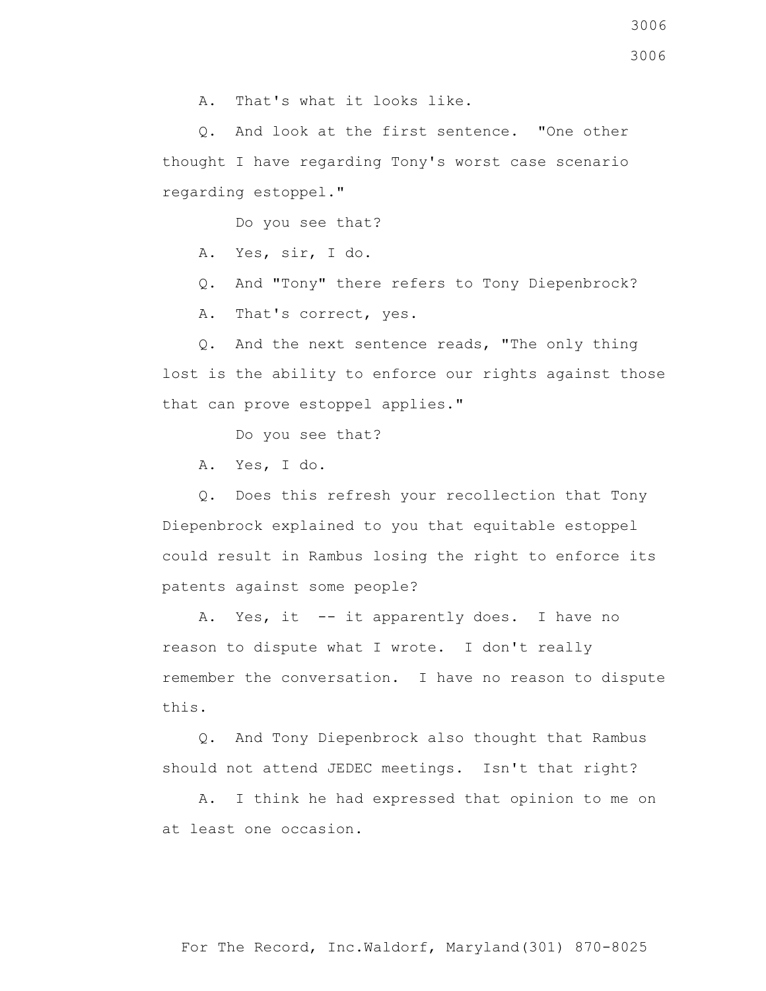3006

3006

A. That's what it looks like.

 Q. And look at the first sentence. "One other thought I have regarding Tony's worst case scenario regarding estoppel."

Do you see that?

A. Yes, sir, I do.

Q. And "Tony" there refers to Tony Diepenbrock?

A. That's correct, yes.

 Q. And the next sentence reads, "The only thing lost is the ability to enforce our rights against those that can prove estoppel applies."

Do you see that?

A. Yes, I do.

 Q. Does this refresh your recollection that Tony Diepenbrock explained to you that equitable estoppel could result in Rambus losing the right to enforce its patents against some people?

A. Yes, it -- it apparently does. I have no reason to dispute what I wrote. I don't really remember the conversation. I have no reason to dispute this.

 Q. And Tony Diepenbrock also thought that Rambus should not attend JEDEC meetings. Isn't that right?

 A. I think he had expressed that opinion to me on at least one occasion.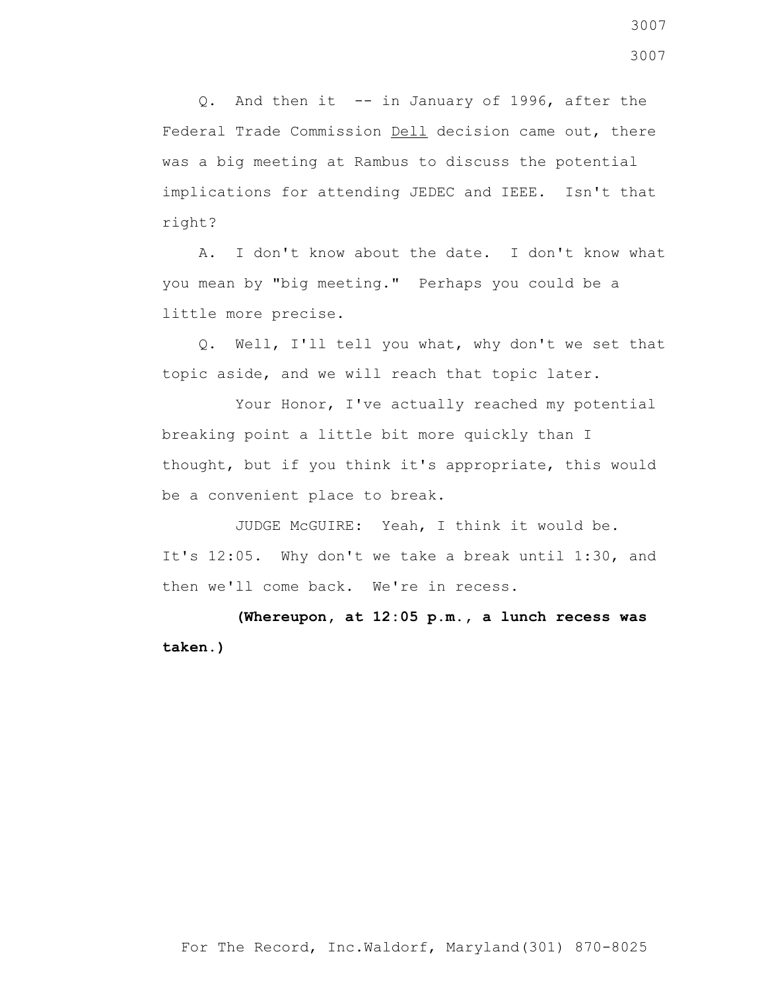Q. And then it -- in January of 1996, after the Federal Trade Commission Dell decision came out, there was a big meeting at Rambus to discuss the potential implications for attending JEDEC and IEEE. Isn't that right?

 A. I don't know about the date. I don't know what you mean by "big meeting." Perhaps you could be a little more precise.

 Q. Well, I'll tell you what, why don't we set that topic aside, and we will reach that topic later.

 Your Honor, I've actually reached my potential breaking point a little bit more quickly than I thought, but if you think it's appropriate, this would be a convenient place to break.

 JUDGE McGUIRE: Yeah, I think it would be. It's 12:05. Why don't we take a break until 1:30, and then we'll come back. We're in recess.

 **(Whereupon, at 12:05 p.m., a lunch recess was taken.)**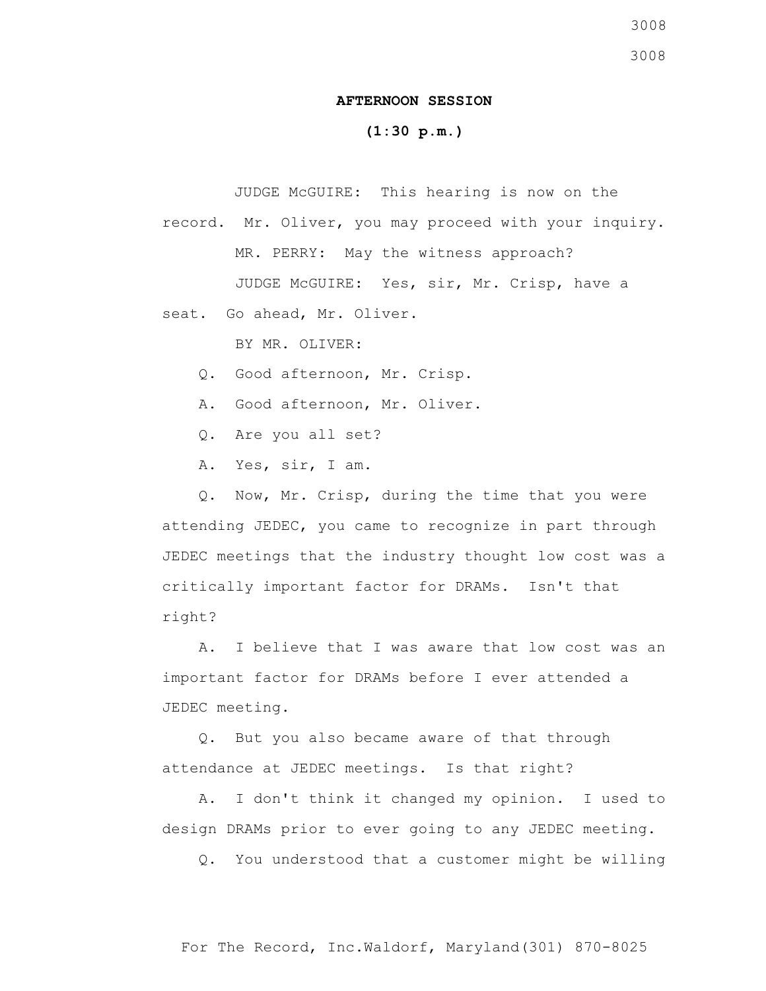## **AFTERNOON SESSION**

## **(1:30 p.m.)**

JUDGE McGUIRE: This hearing is now on the

record. Mr. Oliver, you may proceed with your inquiry. MR. PERRY: May the witness approach? JUDGE McGUIRE: Yes, sir, Mr. Crisp, have a

seat. Go ahead, Mr. Oliver.

BY MR. OLIVER:

- Q. Good afternoon, Mr. Crisp.
- A. Good afternoon, Mr. Oliver.
- Q. Are you all set?
- A. Yes, sir, I am.

 Q. Now, Mr. Crisp, during the time that you were attending JEDEC, you came to recognize in part through JEDEC meetings that the industry thought low cost was a critically important factor for DRAMs. Isn't that right?

 A. I believe that I was aware that low cost was an important factor for DRAMs before I ever attended a JEDEC meeting.

 Q. But you also became aware of that through attendance at JEDEC meetings. Is that right?

 A. I don't think it changed my opinion. I used to design DRAMs prior to ever going to any JEDEC meeting.

Q. You understood that a customer might be willing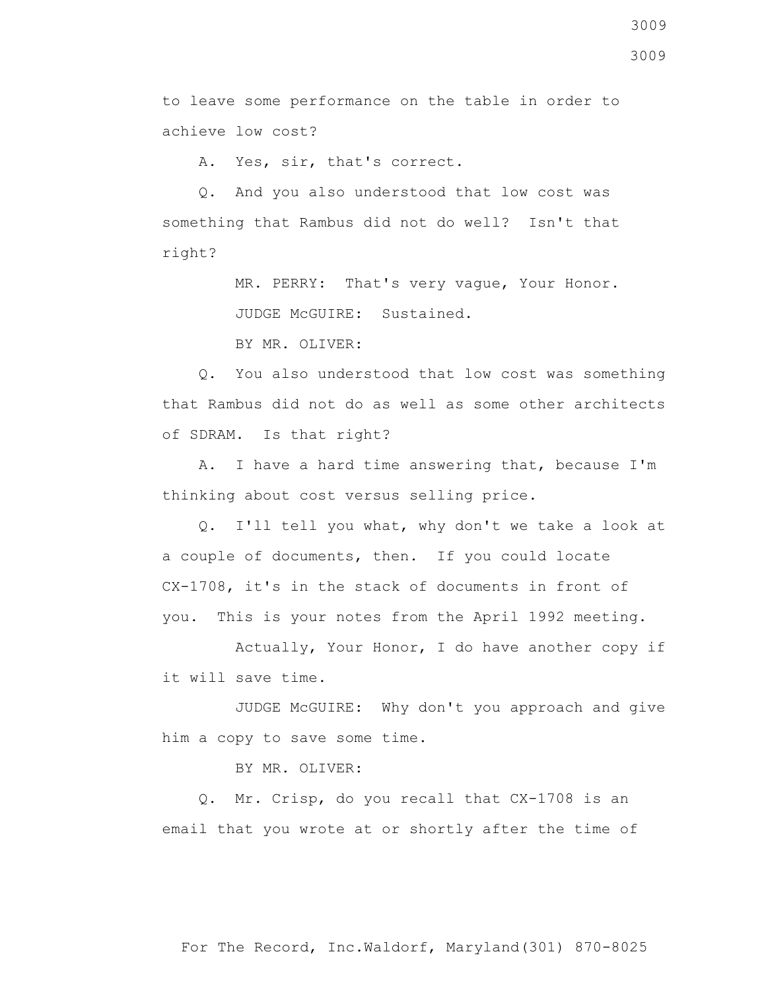to leave some performance on the table in order to achieve low cost?

A. Yes, sir, that's correct.

 Q. And you also understood that low cost was something that Rambus did not do well? Isn't that right?

> MR. PERRY: That's very vague, Your Honor. JUDGE McGUIRE: Sustained.

BY MR. OLIVER:

 Q. You also understood that low cost was something that Rambus did not do as well as some other architects of SDRAM. Is that right?

 A. I have a hard time answering that, because I'm thinking about cost versus selling price.

 Q. I'll tell you what, why don't we take a look at a couple of documents, then. If you could locate CX-1708, it's in the stack of documents in front of you. This is your notes from the April 1992 meeting.

 Actually, Your Honor, I do have another copy if it will save time.

 JUDGE McGUIRE: Why don't you approach and give him a copy to save some time.

BY MR. OLIVER:

 Q. Mr. Crisp, do you recall that CX-1708 is an email that you wrote at or shortly after the time of

For The Record, Inc.Waldorf, Maryland(301) 870-8025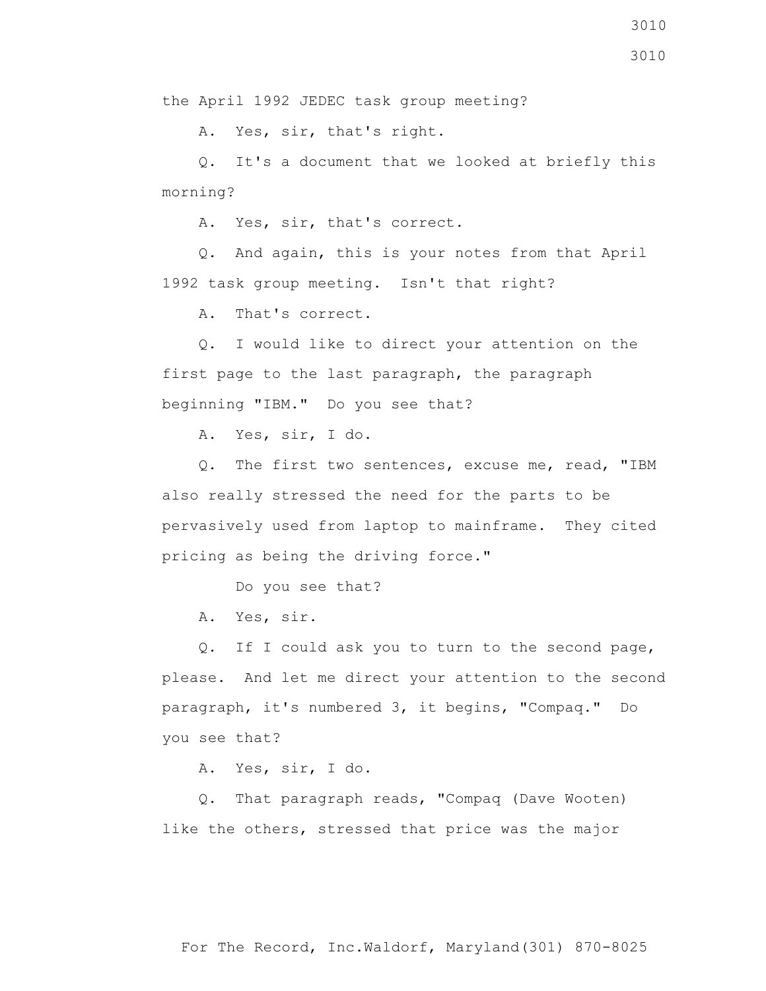3010

the April 1992 JEDEC task group meeting?

A. Yes, sir, that's right.

 Q. It's a document that we looked at briefly this morning?

A. Yes, sir, that's correct.

 Q. And again, this is your notes from that April 1992 task group meeting. Isn't that right?

A. That's correct.

 Q. I would like to direct your attention on the first page to the last paragraph, the paragraph beginning "IBM." Do you see that?

A. Yes, sir, I do.

 Q. The first two sentences, excuse me, read, "IBM also really stressed the need for the parts to be pervasively used from laptop to mainframe. They cited pricing as being the driving force."

Do you see that?

A. Yes, sir.

 Q. If I could ask you to turn to the second page, please. And let me direct your attention to the second paragraph, it's numbered 3, it begins, "Compaq." Do you see that?

A. Yes, sir, I do.

 Q. That paragraph reads, "Compaq (Dave Wooten) like the others, stressed that price was the major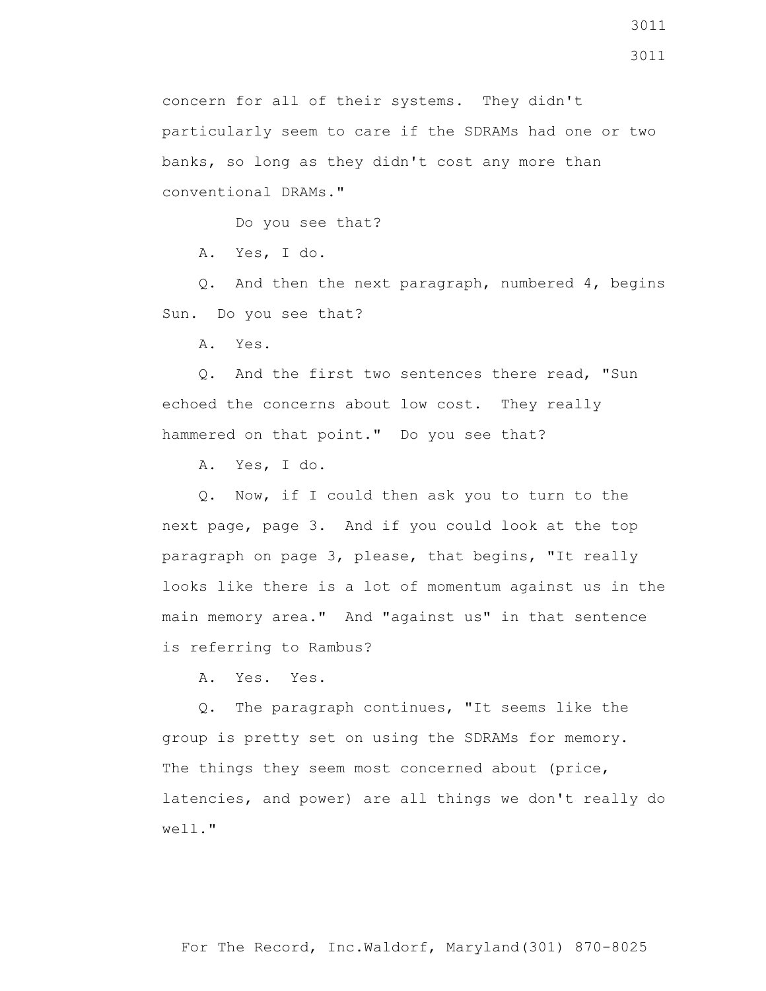3011

concern for all of their systems. They didn't particularly seem to care if the SDRAMs had one or two banks, so long as they didn't cost any more than conventional DRAMs."

Do you see that?

A. Yes, I do.

 Q. And then the next paragraph, numbered 4, begins Sun. Do you see that?

A. Yes.

 Q. And the first two sentences there read, "Sun echoed the concerns about low cost. They really hammered on that point." Do you see that?

A. Yes, I do.

 Q. Now, if I could then ask you to turn to the next page, page 3. And if you could look at the top paragraph on page 3, please, that begins, "It really looks like there is a lot of momentum against us in the main memory area." And "against us" in that sentence is referring to Rambus?

A. Yes. Yes.

 Q. The paragraph continues, "It seems like the group is pretty set on using the SDRAMs for memory. The things they seem most concerned about (price, latencies, and power) are all things we don't really do well."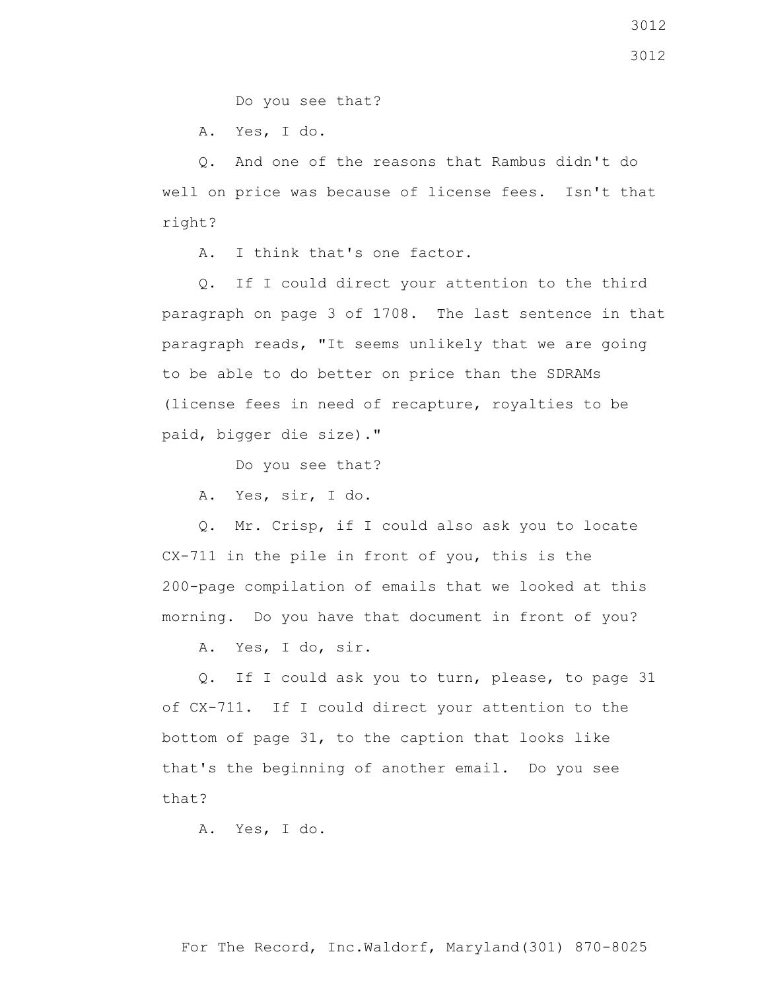Do you see that?

A. Yes, I do.

 Q. And one of the reasons that Rambus didn't do well on price was because of license fees. Isn't that right?

A. I think that's one factor.

 Q. If I could direct your attention to the third paragraph on page 3 of 1708. The last sentence in that paragraph reads, "It seems unlikely that we are going to be able to do better on price than the SDRAMs (license fees in need of recapture, royalties to be paid, bigger die size)."

Do you see that?

A. Yes, sir, I do.

 Q. Mr. Crisp, if I could also ask you to locate CX-711 in the pile in front of you, this is the 200-page compilation of emails that we looked at this morning. Do you have that document in front of you?

A. Yes, I do, sir.

 Q. If I could ask you to turn, please, to page 31 of CX-711. If I could direct your attention to the bottom of page 31, to the caption that looks like that's the beginning of another email. Do you see that?

A. Yes, I do.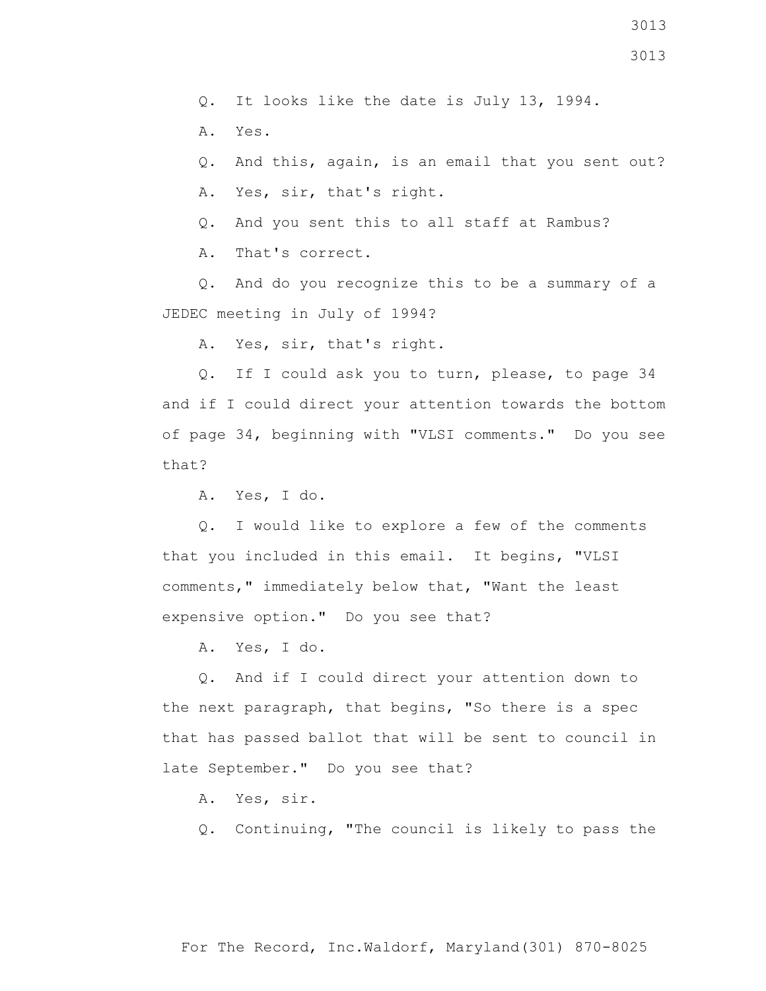3013

Q. It looks like the date is July 13, 1994.

A. Yes.

Q. And this, again, is an email that you sent out?

A. Yes, sir, that's right.

Q. And you sent this to all staff at Rambus?

A. That's correct.

 Q. And do you recognize this to be a summary of a JEDEC meeting in July of 1994?

A. Yes, sir, that's right.

 Q. If I could ask you to turn, please, to page 34 and if I could direct your attention towards the bottom of page 34, beginning with "VLSI comments." Do you see that?

A. Yes, I do.

 Q. I would like to explore a few of the comments that you included in this email. It begins, "VLSI comments," immediately below that, "Want the least expensive option." Do you see that?

A. Yes, I do.

 Q. And if I could direct your attention down to the next paragraph, that begins, "So there is a spec that has passed ballot that will be sent to council in late September." Do you see that?

A. Yes, sir.

Q. Continuing, "The council is likely to pass the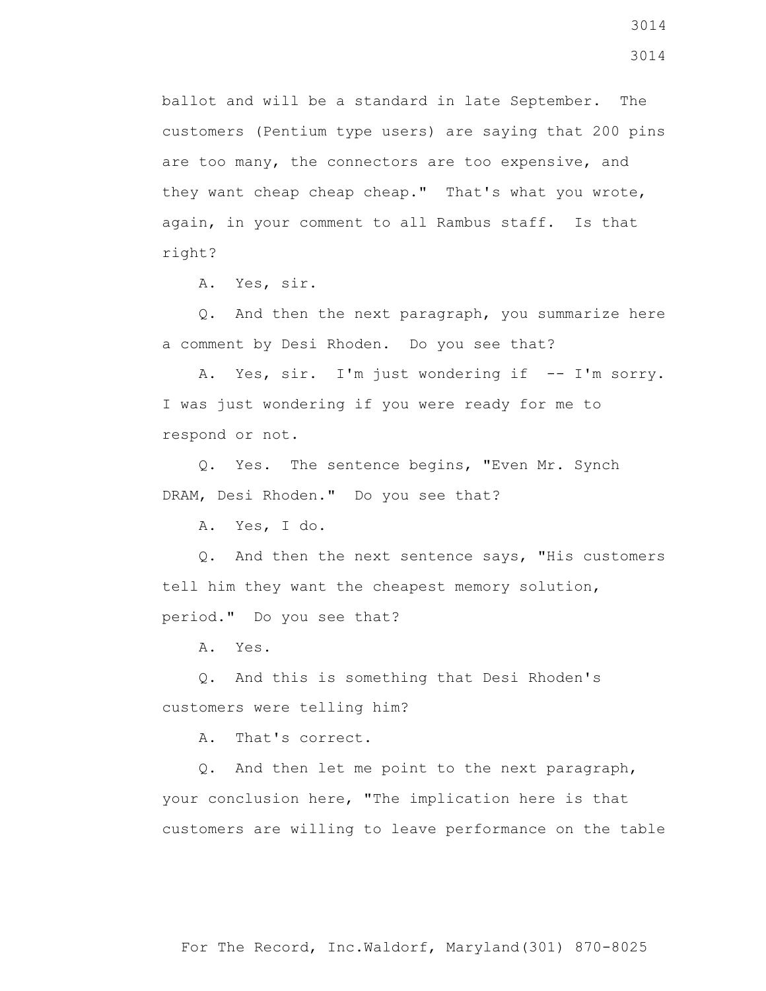ballot and will be a standard in late September. The customers (Pentium type users) are saying that 200 pins are too many, the connectors are too expensive, and they want cheap cheap cheap." That's what you wrote, again, in your comment to all Rambus staff. Is that right?

A. Yes, sir.

 Q. And then the next paragraph, you summarize here a comment by Desi Rhoden. Do you see that?

A. Yes, sir. I'm just wondering if -- I'm sorry. I was just wondering if you were ready for me to respond or not.

 Q. Yes. The sentence begins, "Even Mr. Synch DRAM, Desi Rhoden." Do you see that?

A. Yes, I do.

 Q. And then the next sentence says, "His customers tell him they want the cheapest memory solution, period." Do you see that?

A. Yes.

 Q. And this is something that Desi Rhoden's customers were telling him?

A. That's correct.

 Q. And then let me point to the next paragraph, your conclusion here, "The implication here is that customers are willing to leave performance on the table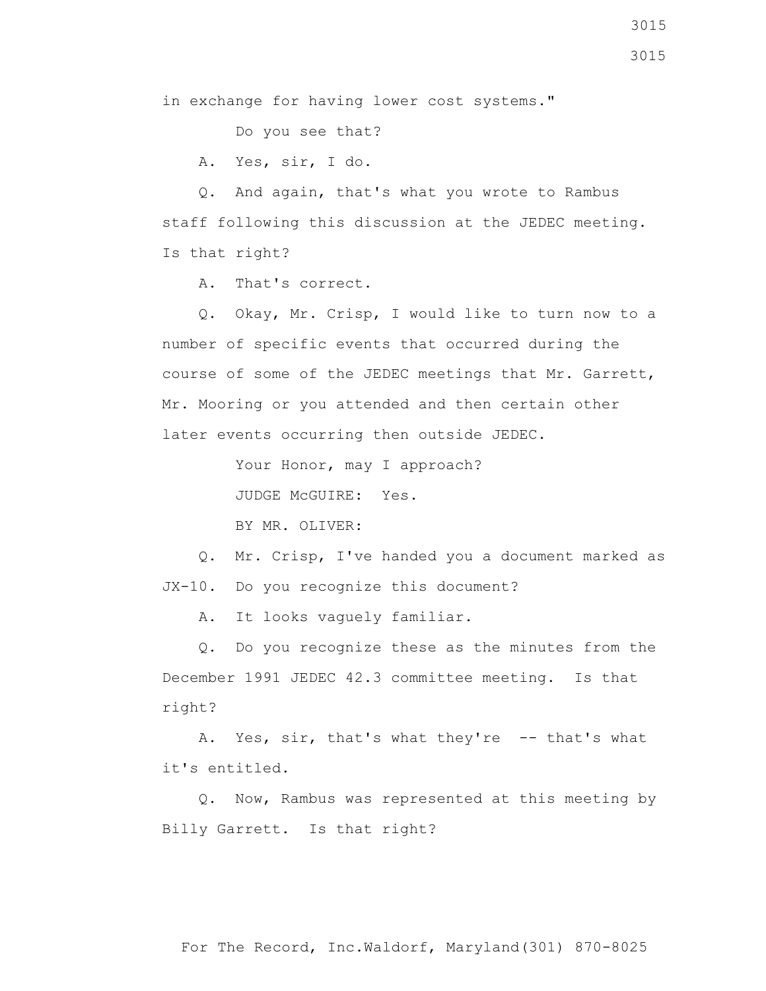in exchange for having lower cost systems."

Do you see that?

A. Yes, sir, I do.

 Q. And again, that's what you wrote to Rambus staff following this discussion at the JEDEC meeting. Is that right?

A. That's correct.

 Q. Okay, Mr. Crisp, I would like to turn now to a number of specific events that occurred during the course of some of the JEDEC meetings that Mr. Garrett, Mr. Mooring or you attended and then certain other later events occurring then outside JEDEC.

Your Honor, may I approach?

JUDGE McGUIRE: Yes.

BY MR. OLIVER:

 Q. Mr. Crisp, I've handed you a document marked as JX-10. Do you recognize this document?

A. It looks vaguely familiar.

 Q. Do you recognize these as the minutes from the December 1991 JEDEC 42.3 committee meeting. Is that right?

A. Yes, sir, that's what they're -- that's what it's entitled.

 Q. Now, Rambus was represented at this meeting by Billy Garrett. Is that right?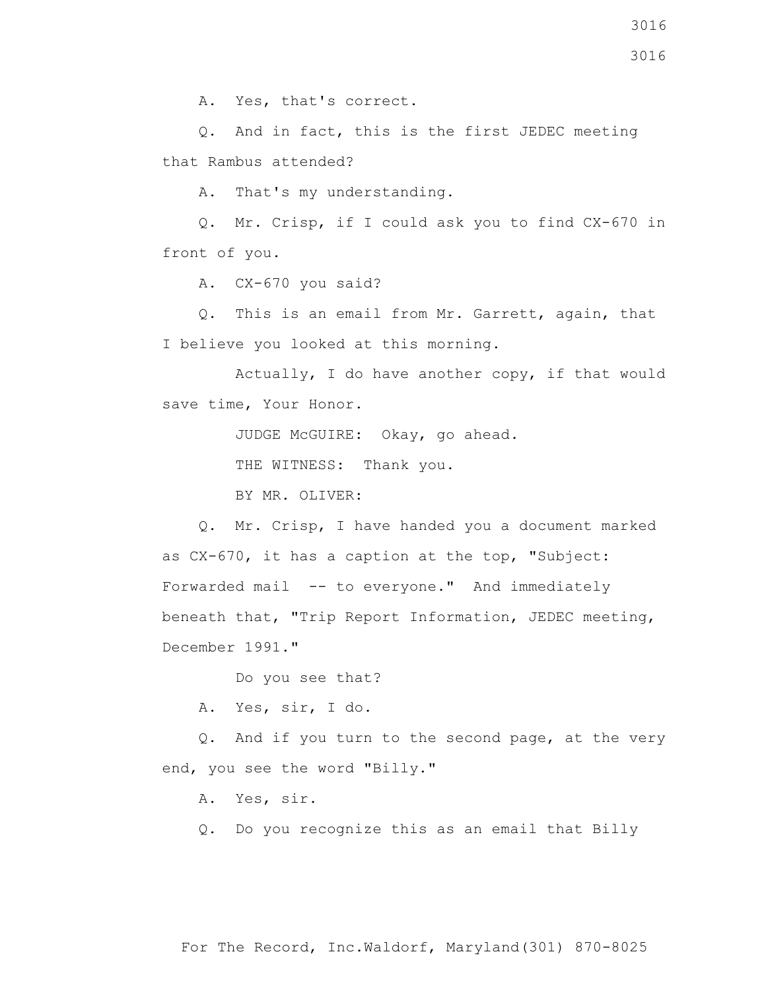A. Yes, that's correct.

 Q. And in fact, this is the first JEDEC meeting that Rambus attended?

A. That's my understanding.

 Q. Mr. Crisp, if I could ask you to find CX-670 in front of you.

A. CX-670 you said?

 Q. This is an email from Mr. Garrett, again, that I believe you looked at this morning.

 Actually, I do have another copy, if that would save time, Your Honor.

JUDGE McGUIRE: Okay, go ahead.

THE WITNESS: Thank you.

BY MR. OLIVER:

 Q. Mr. Crisp, I have handed you a document marked as CX-670, it has a caption at the top, "Subject: Forwarded mail -- to everyone." And immediately beneath that, "Trip Report Information, JEDEC meeting, December 1991."

Do you see that?

A. Yes, sir, I do.

 Q. And if you turn to the second page, at the very end, you see the word "Billy."

A. Yes, sir.

Q. Do you recognize this as an email that Billy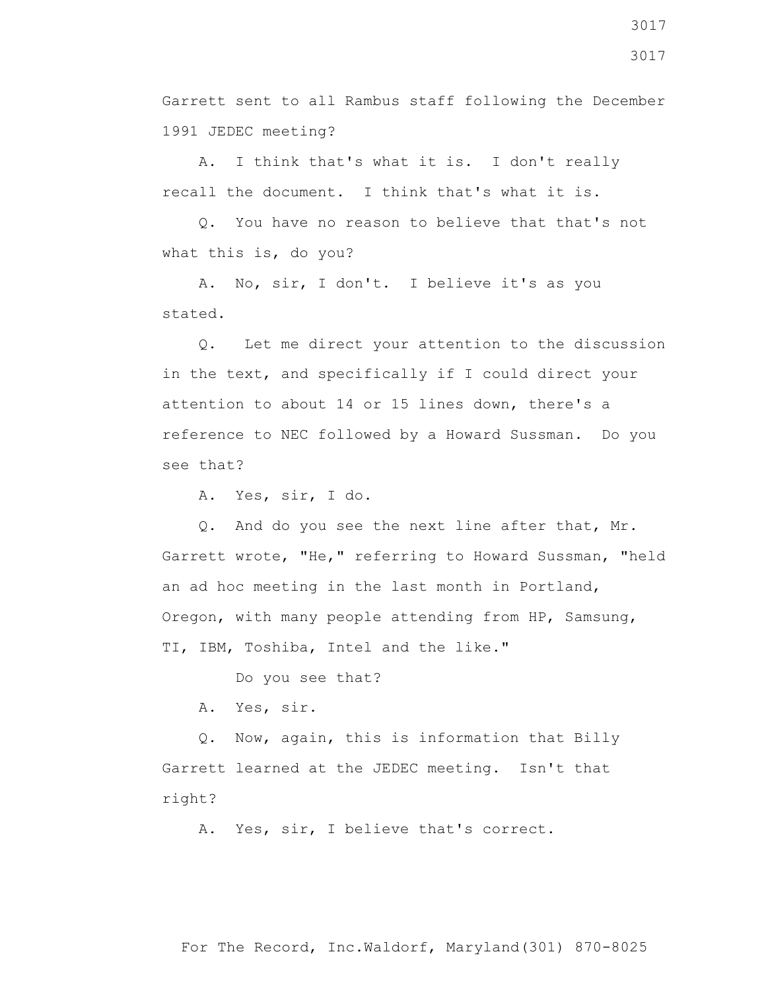Garrett sent to all Rambus staff following the December 1991 JEDEC meeting?

 A. I think that's what it is. I don't really recall the document. I think that's what it is.

 Q. You have no reason to believe that that's not what this is, do you?

 A. No, sir, I don't. I believe it's as you stated.

 Q. Let me direct your attention to the discussion in the text, and specifically if I could direct your attention to about 14 or 15 lines down, there's a reference to NEC followed by a Howard Sussman. Do you see that?

A. Yes, sir, I do.

 Q. And do you see the next line after that, Mr. Garrett wrote, "He," referring to Howard Sussman, "held an ad hoc meeting in the last month in Portland, Oregon, with many people attending from HP, Samsung, TI, IBM, Toshiba, Intel and the like."

Do you see that?

A. Yes, sir.

 Q. Now, again, this is information that Billy Garrett learned at the JEDEC meeting. Isn't that right?

A. Yes, sir, I believe that's correct.

3017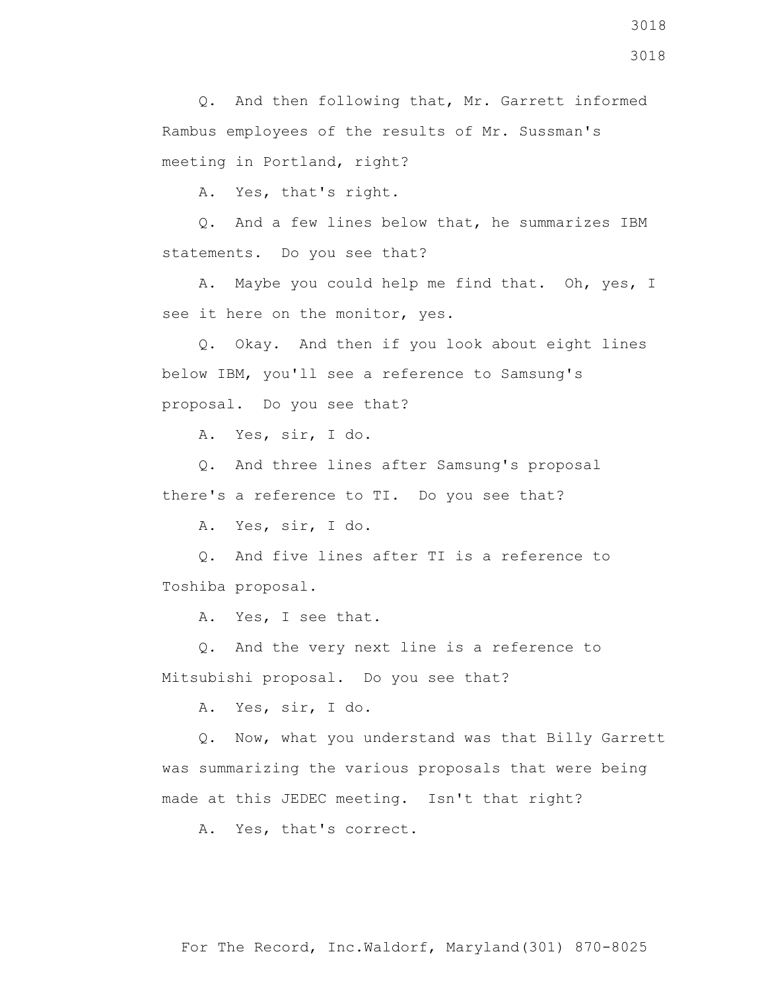A. Yes, that's right.

 Q. And a few lines below that, he summarizes IBM statements. Do you see that?

 A. Maybe you could help me find that. Oh, yes, I see it here on the monitor, yes.

 Q. Okay. And then if you look about eight lines below IBM, you'll see a reference to Samsung's proposal. Do you see that?

A. Yes, sir, I do.

 Q. And three lines after Samsung's proposal there's a reference to TI. Do you see that?

A. Yes, sir, I do.

 Q. And five lines after TI is a reference to Toshiba proposal.

A. Yes, I see that.

 Q. And the very next line is a reference to Mitsubishi proposal. Do you see that?

A. Yes, sir, I do.

 Q. Now, what you understand was that Billy Garrett was summarizing the various proposals that were being made at this JEDEC meeting. Isn't that right?

A. Yes, that's correct.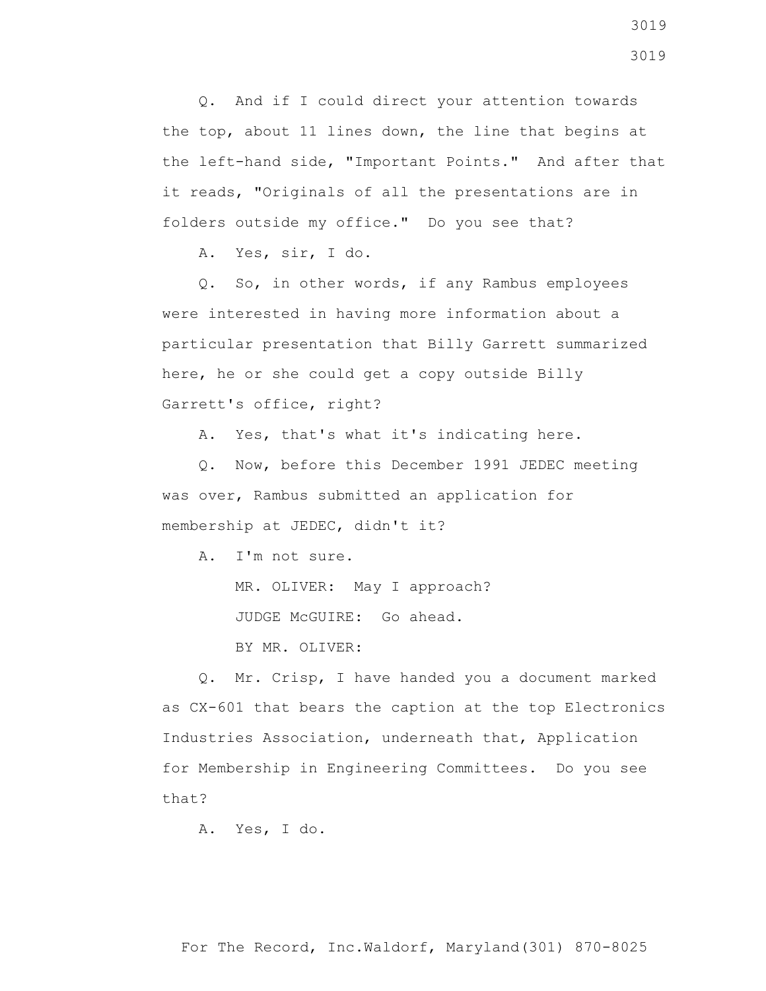Q. And if I could direct your attention towards the top, about 11 lines down, the line that begins at the left-hand side, "Important Points." And after that it reads, "Originals of all the presentations are in folders outside my office." Do you see that?

A. Yes, sir, I do.

 Q. So, in other words, if any Rambus employees were interested in having more information about a particular presentation that Billy Garrett summarized here, he or she could get a copy outside Billy Garrett's office, right?

A. Yes, that's what it's indicating here.

 Q. Now, before this December 1991 JEDEC meeting was over, Rambus submitted an application for membership at JEDEC, didn't it?

A. I'm not sure.

MR. OLIVER: May I approach?

JUDGE McGUIRE: Go ahead.

BY MR. OLIVER:

 Q. Mr. Crisp, I have handed you a document marked as CX-601 that bears the caption at the top Electronics Industries Association, underneath that, Application for Membership in Engineering Committees. Do you see that?

A. Yes, I do.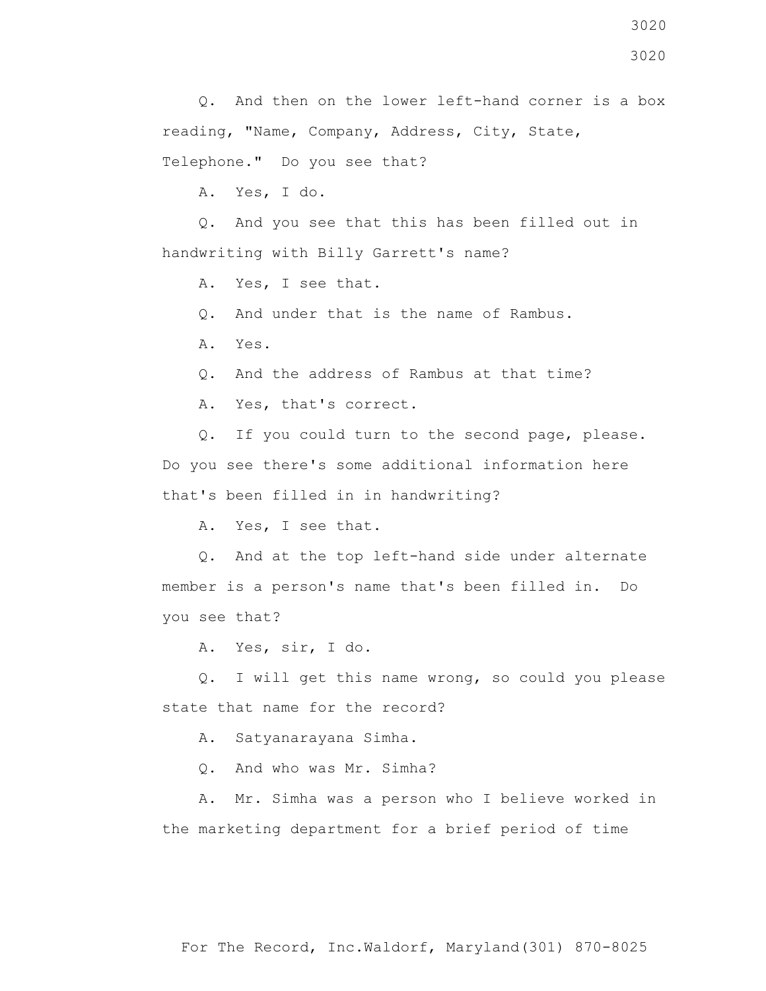Q. And then on the lower left-hand corner is a box reading, "Name, Company, Address, City, State, Telephone." Do you see that?

A. Yes, I do.

 Q. And you see that this has been filled out in handwriting with Billy Garrett's name?

A. Yes, I see that.

Q. And under that is the name of Rambus.

A. Yes.

Q. And the address of Rambus at that time?

A. Yes, that's correct.

 Q. If you could turn to the second page, please. Do you see there's some additional information here that's been filled in in handwriting?

A. Yes, I see that.

 Q. And at the top left-hand side under alternate member is a person's name that's been filled in. Do you see that?

A. Yes, sir, I do.

 Q. I will get this name wrong, so could you please state that name for the record?

A. Satyanarayana Simha.

Q. And who was Mr. Simha?

 A. Mr. Simha was a person who I believe worked in the marketing department for a brief period of time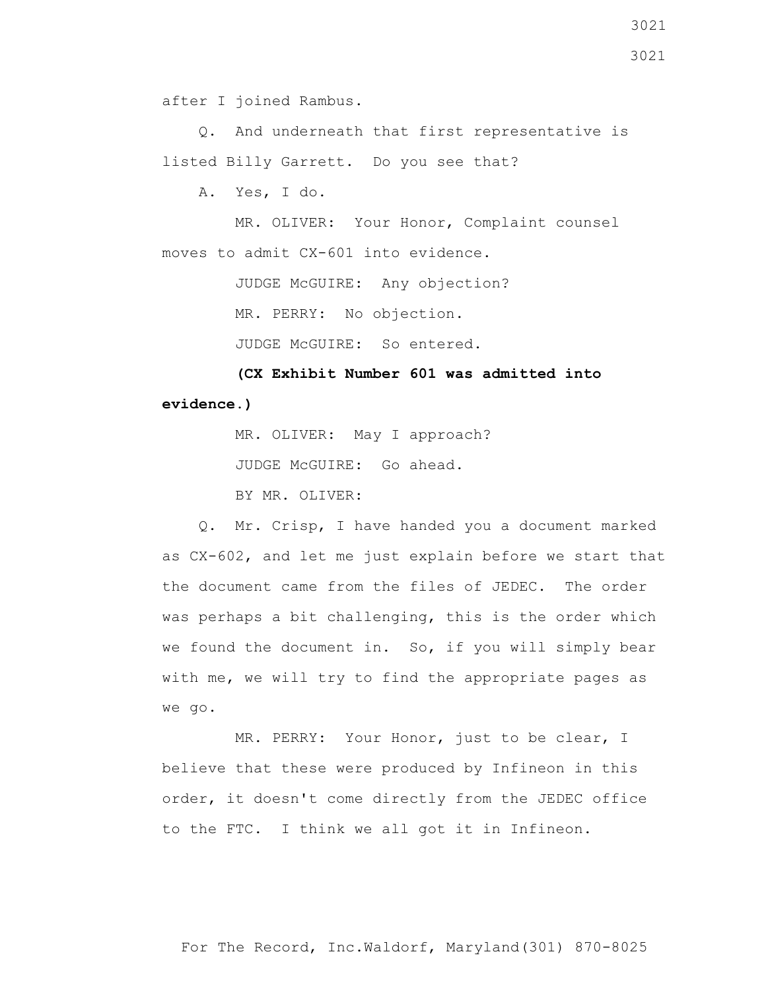after I joined Rambus.

 Q. And underneath that first representative is listed Billy Garrett. Do you see that?

A. Yes, I do.

 MR. OLIVER: Your Honor, Complaint counsel moves to admit CX-601 into evidence.

JUDGE McGUIRE: Any objection?

MR. PERRY: No objection.

JUDGE McGUIRE: So entered.

 **(CX Exhibit Number 601 was admitted into evidence.)**

MR. OLIVER: May I approach?

JUDGE McGUIRE: Go ahead.

BY MR. OLIVER:

 Q. Mr. Crisp, I have handed you a document marked as CX-602, and let me just explain before we start that the document came from the files of JEDEC. The order was perhaps a bit challenging, this is the order which we found the document in. So, if you will simply bear with me, we will try to find the appropriate pages as we go.

 MR. PERRY: Your Honor, just to be clear, I believe that these were produced by Infineon in this order, it doesn't come directly from the JEDEC office to the FTC. I think we all got it in Infineon.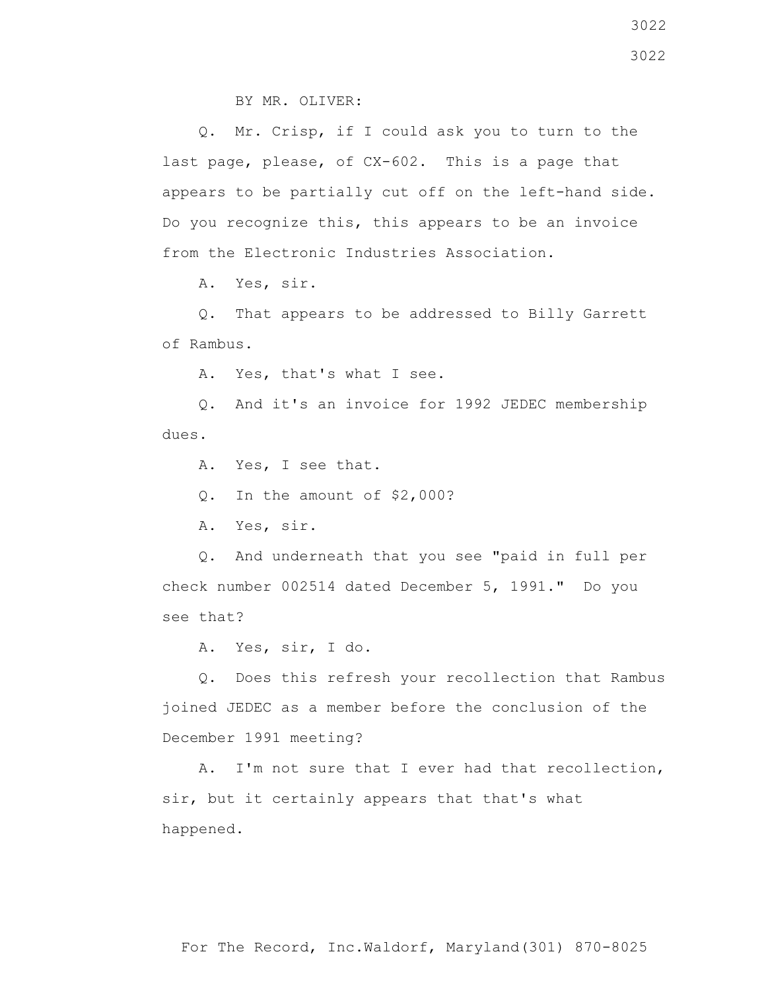BY MR. OLIVER:

 Q. Mr. Crisp, if I could ask you to turn to the last page, please, of CX-602. This is a page that appears to be partially cut off on the left-hand side. Do you recognize this, this appears to be an invoice from the Electronic Industries Association.

A. Yes, sir.

 Q. That appears to be addressed to Billy Garrett of Rambus.

A. Yes, that's what I see.

 Q. And it's an invoice for 1992 JEDEC membership dues.

A. Yes, I see that.

Q. In the amount of \$2,000?

A. Yes, sir.

 Q. And underneath that you see "paid in full per check number 002514 dated December 5, 1991." Do you see that?

A. Yes, sir, I do.

 Q. Does this refresh your recollection that Rambus joined JEDEC as a member before the conclusion of the December 1991 meeting?

 A. I'm not sure that I ever had that recollection, sir, but it certainly appears that that's what happened.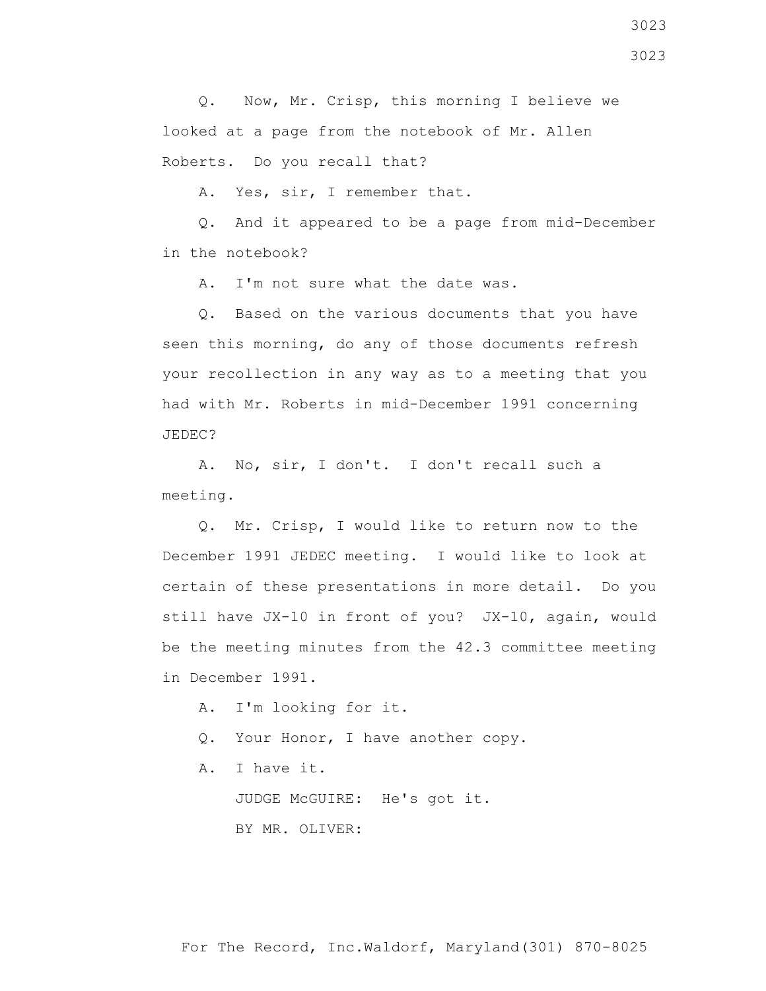3023 3023

 Q. Now, Mr. Crisp, this morning I believe we looked at a page from the notebook of Mr. Allen Roberts. Do you recall that?

A. Yes, sir, I remember that.

 Q. And it appeared to be a page from mid-December in the notebook?

A. I'm not sure what the date was.

 Q. Based on the various documents that you have seen this morning, do any of those documents refresh your recollection in any way as to a meeting that you had with Mr. Roberts in mid-December 1991 concerning JEDEC?

 A. No, sir, I don't. I don't recall such a meeting.

 Q. Mr. Crisp, I would like to return now to the December 1991 JEDEC meeting. I would like to look at certain of these presentations in more detail. Do you still have JX-10 in front of you? JX-10, again, would be the meeting minutes from the 42.3 committee meeting in December 1991.

A. I'm looking for it.

Q. Your Honor, I have another copy.

A. I have it.

JUDGE McGUIRE: He's got it.

BY MR. OLIVER: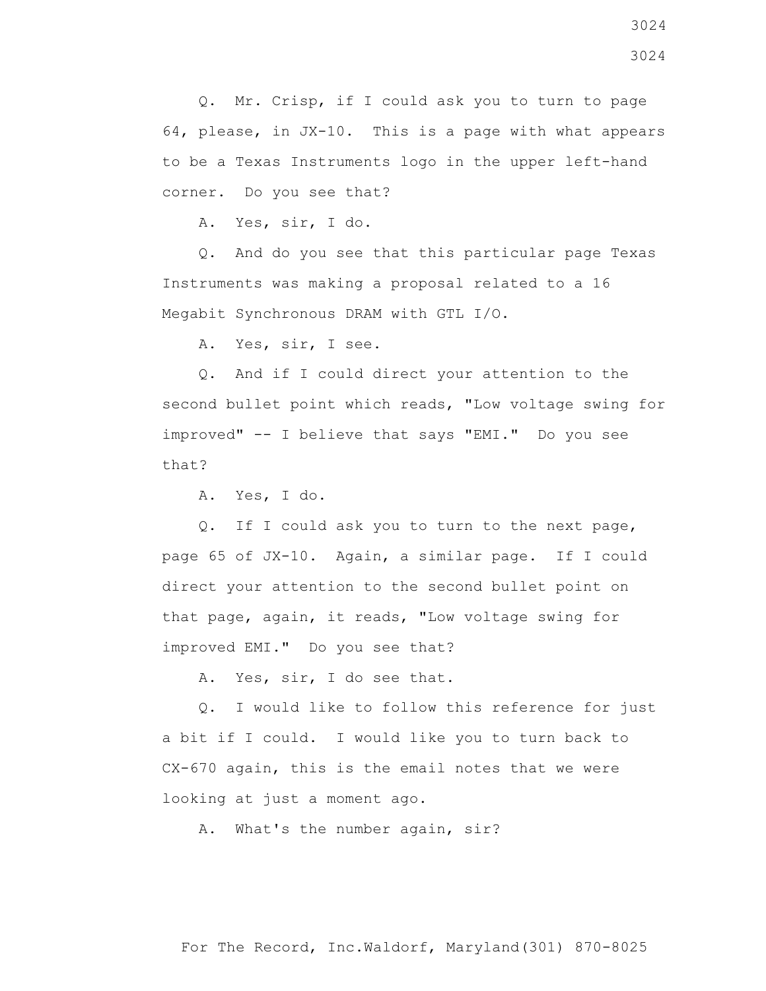Q. Mr. Crisp, if I could ask you to turn to page 64, please, in JX-10. This is a page with what appears to be a Texas Instruments logo in the upper left-hand corner. Do you see that?

A. Yes, sir, I do.

 Q. And do you see that this particular page Texas Instruments was making a proposal related to a 16 Megabit Synchronous DRAM with GTL I/O.

A. Yes, sir, I see.

 Q. And if I could direct your attention to the second bullet point which reads, "Low voltage swing for improved" -- I believe that says "EMI." Do you see that?

A. Yes, I do.

 Q. If I could ask you to turn to the next page, page 65 of JX-10. Again, a similar page. If I could direct your attention to the second bullet point on that page, again, it reads, "Low voltage swing for improved EMI." Do you see that?

A. Yes, sir, I do see that.

 Q. I would like to follow this reference for just a bit if I could. I would like you to turn back to CX-670 again, this is the email notes that we were looking at just a moment ago.

A. What's the number again, sir?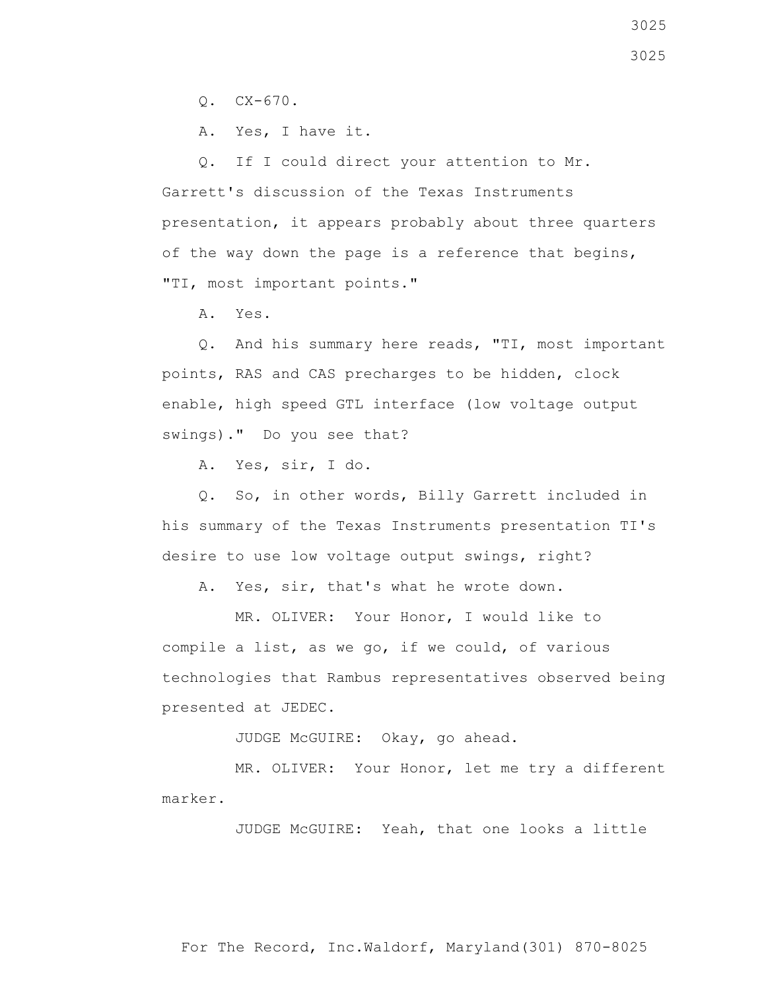Q. CX-670.

A. Yes, I have it.

 Q. If I could direct your attention to Mr. Garrett's discussion of the Texas Instruments presentation, it appears probably about three quarters of the way down the page is a reference that begins, "TI, most important points."

A. Yes.

 Q. And his summary here reads, "TI, most important points, RAS and CAS precharges to be hidden, clock enable, high speed GTL interface (low voltage output swings)." Do you see that?

A. Yes, sir, I do.

 Q. So, in other words, Billy Garrett included in his summary of the Texas Instruments presentation TI's desire to use low voltage output swings, right?

A. Yes, sir, that's what he wrote down.

 MR. OLIVER: Your Honor, I would like to compile a list, as we go, if we could, of various technologies that Rambus representatives observed being presented at JEDEC.

JUDGE McGUIRE: Okay, go ahead.

 MR. OLIVER: Your Honor, let me try a different marker.

JUDGE McGUIRE: Yeah, that one looks a little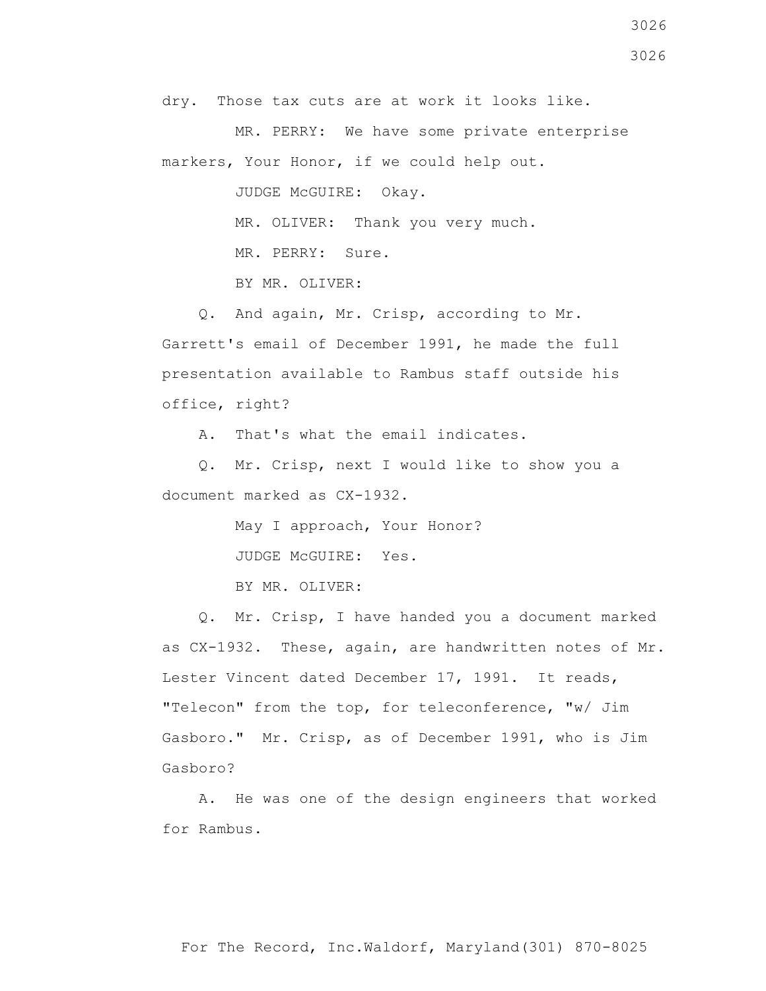dry. Those tax cuts are at work it looks like.

 MR. PERRY: We have some private enterprise markers, Your Honor, if we could help out.

JUDGE McGUIRE: Okay.

MR. OLIVER: Thank you very much.

MR. PERRY: Sure.

BY MR. OLIVER:

 Q. And again, Mr. Crisp, according to Mr. Garrett's email of December 1991, he made the full presentation available to Rambus staff outside his office, right?

A. That's what the email indicates.

 Q. Mr. Crisp, next I would like to show you a document marked as CX-1932.

May I approach, Your Honor?

JUDGE McGUIRE: Yes.

BY MR. OLIVER:

 Q. Mr. Crisp, I have handed you a document marked as CX-1932. These, again, are handwritten notes of Mr. Lester Vincent dated December 17, 1991. It reads, "Telecon" from the top, for teleconference, "w/ Jim Gasboro." Mr. Crisp, as of December 1991, who is Jim Gasboro?

 A. He was one of the design engineers that worked for Rambus.

3026 3026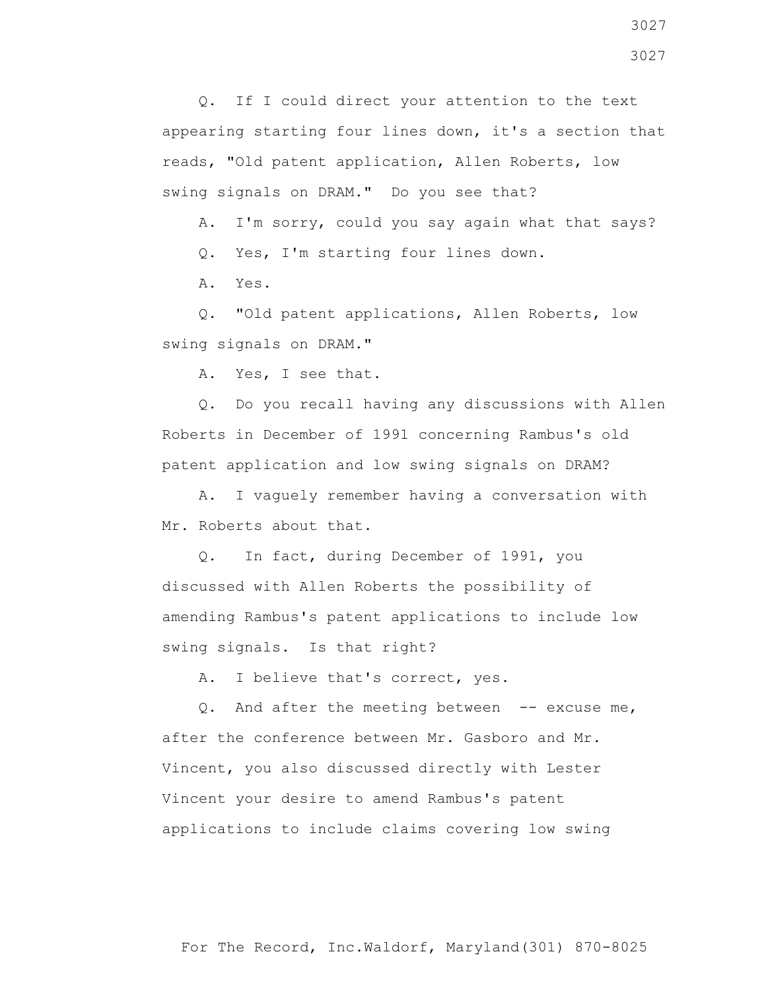Q. If I could direct your attention to the text appearing starting four lines down, it's a section that reads, "Old patent application, Allen Roberts, low swing signals on DRAM." Do you see that?

A. I'm sorry, could you say again what that says?

Q. Yes, I'm starting four lines down.

A. Yes.

 Q. "Old patent applications, Allen Roberts, low swing signals on DRAM."

A. Yes, I see that.

 Q. Do you recall having any discussions with Allen Roberts in December of 1991 concerning Rambus's old patent application and low swing signals on DRAM?

 A. I vaguely remember having a conversation with Mr. Roberts about that.

 Q. In fact, during December of 1991, you discussed with Allen Roberts the possibility of amending Rambus's patent applications to include low swing signals. Is that right?

A. I believe that's correct, yes.

 Q. And after the meeting between -- excuse me, after the conference between Mr. Gasboro and Mr. Vincent, you also discussed directly with Lester Vincent your desire to amend Rambus's patent applications to include claims covering low swing

3027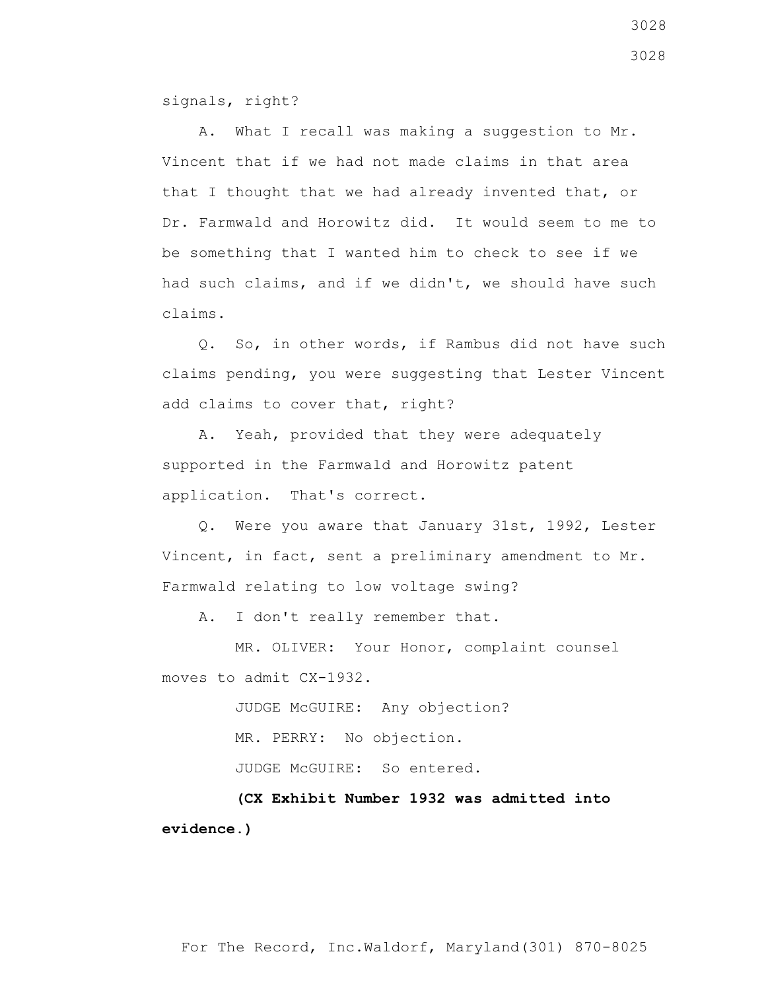signals, right?

 A. What I recall was making a suggestion to Mr. Vincent that if we had not made claims in that area that I thought that we had already invented that, or Dr. Farmwald and Horowitz did. It would seem to me to be something that I wanted him to check to see if we had such claims, and if we didn't, we should have such claims.

 Q. So, in other words, if Rambus did not have such claims pending, you were suggesting that Lester Vincent add claims to cover that, right?

 A. Yeah, provided that they were adequately supported in the Farmwald and Horowitz patent application. That's correct.

 Q. Were you aware that January 31st, 1992, Lester Vincent, in fact, sent a preliminary amendment to Mr. Farmwald relating to low voltage swing?

A. I don't really remember that.

 MR. OLIVER: Your Honor, complaint counsel moves to admit CX-1932.

JUDGE McGUIRE: Any objection?

MR. PERRY: No objection.

JUDGE McGUIRE: So entered.

 **(CX Exhibit Number 1932 was admitted into evidence.)**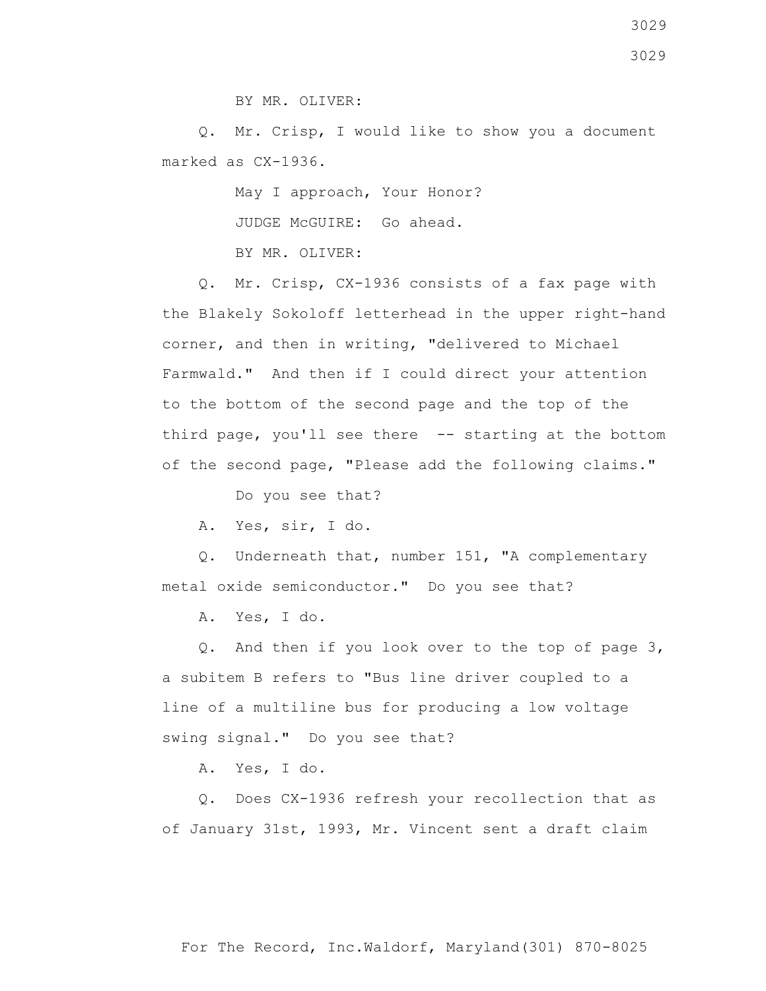3029

BY MR. OLIVER:

 Q. Mr. Crisp, I would like to show you a document marked as CX-1936.

May I approach, Your Honor?

JUDGE McGUIRE: Go ahead.

BY MR. OLIVER:

 Q. Mr. Crisp, CX-1936 consists of a fax page with the Blakely Sokoloff letterhead in the upper right-hand corner, and then in writing, "delivered to Michael Farmwald." And then if I could direct your attention to the bottom of the second page and the top of the third page, you'll see there -- starting at the bottom of the second page, "Please add the following claims."

Do you see that?

A. Yes, sir, I do.

 Q. Underneath that, number 151, "A complementary metal oxide semiconductor." Do you see that?

A. Yes, I do.

 Q. And then if you look over to the top of page 3, a subitem B refers to "Bus line driver coupled to a line of a multiline bus for producing a low voltage swing signal." Do you see that?

A. Yes, I do.

 Q. Does CX-1936 refresh your recollection that as of January 31st, 1993, Mr. Vincent sent a draft claim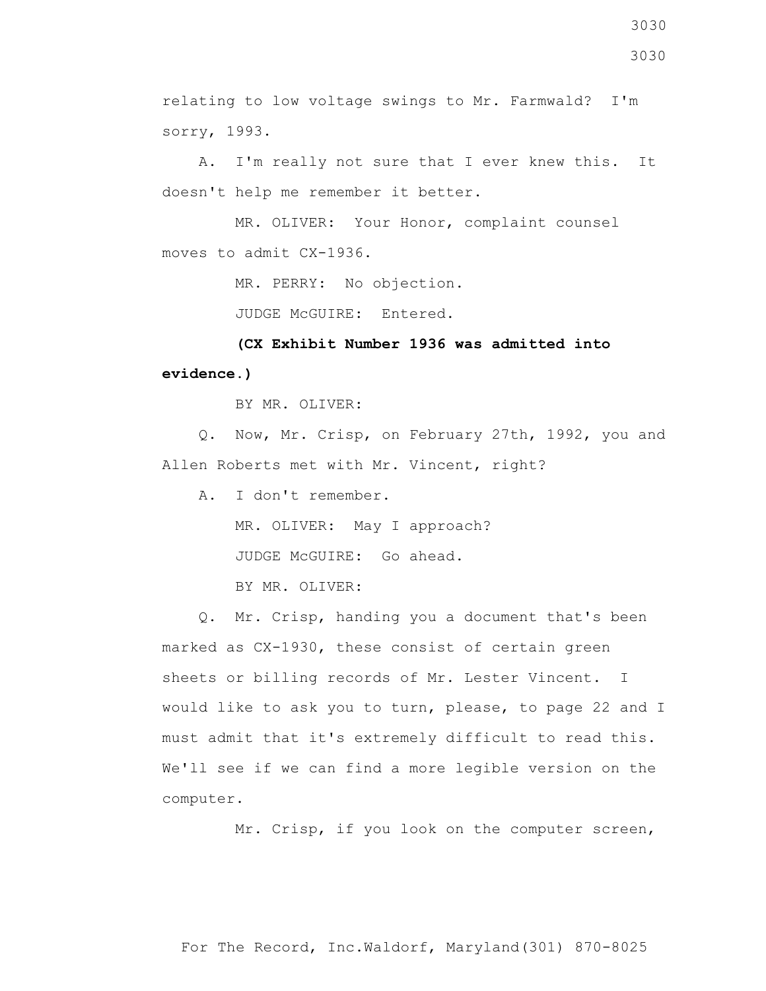relating to low voltage swings to Mr. Farmwald? I'm sorry, 1993.

 A. I'm really not sure that I ever knew this. It doesn't help me remember it better.

 MR. OLIVER: Your Honor, complaint counsel moves to admit CX-1936.

MR. PERRY: No objection.

JUDGE McGUIRE: Entered.

 **(CX Exhibit Number 1936 was admitted into evidence.)**

BY MR. OLIVER:

 Q. Now, Mr. Crisp, on February 27th, 1992, you and Allen Roberts met with Mr. Vincent, right?

A. I don't remember.

MR. OLIVER: May I approach?

JUDGE McGUIRE: Go ahead.

BY MR. OLIVER:

 Q. Mr. Crisp, handing you a document that's been marked as CX-1930, these consist of certain green sheets or billing records of Mr. Lester Vincent. I would like to ask you to turn, please, to page 22 and I must admit that it's extremely difficult to read this. We'll see if we can find a more legible version on the computer.

Mr. Crisp, if you look on the computer screen,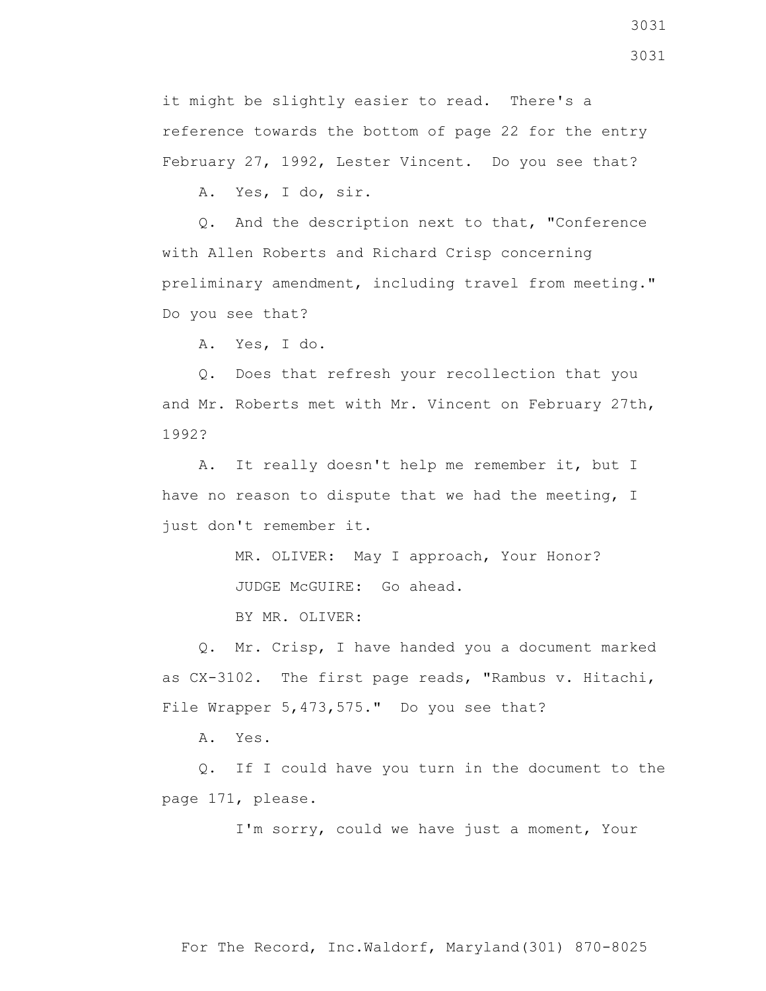it might be slightly easier to read. There's a reference towards the bottom of page 22 for the entry February 27, 1992, Lester Vincent. Do you see that?

A. Yes, I do, sir.

 Q. And the description next to that, "Conference with Allen Roberts and Richard Crisp concerning preliminary amendment, including travel from meeting." Do you see that?

A. Yes, I do.

 Q. Does that refresh your recollection that you and Mr. Roberts met with Mr. Vincent on February 27th, 1992?

 A. It really doesn't help me remember it, but I have no reason to dispute that we had the meeting, I just don't remember it.

MR. OLIVER: May I approach, Your Honor?

JUDGE McGUIRE: Go ahead.

BY MR. OLIVER:

 Q. Mr. Crisp, I have handed you a document marked as CX-3102. The first page reads, "Rambus v. Hitachi, File Wrapper 5,473,575." Do you see that?

A. Yes.

 Q. If I could have you turn in the document to the page 171, please.

I'm sorry, could we have just a moment, Your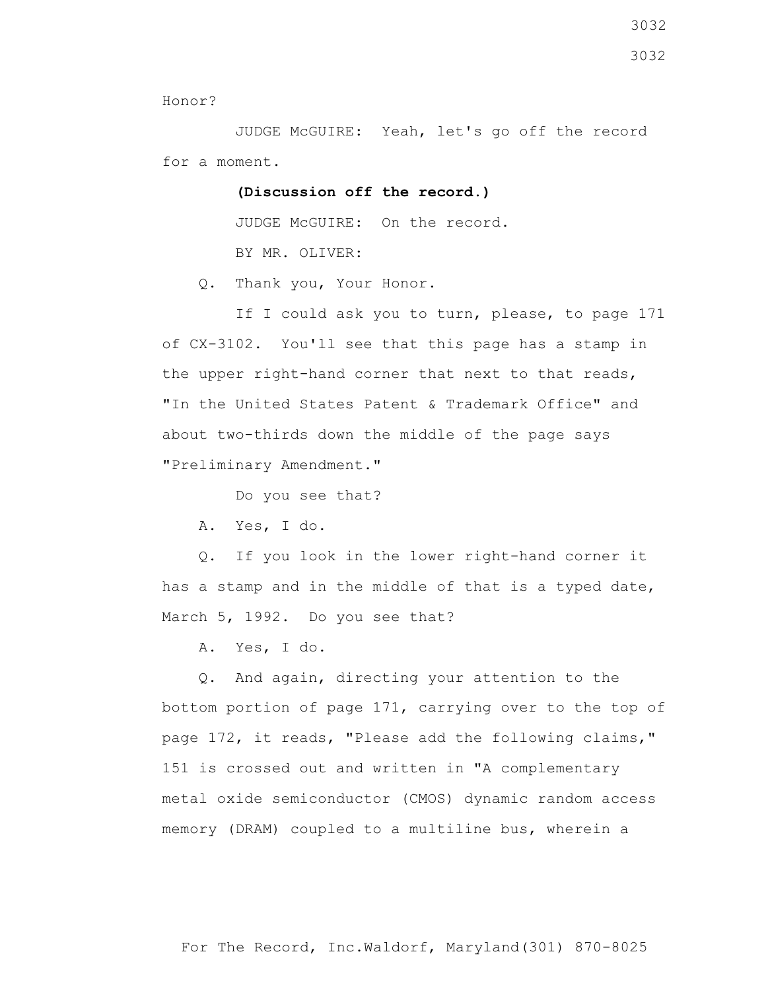Honor?

 JUDGE McGUIRE: Yeah, let's go off the record for a moment.

 **(Discussion off the record.)**

 JUDGE McGUIRE: On the record. BY MR. OLIVER:

Q. Thank you, Your Honor.

If I could ask you to turn, please, to page 171 of CX-3102. You'll see that this page has a stamp in the upper right-hand corner that next to that reads, "In the United States Patent & Trademark Office" and about two-thirds down the middle of the page says "Preliminary Amendment."

Do you see that?

A. Yes, I do.

 Q. If you look in the lower right-hand corner it has a stamp and in the middle of that is a typed date, March 5, 1992. Do you see that?

A. Yes, I do.

 Q. And again, directing your attention to the bottom portion of page 171, carrying over to the top of page 172, it reads, "Please add the following claims," 151 is crossed out and written in "A complementary metal oxide semiconductor (CMOS) dynamic random access memory (DRAM) coupled to a multiline bus, wherein a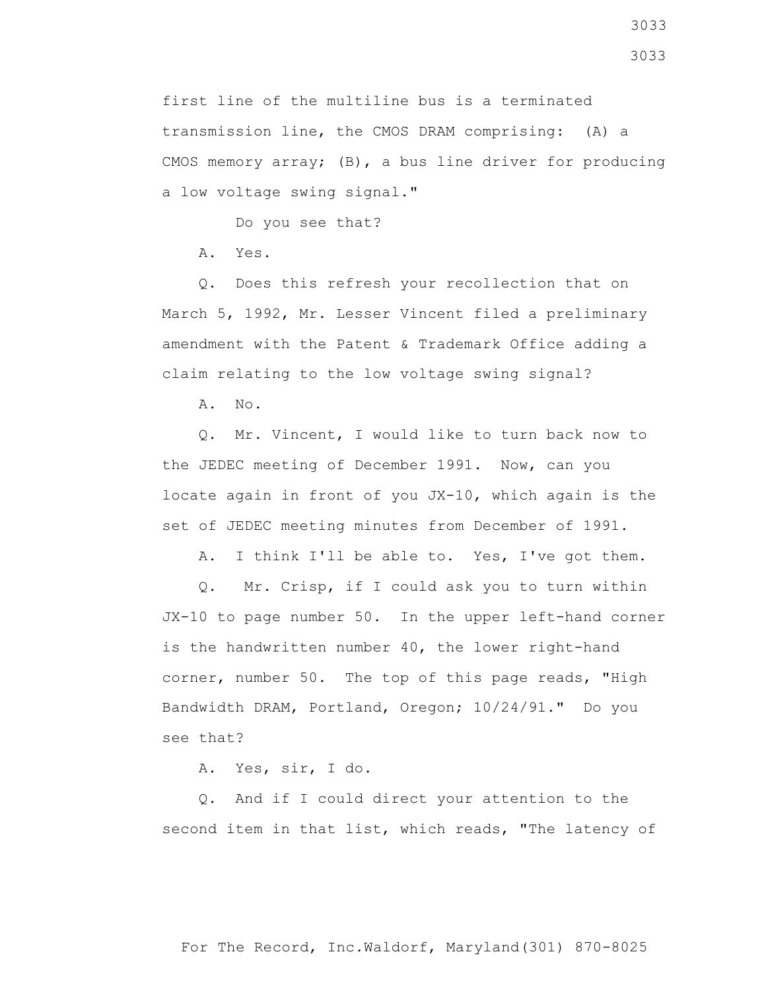first line of the multiline bus is a terminated transmission line, the CMOS DRAM comprising: (A) a CMOS memory array; (B), a bus line driver for producing a low voltage swing signal."

Do you see that?

A. Yes.

 Q. Does this refresh your recollection that on March 5, 1992, Mr. Lesser Vincent filed a preliminary amendment with the Patent & Trademark Office adding a claim relating to the low voltage swing signal?

A. No.

 Q. Mr. Vincent, I would like to turn back now to the JEDEC meeting of December 1991. Now, can you locate again in front of you JX-10, which again is the set of JEDEC meeting minutes from December of 1991.

A. I think I'll be able to. Yes, I've got them.

 Q. Mr. Crisp, if I could ask you to turn within JX-10 to page number 50. In the upper left-hand corner is the handwritten number 40, the lower right-hand corner, number 50. The top of this page reads, "High Bandwidth DRAM, Portland, Oregon; 10/24/91." Do you see that?

A. Yes, sir, I do.

 Q. And if I could direct your attention to the second item in that list, which reads, "The latency of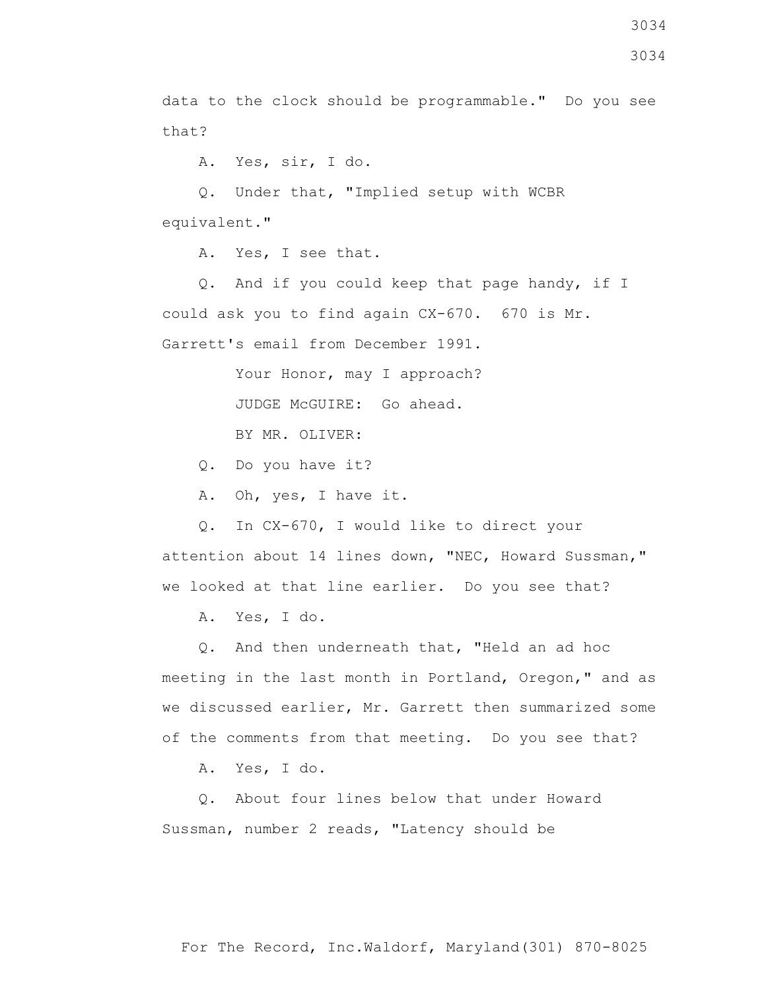data to the clock should be programmable." Do you see that?

A. Yes, sir, I do.

 Q. Under that, "Implied setup with WCBR equivalent."

A. Yes, I see that.

 Q. And if you could keep that page handy, if I could ask you to find again CX-670. 670 is Mr. Garrett's email from December 1991.

> Your Honor, may I approach? JUDGE McGUIRE: Go ahead.

BY MR. OLIVER:

Q. Do you have it?

A. Oh, yes, I have it.

 Q. In CX-670, I would like to direct your attention about 14 lines down, "NEC, Howard Sussman," we looked at that line earlier. Do you see that?

A. Yes, I do.

 Q. And then underneath that, "Held an ad hoc meeting in the last month in Portland, Oregon," and as we discussed earlier, Mr. Garrett then summarized some of the comments from that meeting. Do you see that?

A. Yes, I do.

 Q. About four lines below that under Howard Sussman, number 2 reads, "Latency should be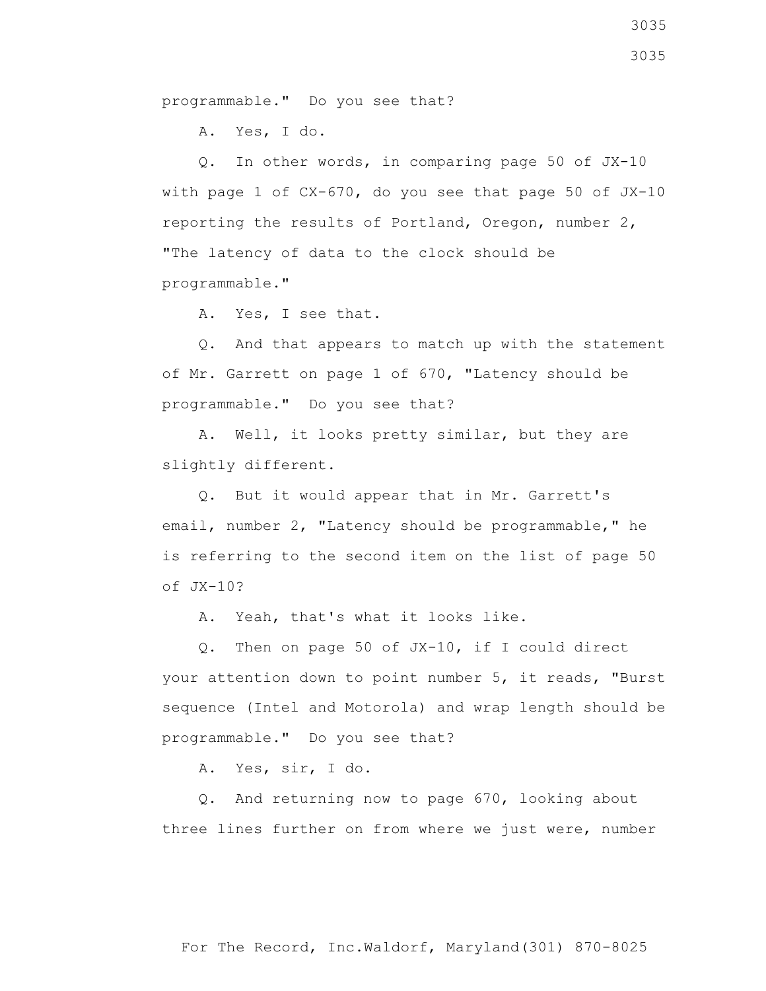programmable." Do you see that?

A. Yes, I do.

 Q. In other words, in comparing page 50 of JX-10 with page 1 of CX-670, do you see that page 50 of JX-10 reporting the results of Portland, Oregon, number 2, "The latency of data to the clock should be programmable."

A. Yes, I see that.

 Q. And that appears to match up with the statement of Mr. Garrett on page 1 of 670, "Latency should be programmable." Do you see that?

 A. Well, it looks pretty similar, but they are slightly different.

 Q. But it would appear that in Mr. Garrett's email, number 2, "Latency should be programmable," he is referring to the second item on the list of page 50 of JX-10?

A. Yeah, that's what it looks like.

 Q. Then on page 50 of JX-10, if I could direct your attention down to point number 5, it reads, "Burst sequence (Intel and Motorola) and wrap length should be programmable." Do you see that?

A. Yes, sir, I do.

 Q. And returning now to page 670, looking about three lines further on from where we just were, number

3035 3035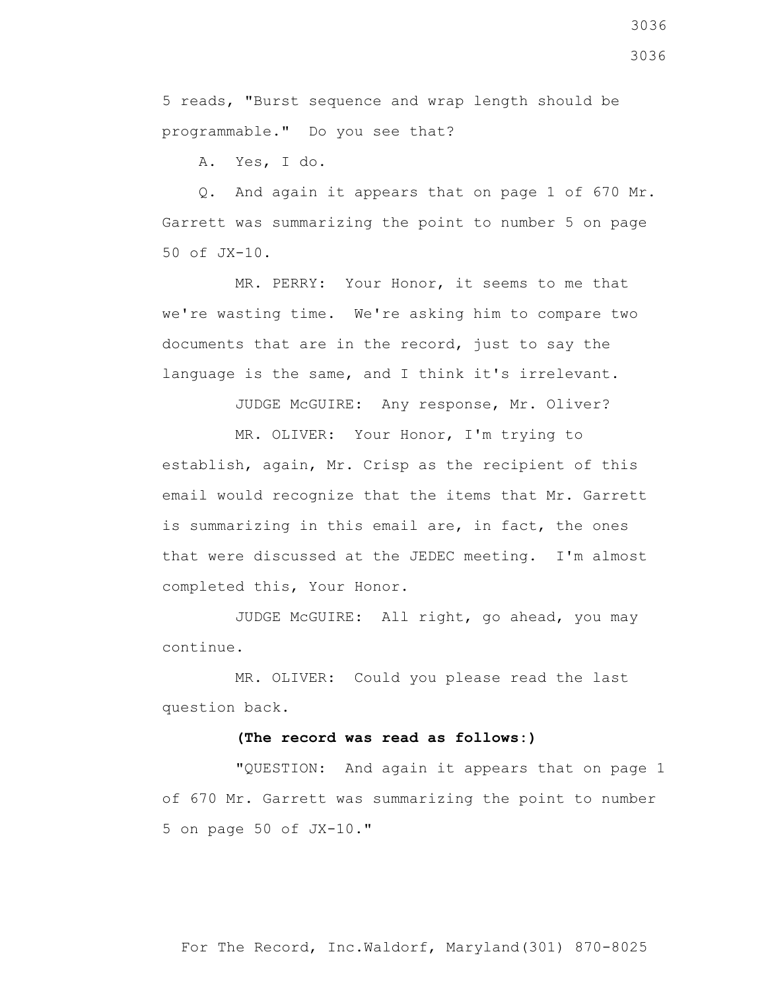3036

5 reads, "Burst sequence and wrap length should be programmable." Do you see that?

A. Yes, I do.

 Q. And again it appears that on page 1 of 670 Mr. Garrett was summarizing the point to number 5 on page 50 of JX-10.

 MR. PERRY: Your Honor, it seems to me that we're wasting time. We're asking him to compare two documents that are in the record, just to say the language is the same, and I think it's irrelevant.

JUDGE McGUIRE: Any response, Mr. Oliver?

 MR. OLIVER: Your Honor, I'm trying to establish, again, Mr. Crisp as the recipient of this email would recognize that the items that Mr. Garrett is summarizing in this email are, in fact, the ones that were discussed at the JEDEC meeting. I'm almost completed this, Your Honor.

 JUDGE McGUIRE: All right, go ahead, you may continue.

 MR. OLIVER: Could you please read the last question back.

## **(The record was read as follows:)**

 "QUESTION: And again it appears that on page 1 of 670 Mr. Garrett was summarizing the point to number 5 on page 50 of JX-10."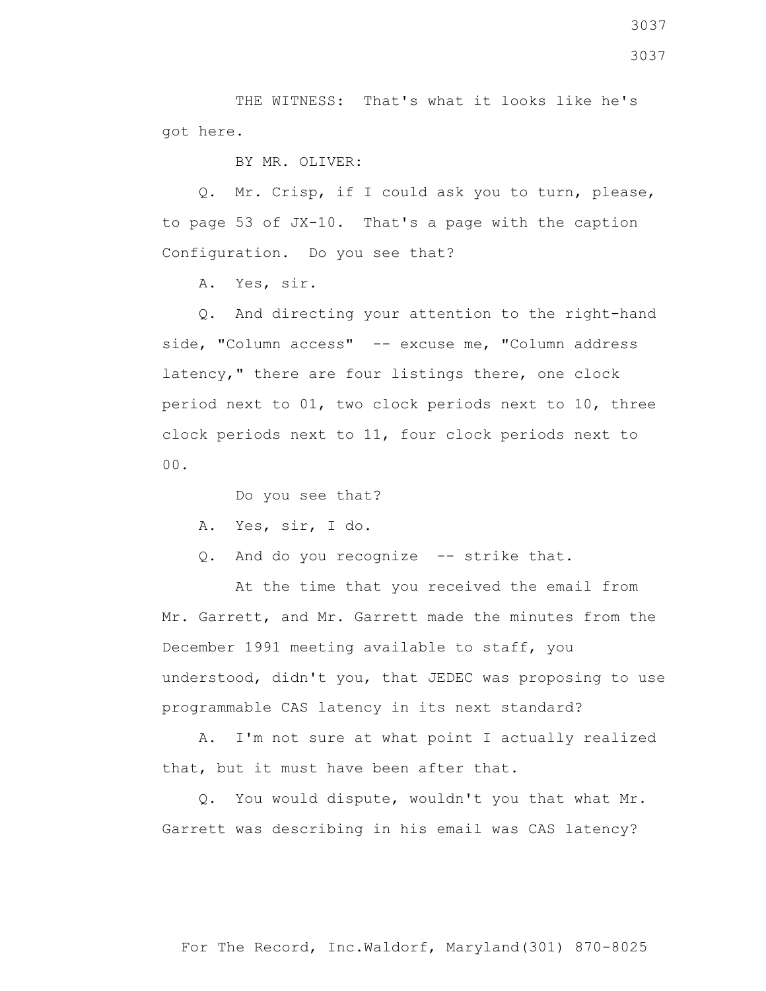THE WITNESS: That's what it looks like he's got here.

BY MR. OLIVER:

 Q. Mr. Crisp, if I could ask you to turn, please, to page 53 of JX-10. That's a page with the caption Configuration. Do you see that?

A. Yes, sir.

 Q. And directing your attention to the right-hand side, "Column access" -- excuse me, "Column address latency," there are four listings there, one clock period next to 01, two clock periods next to 10, three clock periods next to 11, four clock periods next to 00.

Do you see that?

A. Yes, sir, I do.

Q. And do you recognize -- strike that.

 At the time that you received the email from Mr. Garrett, and Mr. Garrett made the minutes from the December 1991 meeting available to staff, you understood, didn't you, that JEDEC was proposing to use programmable CAS latency in its next standard?

 A. I'm not sure at what point I actually realized that, but it must have been after that.

 Q. You would dispute, wouldn't you that what Mr. Garrett was describing in his email was CAS latency?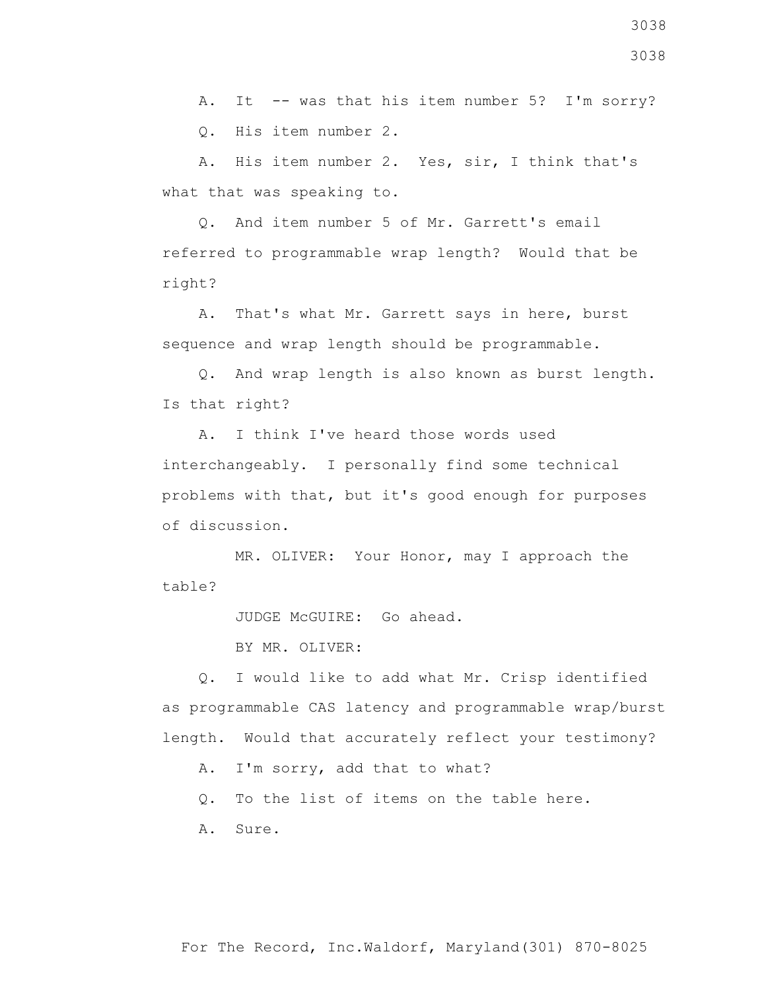3038

3038

A. It -- was that his item number 5? I'm sorry?

Q. His item number 2.

 A. His item number 2. Yes, sir, I think that's what that was speaking to.

 Q. And item number 5 of Mr. Garrett's email referred to programmable wrap length? Would that be right?

 A. That's what Mr. Garrett says in here, burst sequence and wrap length should be programmable.

 Q. And wrap length is also known as burst length. Is that right?

 A. I think I've heard those words used interchangeably. I personally find some technical problems with that, but it's good enough for purposes of discussion.

 MR. OLIVER: Your Honor, may I approach the table?

JUDGE McGUIRE: Go ahead.

BY MR. OLIVER:

 Q. I would like to add what Mr. Crisp identified as programmable CAS latency and programmable wrap/burst length. Would that accurately reflect your testimony?

A. I'm sorry, add that to what?

Q. To the list of items on the table here.

A. Sure.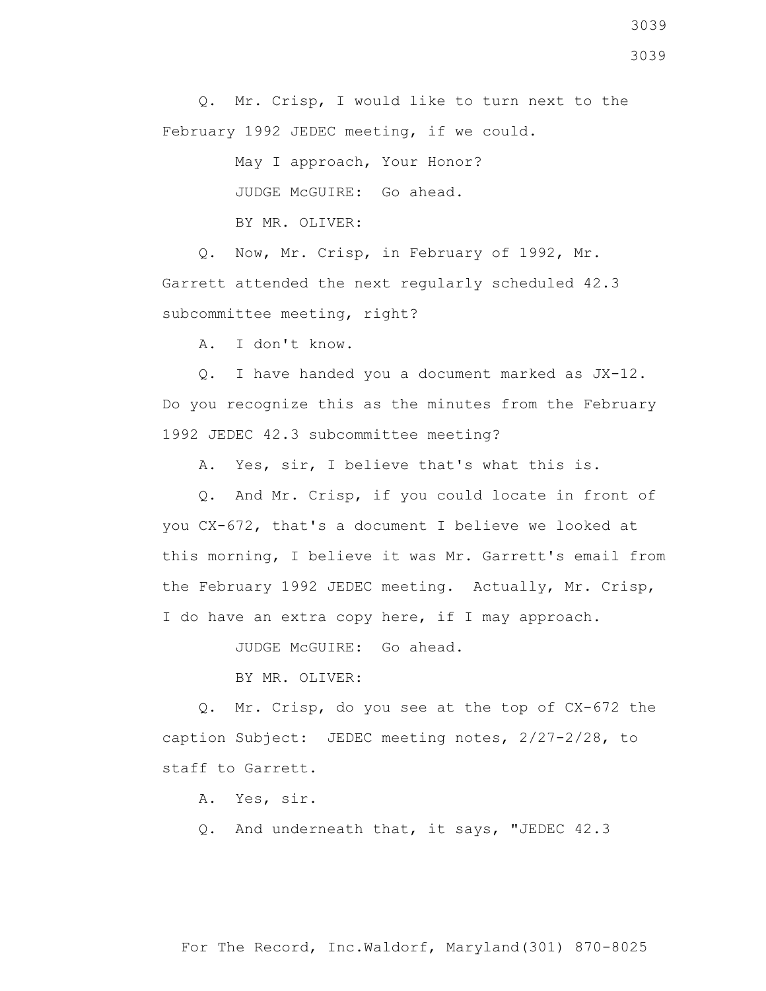Q. Mr. Crisp, I would like to turn next to the February 1992 JEDEC meeting, if we could.

> May I approach, Your Honor? JUDGE McGUIRE: Go ahead. BY MR. OLIVER:

 Q. Now, Mr. Crisp, in February of 1992, Mr. Garrett attended the next regularly scheduled 42.3 subcommittee meeting, right?

A. I don't know.

 Q. I have handed you a document marked as JX-12. Do you recognize this as the minutes from the February 1992 JEDEC 42.3 subcommittee meeting?

A. Yes, sir, I believe that's what this is.

 Q. And Mr. Crisp, if you could locate in front of you CX-672, that's a document I believe we looked at this morning, I believe it was Mr. Garrett's email from the February 1992 JEDEC meeting. Actually, Mr. Crisp, I do have an extra copy here, if I may approach.

JUDGE McGUIRE: Go ahead.

BY MR. OLIVER:

 Q. Mr. Crisp, do you see at the top of CX-672 the caption Subject: JEDEC meeting notes, 2/27-2/28, to staff to Garrett.

A. Yes, sir.

Q. And underneath that, it says, "JEDEC 42.3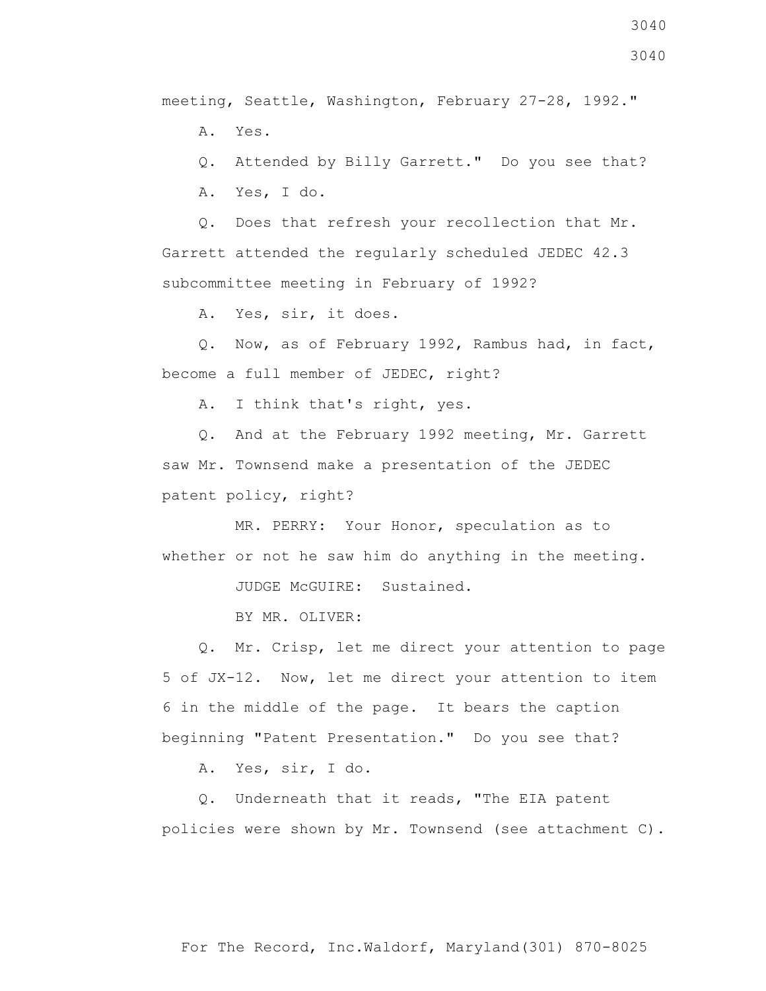meeting, Seattle, Washington, February 27-28, 1992."

A. Yes.

Q. Attended by Billy Garrett." Do you see that?

A. Yes, I do.

 Q. Does that refresh your recollection that Mr. Garrett attended the regularly scheduled JEDEC 42.3 subcommittee meeting in February of 1992?

A. Yes, sir, it does.

 Q. Now, as of February 1992, Rambus had, in fact, become a full member of JEDEC, right?

A. I think that's right, yes.

 Q. And at the February 1992 meeting, Mr. Garrett saw Mr. Townsend make a presentation of the JEDEC patent policy, right?

 MR. PERRY: Your Honor, speculation as to whether or not he saw him do anything in the meeting.

JUDGE McGUIRE: Sustained.

BY MR. OLIVER:

 Q. Mr. Crisp, let me direct your attention to page 5 of JX-12. Now, let me direct your attention to item 6 in the middle of the page. It bears the caption beginning "Patent Presentation." Do you see that?

A. Yes, sir, I do.

 Q. Underneath that it reads, "The EIA patent policies were shown by Mr. Townsend (see attachment C).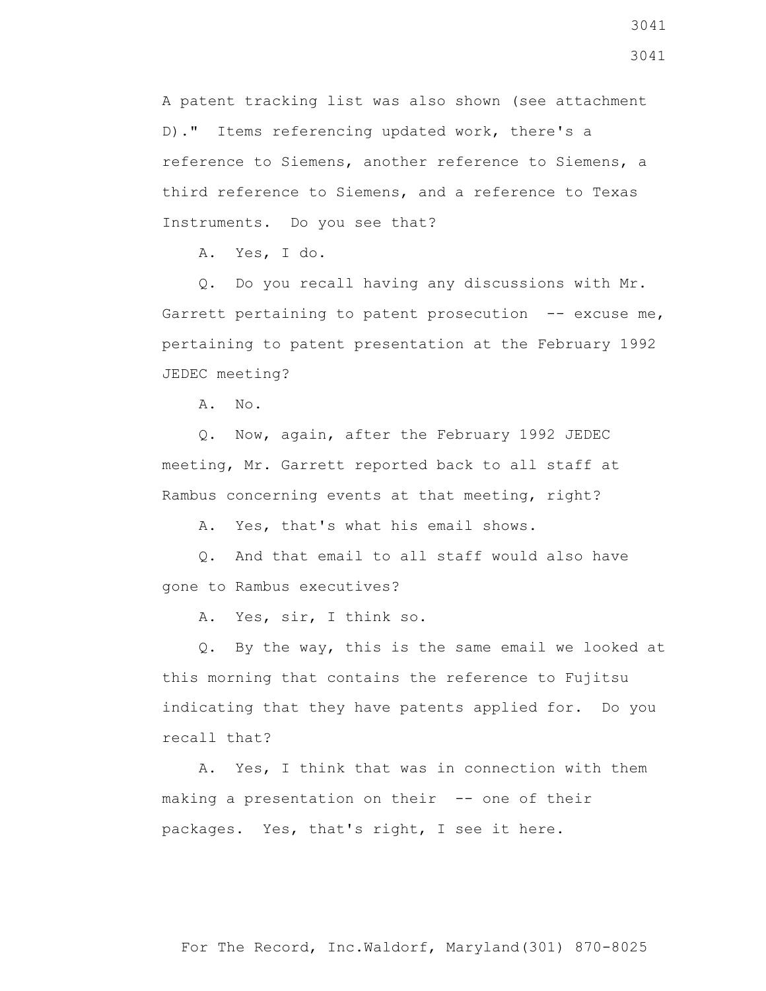A patent tracking list was also shown (see attachment D)." Items referencing updated work, there's a reference to Siemens, another reference to Siemens, a third reference to Siemens, and a reference to Texas Instruments. Do you see that?

A. Yes, I do.

 Q. Do you recall having any discussions with Mr. Garrett pertaining to patent prosecution -- excuse me, pertaining to patent presentation at the February 1992 JEDEC meeting?

A. No.

 Q. Now, again, after the February 1992 JEDEC meeting, Mr. Garrett reported back to all staff at Rambus concerning events at that meeting, right?

A. Yes, that's what his email shows.

 Q. And that email to all staff would also have gone to Rambus executives?

A. Yes, sir, I think so.

 Q. By the way, this is the same email we looked at this morning that contains the reference to Fujitsu indicating that they have patents applied for. Do you recall that?

 A. Yes, I think that was in connection with them making a presentation on their -- one of their packages. Yes, that's right, I see it here.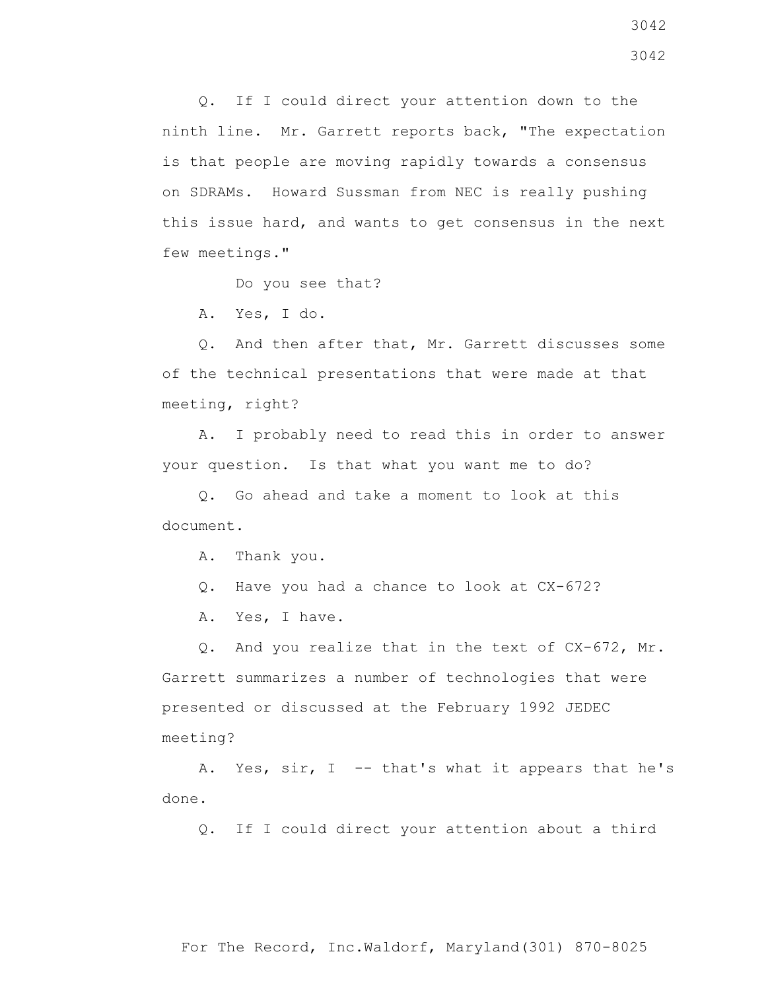Q. If I could direct your attention down to the ninth line. Mr. Garrett reports back, "The expectation is that people are moving rapidly towards a consensus on SDRAMs. Howard Sussman from NEC is really pushing this issue hard, and wants to get consensus in the next few meetings."

Do you see that?

A. Yes, I do.

 Q. And then after that, Mr. Garrett discusses some of the technical presentations that were made at that meeting, right?

 A. I probably need to read this in order to answer your question. Is that what you want me to do?

 Q. Go ahead and take a moment to look at this document.

A. Thank you.

Q. Have you had a chance to look at CX-672?

A. Yes, I have.

 Q. And you realize that in the text of CX-672, Mr. Garrett summarizes a number of technologies that were presented or discussed at the February 1992 JEDEC meeting?

 A. Yes, sir, I -- that's what it appears that he's done.

Q. If I could direct your attention about a third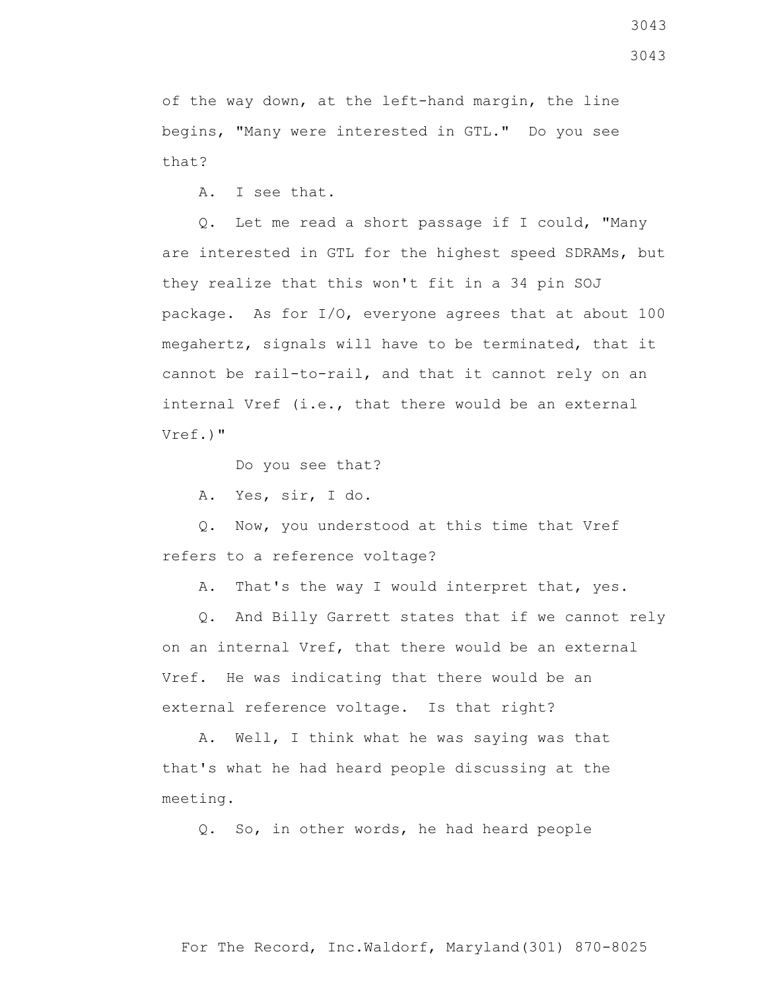of the way down, at the left-hand margin, the line begins, "Many were interested in GTL." Do you see that?

A. I see that.

 Q. Let me read a short passage if I could, "Many are interested in GTL for the highest speed SDRAMs, but they realize that this won't fit in a 34 pin SOJ package. As for I/O, everyone agrees that at about 100 megahertz, signals will have to be terminated, that it cannot be rail-to-rail, and that it cannot rely on an internal Vref (i.e., that there would be an external Vref.)"

Do you see that?

A. Yes, sir, I do.

 Q. Now, you understood at this time that Vref refers to a reference voltage?

A. That's the way I would interpret that, yes.

 Q. And Billy Garrett states that if we cannot rely on an internal Vref, that there would be an external Vref. He was indicating that there would be an external reference voltage. Is that right?

 A. Well, I think what he was saying was that that's what he had heard people discussing at the meeting.

Q. So, in other words, he had heard people

For The Record, Inc.Waldorf, Maryland(301) 870-8025

3043 3043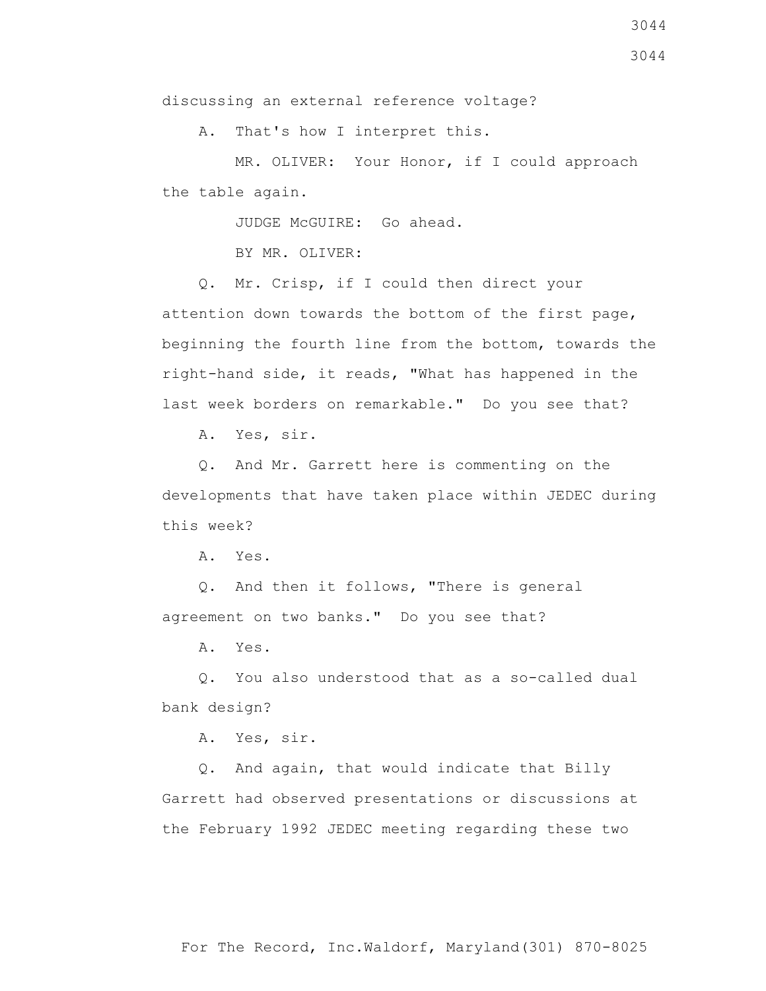A. That's how I interpret this.

 MR. OLIVER: Your Honor, if I could approach the table again.

JUDGE McGUIRE: Go ahead.

BY MR. OLIVER:

 Q. Mr. Crisp, if I could then direct your attention down towards the bottom of the first page, beginning the fourth line from the bottom, towards the right-hand side, it reads, "What has happened in the last week borders on remarkable." Do you see that?

A. Yes, sir.

 Q. And Mr. Garrett here is commenting on the developments that have taken place within JEDEC during this week?

A. Yes.

 Q. And then it follows, "There is general agreement on two banks." Do you see that?

A. Yes.

 Q. You also understood that as a so-called dual bank design?

A. Yes, sir.

 Q. And again, that would indicate that Billy Garrett had observed presentations or discussions at the February 1992 JEDEC meeting regarding these two

3044 3044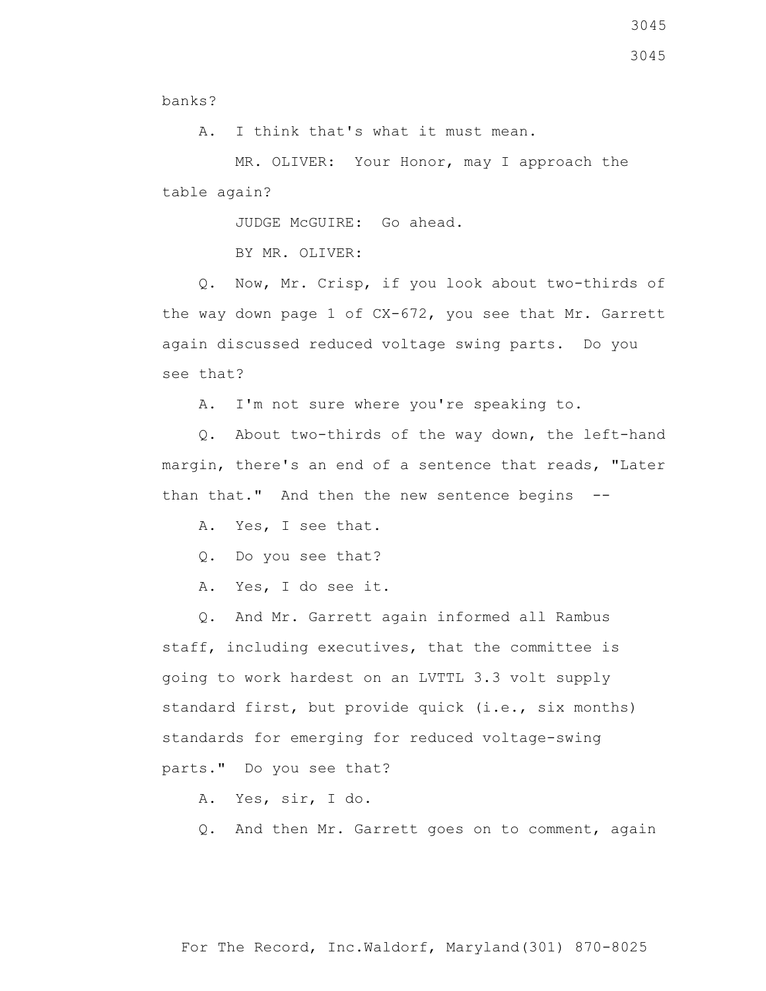3045

banks?

A. I think that's what it must mean.

 MR. OLIVER: Your Honor, may I approach the table again?

JUDGE McGUIRE: Go ahead.

BY MR. OLIVER:

 Q. Now, Mr. Crisp, if you look about two-thirds of the way down page 1 of CX-672, you see that Mr. Garrett again discussed reduced voltage swing parts. Do you see that?

A. I'm not sure where you're speaking to.

 Q. About two-thirds of the way down, the left-hand margin, there's an end of a sentence that reads, "Later than that." And then the new sentence begins --

- A. Yes, I see that.
- Q. Do you see that?
- A. Yes, I do see it.

 Q. And Mr. Garrett again informed all Rambus staff, including executives, that the committee is going to work hardest on an LVTTL 3.3 volt supply standard first, but provide quick (i.e., six months) standards for emerging for reduced voltage-swing parts." Do you see that?

A. Yes, sir, I do.

Q. And then Mr. Garrett goes on to comment, again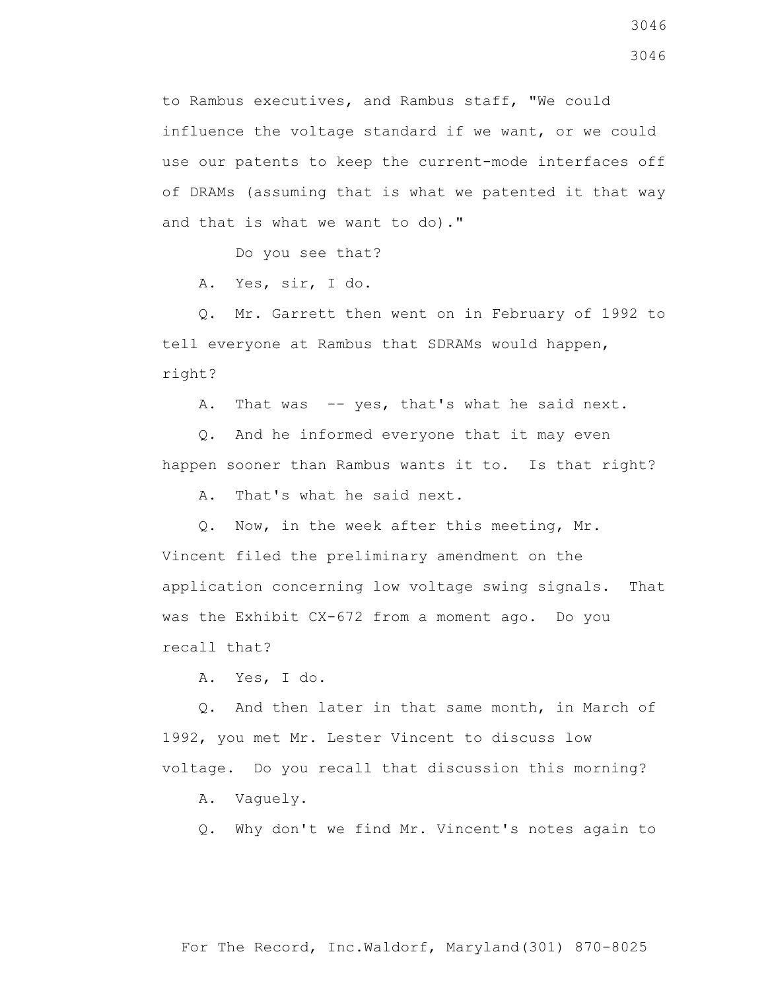to Rambus executives, and Rambus staff, "We could influence the voltage standard if we want, or we could use our patents to keep the current-mode interfaces off of DRAMs (assuming that is what we patented it that way and that is what we want to do)."

Do you see that?

A. Yes, sir, I do.

 Q. Mr. Garrett then went on in February of 1992 to tell everyone at Rambus that SDRAMs would happen, right?

A. That was -- yes, that's what he said next.

 Q. And he informed everyone that it may even happen sooner than Rambus wants it to. Is that right?

A. That's what he said next.

 Q. Now, in the week after this meeting, Mr. Vincent filed the preliminary amendment on the application concerning low voltage swing signals. That was the Exhibit CX-672 from a moment ago. Do you recall that?

A. Yes, I do.

 Q. And then later in that same month, in March of 1992, you met Mr. Lester Vincent to discuss low voltage. Do you recall that discussion this morning?

A. Vaguely.

Q. Why don't we find Mr. Vincent's notes again to

3046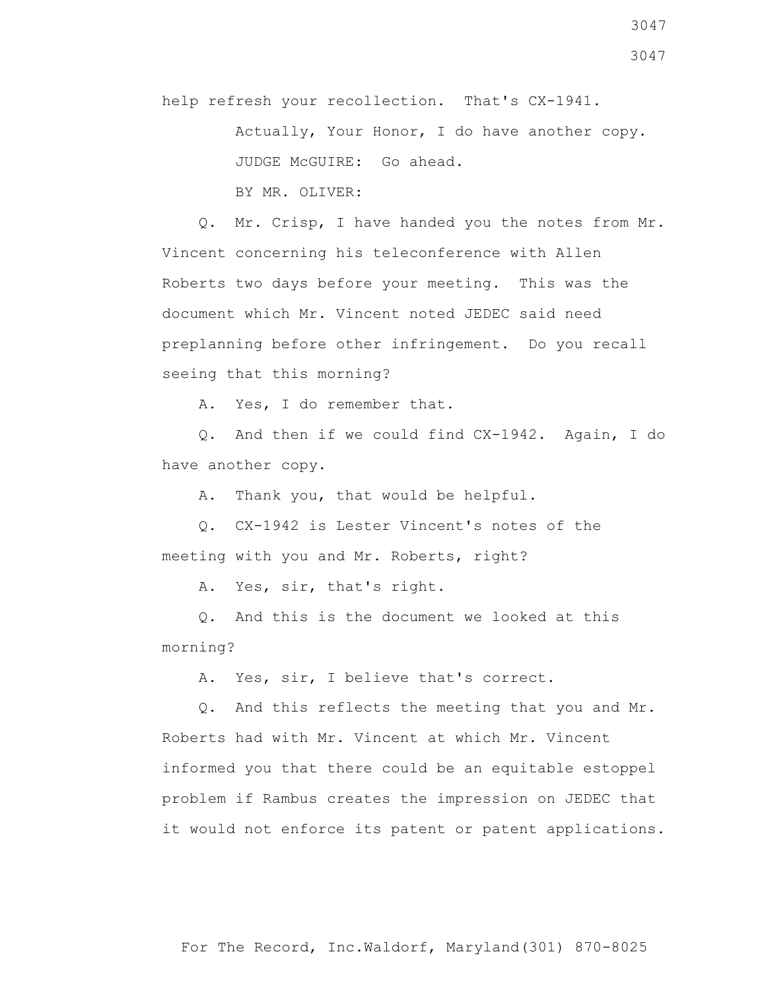help refresh your recollection. That's CX-1941.

 Actually, Your Honor, I do have another copy. JUDGE McGUIRE: Go ahead. BY MR. OLIVER:

 Q. Mr. Crisp, I have handed you the notes from Mr. Vincent concerning his teleconference with Allen Roberts two days before your meeting. This was the document which Mr. Vincent noted JEDEC said need preplanning before other infringement. Do you recall seeing that this morning?

A. Yes, I do remember that.

 Q. And then if we could find CX-1942. Again, I do have another copy.

A. Thank you, that would be helpful.

 Q. CX-1942 is Lester Vincent's notes of the meeting with you and Mr. Roberts, right?

A. Yes, sir, that's right.

 Q. And this is the document we looked at this morning?

A. Yes, sir, I believe that's correct.

 Q. And this reflects the meeting that you and Mr. Roberts had with Mr. Vincent at which Mr. Vincent informed you that there could be an equitable estoppel problem if Rambus creates the impression on JEDEC that it would not enforce its patent or patent applications.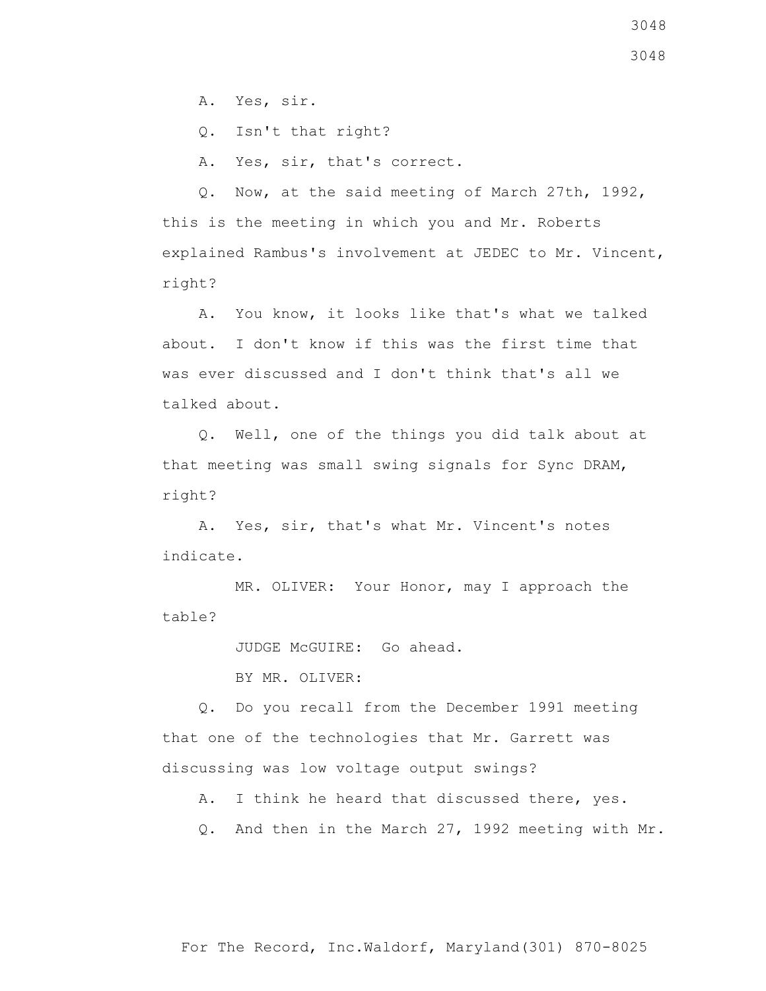A. Yes, sir.

Q. Isn't that right?

A. Yes, sir, that's correct.

 Q. Now, at the said meeting of March 27th, 1992, this is the meeting in which you and Mr. Roberts explained Rambus's involvement at JEDEC to Mr. Vincent, right?

 A. You know, it looks like that's what we talked about. I don't know if this was the first time that was ever discussed and I don't think that's all we talked about.

 Q. Well, one of the things you did talk about at that meeting was small swing signals for Sync DRAM, right?

 A. Yes, sir, that's what Mr. Vincent's notes indicate.

 MR. OLIVER: Your Honor, may I approach the table?

JUDGE McGUIRE: Go ahead.

BY MR. OLIVER:

 Q. Do you recall from the December 1991 meeting that one of the technologies that Mr. Garrett was discussing was low voltage output swings?

A. I think he heard that discussed there, yes.

Q. And then in the March 27, 1992 meeting with Mr.

3048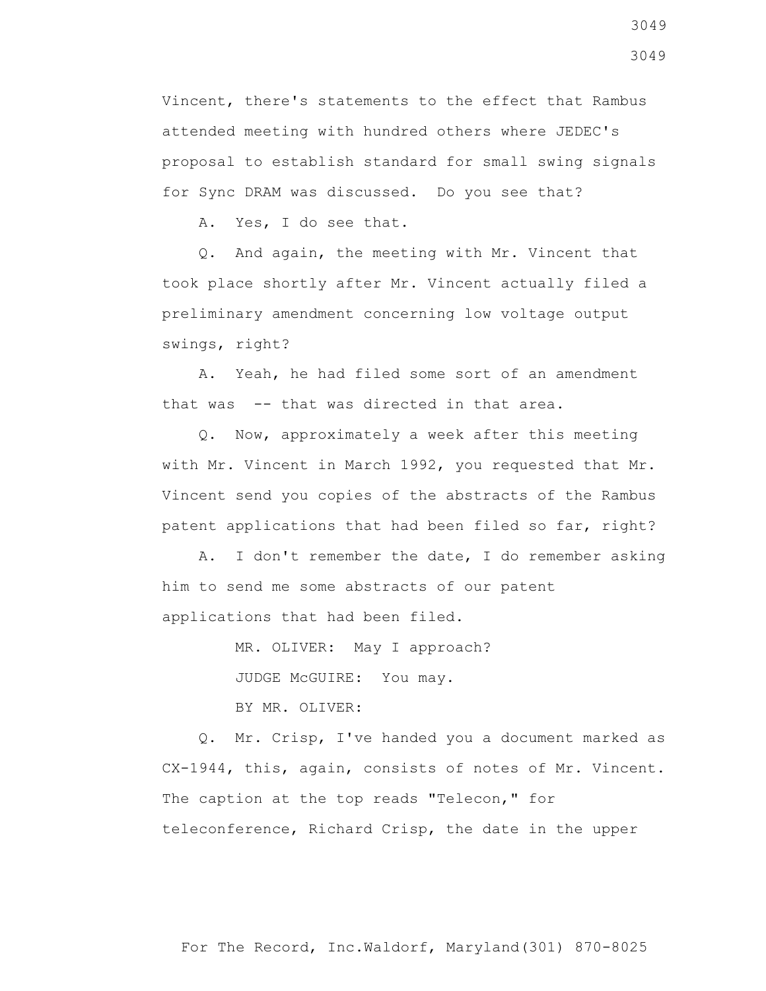Vincent, there's statements to the effect that Rambus attended meeting with hundred others where JEDEC's proposal to establish standard for small swing signals for Sync DRAM was discussed. Do you see that?

A. Yes, I do see that.

 Q. And again, the meeting with Mr. Vincent that took place shortly after Mr. Vincent actually filed a preliminary amendment concerning low voltage output swings, right?

 A. Yeah, he had filed some sort of an amendment that was -- that was directed in that area.

 Q. Now, approximately a week after this meeting with Mr. Vincent in March 1992, you requested that Mr. Vincent send you copies of the abstracts of the Rambus patent applications that had been filed so far, right?

 A. I don't remember the date, I do remember asking him to send me some abstracts of our patent applications that had been filed.

MR. OLIVER: May I approach?

JUDGE McGUIRE: You may.

BY MR. OLIVER:

 Q. Mr. Crisp, I've handed you a document marked as CX-1944, this, again, consists of notes of Mr. Vincent. The caption at the top reads "Telecon," for teleconference, Richard Crisp, the date in the upper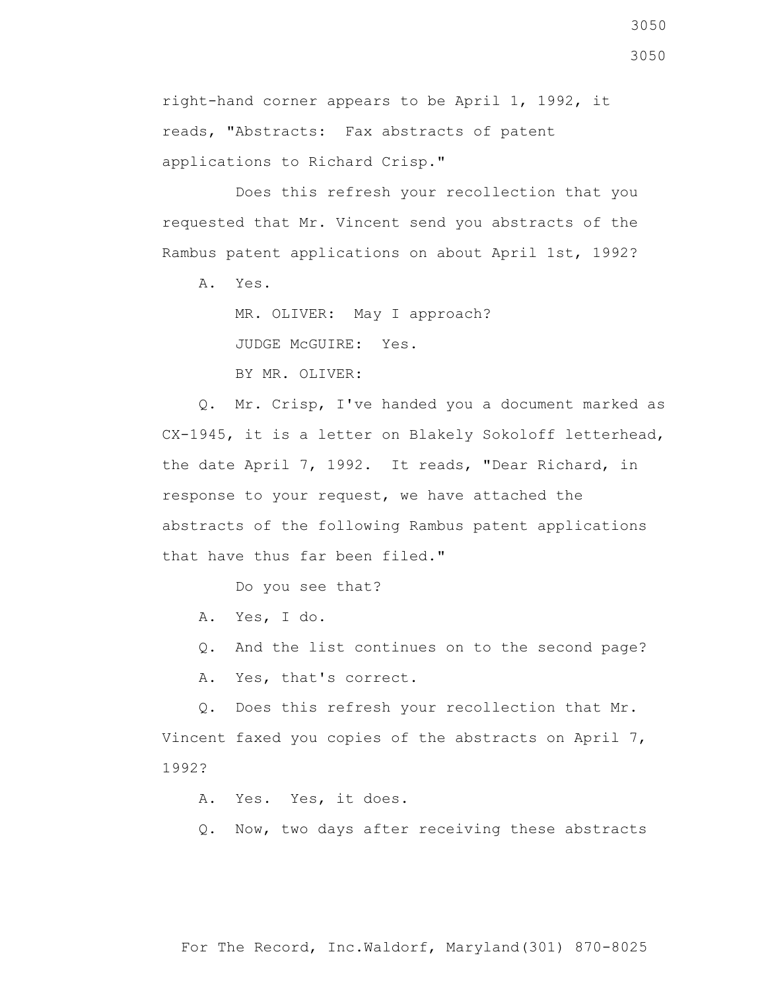Does this refresh your recollection that you requested that Mr. Vincent send you abstracts of the Rambus patent applications on about April 1st, 1992?

A. Yes.

 MR. OLIVER: May I approach? JUDGE McGUIRE: Yes. BY MR. OLIVER:

 Q. Mr. Crisp, I've handed you a document marked as CX-1945, it is a letter on Blakely Sokoloff letterhead, the date April 7, 1992. It reads, "Dear Richard, in response to your request, we have attached the abstracts of the following Rambus patent applications that have thus far been filed."

Do you see that?

A. Yes, I do.

Q. And the list continues on to the second page?

A. Yes, that's correct.

 Q. Does this refresh your recollection that Mr. Vincent faxed you copies of the abstracts on April 7, 1992?

A. Yes. Yes, it does.

Q. Now, two days after receiving these abstracts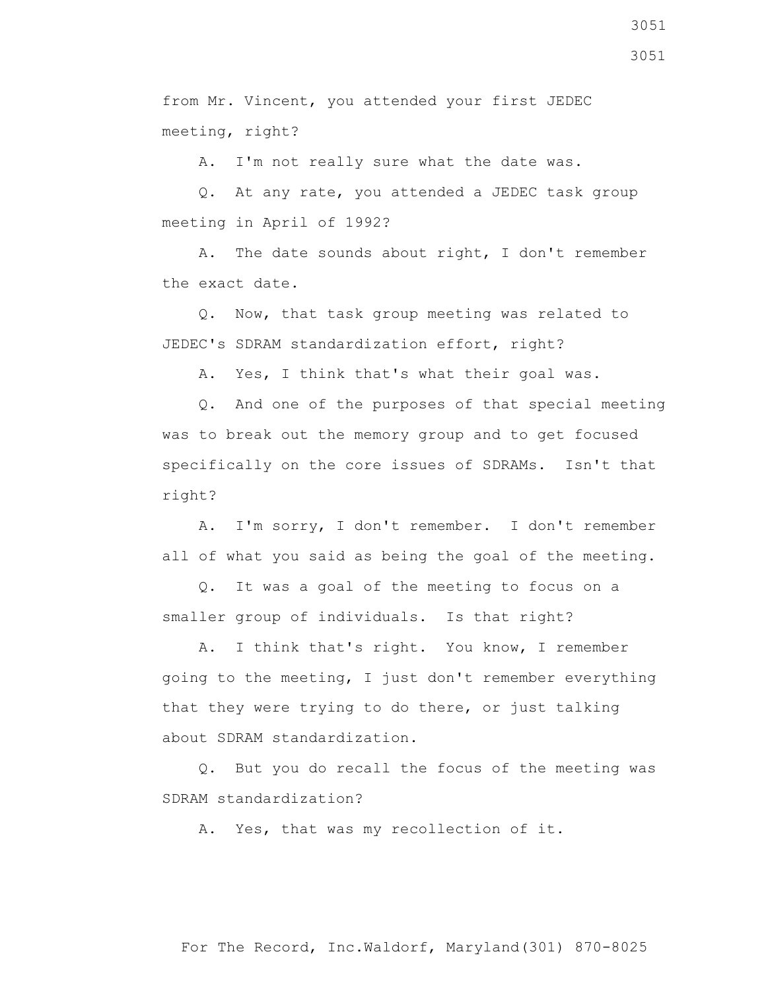from Mr. Vincent, you attended your first JEDEC meeting, right?

A. I'm not really sure what the date was.

 Q. At any rate, you attended a JEDEC task group meeting in April of 1992?

 A. The date sounds about right, I don't remember the exact date.

 Q. Now, that task group meeting was related to JEDEC's SDRAM standardization effort, right?

A. Yes, I think that's what their goal was.

 Q. And one of the purposes of that special meeting was to break out the memory group and to get focused specifically on the core issues of SDRAMs. Isn't that right?

 A. I'm sorry, I don't remember. I don't remember all of what you said as being the goal of the meeting.

 Q. It was a goal of the meeting to focus on a smaller group of individuals. Is that right?

 A. I think that's right. You know, I remember going to the meeting, I just don't remember everything that they were trying to do there, or just talking about SDRAM standardization.

 Q. But you do recall the focus of the meeting was SDRAM standardization?

A. Yes, that was my recollection of it.

For The Record, Inc.Waldorf, Maryland(301) 870-8025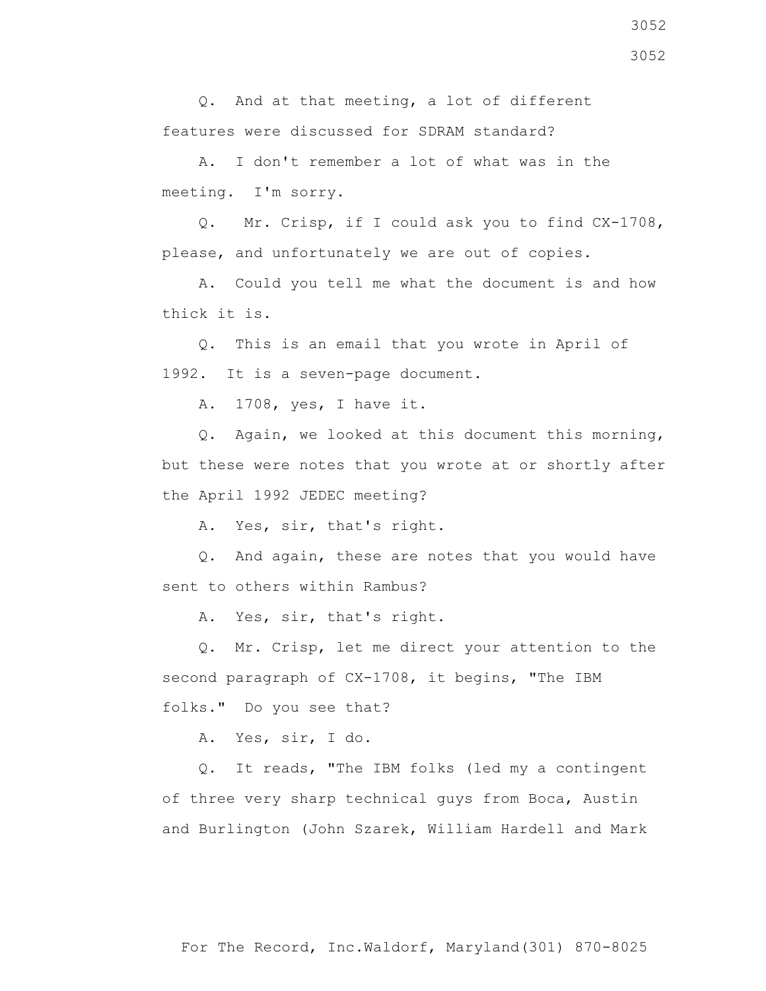Q. And at that meeting, a lot of different features were discussed for SDRAM standard?

 A. I don't remember a lot of what was in the meeting. I'm sorry.

 Q. Mr. Crisp, if I could ask you to find CX-1708, please, and unfortunately we are out of copies.

 A. Could you tell me what the document is and how thick it is.

 Q. This is an email that you wrote in April of 1992. It is a seven-page document.

A. 1708, yes, I have it.

 Q. Again, we looked at this document this morning, but these were notes that you wrote at or shortly after the April 1992 JEDEC meeting?

A. Yes, sir, that's right.

 Q. And again, these are notes that you would have sent to others within Rambus?

A. Yes, sir, that's right.

 Q. Mr. Crisp, let me direct your attention to the second paragraph of CX-1708, it begins, "The IBM folks." Do you see that?

A. Yes, sir, I do.

 Q. It reads, "The IBM folks (led my a contingent of three very sharp technical guys from Boca, Austin and Burlington (John Szarek, William Hardell and Mark

3052 3052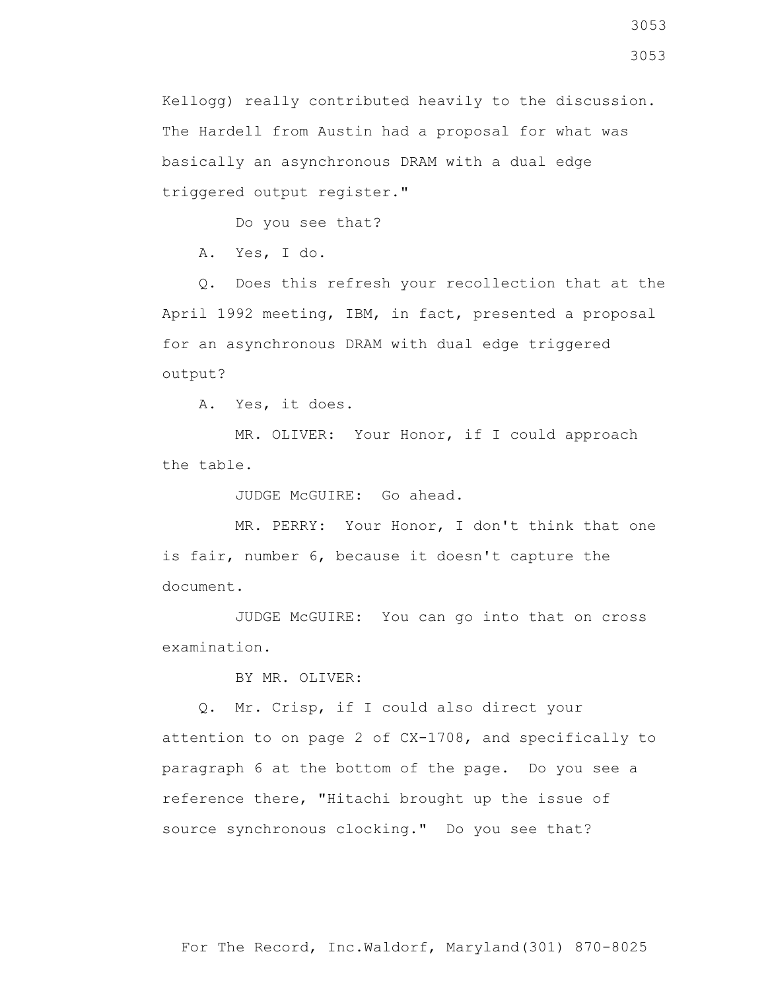Kellogg) really contributed heavily to the discussion. The Hardell from Austin had a proposal for what was basically an asynchronous DRAM with a dual edge triggered output register."

Do you see that?

A. Yes, I do.

 Q. Does this refresh your recollection that at the April 1992 meeting, IBM, in fact, presented a proposal for an asynchronous DRAM with dual edge triggered output?

A. Yes, it does.

 MR. OLIVER: Your Honor, if I could approach the table.

JUDGE McGUIRE: Go ahead.

 MR. PERRY: Your Honor, I don't think that one is fair, number 6, because it doesn't capture the document.

 JUDGE McGUIRE: You can go into that on cross examination.

BY MR. OLIVER:

 Q. Mr. Crisp, if I could also direct your attention to on page 2 of CX-1708, and specifically to paragraph 6 at the bottom of the page. Do you see a reference there, "Hitachi brought up the issue of source synchronous clocking." Do you see that?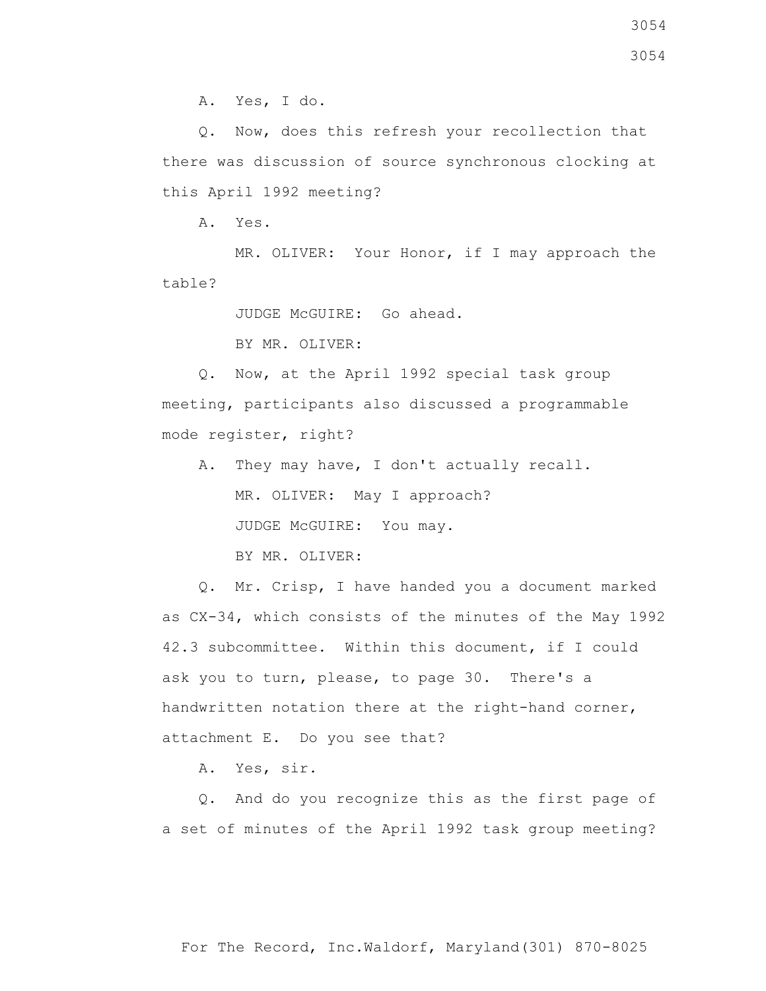Q. Now, does this refresh your recollection that there was discussion of source synchronous clocking at this April 1992 meeting?

A. Yes.

MR. OLIVER: Your Honor, if I may approach the table?

JUDGE McGUIRE: Go ahead.

BY MR. OLIVER:

 Q. Now, at the April 1992 special task group meeting, participants also discussed a programmable mode register, right?

 A. They may have, I don't actually recall. MR. OLIVER: May I approach? JUDGE McGUIRE: You may. BY MR. OLIVER:

 Q. Mr. Crisp, I have handed you a document marked as CX-34, which consists of the minutes of the May 1992 42.3 subcommittee. Within this document, if I could ask you to turn, please, to page 30. There's a handwritten notation there at the right-hand corner, attachment E. Do you see that?

A. Yes, sir.

 Q. And do you recognize this as the first page of a set of minutes of the April 1992 task group meeting?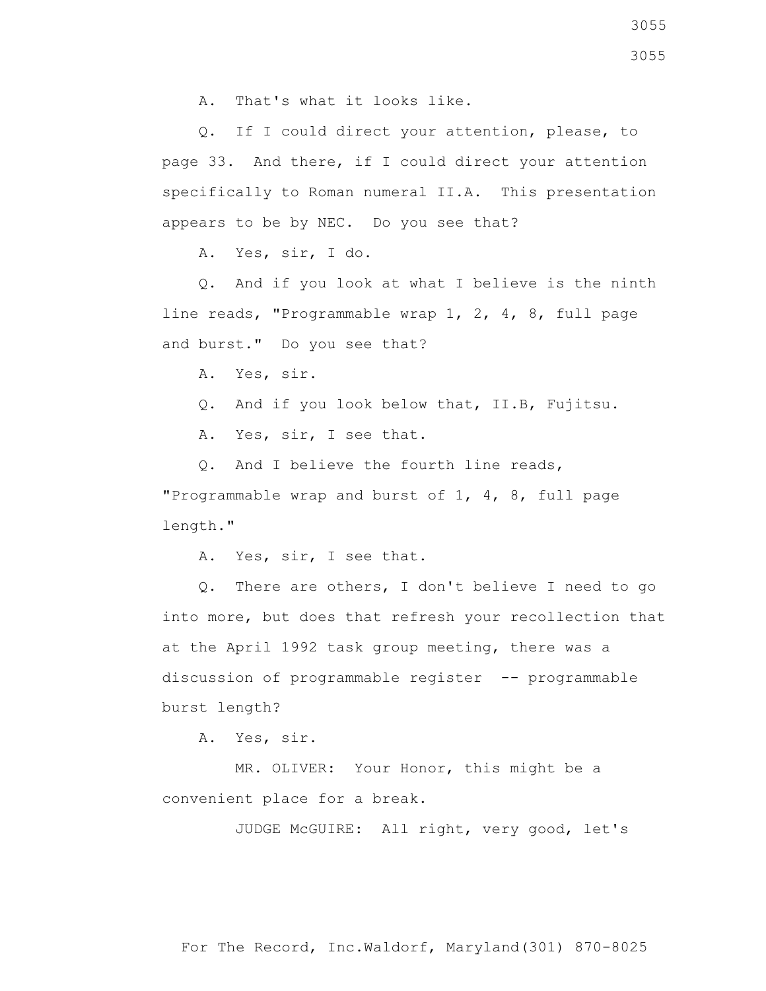A. That's what it looks like.

 Q. If I could direct your attention, please, to page 33. And there, if I could direct your attention specifically to Roman numeral II.A. This presentation appears to be by NEC. Do you see that?

A. Yes, sir, I do.

 Q. And if you look at what I believe is the ninth line reads, "Programmable wrap 1, 2, 4, 8, full page and burst." Do you see that?

A. Yes, sir.

Q. And if you look below that, II.B, Fujitsu.

A. Yes, sir, I see that.

Q. And I believe the fourth line reads,

"Programmable wrap and burst of 1, 4, 8, full page length."

A. Yes, sir, I see that.

 Q. There are others, I don't believe I need to go into more, but does that refresh your recollection that at the April 1992 task group meeting, there was a discussion of programmable register -- programmable burst length?

A. Yes, sir.

 MR. OLIVER: Your Honor, this might be a convenient place for a break.

JUDGE McGUIRE: All right, very good, let's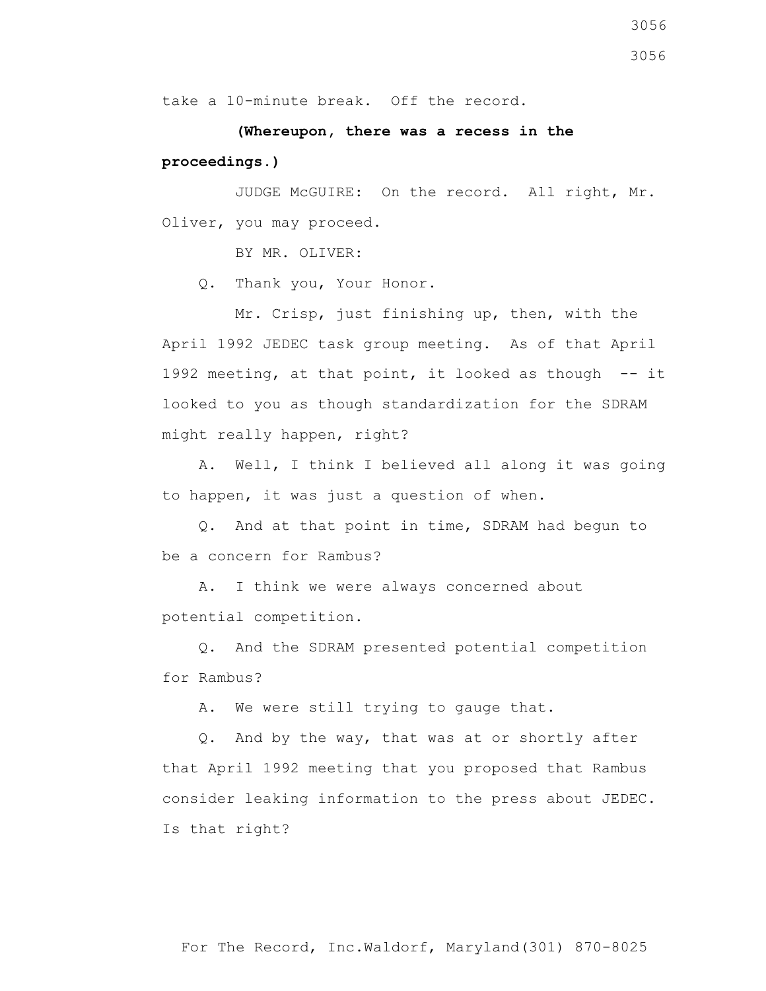take a 10-minute break. Off the record.

 **(Whereupon, there was a recess in the proceedings.)**

 JUDGE McGUIRE: On the record. All right, Mr. Oliver, you may proceed.

BY MR. OLIVER:

Q. Thank you, Your Honor.

 Mr. Crisp, just finishing up, then, with the April 1992 JEDEC task group meeting. As of that April 1992 meeting, at that point, it looked as though  $-$  it looked to you as though standardization for the SDRAM might really happen, right?

 A. Well, I think I believed all along it was going to happen, it was just a question of when.

 Q. And at that point in time, SDRAM had begun to be a concern for Rambus?

 A. I think we were always concerned about potential competition.

 Q. And the SDRAM presented potential competition for Rambus?

A. We were still trying to gauge that.

 Q. And by the way, that was at or shortly after that April 1992 meeting that you proposed that Rambus consider leaking information to the press about JEDEC. Is that right?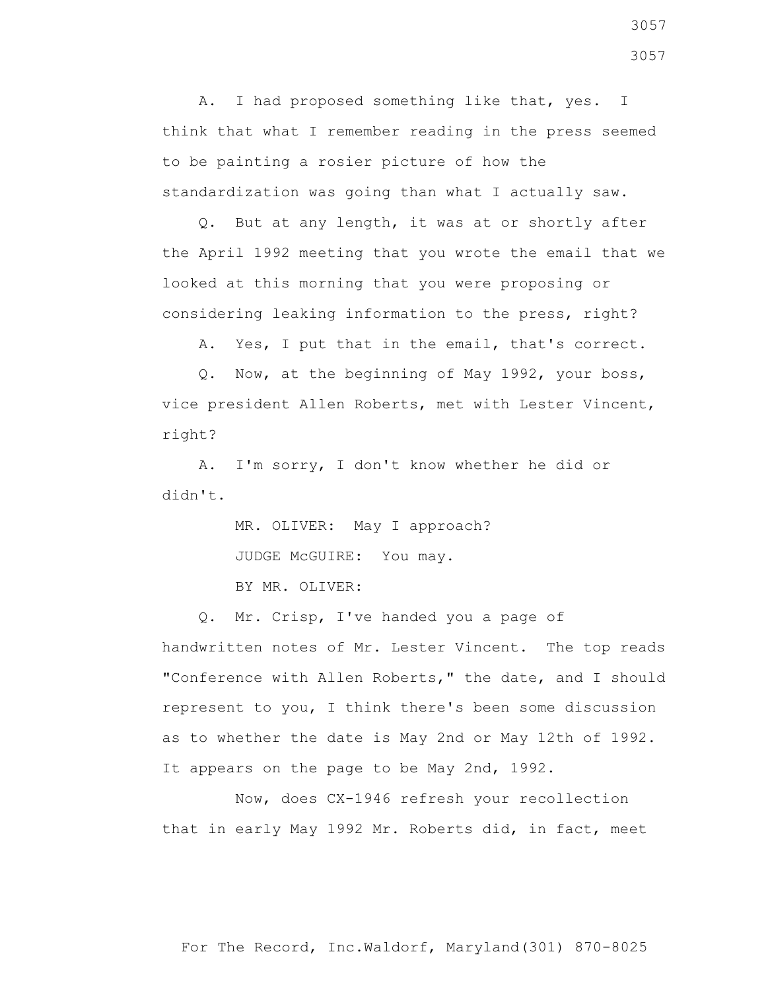A. I had proposed something like that, yes. I think that what I remember reading in the press seemed to be painting a rosier picture of how the standardization was going than what I actually saw.

 Q. But at any length, it was at or shortly after the April 1992 meeting that you wrote the email that we looked at this morning that you were proposing or considering leaking information to the press, right?

A. Yes, I put that in the email, that's correct.

 Q. Now, at the beginning of May 1992, your boss, vice president Allen Roberts, met with Lester Vincent, right?

 A. I'm sorry, I don't know whether he did or didn't.

> MR. OLIVER: May I approach? JUDGE McGUIRE: You may.

BY MR. OLIVER:

 Q. Mr. Crisp, I've handed you a page of handwritten notes of Mr. Lester Vincent. The top reads "Conference with Allen Roberts," the date, and I should represent to you, I think there's been some discussion as to whether the date is May 2nd or May 12th of 1992. It appears on the page to be May 2nd, 1992.

 Now, does CX-1946 refresh your recollection that in early May 1992 Mr. Roberts did, in fact, meet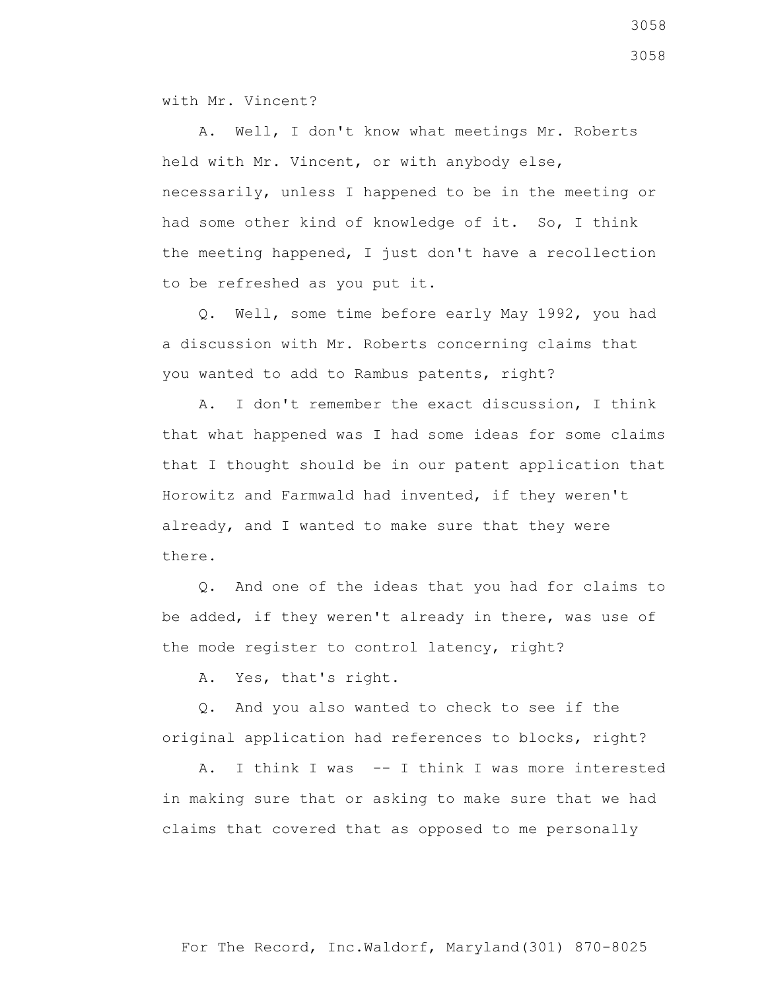with Mr. Vincent?

 A. Well, I don't know what meetings Mr. Roberts held with Mr. Vincent, or with anybody else, necessarily, unless I happened to be in the meeting or had some other kind of knowledge of it. So, I think the meeting happened, I just don't have a recollection to be refreshed as you put it.

 Q. Well, some time before early May 1992, you had a discussion with Mr. Roberts concerning claims that you wanted to add to Rambus patents, right?

 A. I don't remember the exact discussion, I think that what happened was I had some ideas for some claims that I thought should be in our patent application that Horowitz and Farmwald had invented, if they weren't already, and I wanted to make sure that they were there.

 Q. And one of the ideas that you had for claims to be added, if they weren't already in there, was use of the mode register to control latency, right?

A. Yes, that's right.

 Q. And you also wanted to check to see if the original application had references to blocks, right?

 A. I think I was -- I think I was more interested in making sure that or asking to make sure that we had claims that covered that as opposed to me personally

3058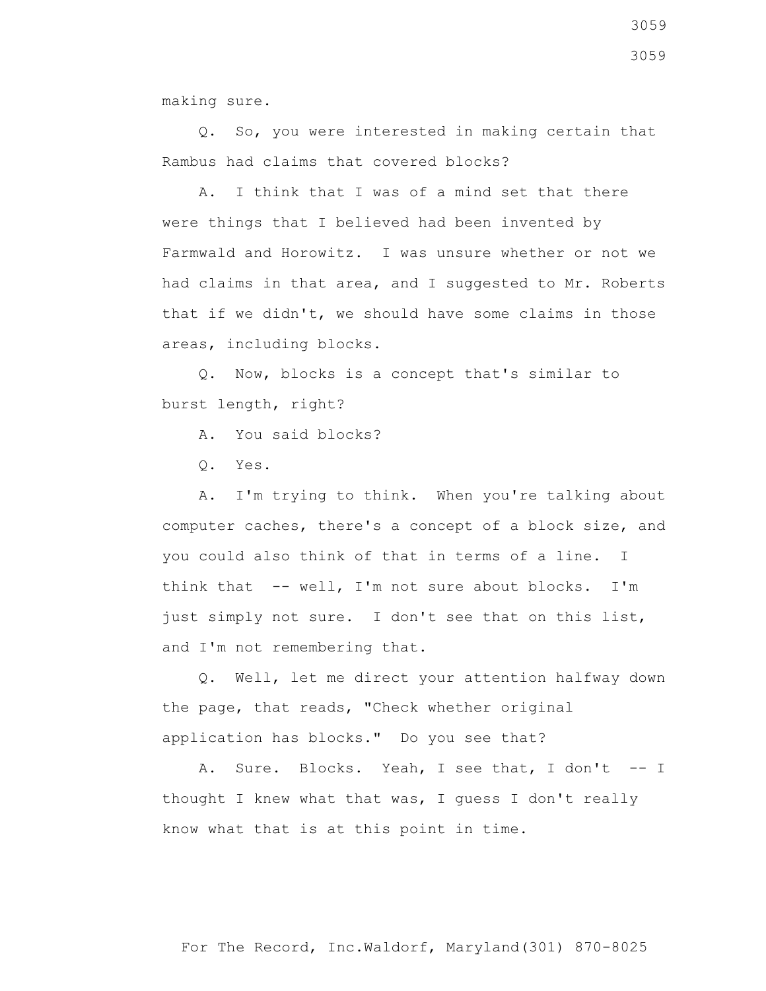making sure.

 Q. So, you were interested in making certain that Rambus had claims that covered blocks?

 A. I think that I was of a mind set that there were things that I believed had been invented by Farmwald and Horowitz. I was unsure whether or not we had claims in that area, and I suggested to Mr. Roberts that if we didn't, we should have some claims in those areas, including blocks.

 Q. Now, blocks is a concept that's similar to burst length, right?

A. You said blocks?

Q. Yes.

 A. I'm trying to think. When you're talking about computer caches, there's a concept of a block size, and you could also think of that in terms of a line. I think that -- well, I'm not sure about blocks. I'm just simply not sure. I don't see that on this list, and I'm not remembering that.

 Q. Well, let me direct your attention halfway down the page, that reads, "Check whether original application has blocks." Do you see that?

A. Sure. Blocks. Yeah, I see that, I don't -- I thought I knew what that was, I guess I don't really know what that is at this point in time.

3059 3059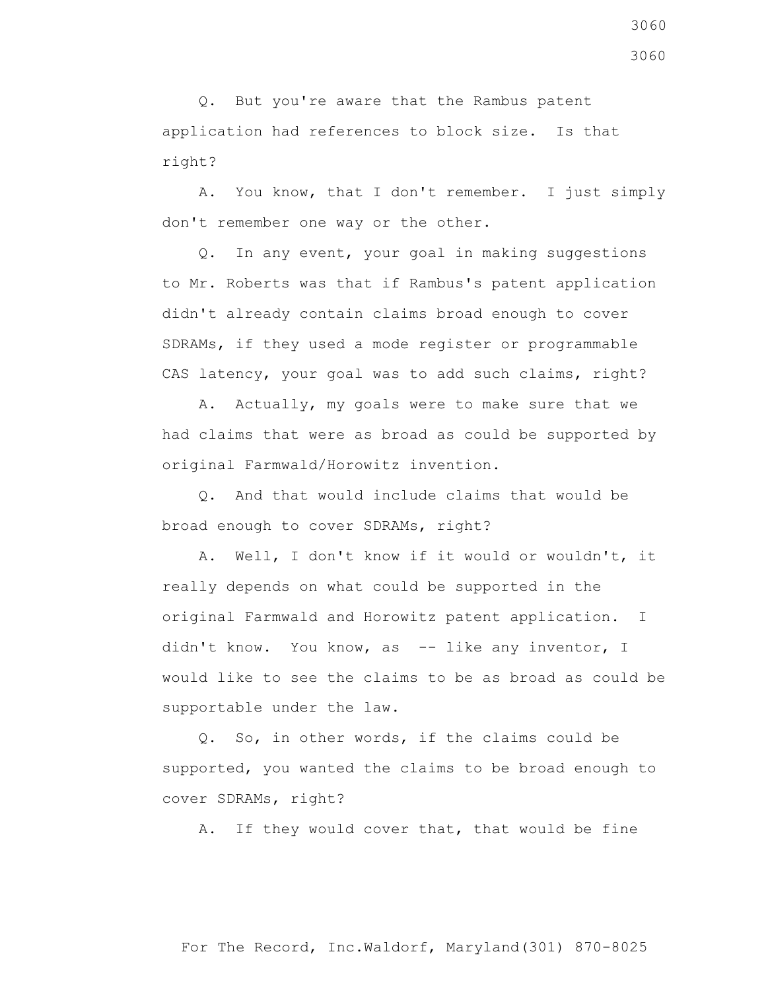Q. But you're aware that the Rambus patent application had references to block size. Is that right?

 A. You know, that I don't remember. I just simply don't remember one way or the other.

 Q. In any event, your goal in making suggestions to Mr. Roberts was that if Rambus's patent application didn't already contain claims broad enough to cover SDRAMs, if they used a mode register or programmable CAS latency, your goal was to add such claims, right?

 A. Actually, my goals were to make sure that we had claims that were as broad as could be supported by original Farmwald/Horowitz invention.

 Q. And that would include claims that would be broad enough to cover SDRAMs, right?

 A. Well, I don't know if it would or wouldn't, it really depends on what could be supported in the original Farmwald and Horowitz patent application. I didn't know. You know, as -- like any inventor, I would like to see the claims to be as broad as could be supportable under the law.

 Q. So, in other words, if the claims could be supported, you wanted the claims to be broad enough to cover SDRAMs, right?

A. If they would cover that, that would be fine

For The Record, Inc.Waldorf, Maryland(301) 870-8025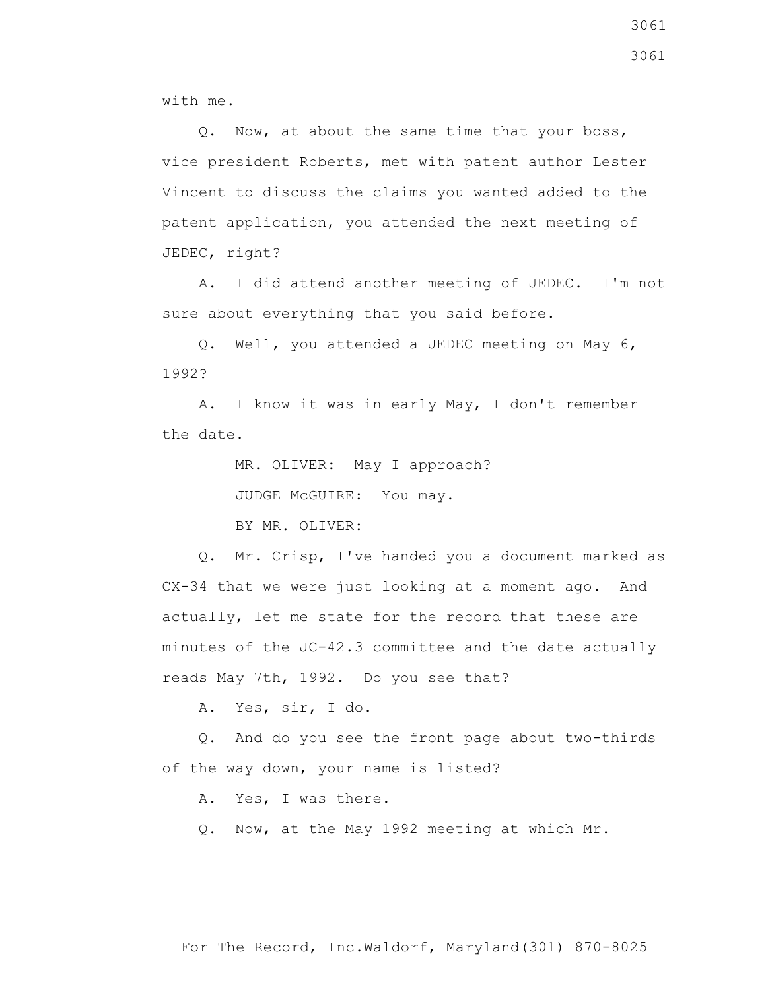with me.

 Q. Now, at about the same time that your boss, vice president Roberts, met with patent author Lester Vincent to discuss the claims you wanted added to the patent application, you attended the next meeting of JEDEC, right?

 A. I did attend another meeting of JEDEC. I'm not sure about everything that you said before.

 Q. Well, you attended a JEDEC meeting on May 6, 1992?

 A. I know it was in early May, I don't remember the date.

MR. OLIVER: May I approach?

JUDGE McGUIRE: You may.

BY MR. OLIVER:

 Q. Mr. Crisp, I've handed you a document marked as CX-34 that we were just looking at a moment ago. And actually, let me state for the record that these are minutes of the JC-42.3 committee and the date actually reads May 7th, 1992. Do you see that?

A. Yes, sir, I do.

 Q. And do you see the front page about two-thirds of the way down, your name is listed?

A. Yes, I was there.

Q. Now, at the May 1992 meeting at which Mr.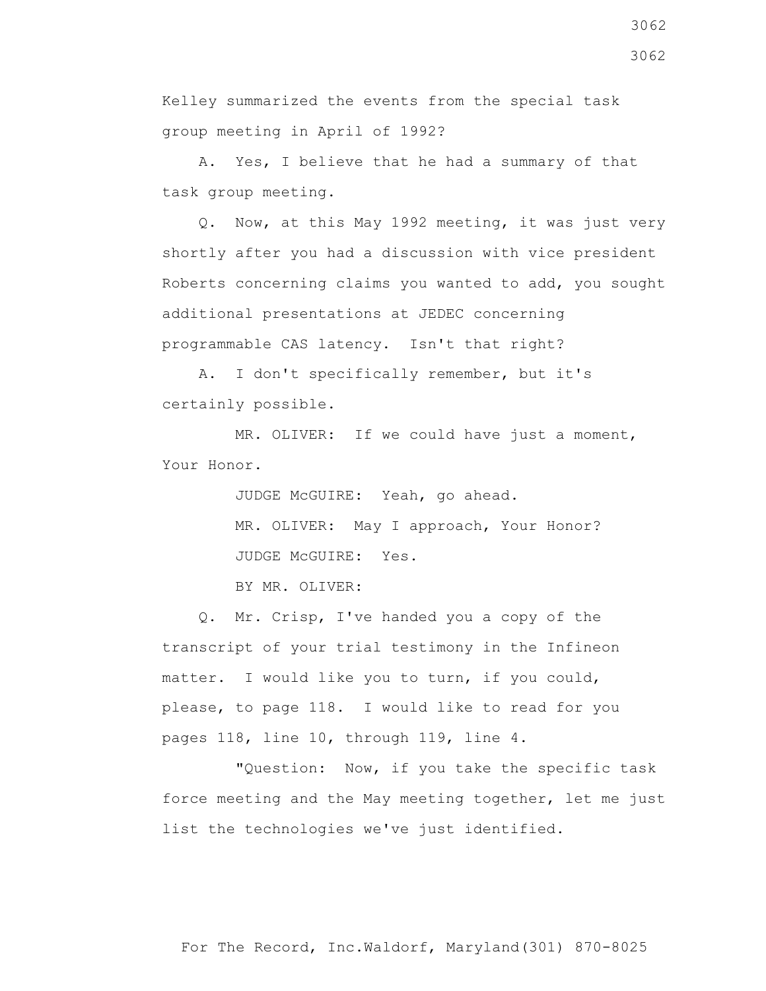Kelley summarized the events from the special task group meeting in April of 1992?

 A. Yes, I believe that he had a summary of that task group meeting.

 Q. Now, at this May 1992 meeting, it was just very shortly after you had a discussion with vice president Roberts concerning claims you wanted to add, you sought additional presentations at JEDEC concerning programmable CAS latency. Isn't that right?

 A. I don't specifically remember, but it's certainly possible.

 MR. OLIVER: If we could have just a moment, Your Honor.

> JUDGE McGUIRE: Yeah, go ahead. MR. OLIVER: May I approach, Your Honor? JUDGE McGUIRE: Yes.

BY MR. OLIVER:

 Q. Mr. Crisp, I've handed you a copy of the transcript of your trial testimony in the Infineon matter. I would like you to turn, if you could, please, to page 118. I would like to read for you pages 118, line 10, through 119, line 4.

 "Question: Now, if you take the specific task force meeting and the May meeting together, let me just list the technologies we've just identified.

3062

3062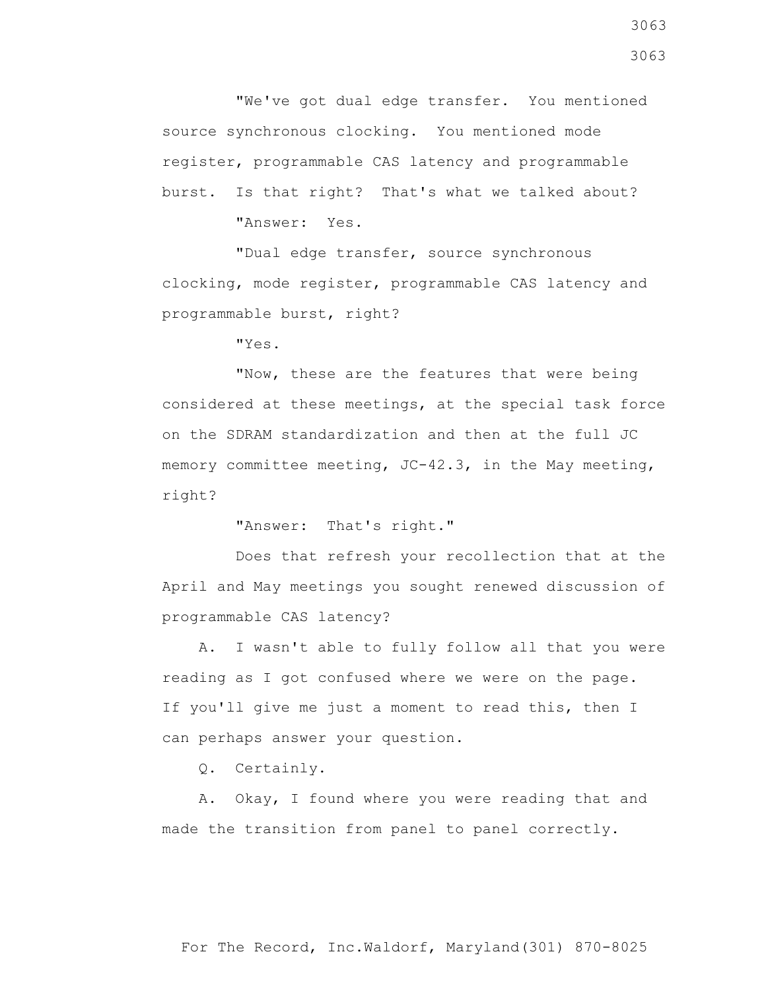"We've got dual edge transfer. You mentioned source synchronous clocking. You mentioned mode register, programmable CAS latency and programmable burst. Is that right? That's what we talked about?

"Answer: Yes.

 "Dual edge transfer, source synchronous clocking, mode register, programmable CAS latency and programmable burst, right?

"Yes.

 "Now, these are the features that were being considered at these meetings, at the special task force on the SDRAM standardization and then at the full JC memory committee meeting,  $JC-42.3$ , in the May meeting, right?

"Answer: That's right."

 Does that refresh your recollection that at the April and May meetings you sought renewed discussion of programmable CAS latency?

 A. I wasn't able to fully follow all that you were reading as I got confused where we were on the page. If you'll give me just a moment to read this, then I can perhaps answer your question.

Q. Certainly.

 A. Okay, I found where you were reading that and made the transition from panel to panel correctly.

3063 3063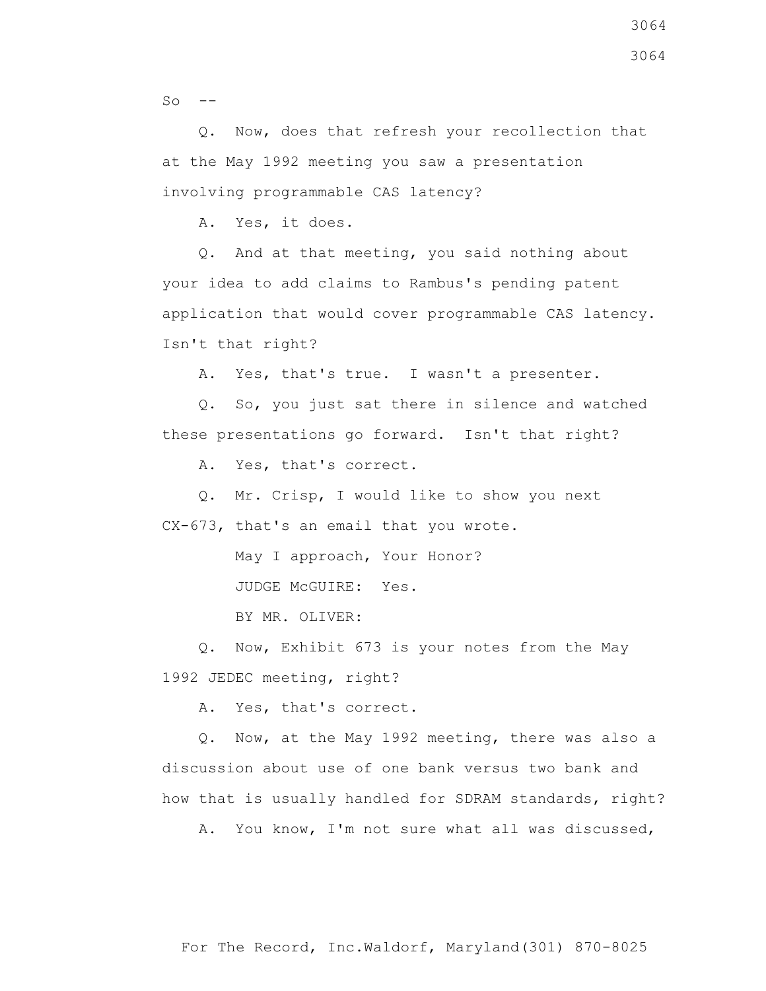$SO \leftarrow$ 

 Q. Now, does that refresh your recollection that at the May 1992 meeting you saw a presentation involving programmable CAS latency?

A. Yes, it does.

 Q. And at that meeting, you said nothing about your idea to add claims to Rambus's pending patent application that would cover programmable CAS latency. Isn't that right?

A. Yes, that's true. I wasn't a presenter.

 Q. So, you just sat there in silence and watched these presentations go forward. Isn't that right?

A. Yes, that's correct.

 Q. Mr. Crisp, I would like to show you next CX-673, that's an email that you wrote.

May I approach, Your Honor?

JUDGE McGUIRE: Yes.

BY MR. OLIVER:

 Q. Now, Exhibit 673 is your notes from the May 1992 JEDEC meeting, right?

A. Yes, that's correct.

 Q. Now, at the May 1992 meeting, there was also a discussion about use of one bank versus two bank and how that is usually handled for SDRAM standards, right?

A. You know, I'm not sure what all was discussed,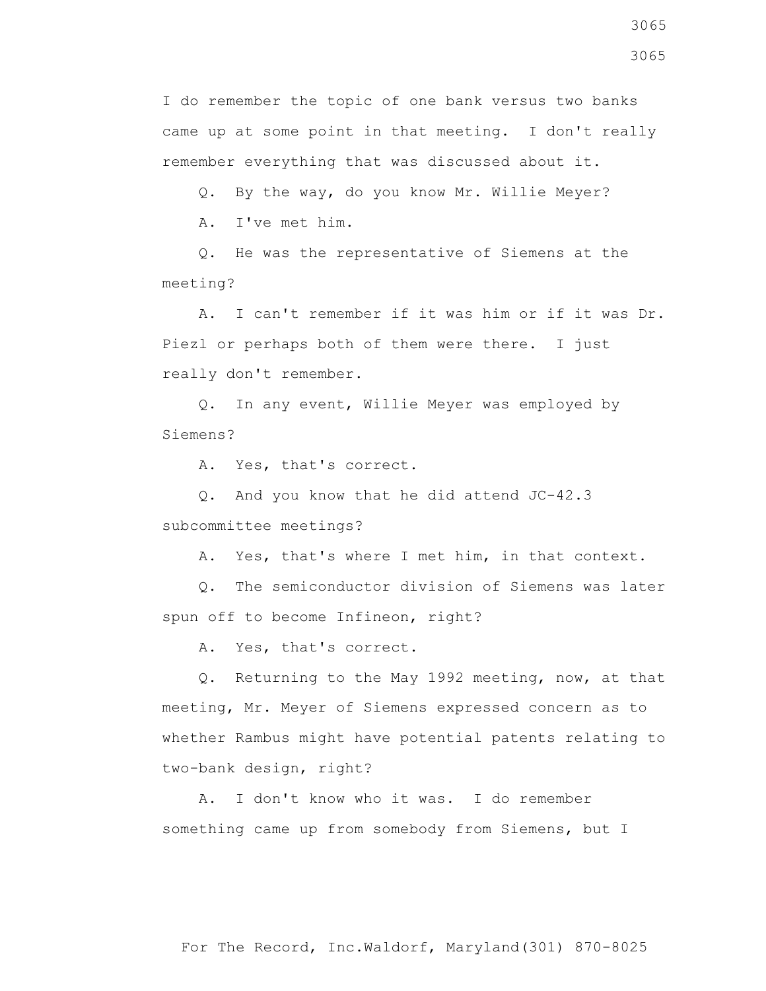3065

I do remember the topic of one bank versus two banks came up at some point in that meeting. I don't really remember everything that was discussed about it.

Q. By the way, do you know Mr. Willie Meyer?

A. I've met him.

 Q. He was the representative of Siemens at the meeting?

 A. I can't remember if it was him or if it was Dr. Piezl or perhaps both of them were there. I just really don't remember.

 Q. In any event, Willie Meyer was employed by Siemens?

A. Yes, that's correct.

 Q. And you know that he did attend JC-42.3 subcommittee meetings?

A. Yes, that's where I met him, in that context.

 Q. The semiconductor division of Siemens was later spun off to become Infineon, right?

A. Yes, that's correct.

 Q. Returning to the May 1992 meeting, now, at that meeting, Mr. Meyer of Siemens expressed concern as to whether Rambus might have potential patents relating to two-bank design, right?

 A. I don't know who it was. I do remember something came up from somebody from Siemens, but I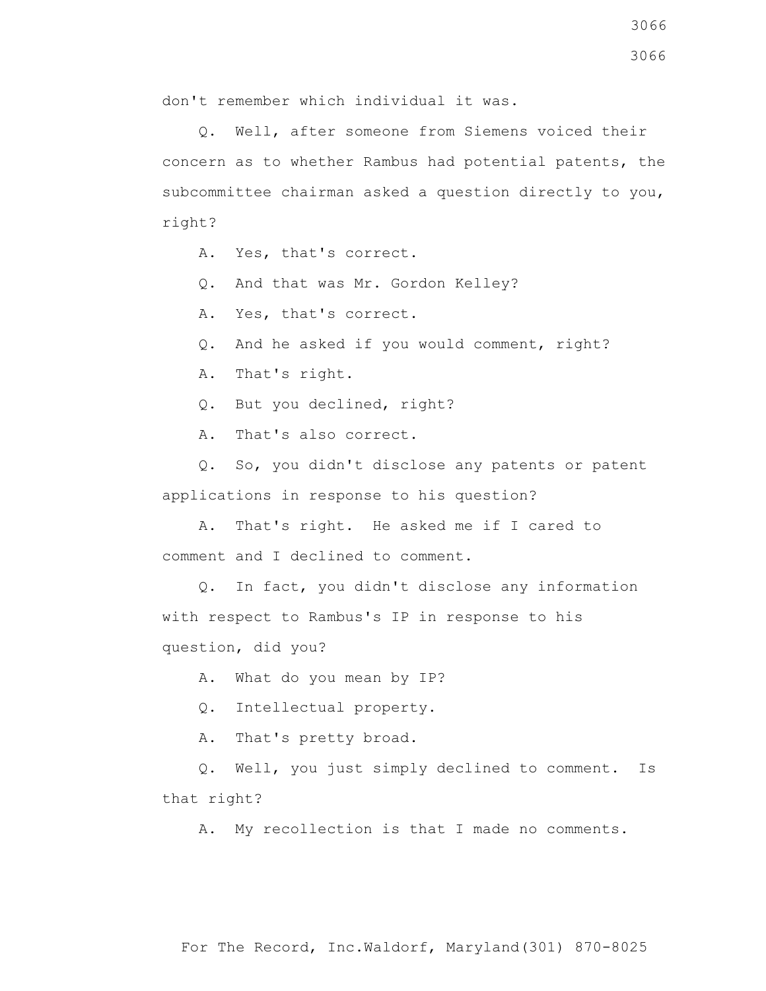don't remember which individual it was.

 Q. Well, after someone from Siemens voiced their concern as to whether Rambus had potential patents, the subcommittee chairman asked a question directly to you, right?

- A. Yes, that's correct.
- Q. And that was Mr. Gordon Kelley?
- A. Yes, that's correct.
- Q. And he asked if you would comment, right?
- A. That's right.
- Q. But you declined, right?
- A. That's also correct.

 Q. So, you didn't disclose any patents or patent applications in response to his question?

- A. That's right. He asked me if I cared to comment and I declined to comment.
- Q. In fact, you didn't disclose any information with respect to Rambus's IP in response to his question, did you?

A. What do you mean by IP?

Q. Intellectual property.

A. That's pretty broad.

 Q. Well, you just simply declined to comment. Is that right?

A. My recollection is that I made no comments.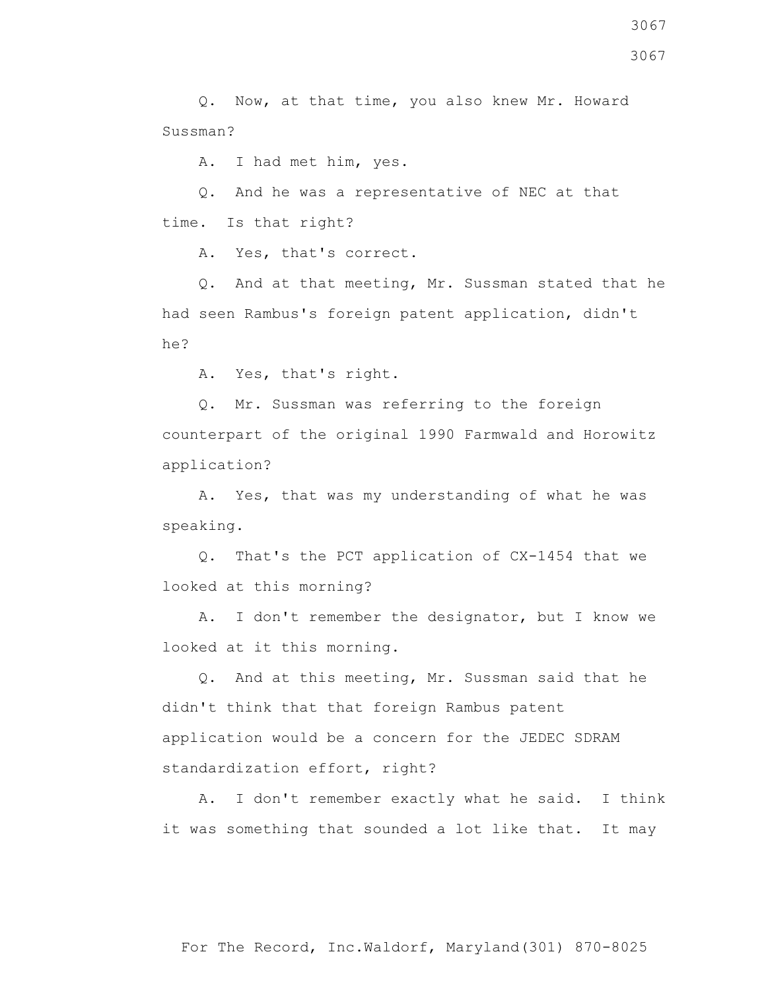Q. Now, at that time, you also knew Mr. Howard Sussman?

A. I had met him, yes.

 Q. And he was a representative of NEC at that time. Is that right?

A. Yes, that's correct.

 Q. And at that meeting, Mr. Sussman stated that he had seen Rambus's foreign patent application, didn't he?

A. Yes, that's right.

 Q. Mr. Sussman was referring to the foreign counterpart of the original 1990 Farmwald and Horowitz application?

 A. Yes, that was my understanding of what he was speaking.

 Q. That's the PCT application of CX-1454 that we looked at this morning?

 A. I don't remember the designator, but I know we looked at it this morning.

 Q. And at this meeting, Mr. Sussman said that he didn't think that that foreign Rambus patent application would be a concern for the JEDEC SDRAM standardization effort, right?

 A. I don't remember exactly what he said. I think it was something that sounded a lot like that. It may

3067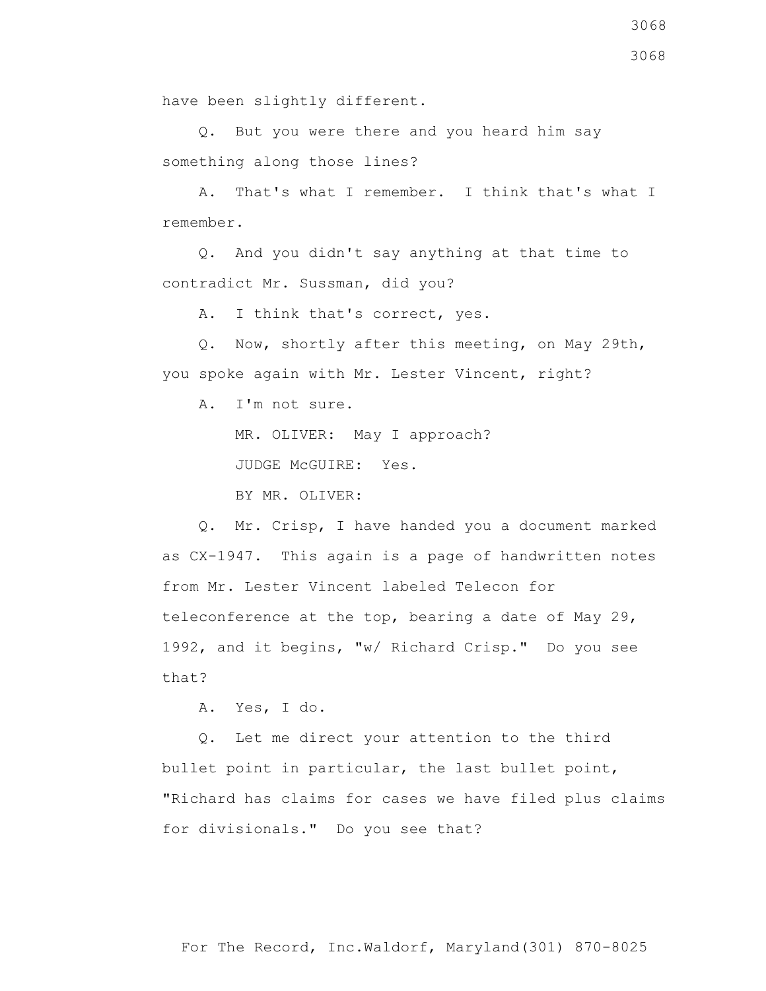have been slightly different.

 Q. But you were there and you heard him say something along those lines?

 A. That's what I remember. I think that's what I remember.

 Q. And you didn't say anything at that time to contradict Mr. Sussman, did you?

A. I think that's correct, yes.

 Q. Now, shortly after this meeting, on May 29th, you spoke again with Mr. Lester Vincent, right?

A. I'm not sure.

MR. OLIVER: May I approach?

JUDGE McGUIRE: Yes.

BY MR. OLIVER:

 Q. Mr. Crisp, I have handed you a document marked as CX-1947. This again is a page of handwritten notes from Mr. Lester Vincent labeled Telecon for teleconference at the top, bearing a date of May 29, 1992, and it begins, "w/ Richard Crisp." Do you see that?

A. Yes, I do.

 Q. Let me direct your attention to the third bullet point in particular, the last bullet point, "Richard has claims for cases we have filed plus claims for divisionals." Do you see that?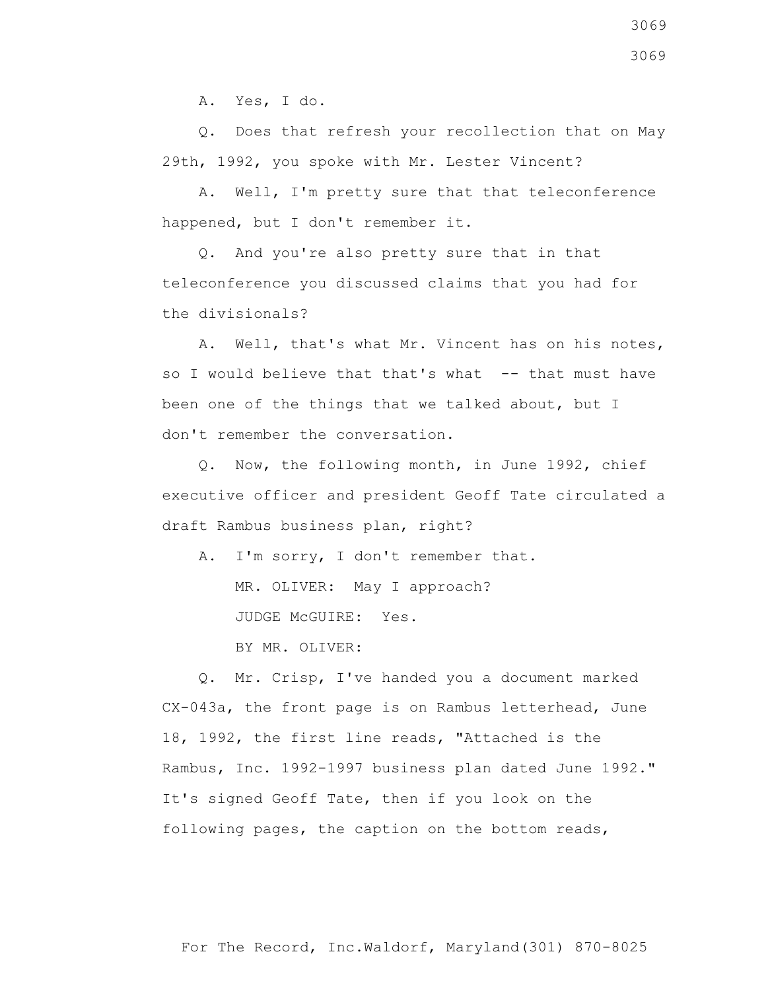A. Yes, I do.

 Q. Does that refresh your recollection that on May 29th, 1992, you spoke with Mr. Lester Vincent?

 A. Well, I'm pretty sure that that teleconference happened, but I don't remember it.

 Q. And you're also pretty sure that in that teleconference you discussed claims that you had for the divisionals?

 A. Well, that's what Mr. Vincent has on his notes, so I would believe that that's what -- that must have been one of the things that we talked about, but I don't remember the conversation.

 Q. Now, the following month, in June 1992, chief executive officer and president Geoff Tate circulated a draft Rambus business plan, right?

A. I'm sorry, I don't remember that.

MR. OLIVER: May I approach?

JUDGE McGUIRE: Yes.

BY MR. OLIVER:

 Q. Mr. Crisp, I've handed you a document marked CX-043a, the front page is on Rambus letterhead, June 18, 1992, the first line reads, "Attached is the Rambus, Inc. 1992-1997 business plan dated June 1992." It's signed Geoff Tate, then if you look on the following pages, the caption on the bottom reads,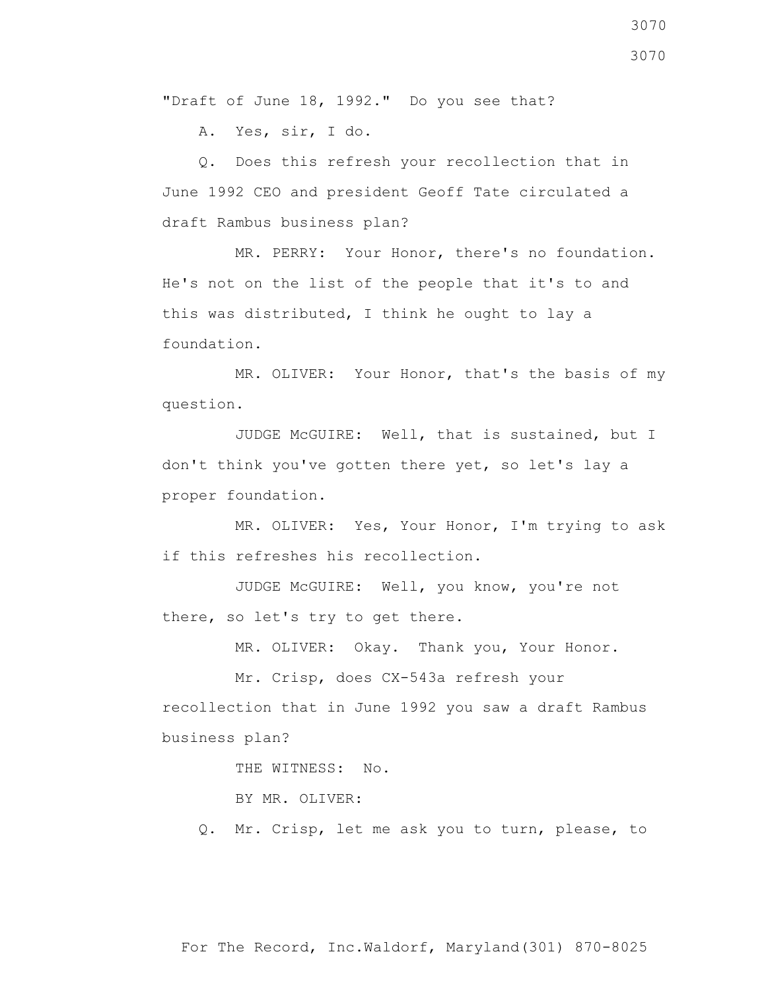"Draft of June 18, 1992." Do you see that?

A. Yes, sir, I do.

 Q. Does this refresh your recollection that in June 1992 CEO and president Geoff Tate circulated a draft Rambus business plan?

 MR. PERRY: Your Honor, there's no foundation. He's not on the list of the people that it's to and this was distributed, I think he ought to lay a foundation.

 MR. OLIVER: Your Honor, that's the basis of my question.

 JUDGE McGUIRE: Well, that is sustained, but I don't think you've gotten there yet, so let's lay a proper foundation.

 MR. OLIVER: Yes, Your Honor, I'm trying to ask if this refreshes his recollection.

 JUDGE McGUIRE: Well, you know, you're not there, so let's try to get there.

MR. OLIVER: Okay. Thank you, Your Honor.

 Mr. Crisp, does CX-543a refresh your recollection that in June 1992 you saw a draft Rambus business plan?

THE WITNESS: No.

BY MR. OLIVER:

Q. Mr. Crisp, let me ask you to turn, please, to

3070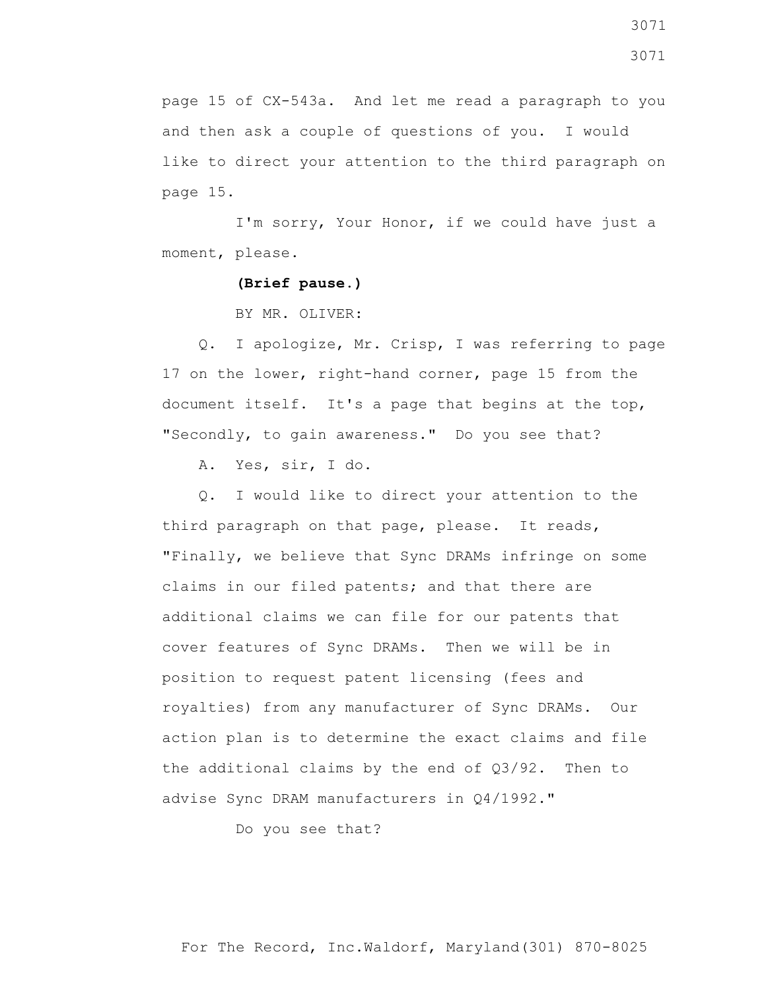page 15 of CX-543a. And let me read a paragraph to you and then ask a couple of questions of you. I would like to direct your attention to the third paragraph on page 15.

 I'm sorry, Your Honor, if we could have just a moment, please.

**(Brief pause.)**

BY MR. OLIVER:

 Q. I apologize, Mr. Crisp, I was referring to page 17 on the lower, right-hand corner, page 15 from the document itself. It's a page that begins at the top, "Secondly, to gain awareness." Do you see that?

A. Yes, sir, I do.

 Q. I would like to direct your attention to the third paragraph on that page, please. It reads, "Finally, we believe that Sync DRAMs infringe on some claims in our filed patents; and that there are additional claims we can file for our patents that cover features of Sync DRAMs. Then we will be in position to request patent licensing (fees and royalties) from any manufacturer of Sync DRAMs. Our action plan is to determine the exact claims and file the additional claims by the end of Q3/92. Then to advise Sync DRAM manufacturers in Q4/1992."

Do you see that?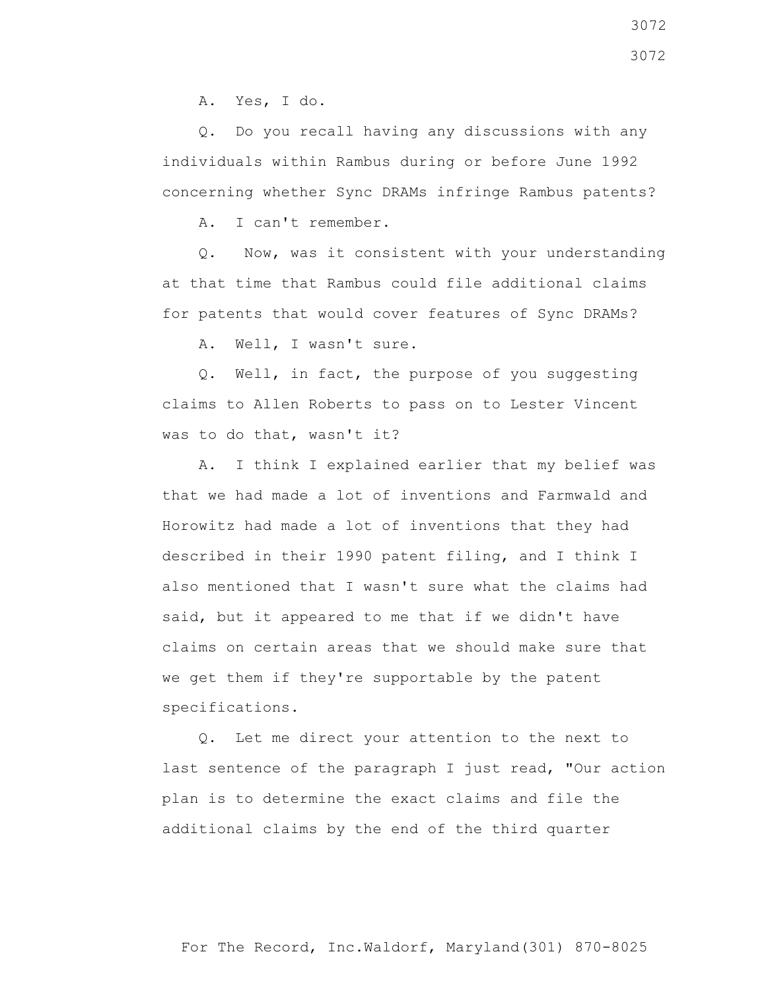A. Yes, I do.

 Q. Do you recall having any discussions with any individuals within Rambus during or before June 1992 concerning whether Sync DRAMs infringe Rambus patents?

A. I can't remember.

 Q. Now, was it consistent with your understanding at that time that Rambus could file additional claims for patents that would cover features of Sync DRAMs?

A. Well, I wasn't sure.

 Q. Well, in fact, the purpose of you suggesting claims to Allen Roberts to pass on to Lester Vincent was to do that, wasn't it?

 A. I think I explained earlier that my belief was that we had made a lot of inventions and Farmwald and Horowitz had made a lot of inventions that they had described in their 1990 patent filing, and I think I also mentioned that I wasn't sure what the claims had said, but it appeared to me that if we didn't have claims on certain areas that we should make sure that we get them if they're supportable by the patent specifications.

 Q. Let me direct your attention to the next to last sentence of the paragraph I just read, "Our action plan is to determine the exact claims and file the additional claims by the end of the third quarter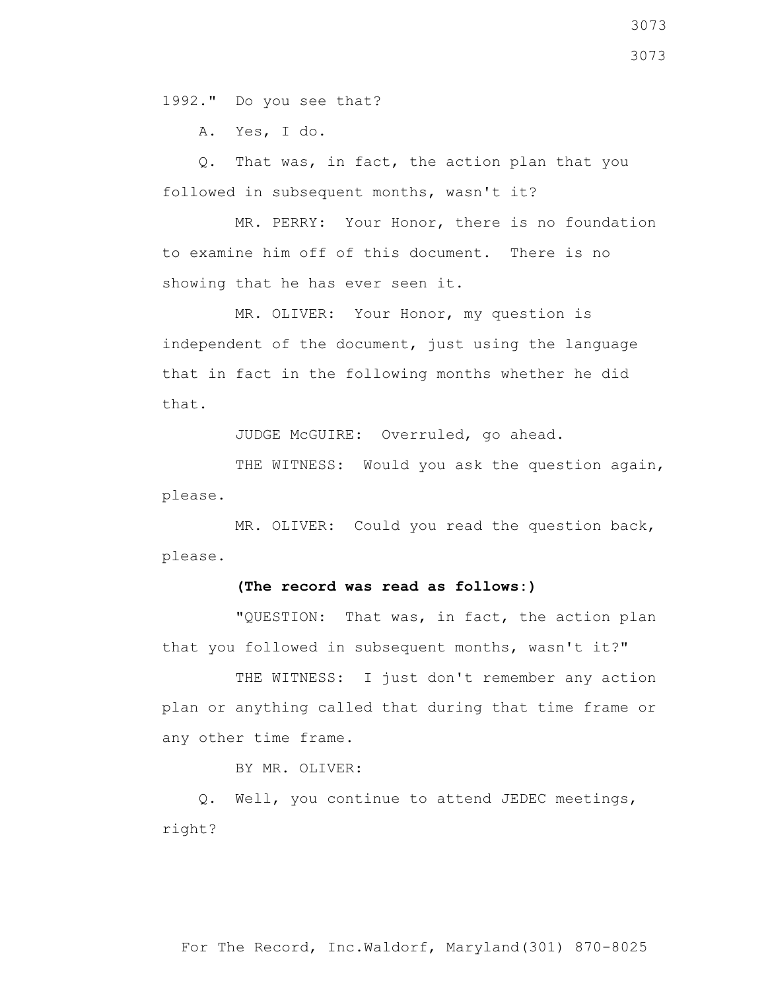1992." Do you see that?

A. Yes, I do.

 Q. That was, in fact, the action plan that you followed in subsequent months, wasn't it?

 MR. PERRY: Your Honor, there is no foundation to examine him off of this document. There is no showing that he has ever seen it.

 MR. OLIVER: Your Honor, my question is independent of the document, just using the language that in fact in the following months whether he did that.

JUDGE McGUIRE: Overruled, go ahead.

THE WITNESS: Would you ask the question again, please.

 MR. OLIVER: Could you read the question back, please.

## **(The record was read as follows:)**

 "QUESTION: That was, in fact, the action plan that you followed in subsequent months, wasn't it?"

THE WITNESS: I just don't remember any action plan or anything called that during that time frame or any other time frame.

BY MR. OLIVER:

 Q. Well, you continue to attend JEDEC meetings, right?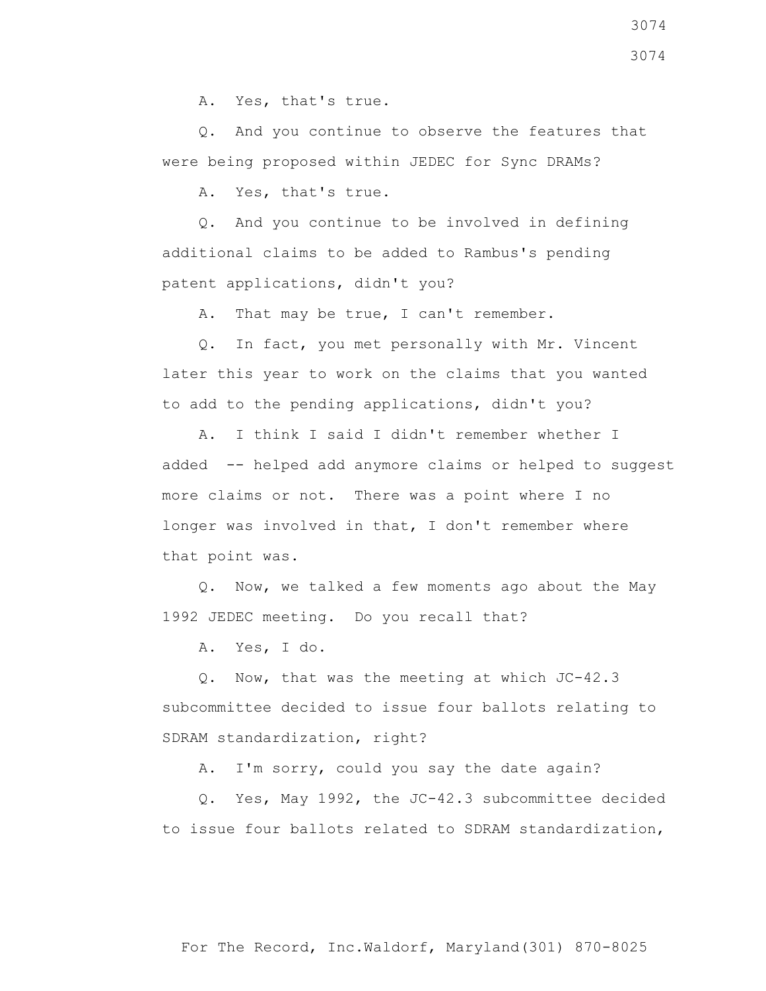A. Yes, that's true.

 Q. And you continue to observe the features that were being proposed within JEDEC for Sync DRAMs?

A. Yes, that's true.

 Q. And you continue to be involved in defining additional claims to be added to Rambus's pending patent applications, didn't you?

A. That may be true, I can't remember.

 Q. In fact, you met personally with Mr. Vincent later this year to work on the claims that you wanted to add to the pending applications, didn't you?

 A. I think I said I didn't remember whether I added -- helped add anymore claims or helped to suggest more claims or not. There was a point where I no longer was involved in that, I don't remember where that point was.

 Q. Now, we talked a few moments ago about the May 1992 JEDEC meeting. Do you recall that?

A. Yes, I do.

 Q. Now, that was the meeting at which JC-42.3 subcommittee decided to issue four ballots relating to SDRAM standardization, right?

A. I'm sorry, could you say the date again?

 Q. Yes, May 1992, the JC-42.3 subcommittee decided to issue four ballots related to SDRAM standardization,

3074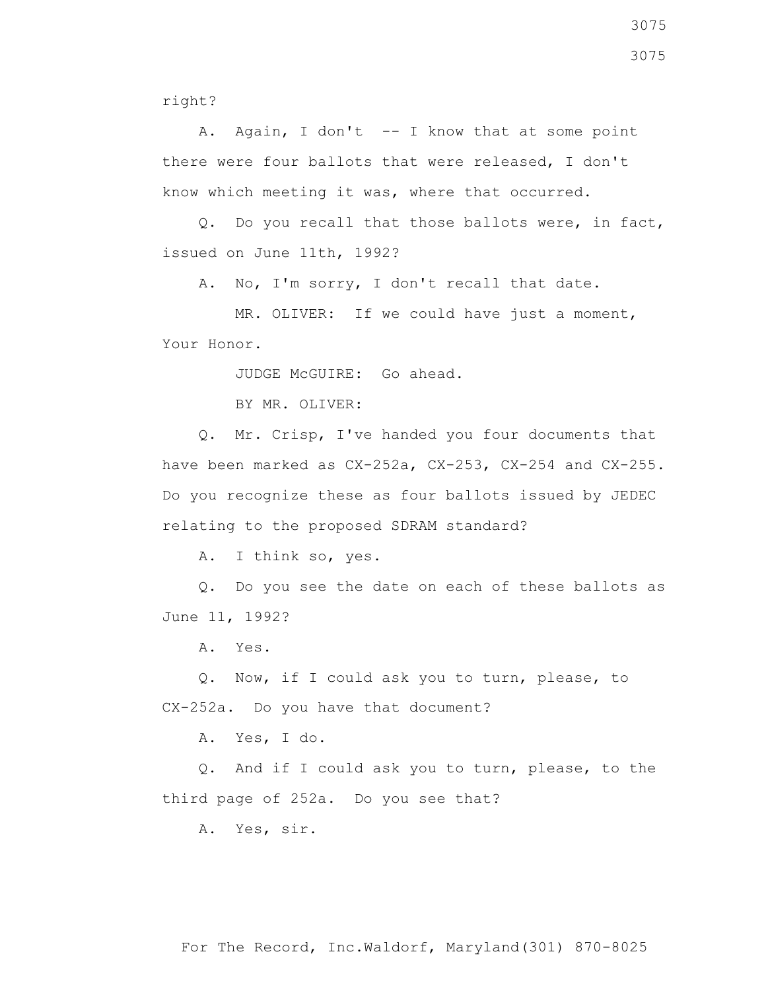right?

 A. Again, I don't -- I know that at some point there were four ballots that were released, I don't know which meeting it was, where that occurred.

 Q. Do you recall that those ballots were, in fact, issued on June 11th, 1992?

A. No, I'm sorry, I don't recall that date.

 MR. OLIVER: If we could have just a moment, Your Honor.

JUDGE McGUIRE: Go ahead.

BY MR. OLIVER:

 Q. Mr. Crisp, I've handed you four documents that have been marked as CX-252a, CX-253, CX-254 and CX-255. Do you recognize these as four ballots issued by JEDEC relating to the proposed SDRAM standard?

A. I think so, yes.

 Q. Do you see the date on each of these ballots as June 11, 1992?

A. Yes.

 Q. Now, if I could ask you to turn, please, to CX-252a. Do you have that document?

A. Yes, I do.

 Q. And if I could ask you to turn, please, to the third page of 252a. Do you see that?

A. Yes, sir.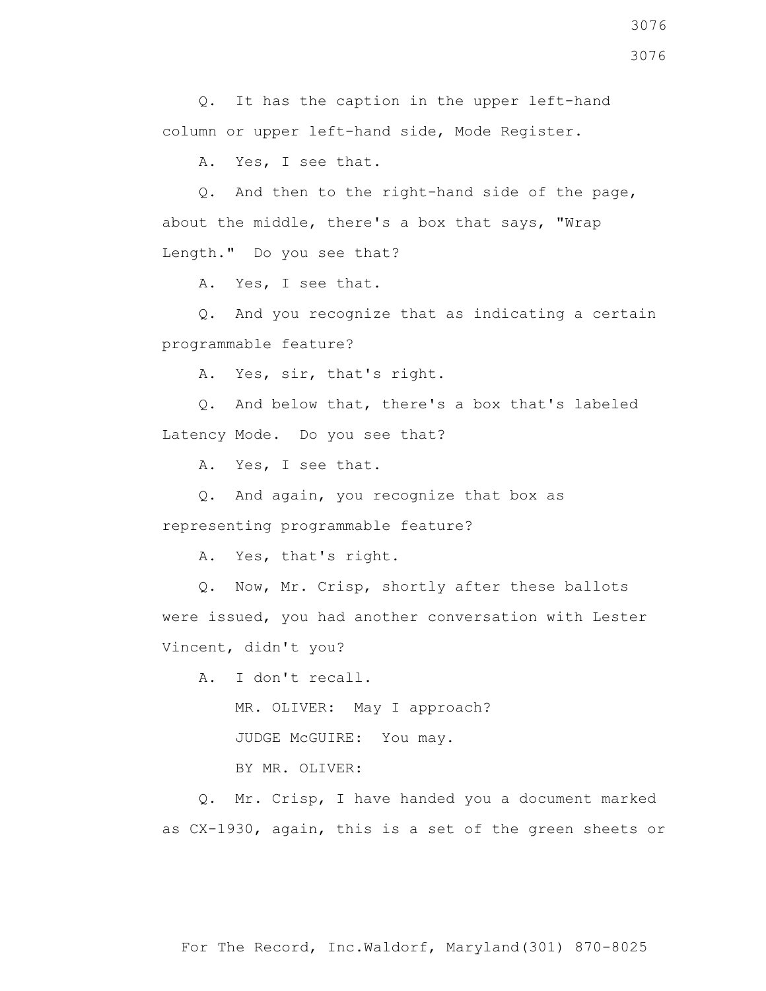Q. It has the caption in the upper left-hand column or upper left-hand side, Mode Register.

A. Yes, I see that.

 Q. And then to the right-hand side of the page, about the middle, there's a box that says, "Wrap Length." Do you see that?

A. Yes, I see that.

 Q. And you recognize that as indicating a certain programmable feature?

A. Yes, sir, that's right.

 Q. And below that, there's a box that's labeled Latency Mode. Do you see that?

A. Yes, I see that.

 Q. And again, you recognize that box as representing programmable feature?

A. Yes, that's right.

 Q. Now, Mr. Crisp, shortly after these ballots were issued, you had another conversation with Lester Vincent, didn't you?

A. I don't recall.

MR. OLIVER: May I approach?

JUDGE McGUIRE: You may.

BY MR. OLIVER:

 Q. Mr. Crisp, I have handed you a document marked as CX-1930, again, this is a set of the green sheets or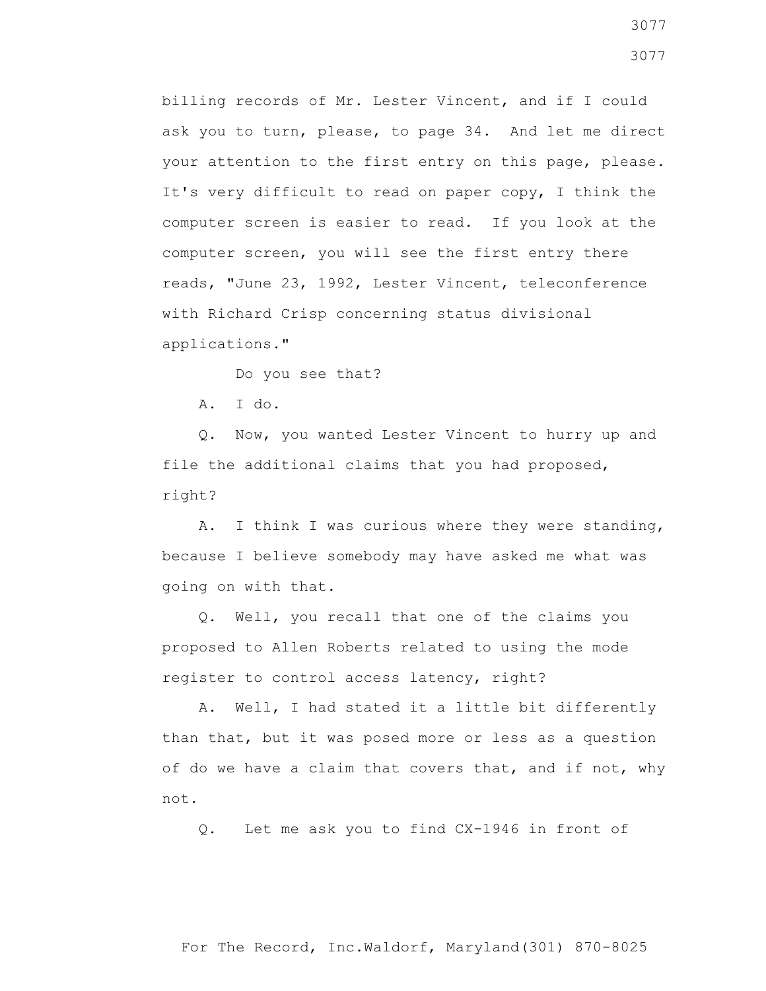billing records of Mr. Lester Vincent, and if I could ask you to turn, please, to page 34. And let me direct your attention to the first entry on this page, please. It's very difficult to read on paper copy, I think the computer screen is easier to read. If you look at the computer screen, you will see the first entry there reads, "June 23, 1992, Lester Vincent, teleconference with Richard Crisp concerning status divisional applications."

Do you see that?

A. I do.

 Q. Now, you wanted Lester Vincent to hurry up and file the additional claims that you had proposed, right?

 A. I think I was curious where they were standing, because I believe somebody may have asked me what was going on with that.

 Q. Well, you recall that one of the claims you proposed to Allen Roberts related to using the mode register to control access latency, right?

 A. Well, I had stated it a little bit differently than that, but it was posed more or less as a question of do we have a claim that covers that, and if not, why not.

Q. Let me ask you to find CX-1946 in front of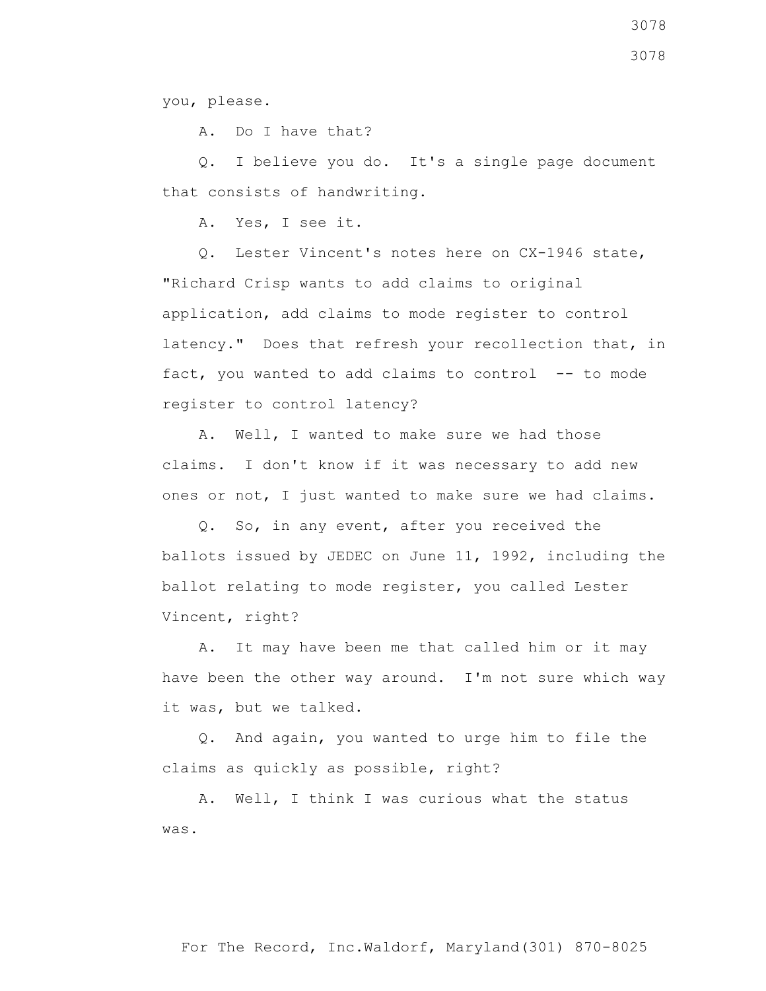you, please.

A. Do I have that?

 Q. I believe you do. It's a single page document that consists of handwriting.

A. Yes, I see it.

 Q. Lester Vincent's notes here on CX-1946 state, "Richard Crisp wants to add claims to original application, add claims to mode register to control latency." Does that refresh your recollection that, in fact, you wanted to add claims to control  $-$ - to mode register to control latency?

 A. Well, I wanted to make sure we had those claims. I don't know if it was necessary to add new ones or not, I just wanted to make sure we had claims.

 Q. So, in any event, after you received the ballots issued by JEDEC on June 11, 1992, including the ballot relating to mode register, you called Lester Vincent, right?

 A. It may have been me that called him or it may have been the other way around. I'm not sure which way it was, but we talked.

 Q. And again, you wanted to urge him to file the claims as quickly as possible, right?

 A. Well, I think I was curious what the status was.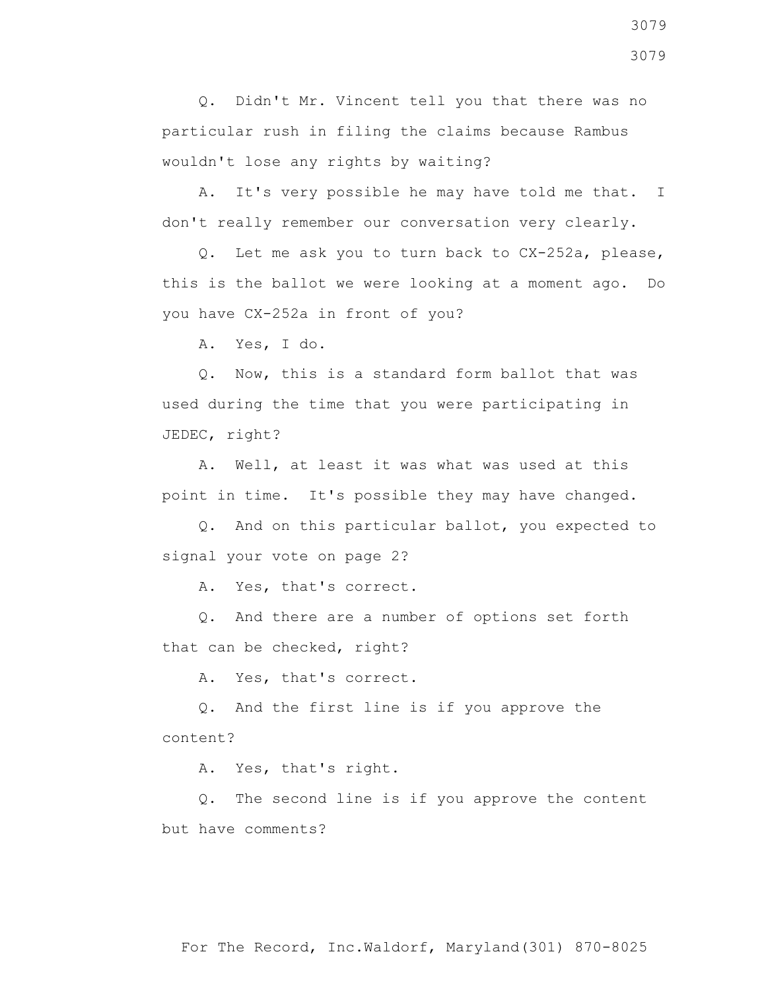Q. Didn't Mr. Vincent tell you that there was no particular rush in filing the claims because Rambus wouldn't lose any rights by waiting?

 A. It's very possible he may have told me that. I don't really remember our conversation very clearly.

 Q. Let me ask you to turn back to CX-252a, please, this is the ballot we were looking at a moment ago. Do you have CX-252a in front of you?

A. Yes, I do.

 Q. Now, this is a standard form ballot that was used during the time that you were participating in JEDEC, right?

 A. Well, at least it was what was used at this point in time. It's possible they may have changed.

 Q. And on this particular ballot, you expected to signal your vote on page 2?

A. Yes, that's correct.

 Q. And there are a number of options set forth that can be checked, right?

A. Yes, that's correct.

 Q. And the first line is if you approve the content?

A. Yes, that's right.

 Q. The second line is if you approve the content but have comments?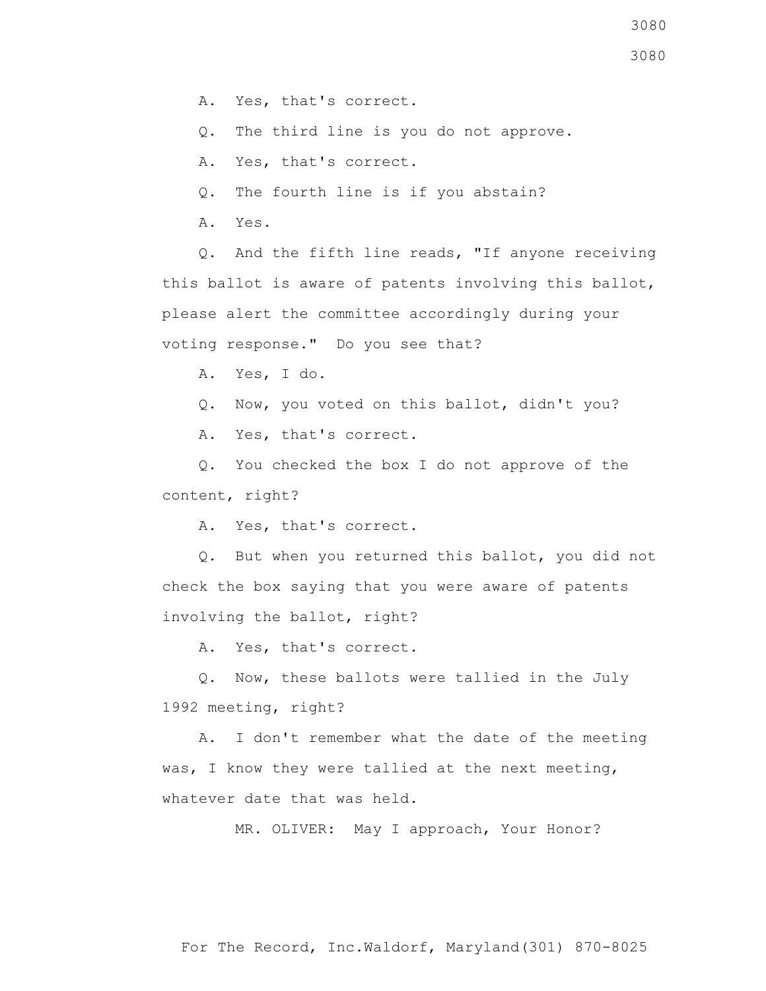Q. The third line is you do not approve.

A. Yes, that's correct.

Q. The fourth line is if you abstain?

A. Yes.

 Q. And the fifth line reads, "If anyone receiving this ballot is aware of patents involving this ballot, please alert the committee accordingly during your voting response." Do you see that?

A. Yes, I do.

Q. Now, you voted on this ballot, didn't you?

A. Yes, that's correct.

 Q. You checked the box I do not approve of the content, right?

A. Yes, that's correct.

 Q. But when you returned this ballot, you did not check the box saying that you were aware of patents involving the ballot, right?

A. Yes, that's correct.

 Q. Now, these ballots were tallied in the July 1992 meeting, right?

 A. I don't remember what the date of the meeting was, I know they were tallied at the next meeting, whatever date that was held.

MR. OLIVER: May I approach, Your Honor?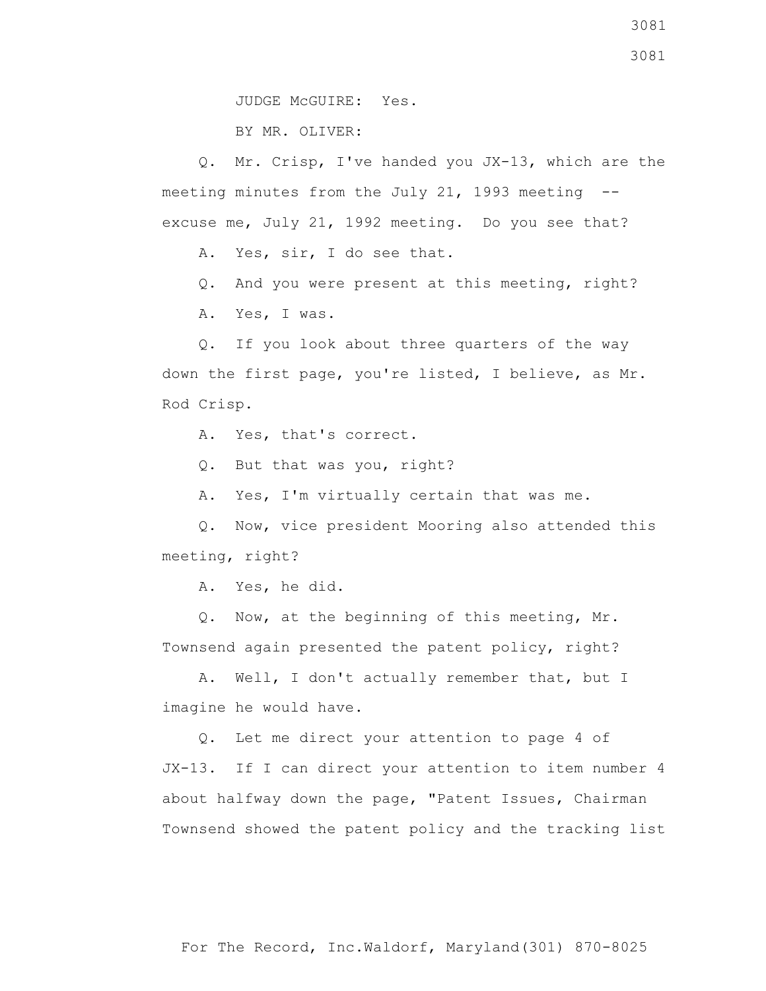BY MR. OLIVER:

 Q. Mr. Crisp, I've handed you JX-13, which are the meeting minutes from the July 21, 1993 meeting - excuse me, July 21, 1992 meeting. Do you see that?

A. Yes, sir, I do see that.

Q. And you were present at this meeting, right?

A. Yes, I was.

 Q. If you look about three quarters of the way down the first page, you're listed, I believe, as Mr. Rod Crisp.

A. Yes, that's correct.

Q. But that was you, right?

A. Yes, I'm virtually certain that was me.

 Q. Now, vice president Mooring also attended this meeting, right?

A. Yes, he did.

 Q. Now, at the beginning of this meeting, Mr. Townsend again presented the patent policy, right?

 A. Well, I don't actually remember that, but I imagine he would have.

 Q. Let me direct your attention to page 4 of JX-13. If I can direct your attention to item number 4 about halfway down the page, "Patent Issues, Chairman Townsend showed the patent policy and the tracking list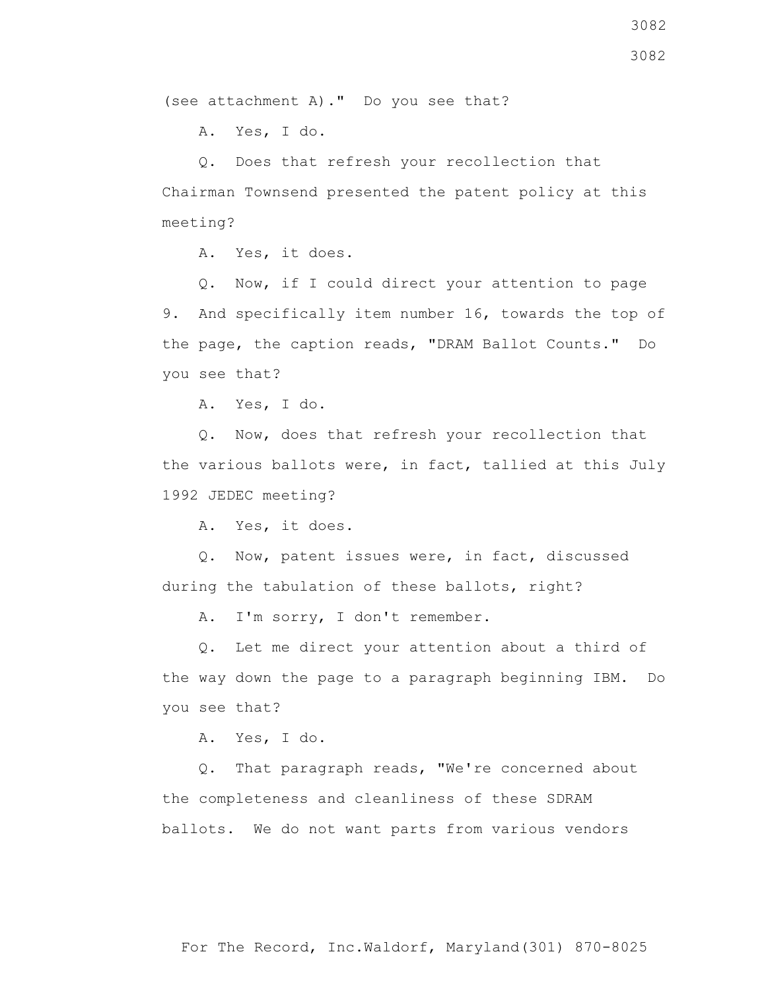(see attachment A)." Do you see that?

A. Yes, I do.

 Q. Does that refresh your recollection that Chairman Townsend presented the patent policy at this meeting?

A. Yes, it does.

 Q. Now, if I could direct your attention to page 9. And specifically item number 16, towards the top of the page, the caption reads, "DRAM Ballot Counts." Do you see that?

A. Yes, I do.

 Q. Now, does that refresh your recollection that the various ballots were, in fact, tallied at this July 1992 JEDEC meeting?

A. Yes, it does.

 Q. Now, patent issues were, in fact, discussed during the tabulation of these ballots, right?

A. I'm sorry, I don't remember.

 Q. Let me direct your attention about a third of the way down the page to a paragraph beginning IBM. Do you see that?

A. Yes, I do.

 Q. That paragraph reads, "We're concerned about the completeness and cleanliness of these SDRAM ballots. We do not want parts from various vendors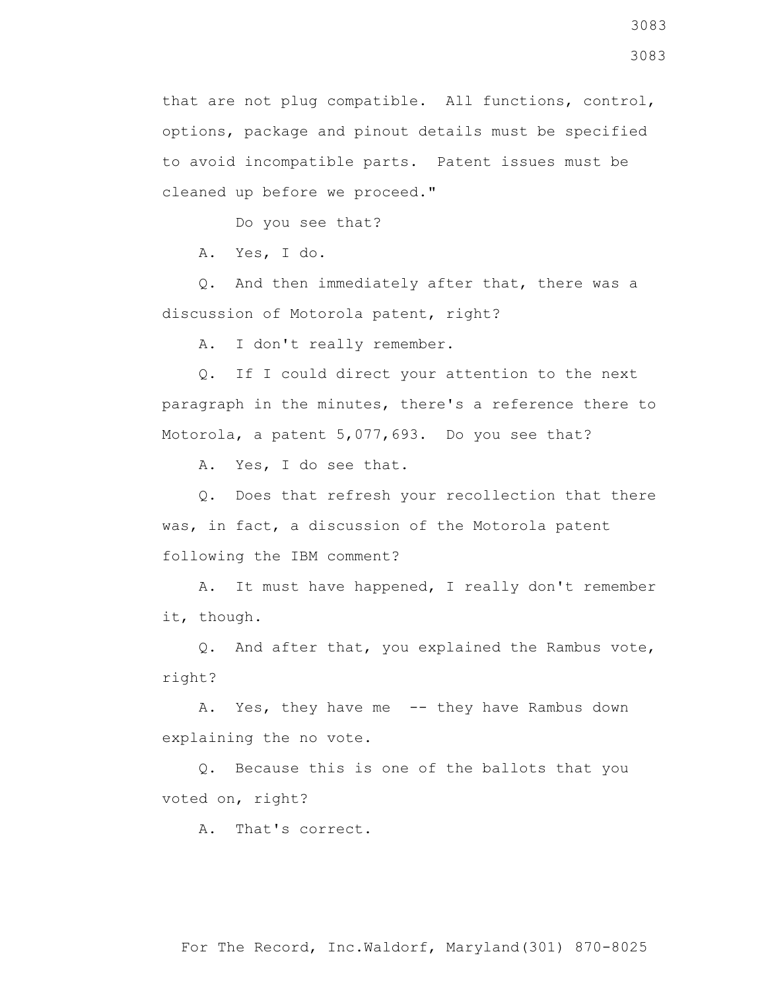that are not plug compatible. All functions, control, options, package and pinout details must be specified to avoid incompatible parts. Patent issues must be cleaned up before we proceed."

Do you see that?

A. Yes, I do.

 Q. And then immediately after that, there was a discussion of Motorola patent, right?

A. I don't really remember.

 Q. If I could direct your attention to the next paragraph in the minutes, there's a reference there to Motorola, a patent 5,077,693. Do you see that?

A. Yes, I do see that.

 Q. Does that refresh your recollection that there was, in fact, a discussion of the Motorola patent following the IBM comment?

 A. It must have happened, I really don't remember it, though.

 Q. And after that, you explained the Rambus vote, right?

A. Yes, they have me -- they have Rambus down explaining the no vote.

 Q. Because this is one of the ballots that you voted on, right?

A. That's correct.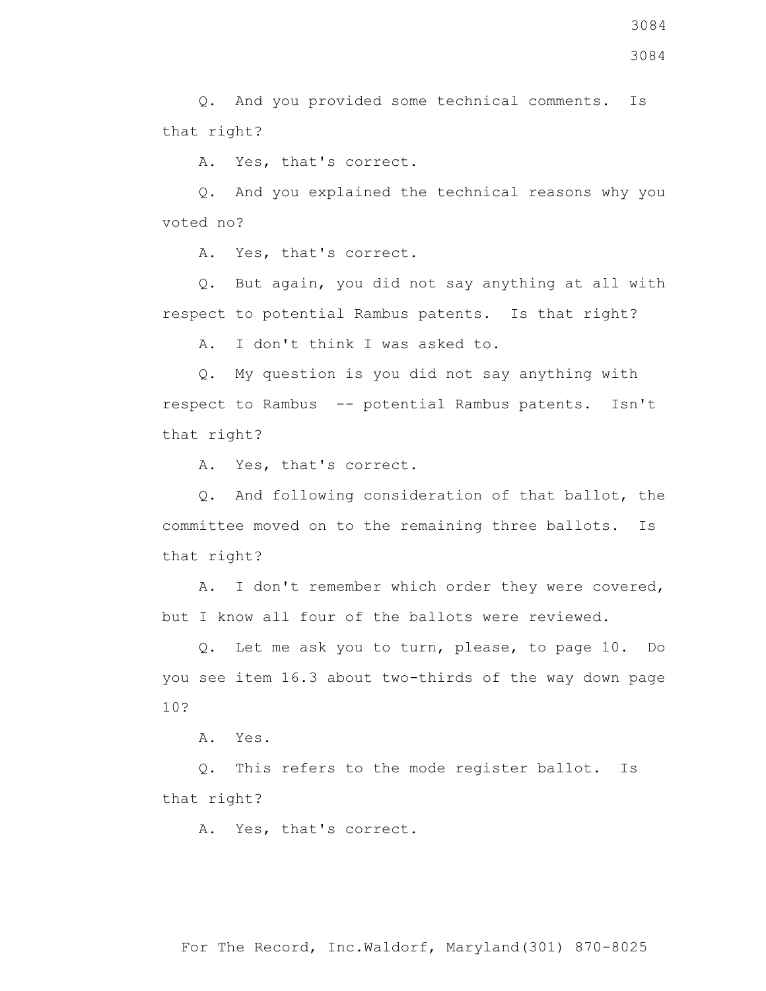Q. And you provided some technical comments. Is that right?

A. Yes, that's correct.

 Q. And you explained the technical reasons why you voted no?

A. Yes, that's correct.

 Q. But again, you did not say anything at all with respect to potential Rambus patents. Is that right?

A. I don't think I was asked to.

 Q. My question is you did not say anything with respect to Rambus -- potential Rambus patents. Isn't that right?

A. Yes, that's correct.

 Q. And following consideration of that ballot, the committee moved on to the remaining three ballots. Is that right?

 A. I don't remember which order they were covered, but I know all four of the ballots were reviewed.

 Q. Let me ask you to turn, please, to page 10. Do you see item 16.3 about two-thirds of the way down page 10?

A. Yes.

 Q. This refers to the mode register ballot. Is that right?

A. Yes, that's correct.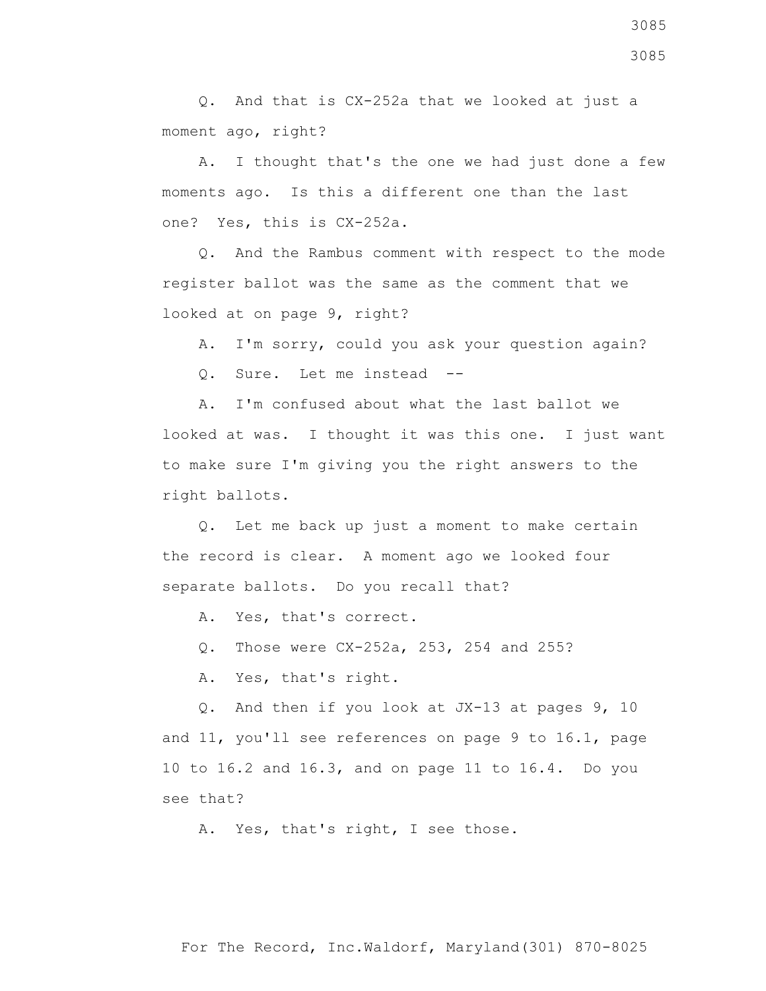Q. And that is CX-252a that we looked at just a moment ago, right?

 A. I thought that's the one we had just done a few moments ago. Is this a different one than the last one? Yes, this is CX-252a.

 Q. And the Rambus comment with respect to the mode register ballot was the same as the comment that we looked at on page 9, right?

A. I'm sorry, could you ask your question again?

Q. Sure. Let me instead --

 A. I'm confused about what the last ballot we looked at was. I thought it was this one. I just want to make sure I'm giving you the right answers to the right ballots.

 Q. Let me back up just a moment to make certain the record is clear. A moment ago we looked four separate ballots. Do you recall that?

A. Yes, that's correct.

Q. Those were CX-252a, 253, 254 and 255?

A. Yes, that's right.

 Q. And then if you look at JX-13 at pages 9, 10 and 11, you'll see references on page 9 to 16.1, page 10 to 16.2 and 16.3, and on page 11 to 16.4. Do you see that?

A. Yes, that's right, I see those.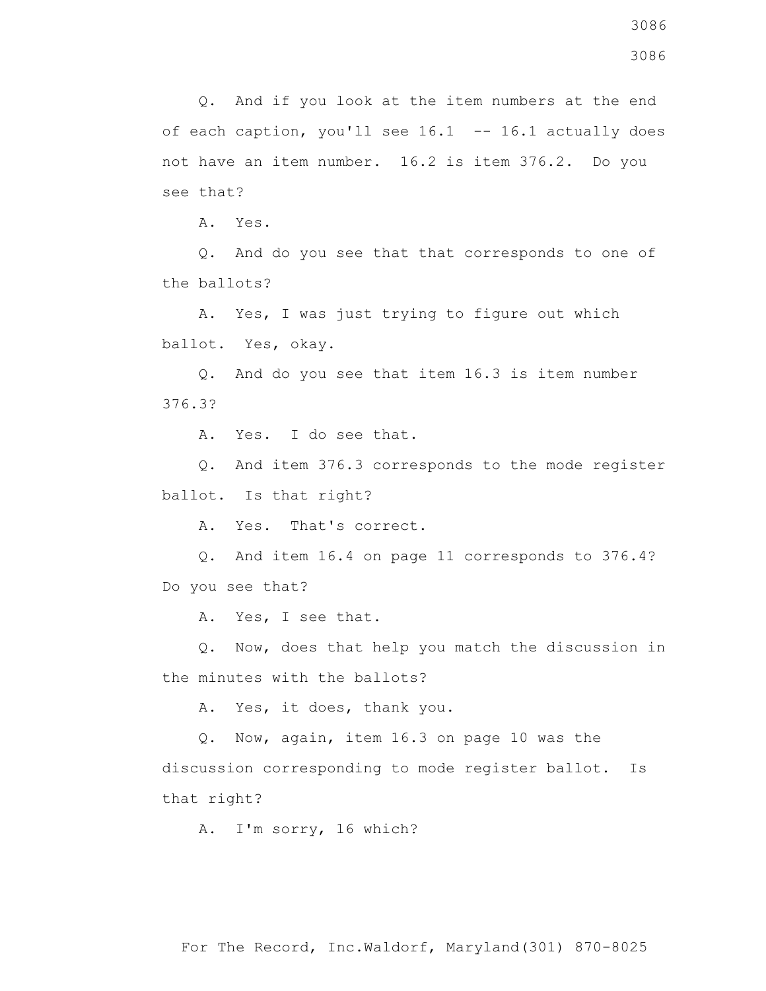3086

 Q. And if you look at the item numbers at the end of each caption, you'll see 16.1 -- 16.1 actually does not have an item number. 16.2 is item 376.2. Do you see that?

A. Yes.

 Q. And do you see that that corresponds to one of the ballots?

 A. Yes, I was just trying to figure out which ballot. Yes, okay.

 Q. And do you see that item 16.3 is item number 376.3?

A. Yes. I do see that.

 Q. And item 376.3 corresponds to the mode register ballot. Is that right?

A. Yes. That's correct.

 Q. And item 16.4 on page 11 corresponds to 376.4? Do you see that?

A. Yes, I see that.

 Q. Now, does that help you match the discussion in the minutes with the ballots?

A. Yes, it does, thank you.

Q. Now, again, item 16.3 on page 10 was the

discussion corresponding to mode register ballot. Is that right?

A. I'm sorry, 16 which?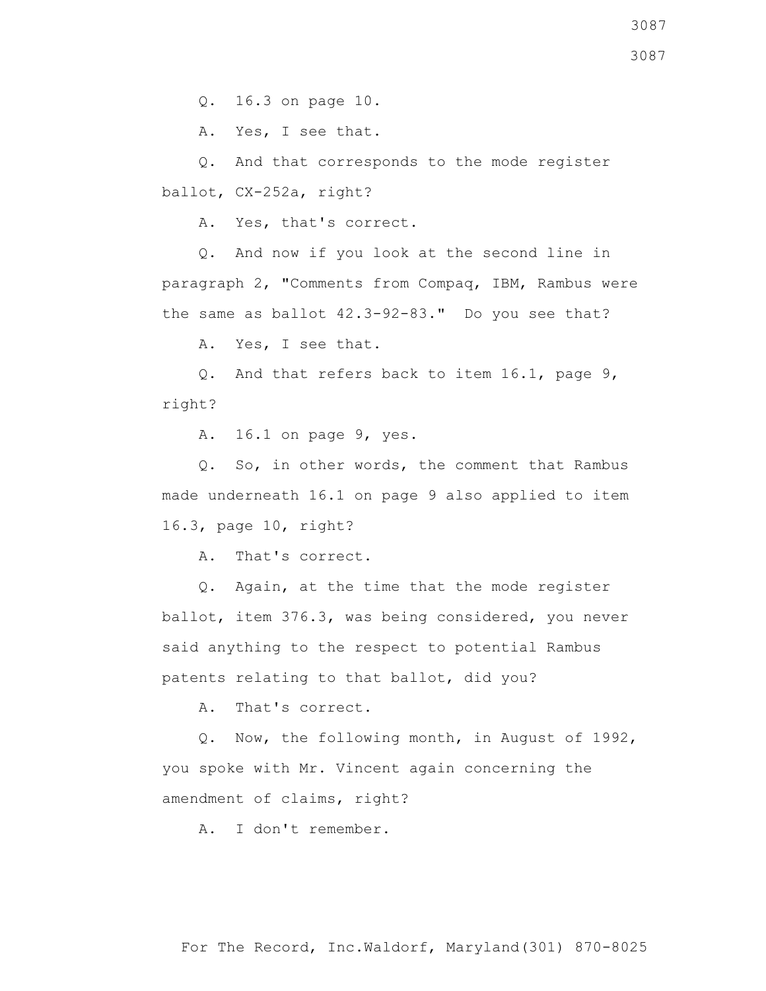Q. 16.3 on page 10.

A. Yes, I see that.

 Q. And that corresponds to the mode register ballot, CX-252a, right?

A. Yes, that's correct.

 Q. And now if you look at the second line in paragraph 2, "Comments from Compaq, IBM, Rambus were the same as ballot 42.3-92-83." Do you see that?

A. Yes, I see that.

 Q. And that refers back to item 16.1, page 9, right?

A. 16.1 on page 9, yes.

 Q. So, in other words, the comment that Rambus made underneath 16.1 on page 9 also applied to item 16.3, page 10, right?

A. That's correct.

 Q. Again, at the time that the mode register ballot, item 376.3, was being considered, you never said anything to the respect to potential Rambus patents relating to that ballot, did you?

A. That's correct.

 Q. Now, the following month, in August of 1992, you spoke with Mr. Vincent again concerning the amendment of claims, right?

A. I don't remember.

3087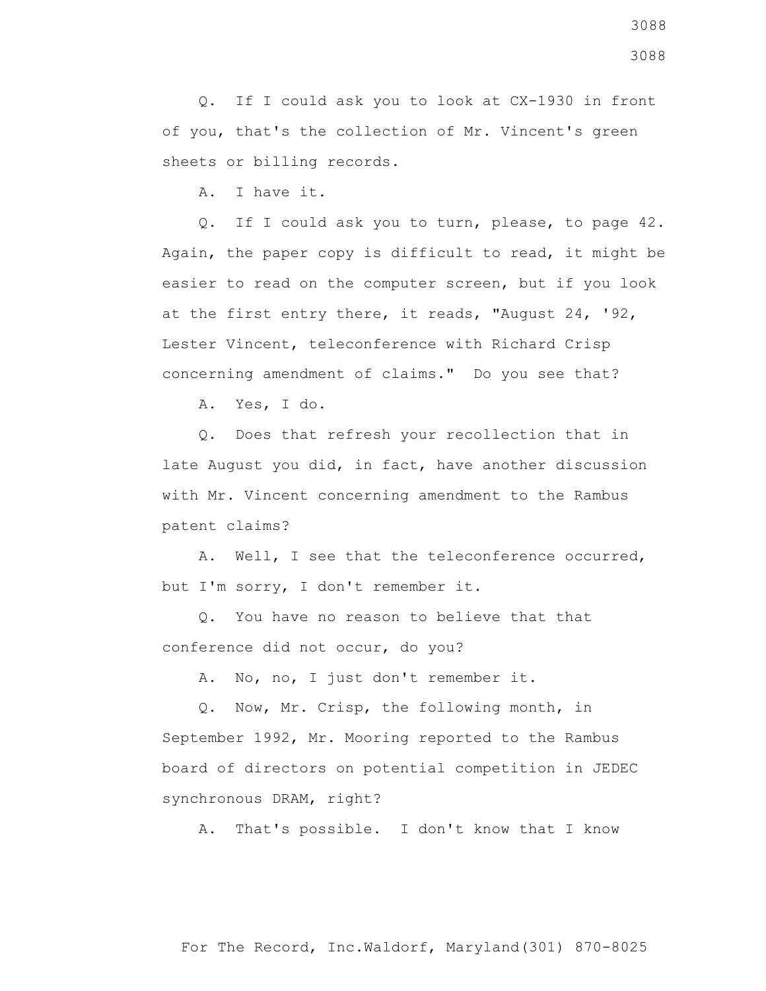Q. If I could ask you to look at CX-1930 in front of you, that's the collection of Mr. Vincent's green sheets or billing records.

A. I have it.

 Q. If I could ask you to turn, please, to page 42. Again, the paper copy is difficult to read, it might be easier to read on the computer screen, but if you look at the first entry there, it reads, "August 24, '92, Lester Vincent, teleconference with Richard Crisp concerning amendment of claims." Do you see that?

A. Yes, I do.

 Q. Does that refresh your recollection that in late August you did, in fact, have another discussion with Mr. Vincent concerning amendment to the Rambus patent claims?

 A. Well, I see that the teleconference occurred, but I'm sorry, I don't remember it.

 Q. You have no reason to believe that that conference did not occur, do you?

A. No, no, I just don't remember it.

 Q. Now, Mr. Crisp, the following month, in September 1992, Mr. Mooring reported to the Rambus board of directors on potential competition in JEDEC synchronous DRAM, right?

A. That's possible. I don't know that I know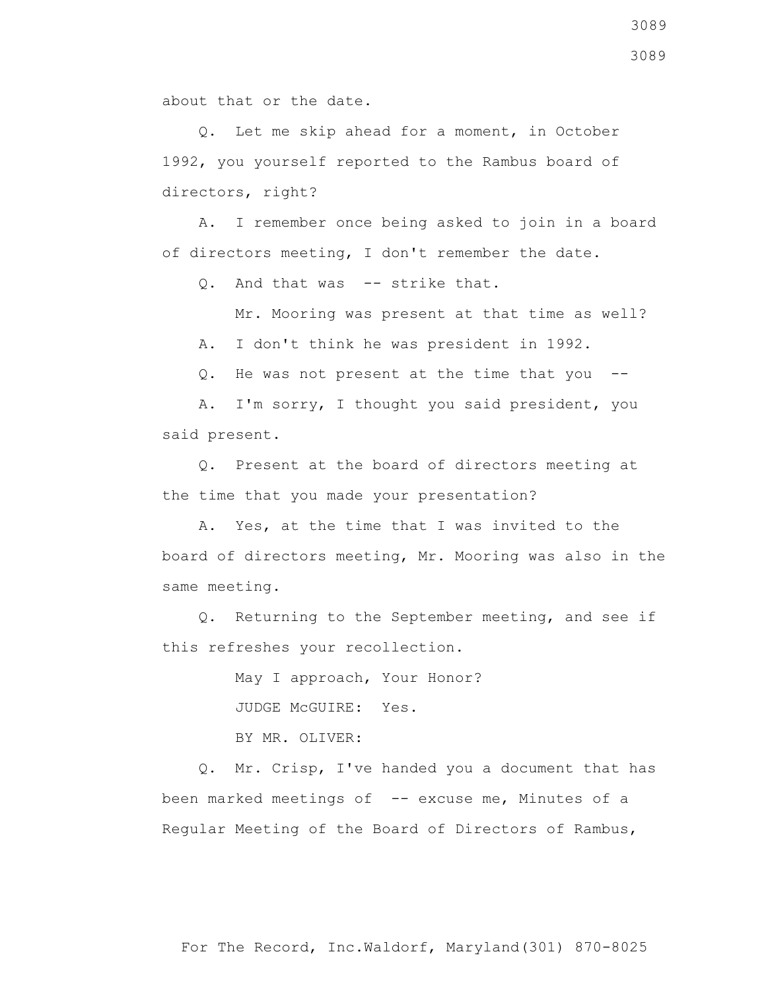about that or the date.

 Q. Let me skip ahead for a moment, in October 1992, you yourself reported to the Rambus board of directors, right?

 A. I remember once being asked to join in a board of directors meeting, I don't remember the date.

Q. And that was -- strike that.

Mr. Mooring was present at that time as well?

A. I don't think he was president in 1992.

Q. He was not present at the time that you --

 A. I'm sorry, I thought you said president, you said present.

 Q. Present at the board of directors meeting at the time that you made your presentation?

 A. Yes, at the time that I was invited to the board of directors meeting, Mr. Mooring was also in the same meeting.

 Q. Returning to the September meeting, and see if this refreshes your recollection.

> May I approach, Your Honor? JUDGE McGUIRE: Yes. BY MR. OLIVER:

 Q. Mr. Crisp, I've handed you a document that has been marked meetings of -- excuse me, Minutes of a Regular Meeting of the Board of Directors of Rambus,

3089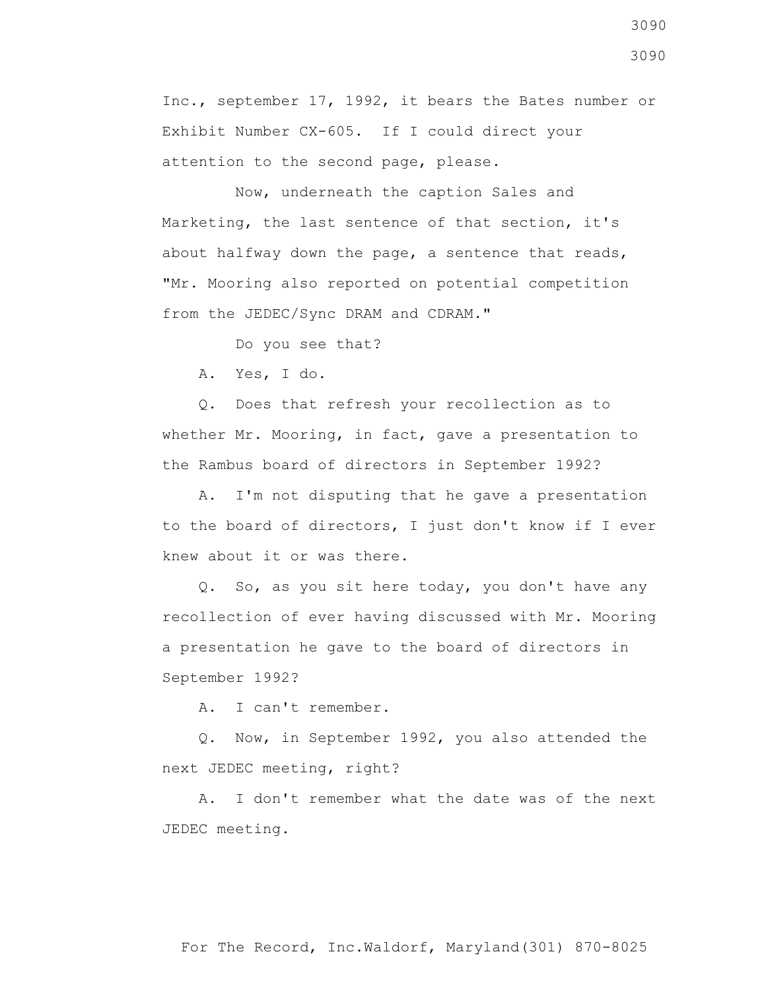Inc., september 17, 1992, it bears the Bates number or Exhibit Number CX-605. If I could direct your attention to the second page, please.

 Now, underneath the caption Sales and Marketing, the last sentence of that section, it's about halfway down the page, a sentence that reads, "Mr. Mooring also reported on potential competition from the JEDEC/Sync DRAM and CDRAM."

Do you see that?

A. Yes, I do.

 Q. Does that refresh your recollection as to whether Mr. Mooring, in fact, gave a presentation to the Rambus board of directors in September 1992?

 A. I'm not disputing that he gave a presentation to the board of directors, I just don't know if I ever knew about it or was there.

 Q. So, as you sit here today, you don't have any recollection of ever having discussed with Mr. Mooring a presentation he gave to the board of directors in September 1992?

A. I can't remember.

 Q. Now, in September 1992, you also attended the next JEDEC meeting, right?

 A. I don't remember what the date was of the next JEDEC meeting.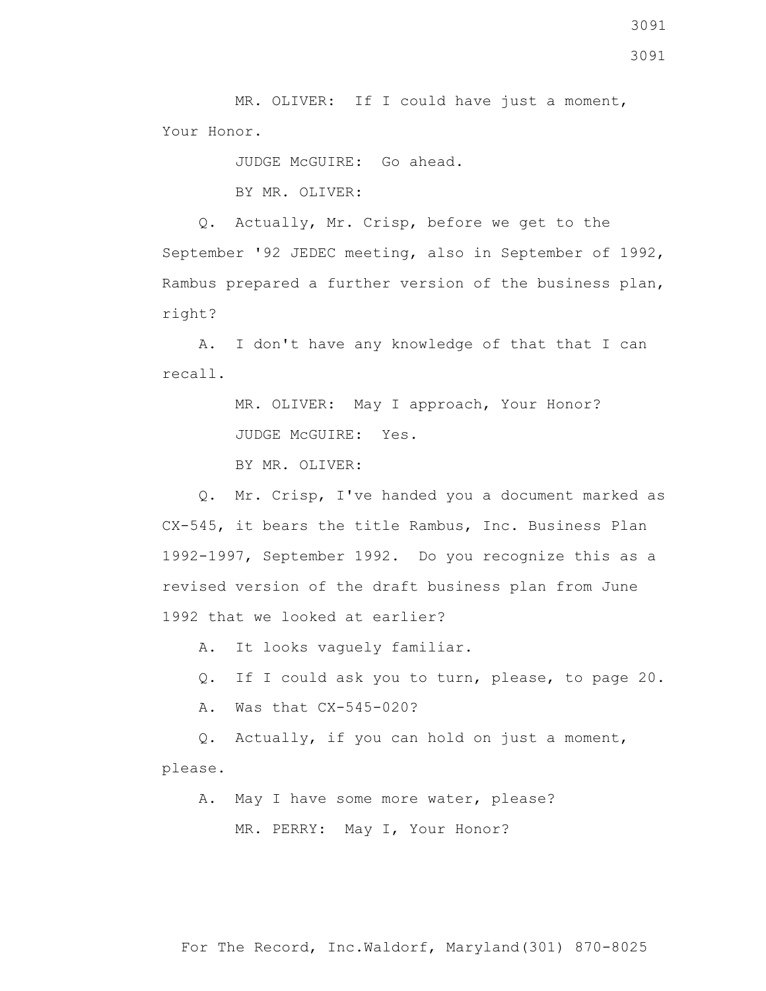MR. OLIVER: If I could have just a moment, Your Honor.

JUDGE McGUIRE: Go ahead.

BY MR. OLIVER:

 Q. Actually, Mr. Crisp, before we get to the September '92 JEDEC meeting, also in September of 1992, Rambus prepared a further version of the business plan, right?

 A. I don't have any knowledge of that that I can recall.

> MR. OLIVER: May I approach, Your Honor? JUDGE McGUIRE: Yes.

BY MR. OLIVER:

 Q. Mr. Crisp, I've handed you a document marked as CX-545, it bears the title Rambus, Inc. Business Plan 1992-1997, September 1992. Do you recognize this as a revised version of the draft business plan from June 1992 that we looked at earlier?

A. It looks vaguely familiar.

Q. If I could ask you to turn, please, to page 20.

A. Was that CX-545-020?

 Q. Actually, if you can hold on just a moment, please.

 A. May I have some more water, please? MR. PERRY: May I, Your Honor?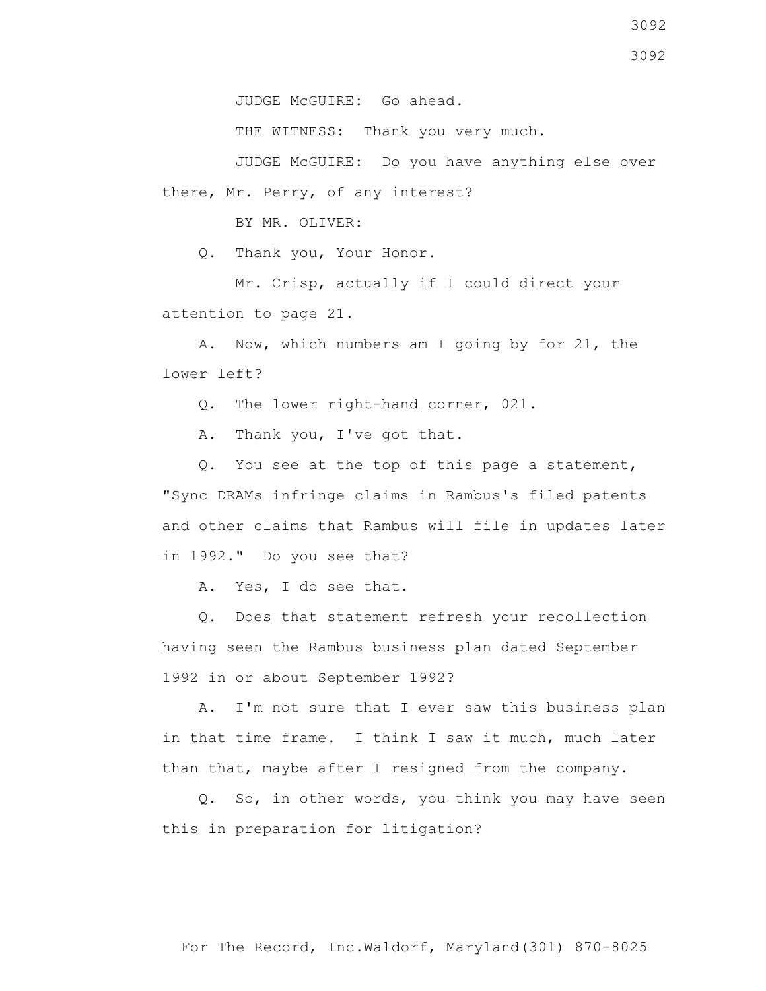JUDGE McGUIRE: Go ahead.

THE WITNESS: Thank you very much.

 JUDGE McGUIRE: Do you have anything else over there, Mr. Perry, of any interest?

BY MR. OLIVER:

Q. Thank you, Your Honor.

 Mr. Crisp, actually if I could direct your attention to page 21.

 A. Now, which numbers am I going by for 21, the lower left?

Q. The lower right-hand corner, 021.

A. Thank you, I've got that.

 Q. You see at the top of this page a statement, "Sync DRAMs infringe claims in Rambus's filed patents and other claims that Rambus will file in updates later in 1992." Do you see that?

A. Yes, I do see that.

 Q. Does that statement refresh your recollection having seen the Rambus business plan dated September 1992 in or about September 1992?

 A. I'm not sure that I ever saw this business plan in that time frame. I think I saw it much, much later than that, maybe after I resigned from the company.

 Q. So, in other words, you think you may have seen this in preparation for litigation?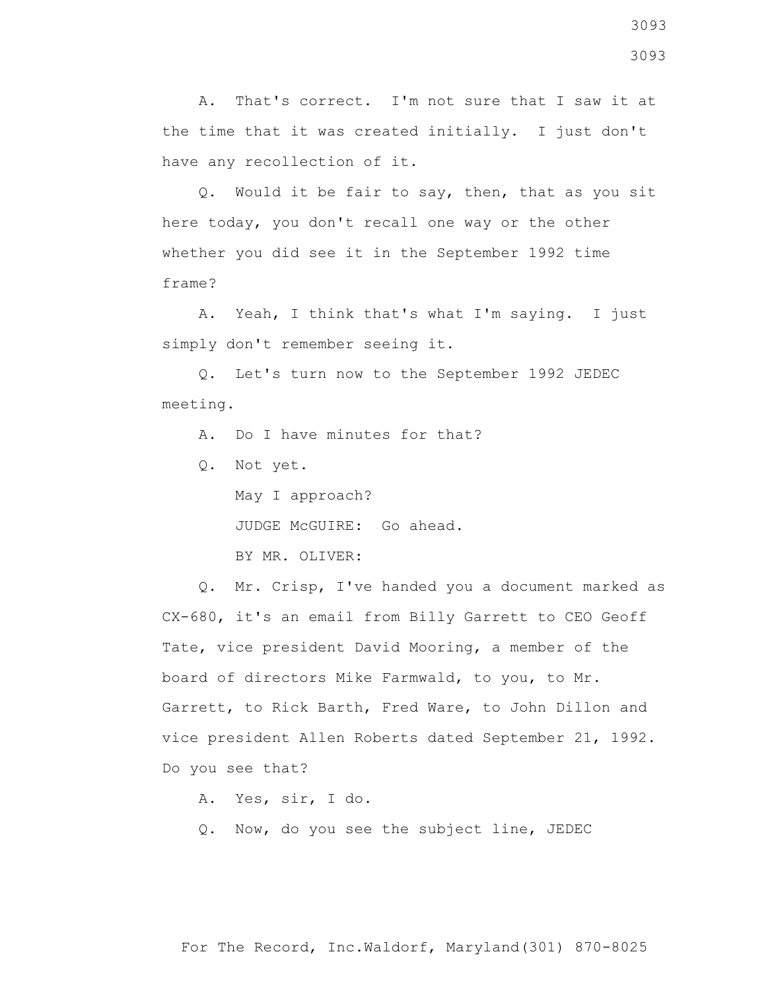A. That's correct. I'm not sure that I saw it at the time that it was created initially. I just don't have any recollection of it.

 Q. Would it be fair to say, then, that as you sit here today, you don't recall one way or the other whether you did see it in the September 1992 time frame?

 A. Yeah, I think that's what I'm saying. I just simply don't remember seeing it.

 Q. Let's turn now to the September 1992 JEDEC meeting.

A. Do I have minutes for that?

Q. Not yet.

 May I approach? JUDGE McGUIRE: Go ahead. BY MR. OLIVER:

 Q. Mr. Crisp, I've handed you a document marked as CX-680, it's an email from Billy Garrett to CEO Geoff Tate, vice president David Mooring, a member of the board of directors Mike Farmwald, to you, to Mr. Garrett, to Rick Barth, Fred Ware, to John Dillon and vice president Allen Roberts dated September 21, 1992. Do you see that?

A. Yes, sir, I do.

Q. Now, do you see the subject line, JEDEC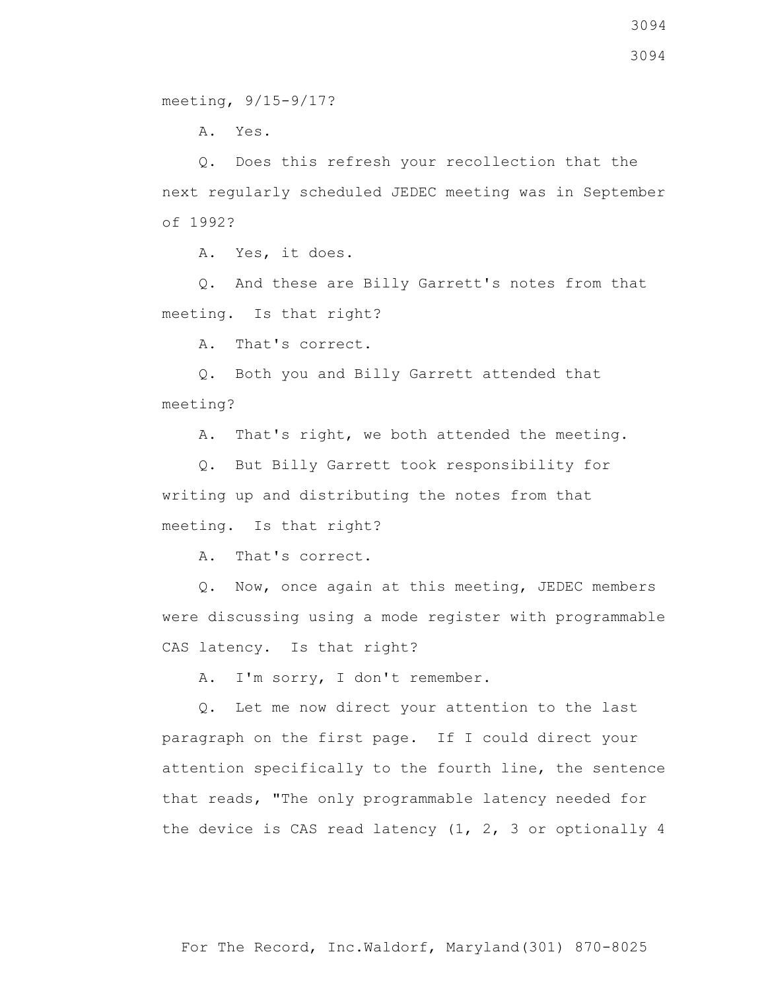meeting, 9/15-9/17?

A. Yes.

 Q. Does this refresh your recollection that the next regularly scheduled JEDEC meeting was in September of 1992?

A. Yes, it does.

 Q. And these are Billy Garrett's notes from that meeting. Is that right?

A. That's correct.

 Q. Both you and Billy Garrett attended that meeting?

A. That's right, we both attended the meeting.

 Q. But Billy Garrett took responsibility for writing up and distributing the notes from that meeting. Is that right?

A. That's correct.

 Q. Now, once again at this meeting, JEDEC members were discussing using a mode register with programmable CAS latency. Is that right?

A. I'm sorry, I don't remember.

 Q. Let me now direct your attention to the last paragraph on the first page. If I could direct your attention specifically to the fourth line, the sentence that reads, "The only programmable latency needed for the device is CAS read latency (1, 2, 3 or optionally 4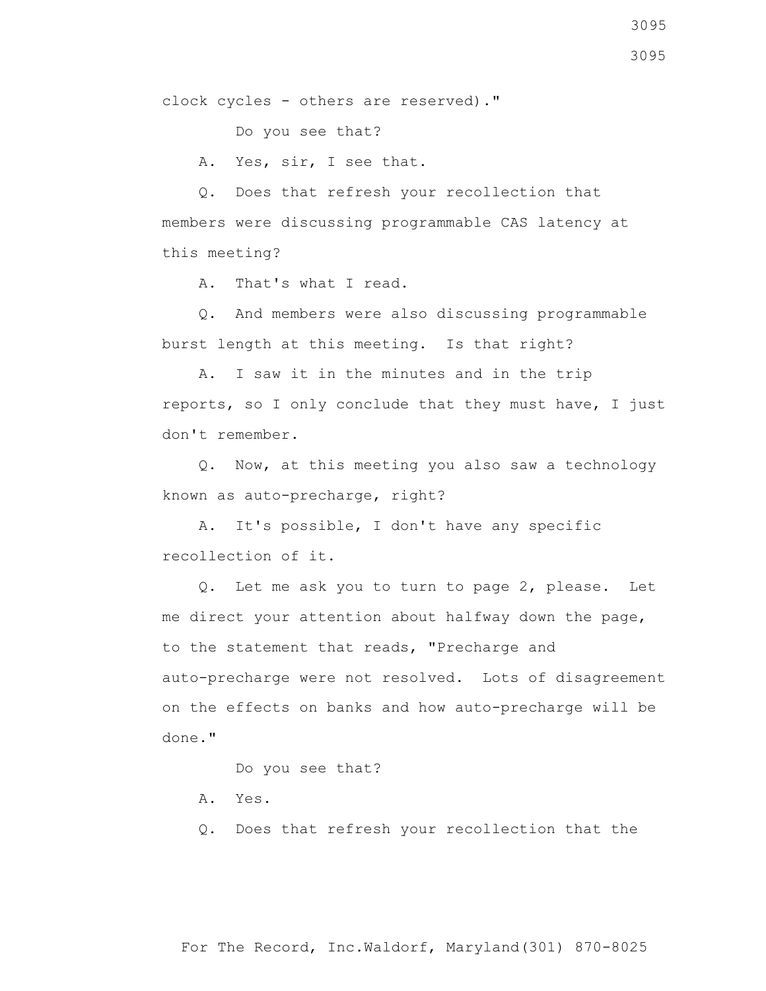clock cycles - others are reserved)."

Do you see that?

A. Yes, sir, I see that.

 Q. Does that refresh your recollection that members were discussing programmable CAS latency at this meeting?

A. That's what I read.

 Q. And members were also discussing programmable burst length at this meeting. Is that right?

 A. I saw it in the minutes and in the trip reports, so I only conclude that they must have, I just don't remember.

 Q. Now, at this meeting you also saw a technology known as auto-precharge, right?

 A. It's possible, I don't have any specific recollection of it.

 Q. Let me ask you to turn to page 2, please. Let me direct your attention about halfway down the page, to the statement that reads, "Precharge and auto-precharge were not resolved. Lots of disagreement on the effects on banks and how auto-precharge will be done."

Do you see that?

A. Yes.

Q. Does that refresh your recollection that the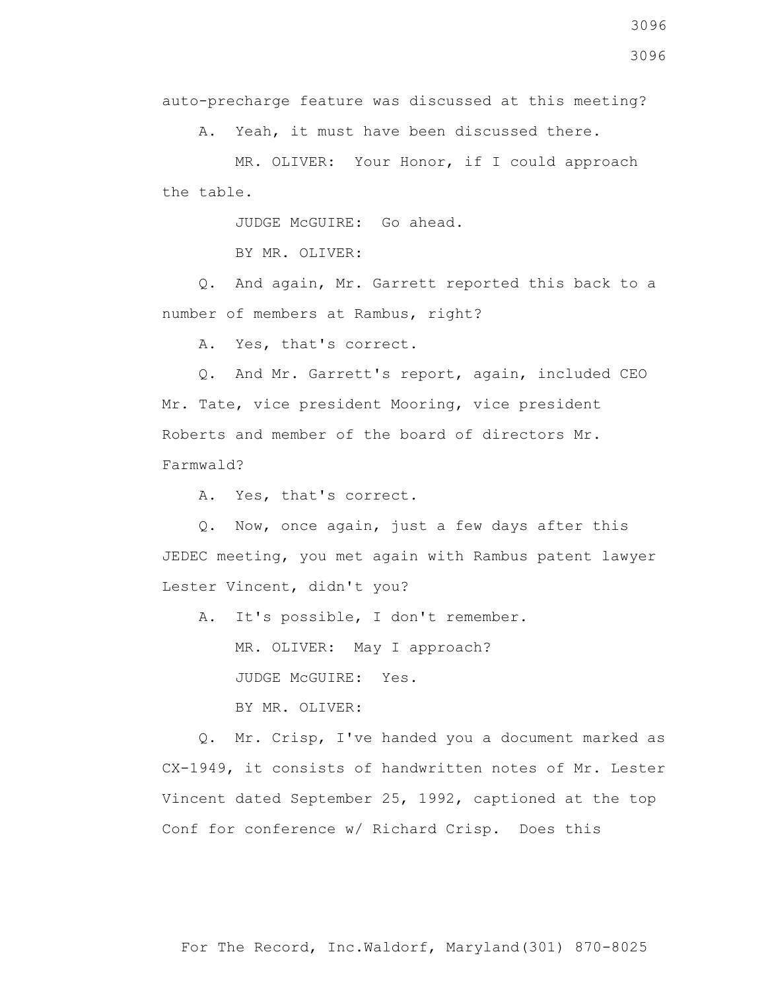A. Yeah, it must have been discussed there.

 MR. OLIVER: Your Honor, if I could approach the table.

JUDGE McGUIRE: Go ahead.

BY MR. OLIVER:

 Q. And again, Mr. Garrett reported this back to a number of members at Rambus, right?

A. Yes, that's correct.

 Q. And Mr. Garrett's report, again, included CEO Mr. Tate, vice president Mooring, vice president Roberts and member of the board of directors Mr. Farmwald?

A. Yes, that's correct.

 Q. Now, once again, just a few days after this JEDEC meeting, you met again with Rambus patent lawyer Lester Vincent, didn't you?

A. It's possible, I don't remember.

MR. OLIVER: May I approach?

JUDGE McGUIRE: Yes.

BY MR. OLIVER:

 Q. Mr. Crisp, I've handed you a document marked as CX-1949, it consists of handwritten notes of Mr. Lester Vincent dated September 25, 1992, captioned at the top Conf for conference w/ Richard Crisp. Does this

3096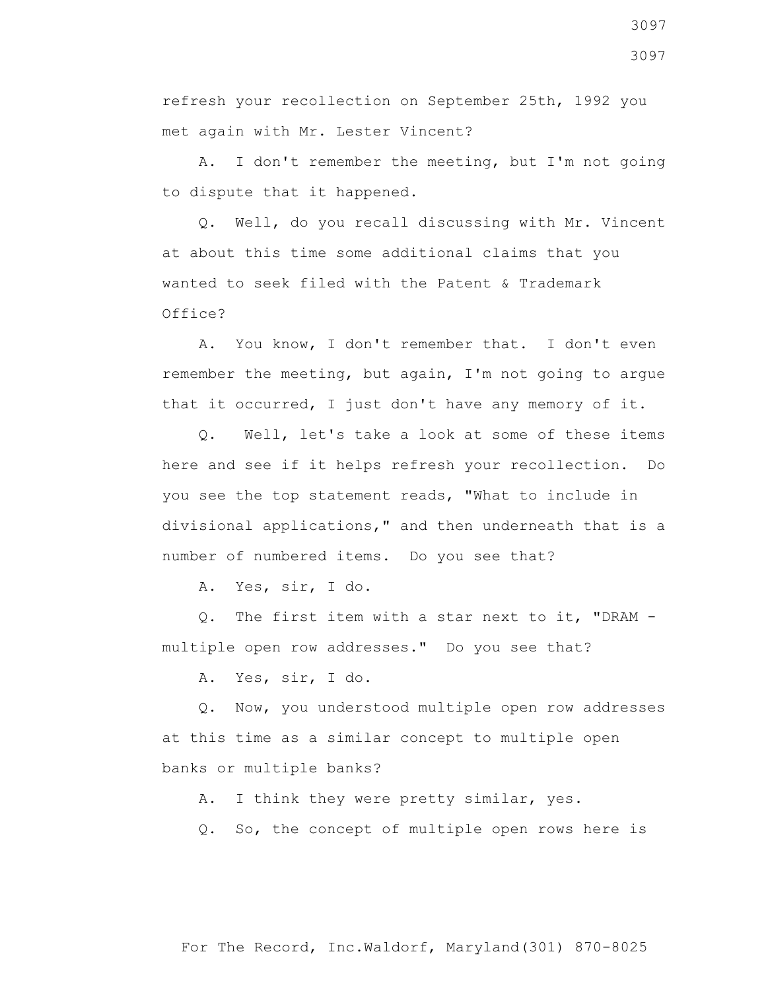refresh your recollection on September 25th, 1992 you met again with Mr. Lester Vincent?

 A. I don't remember the meeting, but I'm not going to dispute that it happened.

 Q. Well, do you recall discussing with Mr. Vincent at about this time some additional claims that you wanted to seek filed with the Patent & Trademark Office?

 A. You know, I don't remember that. I don't even remember the meeting, but again, I'm not going to argue that it occurred, I just don't have any memory of it.

 Q. Well, let's take a look at some of these items here and see if it helps refresh your recollection. Do you see the top statement reads, "What to include in divisional applications," and then underneath that is a number of numbered items. Do you see that?

A. Yes, sir, I do.

 Q. The first item with a star next to it, "DRAM multiple open row addresses." Do you see that?

A. Yes, sir, I do.

 Q. Now, you understood multiple open row addresses at this time as a similar concept to multiple open banks or multiple banks?

A. I think they were pretty similar, yes.

Q. So, the concept of multiple open rows here is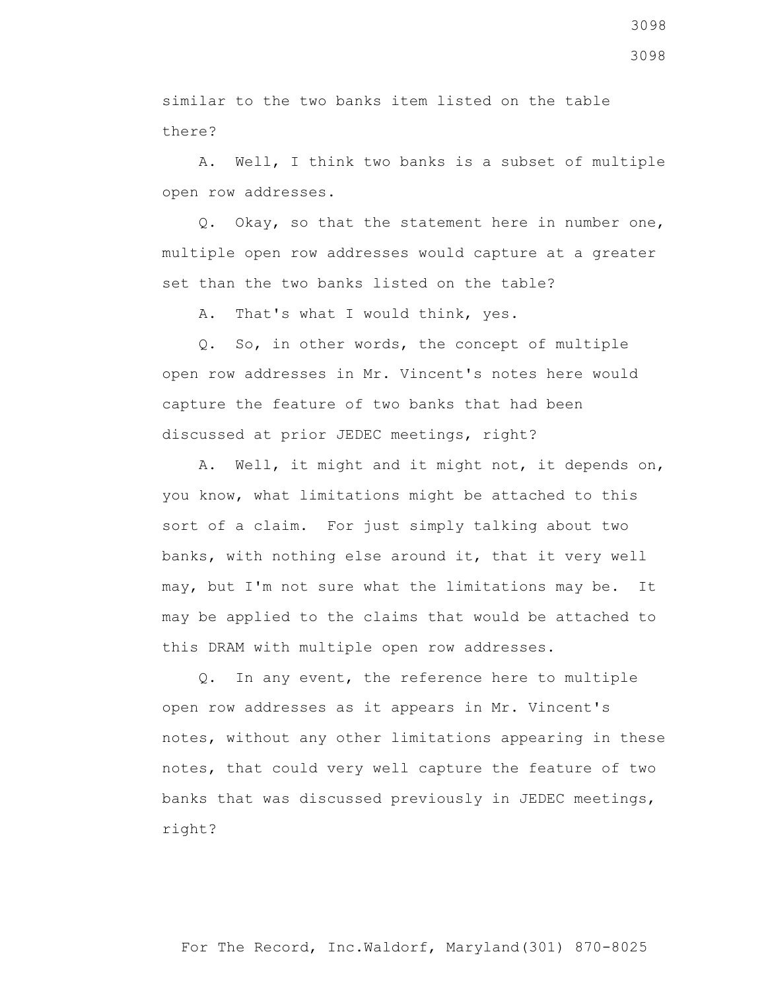similar to the two banks item listed on the table there?

 A. Well, I think two banks is a subset of multiple open row addresses.

 Q. Okay, so that the statement here in number one, multiple open row addresses would capture at a greater set than the two banks listed on the table?

A. That's what I would think, yes.

 Q. So, in other words, the concept of multiple open row addresses in Mr. Vincent's notes here would capture the feature of two banks that had been discussed at prior JEDEC meetings, right?

 A. Well, it might and it might not, it depends on, you know, what limitations might be attached to this sort of a claim. For just simply talking about two banks, with nothing else around it, that it very well may, but I'm not sure what the limitations may be. It may be applied to the claims that would be attached to this DRAM with multiple open row addresses.

 Q. In any event, the reference here to multiple open row addresses as it appears in Mr. Vincent's notes, without any other limitations appearing in these notes, that could very well capture the feature of two banks that was discussed previously in JEDEC meetings, right?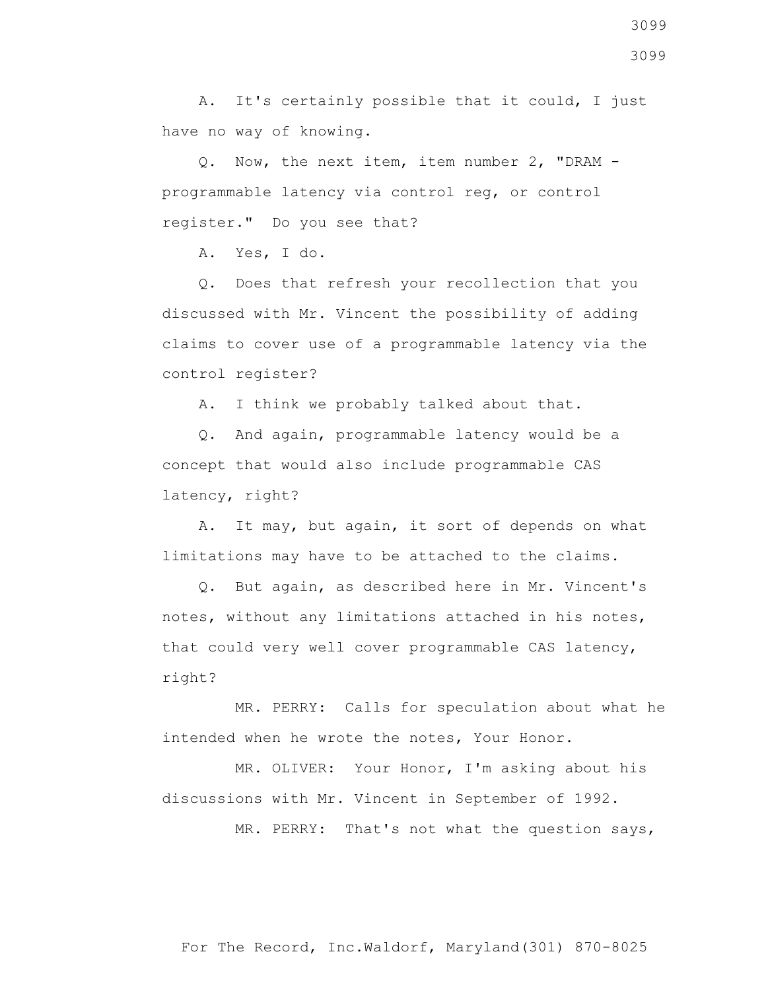A. It's certainly possible that it could, I just have no way of knowing.

 Q. Now, the next item, item number 2, "DRAM programmable latency via control reg, or control register." Do you see that?

A. Yes, I do.

 Q. Does that refresh your recollection that you discussed with Mr. Vincent the possibility of adding claims to cover use of a programmable latency via the control register?

A. I think we probably talked about that.

 Q. And again, programmable latency would be a concept that would also include programmable CAS latency, right?

 A. It may, but again, it sort of depends on what limitations may have to be attached to the claims.

 Q. But again, as described here in Mr. Vincent's notes, without any limitations attached in his notes, that could very well cover programmable CAS latency, right?

 MR. PERRY: Calls for speculation about what he intended when he wrote the notes, Your Honor.

 MR. OLIVER: Your Honor, I'm asking about his discussions with Mr. Vincent in September of 1992.

MR. PERRY: That's not what the question says,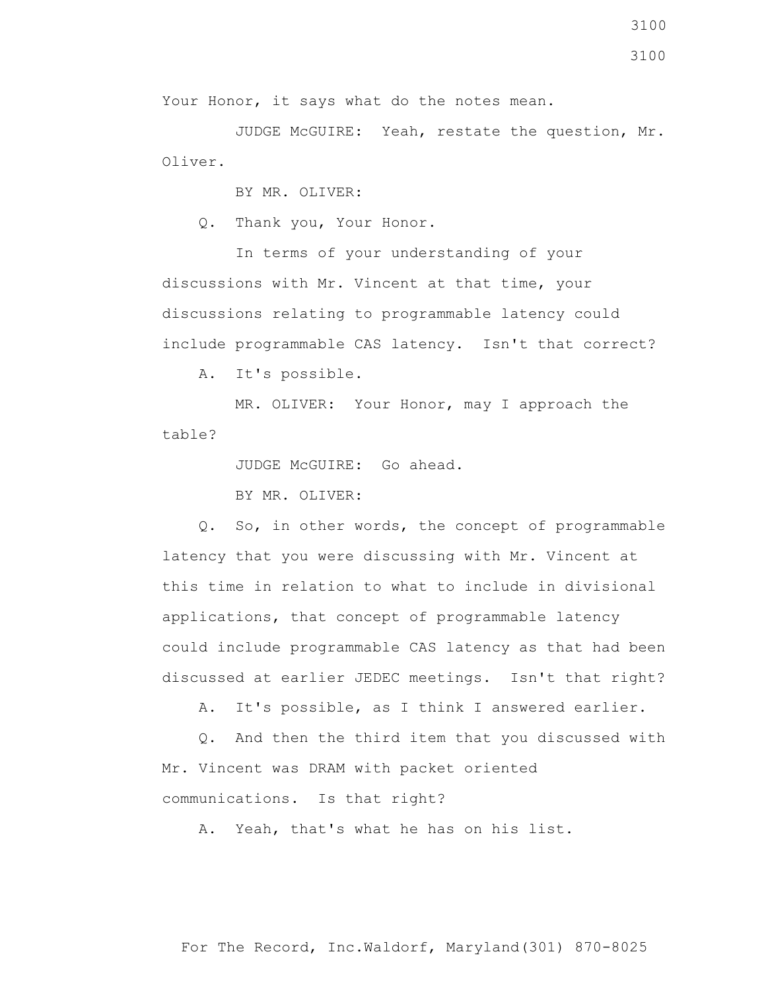Your Honor, it says what do the notes mean.

 JUDGE McGUIRE: Yeah, restate the question, Mr. Oliver.

BY MR. OLIVER:

Q. Thank you, Your Honor.

 In terms of your understanding of your discussions with Mr. Vincent at that time, your discussions relating to programmable latency could include programmable CAS latency. Isn't that correct?

A. It's possible.

 MR. OLIVER: Your Honor, may I approach the table?

JUDGE McGUIRE: Go ahead.

BY MR. OLIVER:

 Q. So, in other words, the concept of programmable latency that you were discussing with Mr. Vincent at this time in relation to what to include in divisional applications, that concept of programmable latency could include programmable CAS latency as that had been discussed at earlier JEDEC meetings. Isn't that right?

A. It's possible, as I think I answered earlier.

 Q. And then the third item that you discussed with Mr. Vincent was DRAM with packet oriented communications. Is that right?

A. Yeah, that's what he has on his list.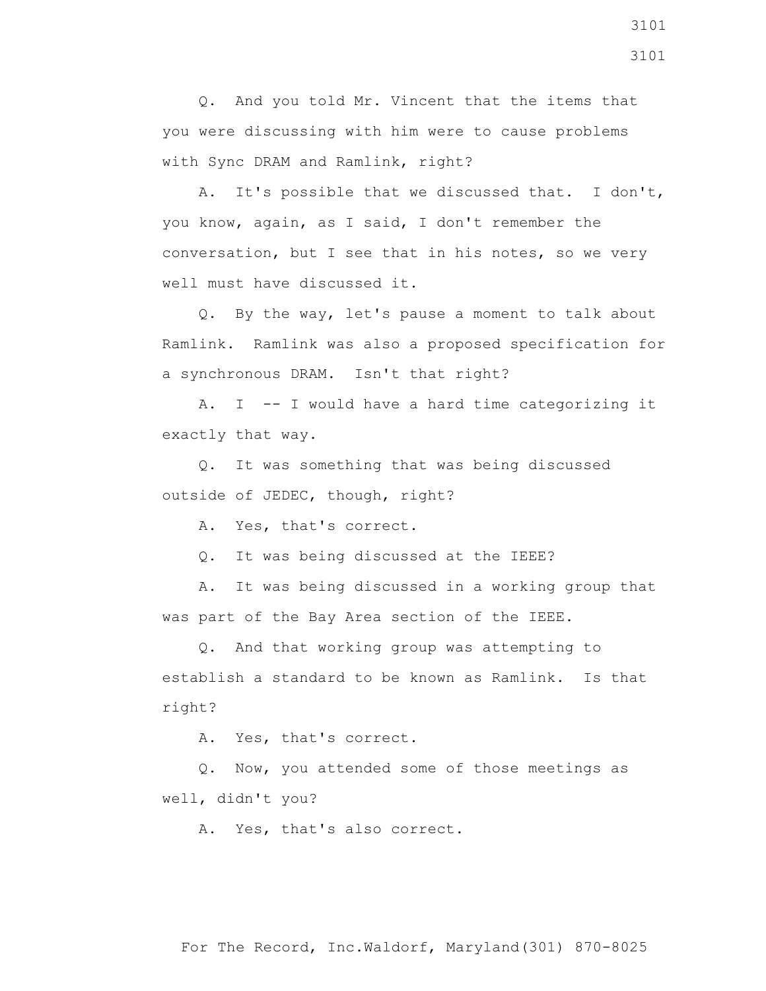Q. And you told Mr. Vincent that the items that you were discussing with him were to cause problems with Sync DRAM and Ramlink, right?

 A. It's possible that we discussed that. I don't, you know, again, as I said, I don't remember the conversation, but I see that in his notes, so we very well must have discussed it.

 Q. By the way, let's pause a moment to talk about Ramlink. Ramlink was also a proposed specification for a synchronous DRAM. Isn't that right?

 A. I -- I would have a hard time categorizing it exactly that way.

 Q. It was something that was being discussed outside of JEDEC, though, right?

A. Yes, that's correct.

Q. It was being discussed at the IEEE?

 A. It was being discussed in a working group that was part of the Bay Area section of the IEEE.

 Q. And that working group was attempting to establish a standard to be known as Ramlink. Is that right?

A. Yes, that's correct.

 Q. Now, you attended some of those meetings as well, didn't you?

A. Yes, that's also correct.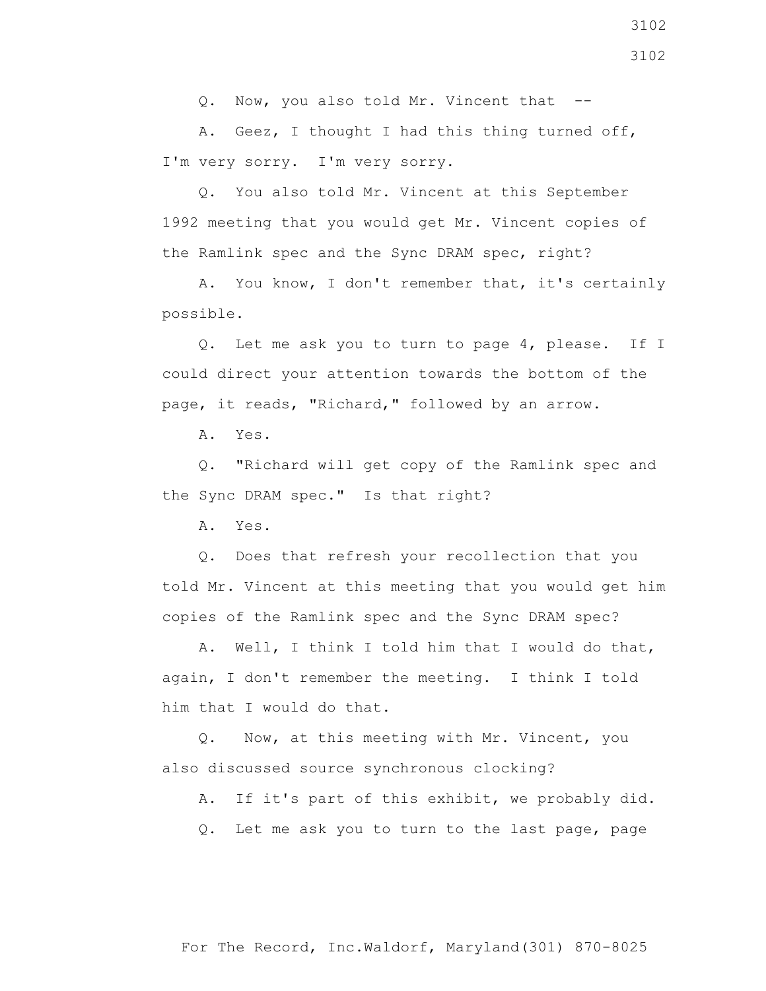Q. Now, you also told Mr. Vincent that --

 A. Geez, I thought I had this thing turned off, I'm very sorry. I'm very sorry.

 Q. You also told Mr. Vincent at this September 1992 meeting that you would get Mr. Vincent copies of the Ramlink spec and the Sync DRAM spec, right?

 A. You know, I don't remember that, it's certainly possible.

 Q. Let me ask you to turn to page 4, please. If I could direct your attention towards the bottom of the page, it reads, "Richard," followed by an arrow.

A. Yes.

 Q. "Richard will get copy of the Ramlink spec and the Sync DRAM spec." Is that right?

A. Yes.

 Q. Does that refresh your recollection that you told Mr. Vincent at this meeting that you would get him copies of the Ramlink spec and the Sync DRAM spec?

 A. Well, I think I told him that I would do that, again, I don't remember the meeting. I think I told him that I would do that.

 Q. Now, at this meeting with Mr. Vincent, you also discussed source synchronous clocking?

A. If it's part of this exhibit, we probably did.

Q. Let me ask you to turn to the last page, page

3102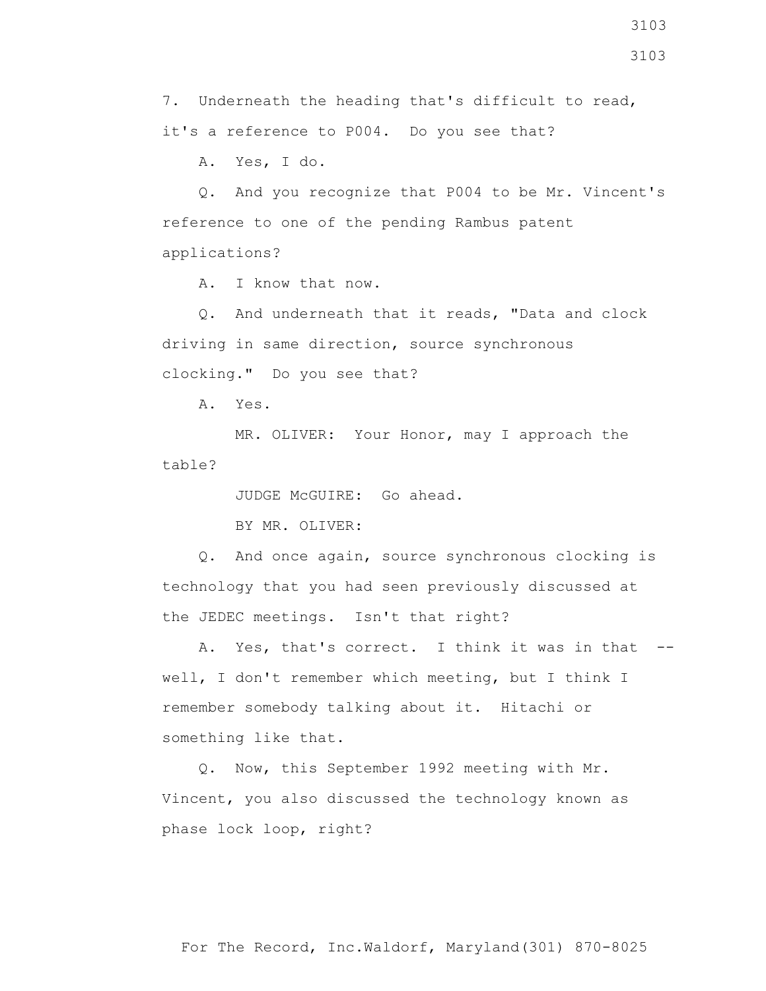7. Underneath the heading that's difficult to read, it's a reference to P004. Do you see that?

A. Yes, I do.

 Q. And you recognize that P004 to be Mr. Vincent's reference to one of the pending Rambus patent applications?

A. I know that now.

 Q. And underneath that it reads, "Data and clock driving in same direction, source synchronous clocking." Do you see that?

A. Yes.

 MR. OLIVER: Your Honor, may I approach the table?

JUDGE McGUIRE: Go ahead.

BY MR. OLIVER:

 Q. And once again, source synchronous clocking is technology that you had seen previously discussed at the JEDEC meetings. Isn't that right?

A. Yes, that's correct. I think it was in that -well, I don't remember which meeting, but I think I remember somebody talking about it. Hitachi or something like that.

 Q. Now, this September 1992 meeting with Mr. Vincent, you also discussed the technology known as phase lock loop, right?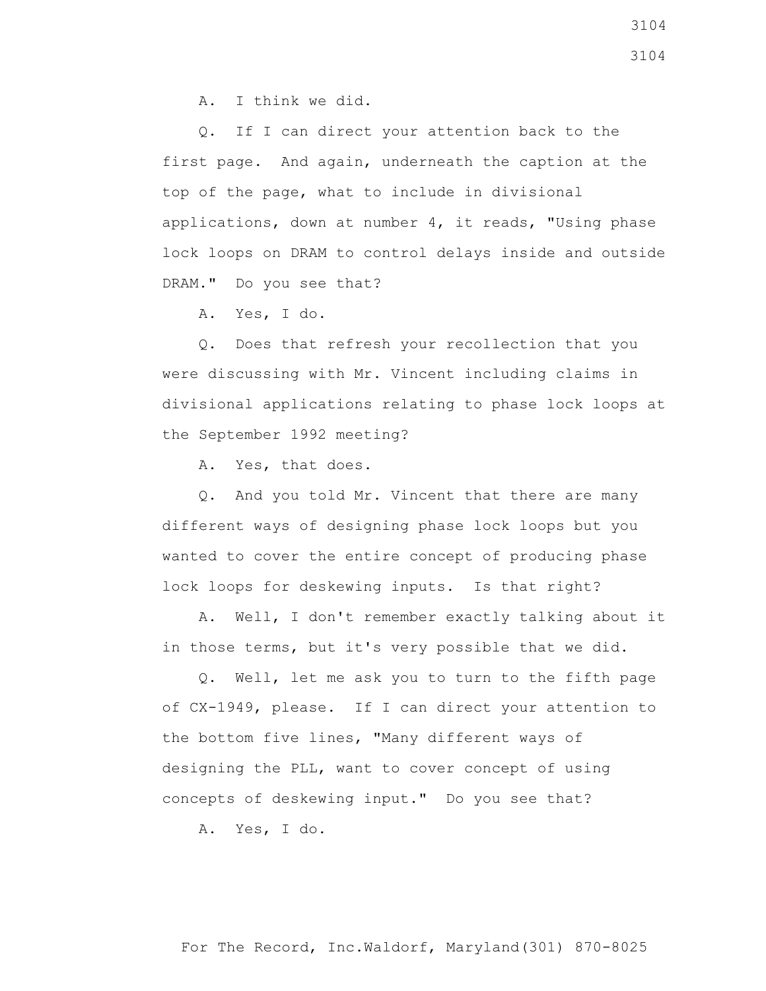A. I think we did.

 Q. If I can direct your attention back to the first page. And again, underneath the caption at the top of the page, what to include in divisional applications, down at number 4, it reads, "Using phase lock loops on DRAM to control delays inside and outside DRAM." Do you see that?

A. Yes, I do.

 Q. Does that refresh your recollection that you were discussing with Mr. Vincent including claims in divisional applications relating to phase lock loops at the September 1992 meeting?

A. Yes, that does.

 Q. And you told Mr. Vincent that there are many different ways of designing phase lock loops but you wanted to cover the entire concept of producing phase lock loops for deskewing inputs. Is that right?

 A. Well, I don't remember exactly talking about it in those terms, but it's very possible that we did.

 Q. Well, let me ask you to turn to the fifth page of CX-1949, please. If I can direct your attention to the bottom five lines, "Many different ways of designing the PLL, want to cover concept of using concepts of deskewing input." Do you see that?

A. Yes, I do.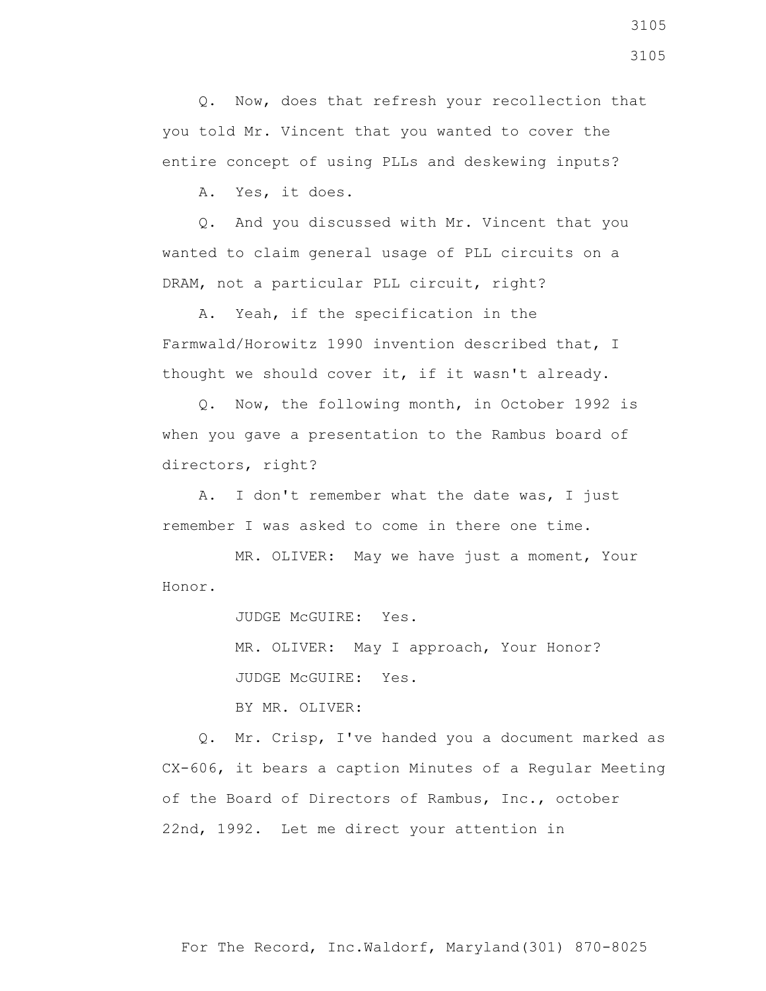Q. Now, does that refresh your recollection that you told Mr. Vincent that you wanted to cover the entire concept of using PLLs and deskewing inputs?

A. Yes, it does.

 Q. And you discussed with Mr. Vincent that you wanted to claim general usage of PLL circuits on a DRAM, not a particular PLL circuit, right?

 A. Yeah, if the specification in the Farmwald/Horowitz 1990 invention described that, I thought we should cover it, if it wasn't already.

 Q. Now, the following month, in October 1992 is when you gave a presentation to the Rambus board of directors, right?

 A. I don't remember what the date was, I just remember I was asked to come in there one time.

 MR. OLIVER: May we have just a moment, Your Honor.

JUDGE McGUIRE: Yes.

 MR. OLIVER: May I approach, Your Honor? JUDGE McGUIRE: Yes.

BY MR. OLIVER:

 Q. Mr. Crisp, I've handed you a document marked as CX-606, it bears a caption Minutes of a Regular Meeting of the Board of Directors of Rambus, Inc., october 22nd, 1992. Let me direct your attention in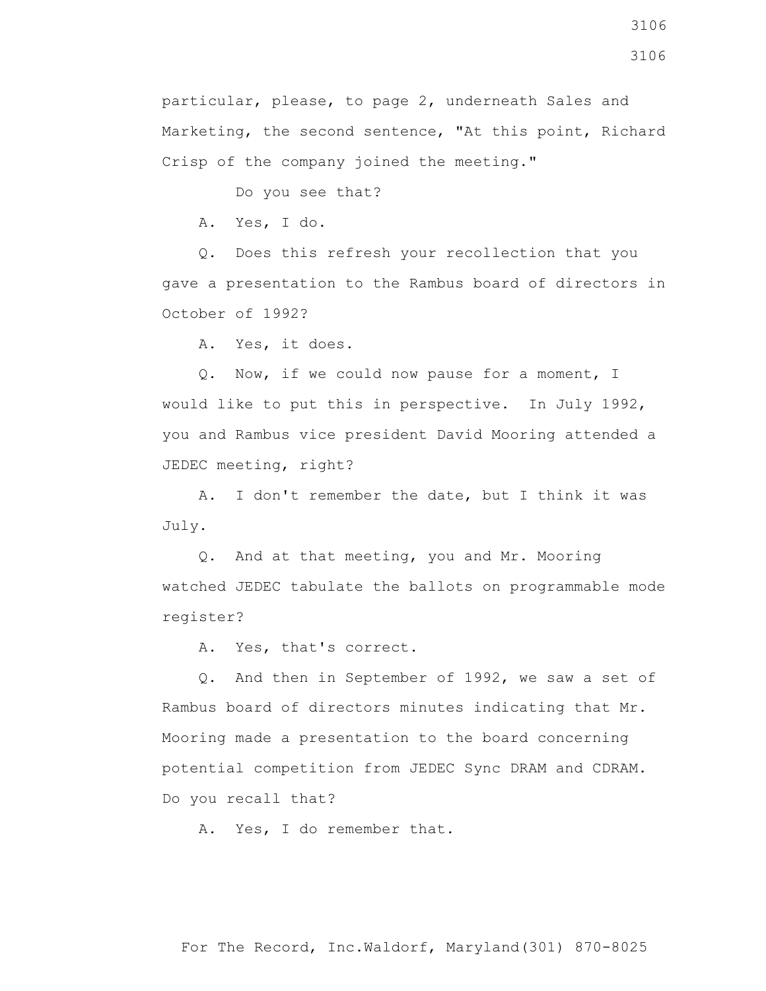Do you see that?

A. Yes, I do.

 Q. Does this refresh your recollection that you gave a presentation to the Rambus board of directors in October of 1992?

A. Yes, it does.

 Q. Now, if we could now pause for a moment, I would like to put this in perspective. In July 1992, you and Rambus vice president David Mooring attended a JEDEC meeting, right?

 A. I don't remember the date, but I think it was July.

 Q. And at that meeting, you and Mr. Mooring watched JEDEC tabulate the ballots on programmable mode register?

A. Yes, that's correct.

 Q. And then in September of 1992, we saw a set of Rambus board of directors minutes indicating that Mr. Mooring made a presentation to the board concerning potential competition from JEDEC Sync DRAM and CDRAM. Do you recall that?

A. Yes, I do remember that.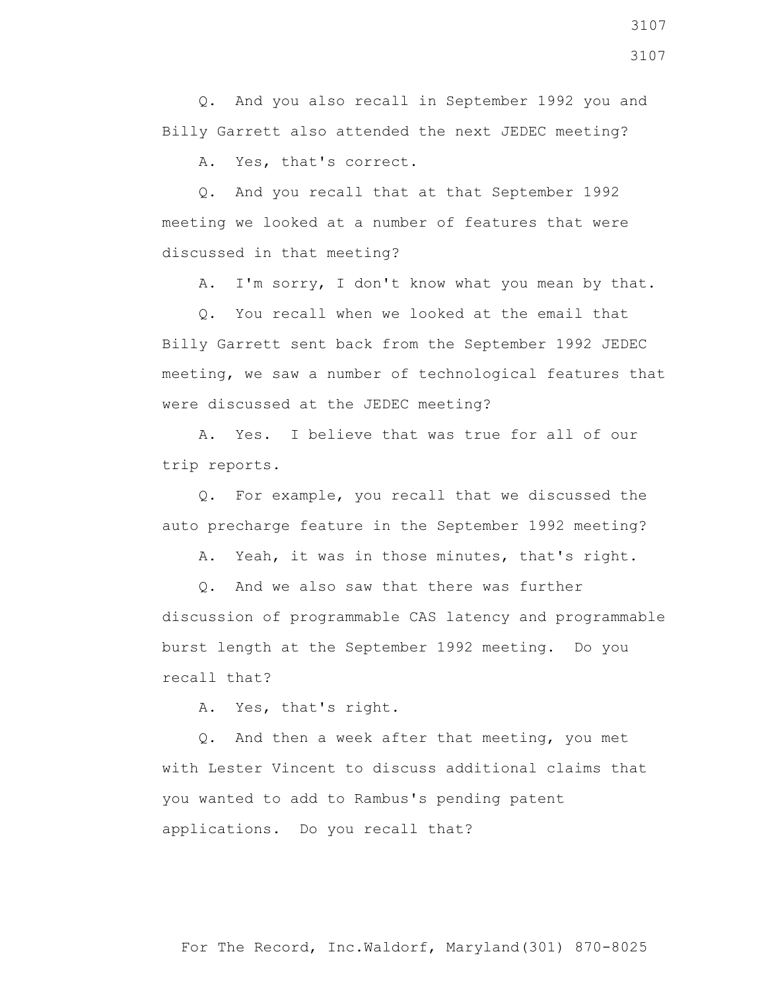Q. And you also recall in September 1992 you and Billy Garrett also attended the next JEDEC meeting?

A. Yes, that's correct.

 Q. And you recall that at that September 1992 meeting we looked at a number of features that were discussed in that meeting?

A. I'm sorry, I don't know what you mean by that.

 Q. You recall when we looked at the email that Billy Garrett sent back from the September 1992 JEDEC meeting, we saw a number of technological features that were discussed at the JEDEC meeting?

 A. Yes. I believe that was true for all of our trip reports.

 Q. For example, you recall that we discussed the auto precharge feature in the September 1992 meeting?

A. Yeah, it was in those minutes, that's right.

 Q. And we also saw that there was further discussion of programmable CAS latency and programmable burst length at the September 1992 meeting. Do you recall that?

A. Yes, that's right.

 Q. And then a week after that meeting, you met with Lester Vincent to discuss additional claims that you wanted to add to Rambus's pending patent applications. Do you recall that?

3107 3107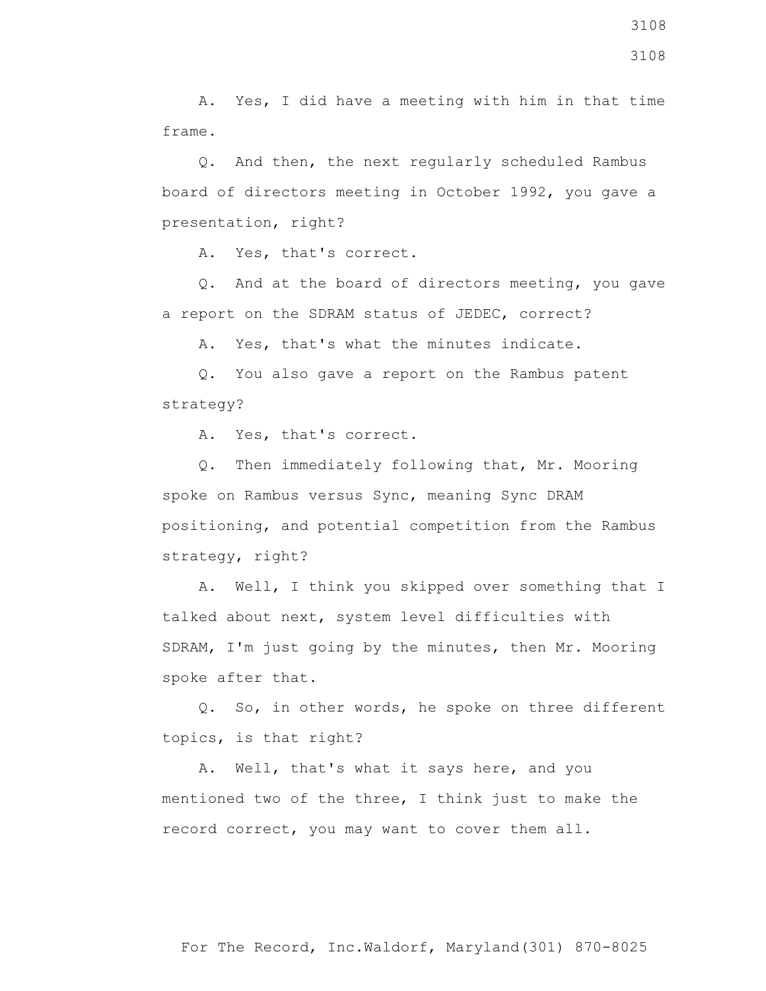A. Yes, I did have a meeting with him in that time frame.

 Q. And then, the next regularly scheduled Rambus board of directors meeting in October 1992, you gave a presentation, right?

A. Yes, that's correct.

 Q. And at the board of directors meeting, you gave a report on the SDRAM status of JEDEC, correct?

A. Yes, that's what the minutes indicate.

 Q. You also gave a report on the Rambus patent strategy?

A. Yes, that's correct.

 Q. Then immediately following that, Mr. Mooring spoke on Rambus versus Sync, meaning Sync DRAM positioning, and potential competition from the Rambus strategy, right?

 A. Well, I think you skipped over something that I talked about next, system level difficulties with SDRAM, I'm just going by the minutes, then Mr. Mooring spoke after that.

 Q. So, in other words, he spoke on three different topics, is that right?

 A. Well, that's what it says here, and you mentioned two of the three, I think just to make the record correct, you may want to cover them all.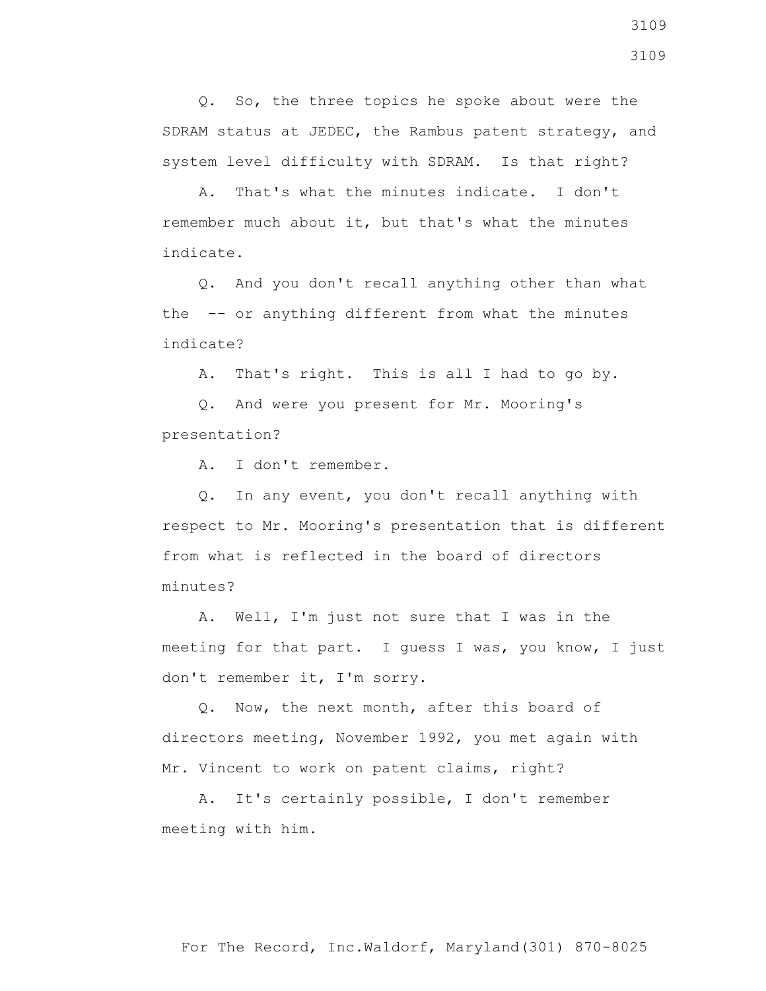Q. So, the three topics he spoke about were the SDRAM status at JEDEC, the Rambus patent strategy, and system level difficulty with SDRAM. Is that right?

 A. That's what the minutes indicate. I don't remember much about it, but that's what the minutes indicate.

 Q. And you don't recall anything other than what the -- or anything different from what the minutes indicate?

A. That's right. This is all I had to go by.

 Q. And were you present for Mr. Mooring's presentation?

A. I don't remember.

 Q. In any event, you don't recall anything with respect to Mr. Mooring's presentation that is different from what is reflected in the board of directors minutes?

 A. Well, I'm just not sure that I was in the meeting for that part. I guess I was, you know, I just don't remember it, I'm sorry.

 Q. Now, the next month, after this board of directors meeting, November 1992, you met again with Mr. Vincent to work on patent claims, right?

 A. It's certainly possible, I don't remember meeting with him.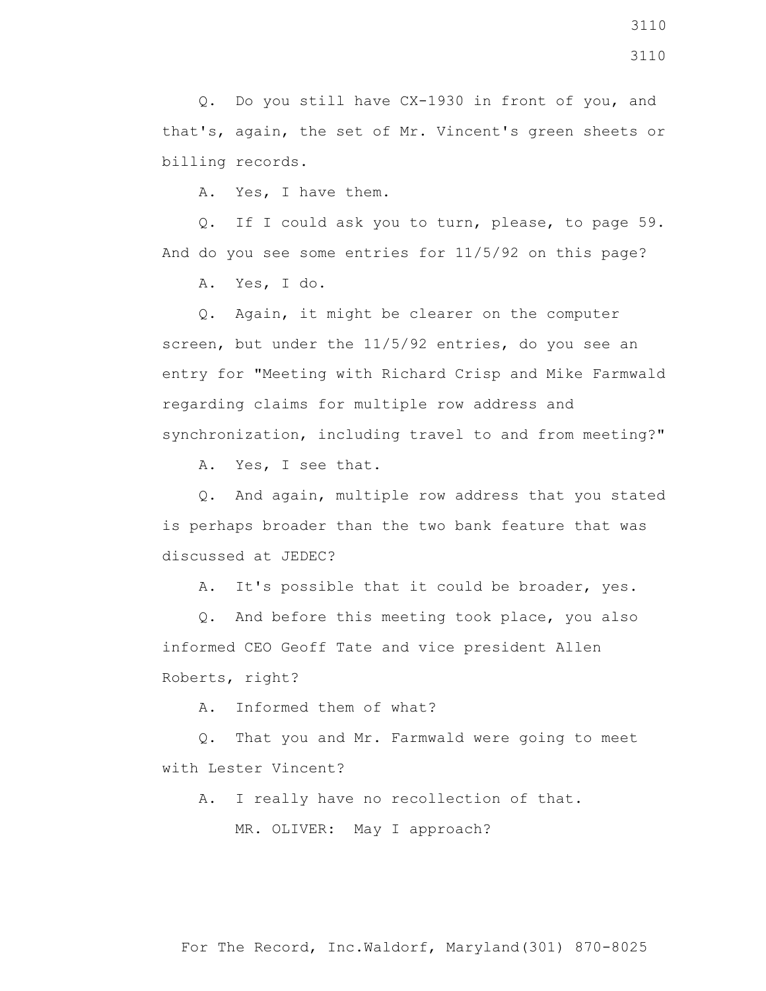A. Yes, I have them.

 Q. If I could ask you to turn, please, to page 59. And do you see some entries for 11/5/92 on this page?

A. Yes, I do.

 Q. Again, it might be clearer on the computer screen, but under the 11/5/92 entries, do you see an entry for "Meeting with Richard Crisp and Mike Farmwald regarding claims for multiple row address and synchronization, including travel to and from meeting?"

A. Yes, I see that.

 Q. And again, multiple row address that you stated is perhaps broader than the two bank feature that was discussed at JEDEC?

A. It's possible that it could be broader, yes.

 Q. And before this meeting took place, you also informed CEO Geoff Tate and vice president Allen Roberts, right?

A. Informed them of what?

 Q. That you and Mr. Farmwald were going to meet with Lester Vincent?

A. I really have no recollection of that.

MR. OLIVER: May I approach?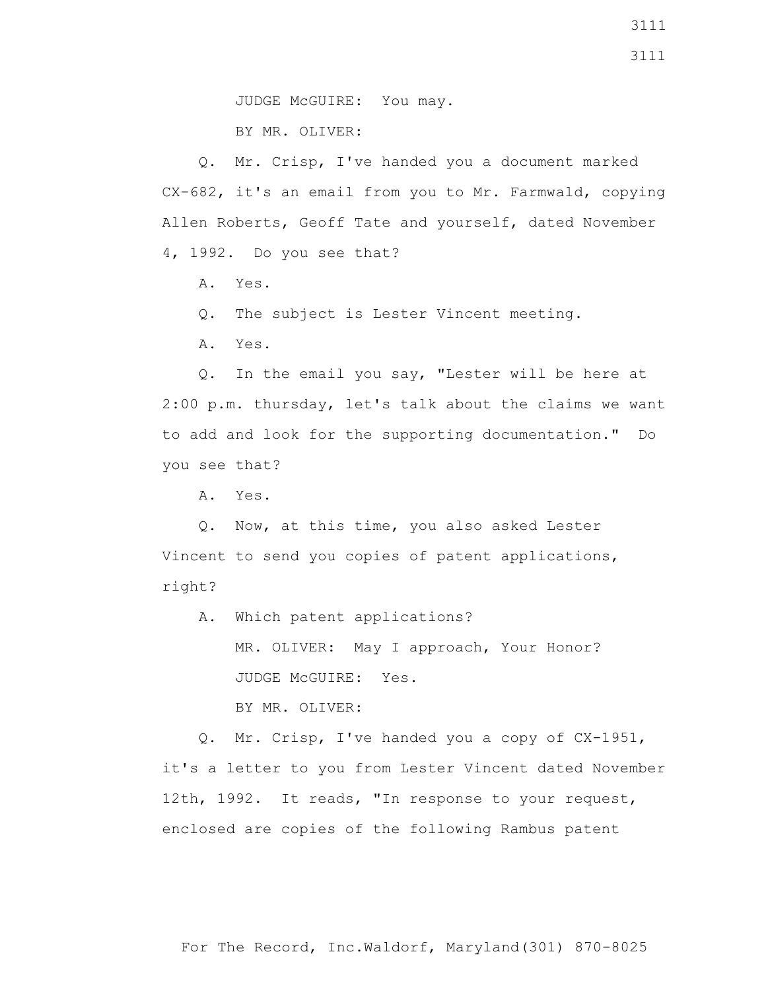BY MR. OLIVER:

 Q. Mr. Crisp, I've handed you a document marked CX-682, it's an email from you to Mr. Farmwald, copying Allen Roberts, Geoff Tate and yourself, dated November 4, 1992. Do you see that?

A. Yes.

Q. The subject is Lester Vincent meeting.

A. Yes.

 Q. In the email you say, "Lester will be here at 2:00 p.m. thursday, let's talk about the claims we want to add and look for the supporting documentation." Do you see that?

A. Yes.

 Q. Now, at this time, you also asked Lester Vincent to send you copies of patent applications, right?

 A. Which patent applications? MR. OLIVER: May I approach, Your Honor? JUDGE McGUIRE: Yes. BY MR. OLIVER:

 Q. Mr. Crisp, I've handed you a copy of CX-1951, it's a letter to you from Lester Vincent dated November 12th, 1992. It reads, "In response to your request, enclosed are copies of the following Rambus patent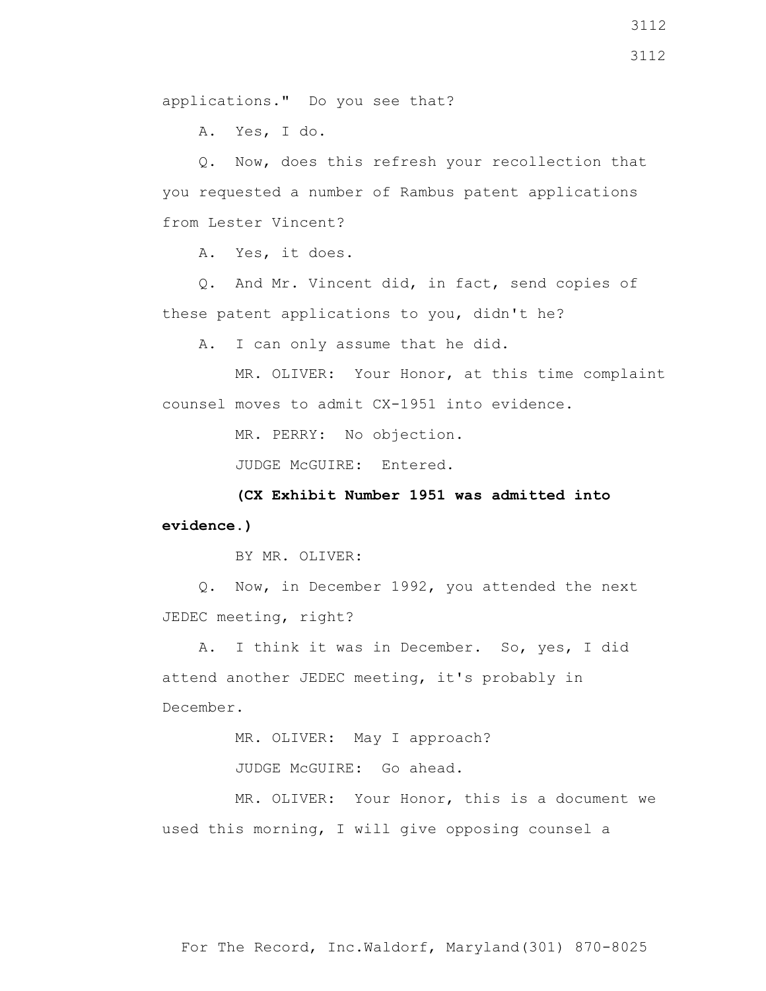applications." Do you see that?

A. Yes, I do.

 Q. Now, does this refresh your recollection that you requested a number of Rambus patent applications from Lester Vincent?

A. Yes, it does.

 Q. And Mr. Vincent did, in fact, send copies of these patent applications to you, didn't he?

A. I can only assume that he did.

 MR. OLIVER: Your Honor, at this time complaint counsel moves to admit CX-1951 into evidence.

MR. PERRY: No objection.

JUDGE McGUIRE: Entered.

 **(CX Exhibit Number 1951 was admitted into evidence.)**

BY MR. OLIVER:

 Q. Now, in December 1992, you attended the next JEDEC meeting, right?

 A. I think it was in December. So, yes, I did attend another JEDEC meeting, it's probably in December.

MR. OLIVER: May I approach?

JUDGE McGUIRE: Go ahead.

 MR. OLIVER: Your Honor, this is a document we used this morning, I will give opposing counsel a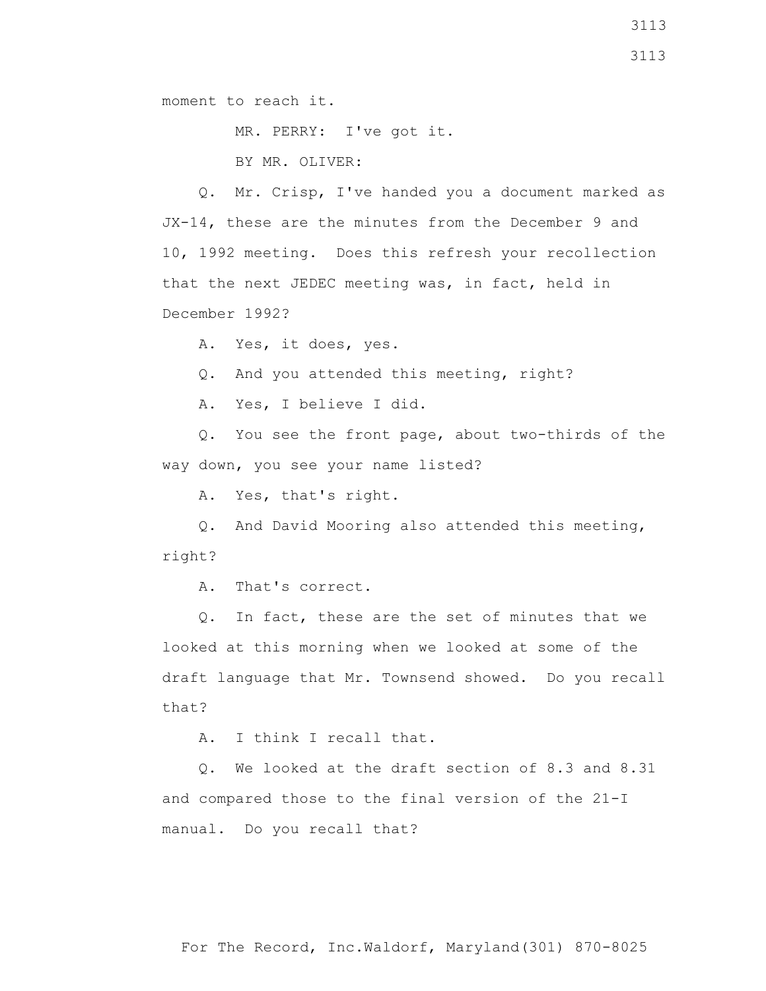moment to reach it.

MR. PERRY: I've got it.

BY MR. OLIVER:

 Q. Mr. Crisp, I've handed you a document marked as JX-14, these are the minutes from the December 9 and 10, 1992 meeting. Does this refresh your recollection that the next JEDEC meeting was, in fact, held in December 1992?

A. Yes, it does, yes.

Q. And you attended this meeting, right?

A. Yes, I believe I did.

 Q. You see the front page, about two-thirds of the way down, you see your name listed?

A. Yes, that's right.

 Q. And David Mooring also attended this meeting, right?

A. That's correct.

 Q. In fact, these are the set of minutes that we looked at this morning when we looked at some of the draft language that Mr. Townsend showed. Do you recall that?

A. I think I recall that.

 Q. We looked at the draft section of 8.3 and 8.31 and compared those to the final version of the 21-I manual. Do you recall that?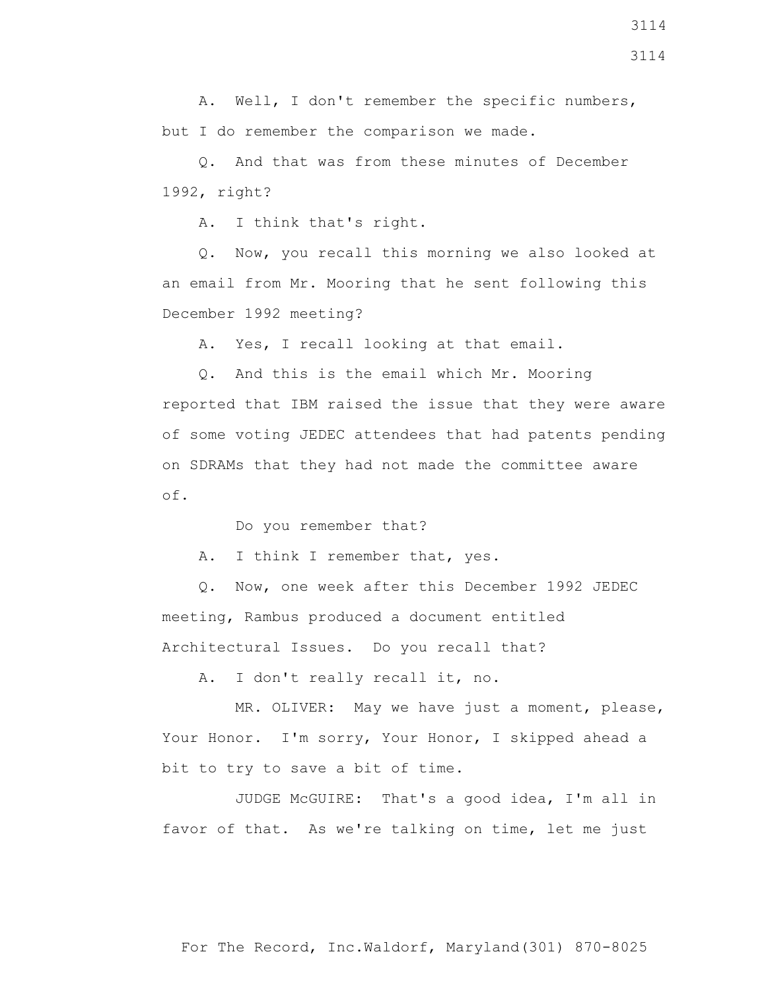A. Well, I don't remember the specific numbers, but I do remember the comparison we made.

 Q. And that was from these minutes of December 1992, right?

A. I think that's right.

 Q. Now, you recall this morning we also looked at an email from Mr. Mooring that he sent following this December 1992 meeting?

A. Yes, I recall looking at that email.

 Q. And this is the email which Mr. Mooring reported that IBM raised the issue that they were aware of some voting JEDEC attendees that had patents pending on SDRAMs that they had not made the committee aware of.

Do you remember that?

A. I think I remember that, yes.

 Q. Now, one week after this December 1992 JEDEC meeting, Rambus produced a document entitled Architectural Issues. Do you recall that?

A. I don't really recall it, no.

 MR. OLIVER: May we have just a moment, please, Your Honor. I'm sorry, Your Honor, I skipped ahead a bit to try to save a bit of time.

 JUDGE McGUIRE: That's a good idea, I'm all in favor of that. As we're talking on time, let me just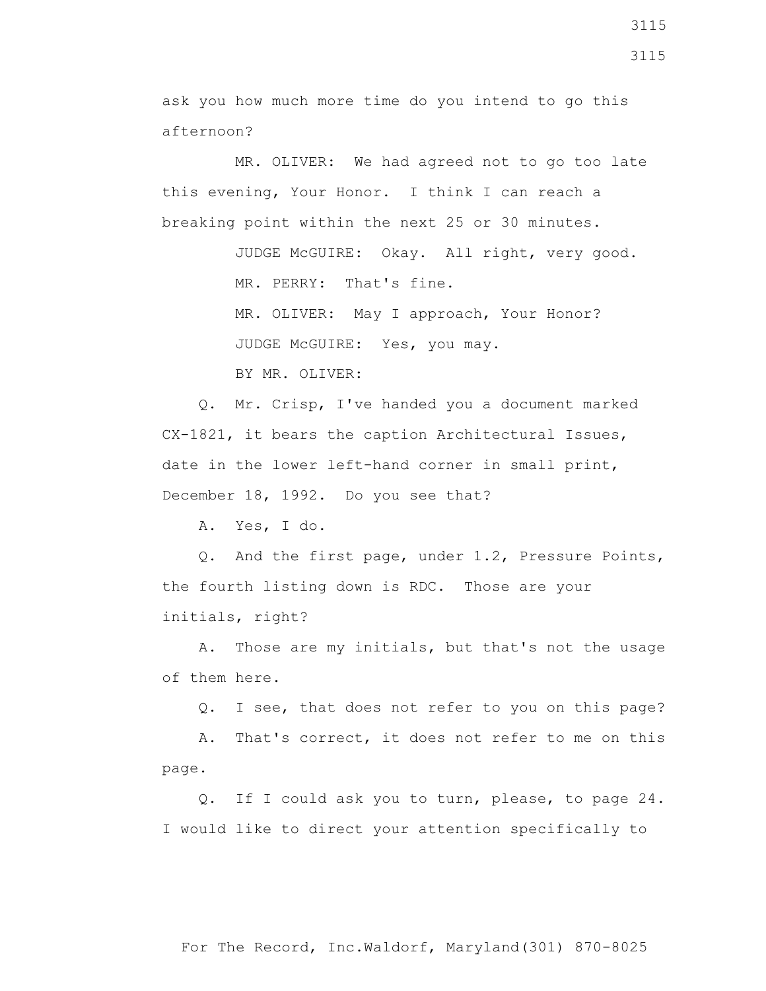ask you how much more time do you intend to go this afternoon?

 MR. OLIVER: We had agreed not to go too late this evening, Your Honor. I think I can reach a breaking point within the next 25 or 30 minutes.

> JUDGE McGUIRE: Okay. All right, very good. MR. PERRY: That's fine. MR. OLIVER: May I approach, Your Honor? JUDGE McGUIRE: Yes, you may.

BY MR. OLIVER:

 Q. Mr. Crisp, I've handed you a document marked CX-1821, it bears the caption Architectural Issues, date in the lower left-hand corner in small print, December 18, 1992. Do you see that?

A. Yes, I do.

 Q. And the first page, under 1.2, Pressure Points, the fourth listing down is RDC. Those are your initials, right?

 A. Those are my initials, but that's not the usage of them here.

Q. I see, that does not refer to you on this page?

 A. That's correct, it does not refer to me on this page.

 Q. If I could ask you to turn, please, to page 24. I would like to direct your attention specifically to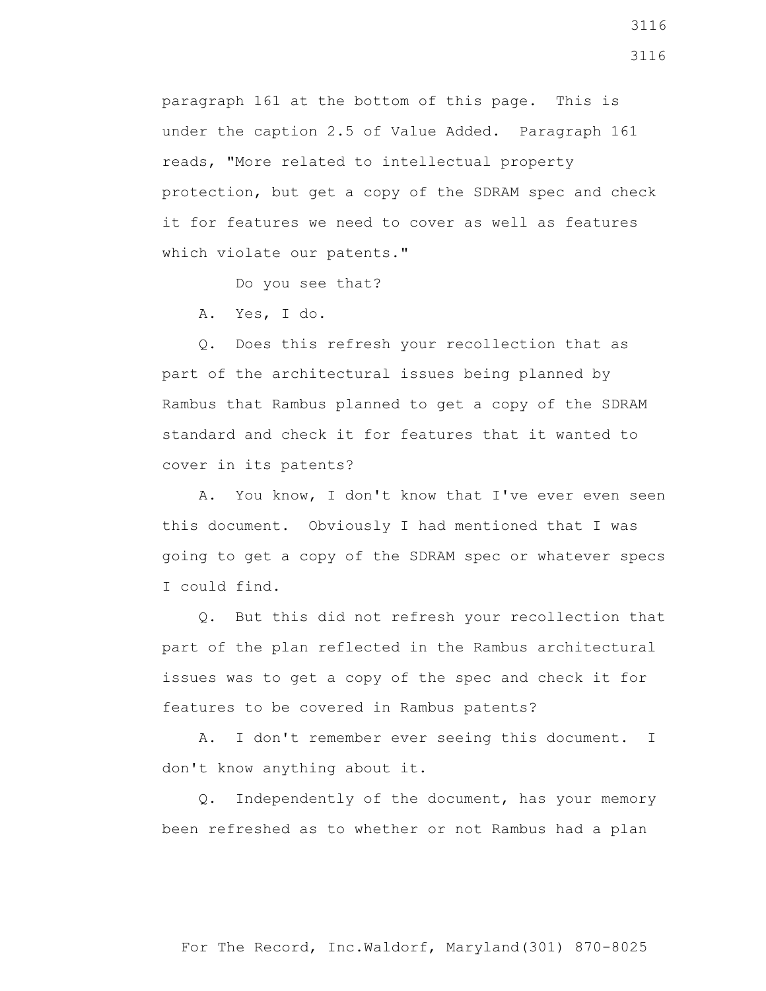paragraph 161 at the bottom of this page. This is under the caption 2.5 of Value Added. Paragraph 161 reads, "More related to intellectual property protection, but get a copy of the SDRAM spec and check it for features we need to cover as well as features which violate our patents."

Do you see that?

A. Yes, I do.

 Q. Does this refresh your recollection that as part of the architectural issues being planned by Rambus that Rambus planned to get a copy of the SDRAM standard and check it for features that it wanted to cover in its patents?

 A. You know, I don't know that I've ever even seen this document. Obviously I had mentioned that I was going to get a copy of the SDRAM spec or whatever specs I could find.

 Q. But this did not refresh your recollection that part of the plan reflected in the Rambus architectural issues was to get a copy of the spec and check it for features to be covered in Rambus patents?

 A. I don't remember ever seeing this document. I don't know anything about it.

 Q. Independently of the document, has your memory been refreshed as to whether or not Rambus had a plan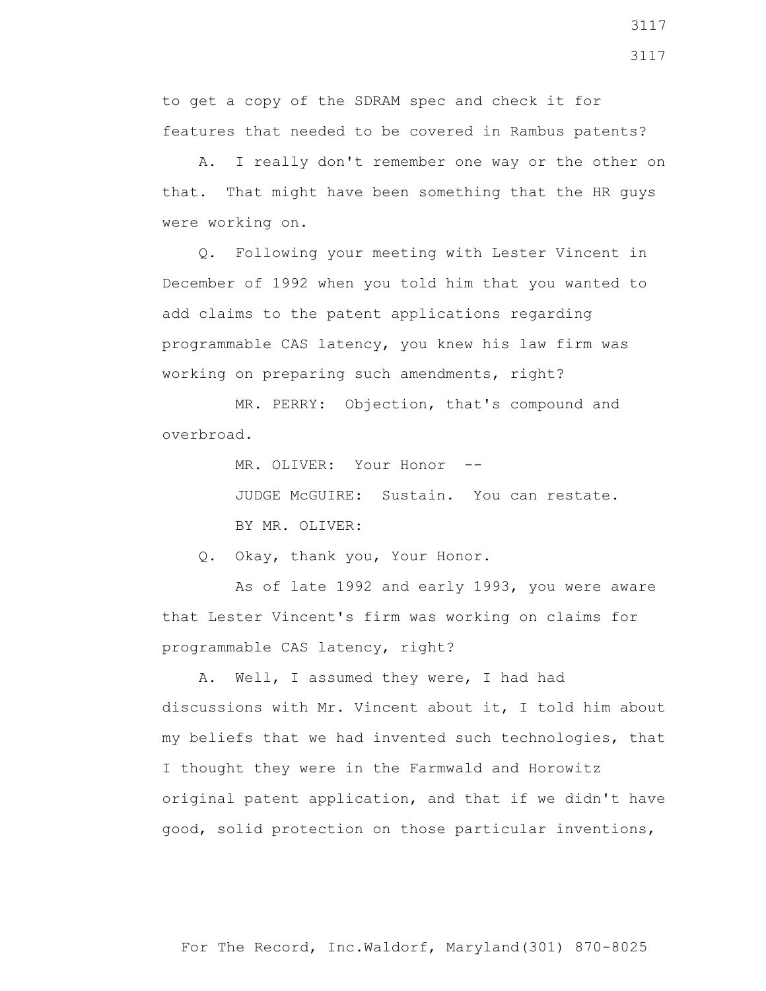to get a copy of the SDRAM spec and check it for features that needed to be covered in Rambus patents?

 A. I really don't remember one way or the other on that. That might have been something that the HR guys were working on.

 Q. Following your meeting with Lester Vincent in December of 1992 when you told him that you wanted to add claims to the patent applications regarding programmable CAS latency, you knew his law firm was working on preparing such amendments, right?

 MR. PERRY: Objection, that's compound and overbroad.

MR. OLIVER: Your Honor --

 JUDGE McGUIRE: Sustain. You can restate. BY MR. OLIVER:

Q. Okay, thank you, Your Honor.

 As of late 1992 and early 1993, you were aware that Lester Vincent's firm was working on claims for programmable CAS latency, right?

 A. Well, I assumed they were, I had had discussions with Mr. Vincent about it, I told him about my beliefs that we had invented such technologies, that I thought they were in the Farmwald and Horowitz original patent application, and that if we didn't have good, solid protection on those particular inventions,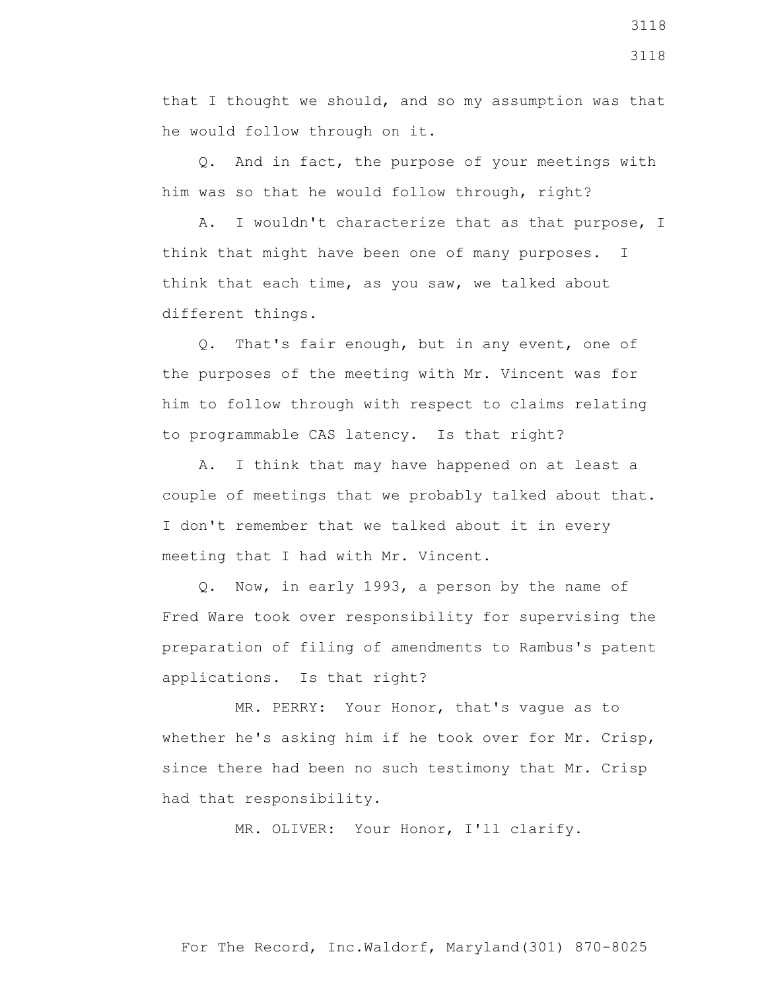that I thought we should, and so my assumption was that he would follow through on it.

 Q. And in fact, the purpose of your meetings with him was so that he would follow through, right?

 A. I wouldn't characterize that as that purpose, I think that might have been one of many purposes. I think that each time, as you saw, we talked about different things.

 Q. That's fair enough, but in any event, one of the purposes of the meeting with Mr. Vincent was for him to follow through with respect to claims relating to programmable CAS latency. Is that right?

 A. I think that may have happened on at least a couple of meetings that we probably talked about that. I don't remember that we talked about it in every meeting that I had with Mr. Vincent.

 Q. Now, in early 1993, a person by the name of Fred Ware took over responsibility for supervising the preparation of filing of amendments to Rambus's patent applications. Is that right?

 MR. PERRY: Your Honor, that's vague as to whether he's asking him if he took over for Mr. Crisp, since there had been no such testimony that Mr. Crisp had that responsibility.

MR. OLIVER: Your Honor, I'll clarify.

For The Record, Inc.Waldorf, Maryland(301) 870-8025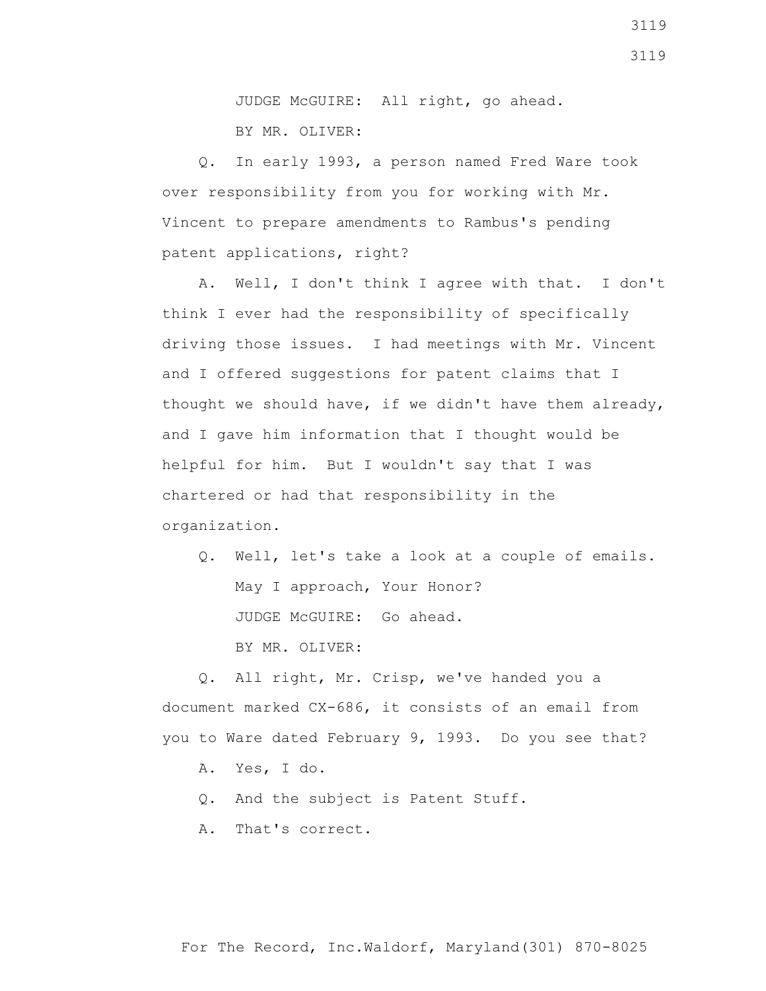JUDGE McGUIRE: All right, go ahead. BY MR. OLIVER:

 Q. In early 1993, a person named Fred Ware took over responsibility from you for working with Mr. Vincent to prepare amendments to Rambus's pending patent applications, right?

 A. Well, I don't think I agree with that. I don't think I ever had the responsibility of specifically driving those issues. I had meetings with Mr. Vincent and I offered suggestions for patent claims that I thought we should have, if we didn't have them already, and I gave him information that I thought would be helpful for him. But I wouldn't say that I was chartered or had that responsibility in the organization.

 Q. Well, let's take a look at a couple of emails. May I approach, Your Honor? JUDGE McGUIRE: Go ahead. BY MR. OLIVER:

 Q. All right, Mr. Crisp, we've handed you a document marked CX-686, it consists of an email from you to Ware dated February 9, 1993. Do you see that?

- A. Yes, I do.
- Q. And the subject is Patent Stuff.
- A. That's correct.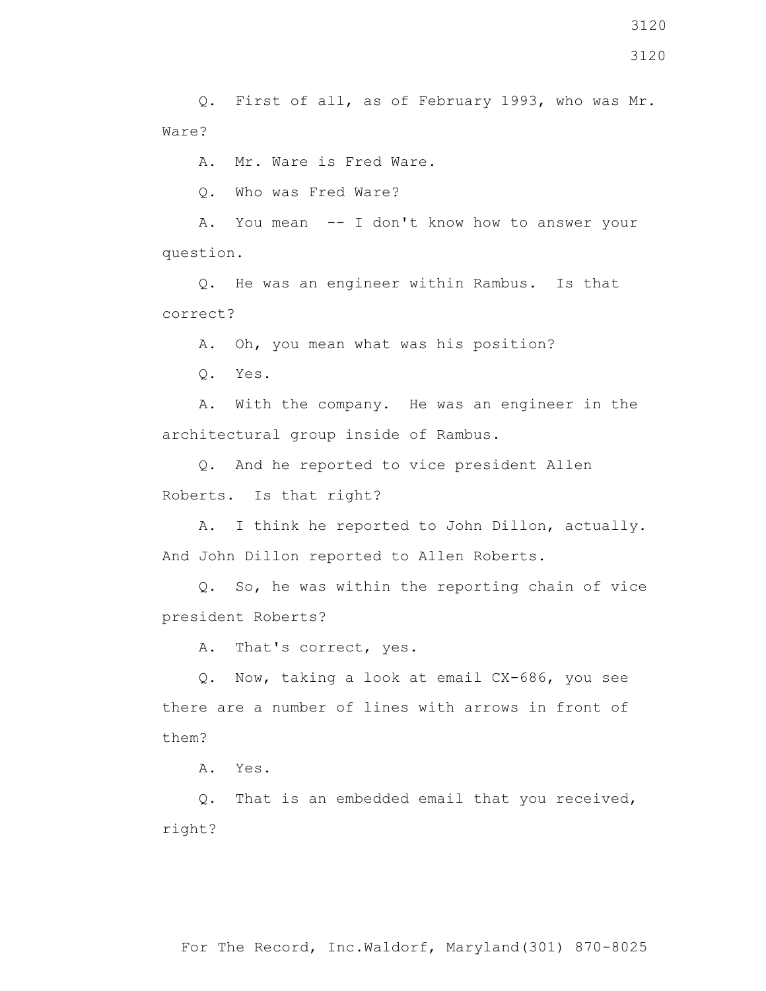Q. First of all, as of February 1993, who was Mr. Ware?

A. Mr. Ware is Fred Ware.

Q. Who was Fred Ware?

 A. You mean -- I don't know how to answer your question.

 Q. He was an engineer within Rambus. Is that correct?

A. Oh, you mean what was his position?

Q. Yes.

 A. With the company. He was an engineer in the architectural group inside of Rambus.

 Q. And he reported to vice president Allen Roberts. Is that right?

 A. I think he reported to John Dillon, actually. And John Dillon reported to Allen Roberts.

 Q. So, he was within the reporting chain of vice president Roberts?

A. That's correct, yes.

 Q. Now, taking a look at email CX-686, you see there are a number of lines with arrows in front of them?

A. Yes.

 Q. That is an embedded email that you received, right?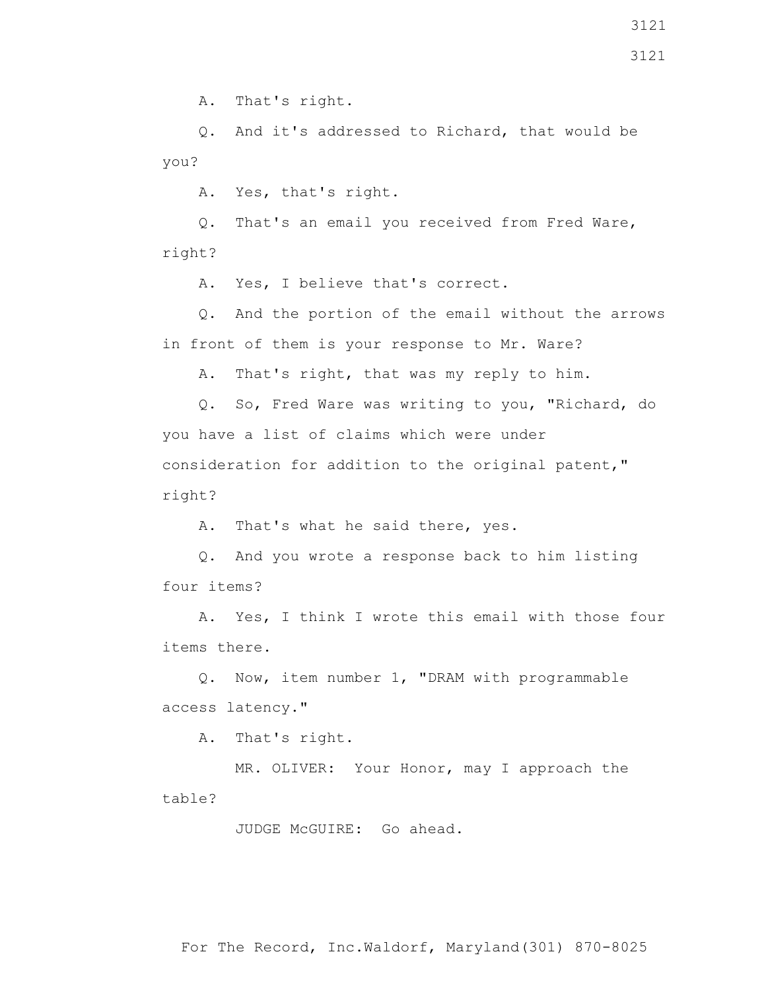Q. And it's addressed to Richard, that would be you?

A. Yes, that's right.

 Q. That's an email you received from Fred Ware, right?

A. Yes, I believe that's correct.

 Q. And the portion of the email without the arrows in front of them is your response to Mr. Ware?

A. That's right, that was my reply to him.

 Q. So, Fred Ware was writing to you, "Richard, do you have a list of claims which were under consideration for addition to the original patent," right?

A. That's what he said there, yes.

 Q. And you wrote a response back to him listing four items?

 A. Yes, I think I wrote this email with those four items there.

 Q. Now, item number 1, "DRAM with programmable access latency."

A. That's right.

 MR. OLIVER: Your Honor, may I approach the table?

JUDGE McGUIRE: Go ahead.

For The Record, Inc.Waldorf, Maryland(301) 870-8025

3121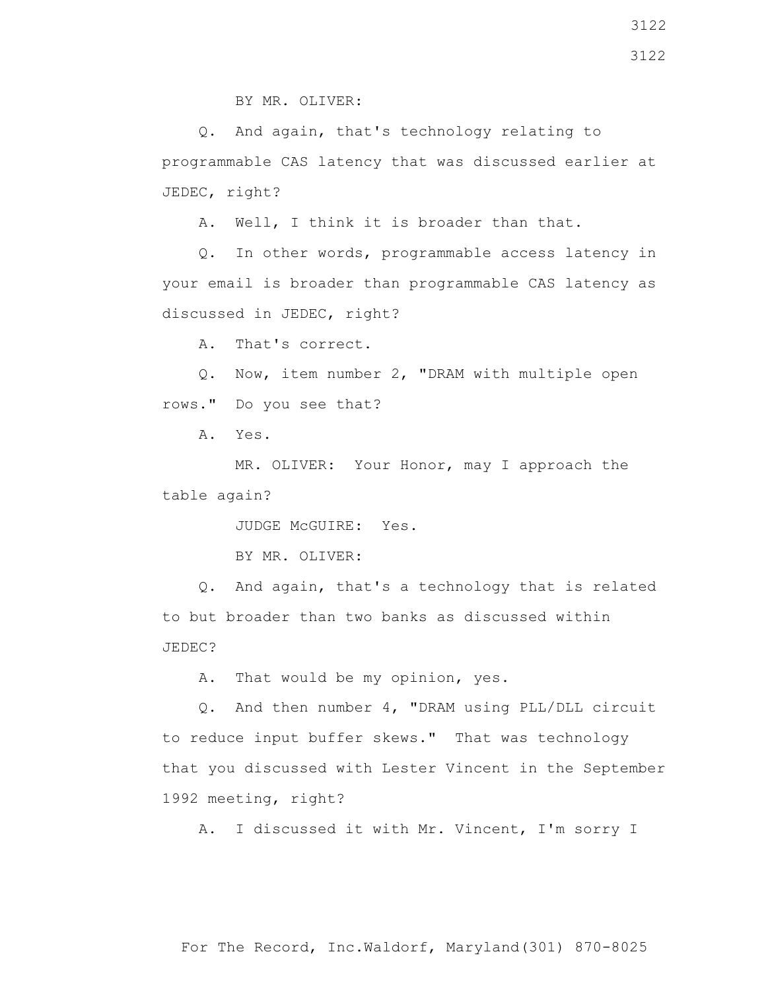BY MR. OLIVER:

 Q. And again, that's technology relating to programmable CAS latency that was discussed earlier at JEDEC, right?

A. Well, I think it is broader than that.

 Q. In other words, programmable access latency in your email is broader than programmable CAS latency as discussed in JEDEC, right?

A. That's correct.

 Q. Now, item number 2, "DRAM with multiple open rows." Do you see that?

A. Yes.

 MR. OLIVER: Your Honor, may I approach the table again?

JUDGE McGUIRE: Yes.

BY MR. OLIVER:

 Q. And again, that's a technology that is related to but broader than two banks as discussed within JEDEC?

A. That would be my opinion, yes.

 Q. And then number 4, "DRAM using PLL/DLL circuit to reduce input buffer skews." That was technology that you discussed with Lester Vincent in the September 1992 meeting, right?

A. I discussed it with Mr. Vincent, I'm sorry I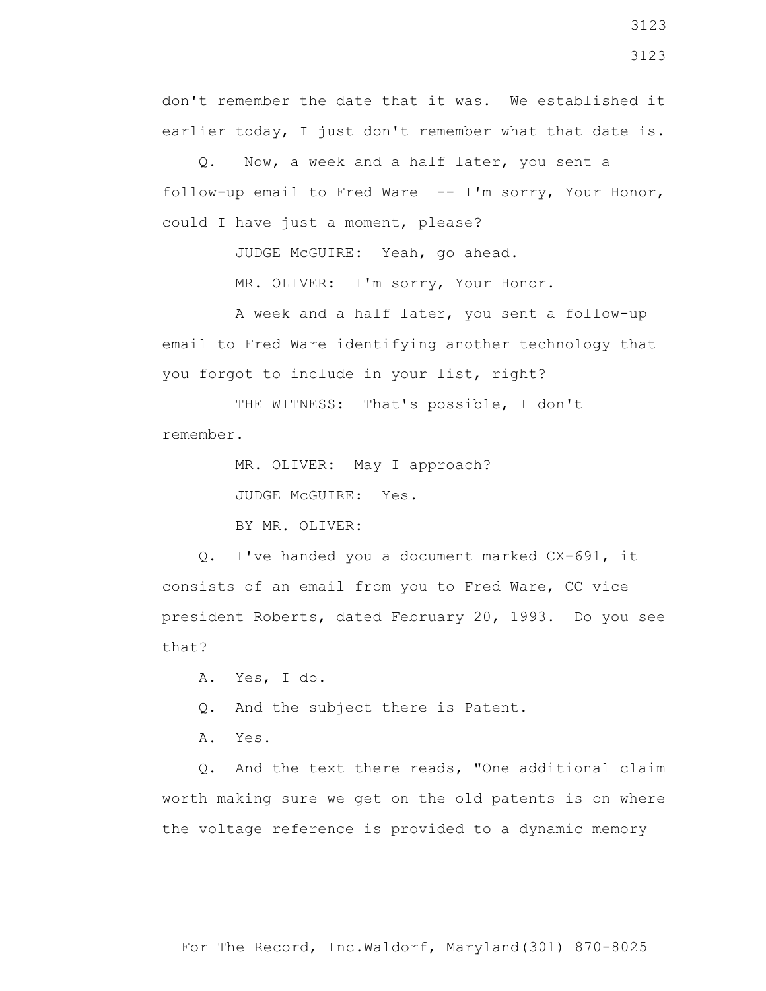don't remember the date that it was. We established it earlier today, I just don't remember what that date is.

 Q. Now, a week and a half later, you sent a follow-up email to Fred Ware -- I'm sorry, Your Honor, could I have just a moment, please?

JUDGE McGUIRE: Yeah, go ahead.

MR. OLIVER: I'm sorry, Your Honor.

 A week and a half later, you sent a follow-up email to Fred Ware identifying another technology that you forgot to include in your list, right?

 THE WITNESS: That's possible, I don't remember.

> MR. OLIVER: May I approach? JUDGE McGUIRE: Yes. BY MR. OLIVER:

 Q. I've handed you a document marked CX-691, it consists of an email from you to Fred Ware, CC vice president Roberts, dated February 20, 1993. Do you see that?

A. Yes, I do.

Q. And the subject there is Patent.

A. Yes.

 Q. And the text there reads, "One additional claim worth making sure we get on the old patents is on where the voltage reference is provided to a dynamic memory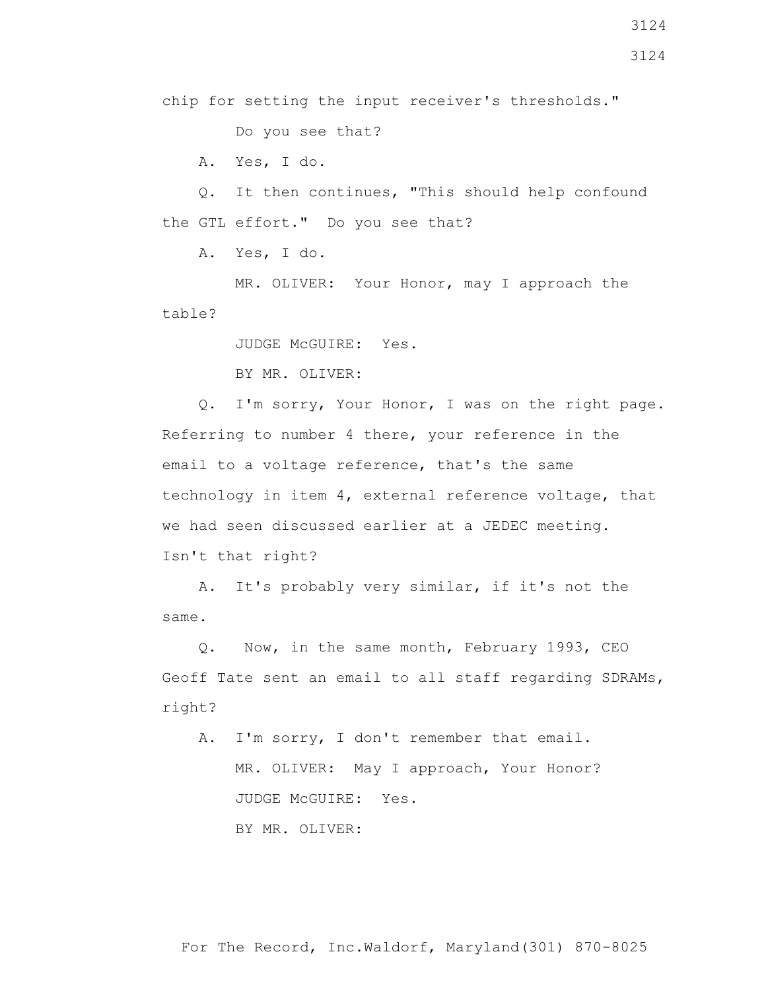chip for setting the input receiver's thresholds."

Do you see that?

A. Yes, I do.

 Q. It then continues, "This should help confound the GTL effort." Do you see that?

A. Yes, I do.

 MR. OLIVER: Your Honor, may I approach the table?

JUDGE McGUIRE: Yes.

BY MR. OLIVER:

 Q. I'm sorry, Your Honor, I was on the right page. Referring to number 4 there, your reference in the email to a voltage reference, that's the same technology in item 4, external reference voltage, that we had seen discussed earlier at a JEDEC meeting. Isn't that right?

 A. It's probably very similar, if it's not the same.

 Q. Now, in the same month, February 1993, CEO Geoff Tate sent an email to all staff regarding SDRAMs, right?

 A. I'm sorry, I don't remember that email. MR. OLIVER: May I approach, Your Honor? JUDGE McGUIRE: Yes. BY MR. OLIVER: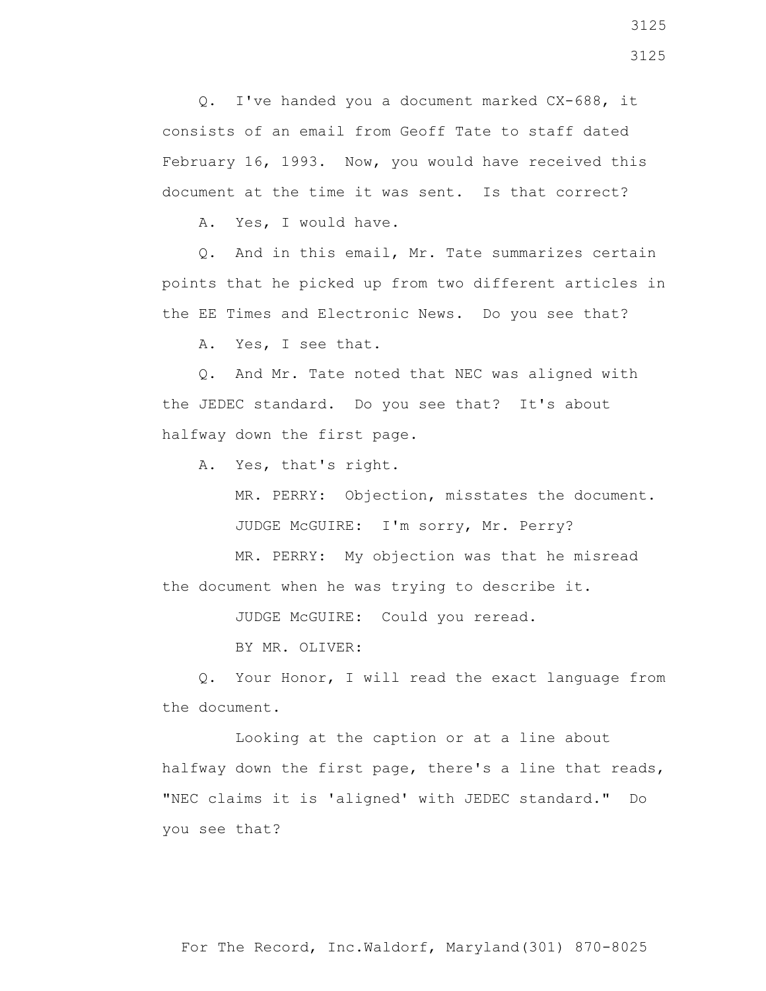Q. I've handed you a document marked CX-688, it consists of an email from Geoff Tate to staff dated February 16, 1993. Now, you would have received this document at the time it was sent. Is that correct?

A. Yes, I would have.

 Q. And in this email, Mr. Tate summarizes certain points that he picked up from two different articles in the EE Times and Electronic News. Do you see that?

A. Yes, I see that.

 Q. And Mr. Tate noted that NEC was aligned with the JEDEC standard. Do you see that? It's about halfway down the first page.

A. Yes, that's right.

 MR. PERRY: Objection, misstates the document. JUDGE McGUIRE: I'm sorry, Mr. Perry?

 MR. PERRY: My objection was that he misread the document when he was trying to describe it.

JUDGE McGUIRE: Could you reread.

BY MR. OLIVER:

 Q. Your Honor, I will read the exact language from the document.

 Looking at the caption or at a line about halfway down the first page, there's a line that reads, "NEC claims it is 'aligned' with JEDEC standard." Do you see that?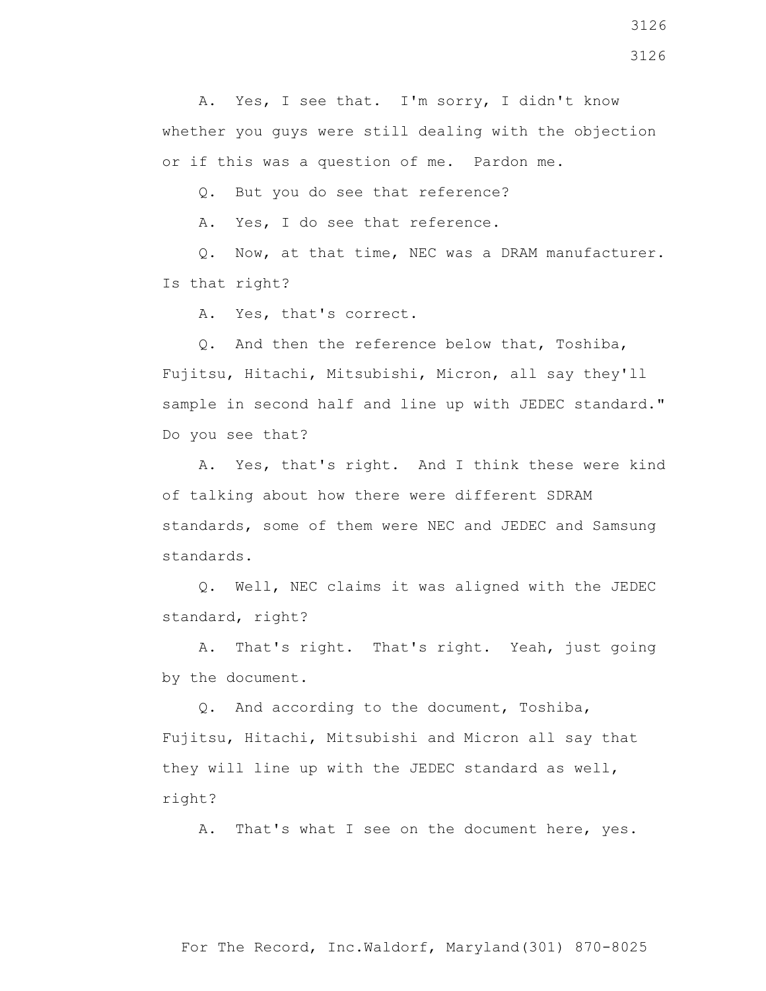A. Yes, I see that. I'm sorry, I didn't know whether you guys were still dealing with the objection or if this was a question of me. Pardon me.

Q. But you do see that reference?

A. Yes, I do see that reference.

 Q. Now, at that time, NEC was a DRAM manufacturer. Is that right?

A. Yes, that's correct.

 Q. And then the reference below that, Toshiba, Fujitsu, Hitachi, Mitsubishi, Micron, all say they'll sample in second half and line up with JEDEC standard." Do you see that?

 A. Yes, that's right. And I think these were kind of talking about how there were different SDRAM standards, some of them were NEC and JEDEC and Samsung standards.

 Q. Well, NEC claims it was aligned with the JEDEC standard, right?

 A. That's right. That's right. Yeah, just going by the document.

 Q. And according to the document, Toshiba, Fujitsu, Hitachi, Mitsubishi and Micron all say that they will line up with the JEDEC standard as well, right?

A. That's what I see on the document here, yes.

For The Record, Inc.Waldorf, Maryland(301) 870-8025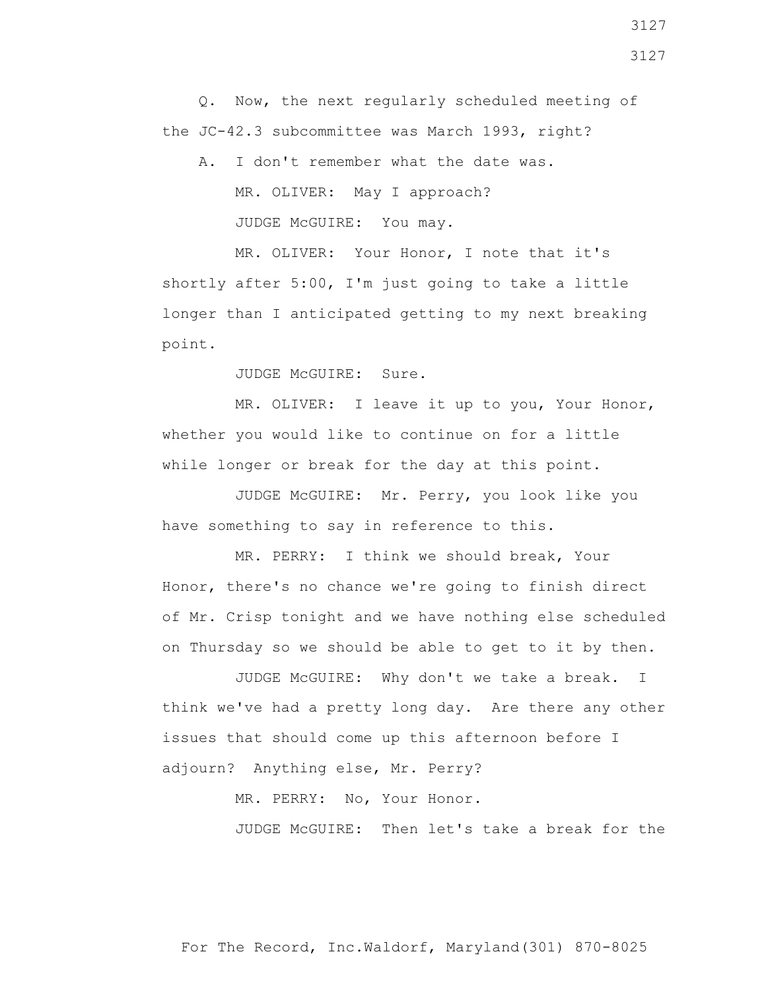Q. Now, the next regularly scheduled meeting of the JC-42.3 subcommittee was March 1993, right?

 A. I don't remember what the date was. MR. OLIVER: May I approach? JUDGE McGUIRE: You may.

 MR. OLIVER: Your Honor, I note that it's shortly after 5:00, I'm just going to take a little longer than I anticipated getting to my next breaking point.

JUDGE McGUIRE: Sure.

 MR. OLIVER: I leave it up to you, Your Honor, whether you would like to continue on for a little while longer or break for the day at this point.

 JUDGE McGUIRE: Mr. Perry, you look like you have something to say in reference to this.

 MR. PERRY: I think we should break, Your Honor, there's no chance we're going to finish direct of Mr. Crisp tonight and we have nothing else scheduled on Thursday so we should be able to get to it by then.

 JUDGE McGUIRE: Why don't we take a break. I think we've had a pretty long day. Are there any other issues that should come up this afternoon before I adjourn? Anything else, Mr. Perry?

MR. PERRY: No, Your Honor.

JUDGE McGUIRE: Then let's take a break for the

For The Record, Inc.Waldorf, Maryland(301) 870-8025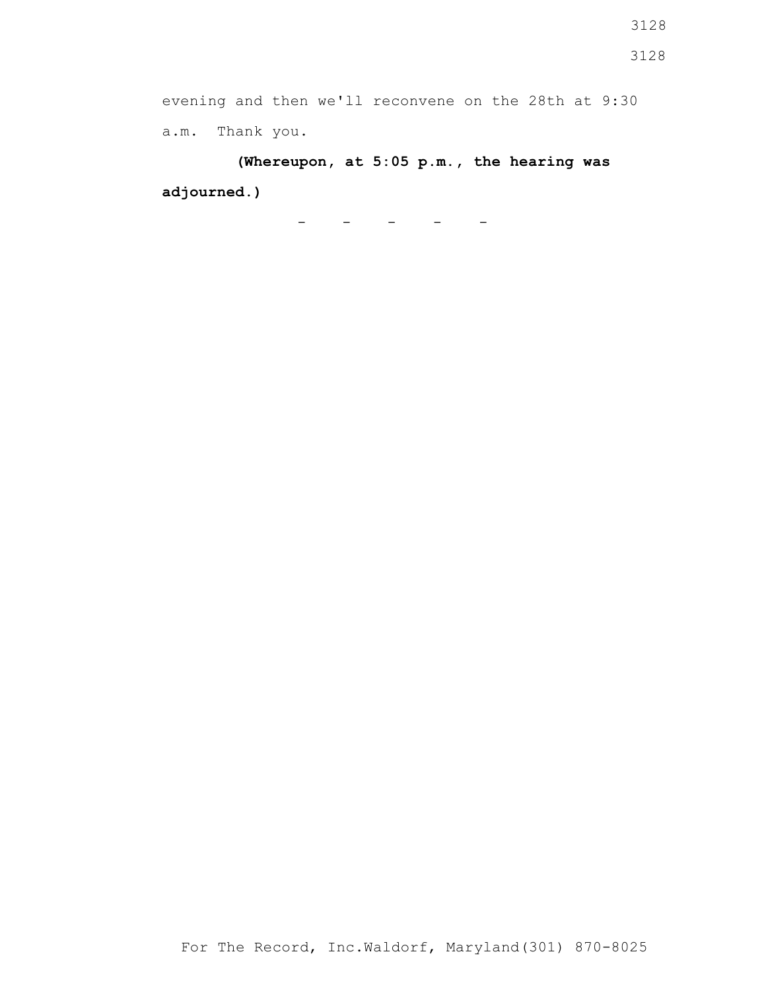**(Whereupon, at 5:05 p.m., the hearing was adjourned.)**

 $-$ 

3128